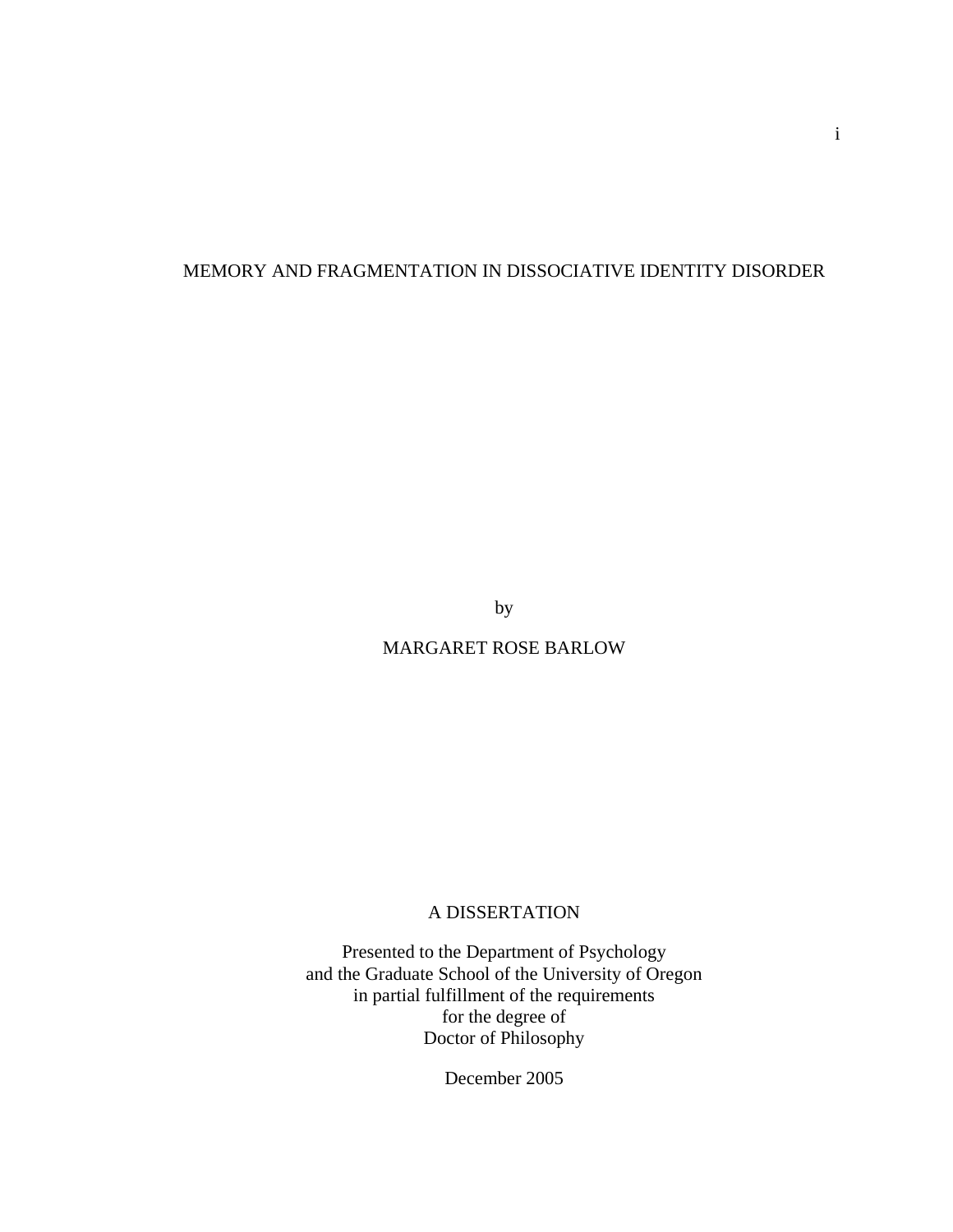# MEMORY AND FRAGMENTATION IN DISSOCIATIVE IDENTITY DISORDER

by

MARGARET ROSE BARLOW

# A DISSERTATION

Presented to the Department of Psychology and the Graduate School of the University of Oregon in partial fulfillment of the requirements for the degree of Doctor of Philosophy

December 2005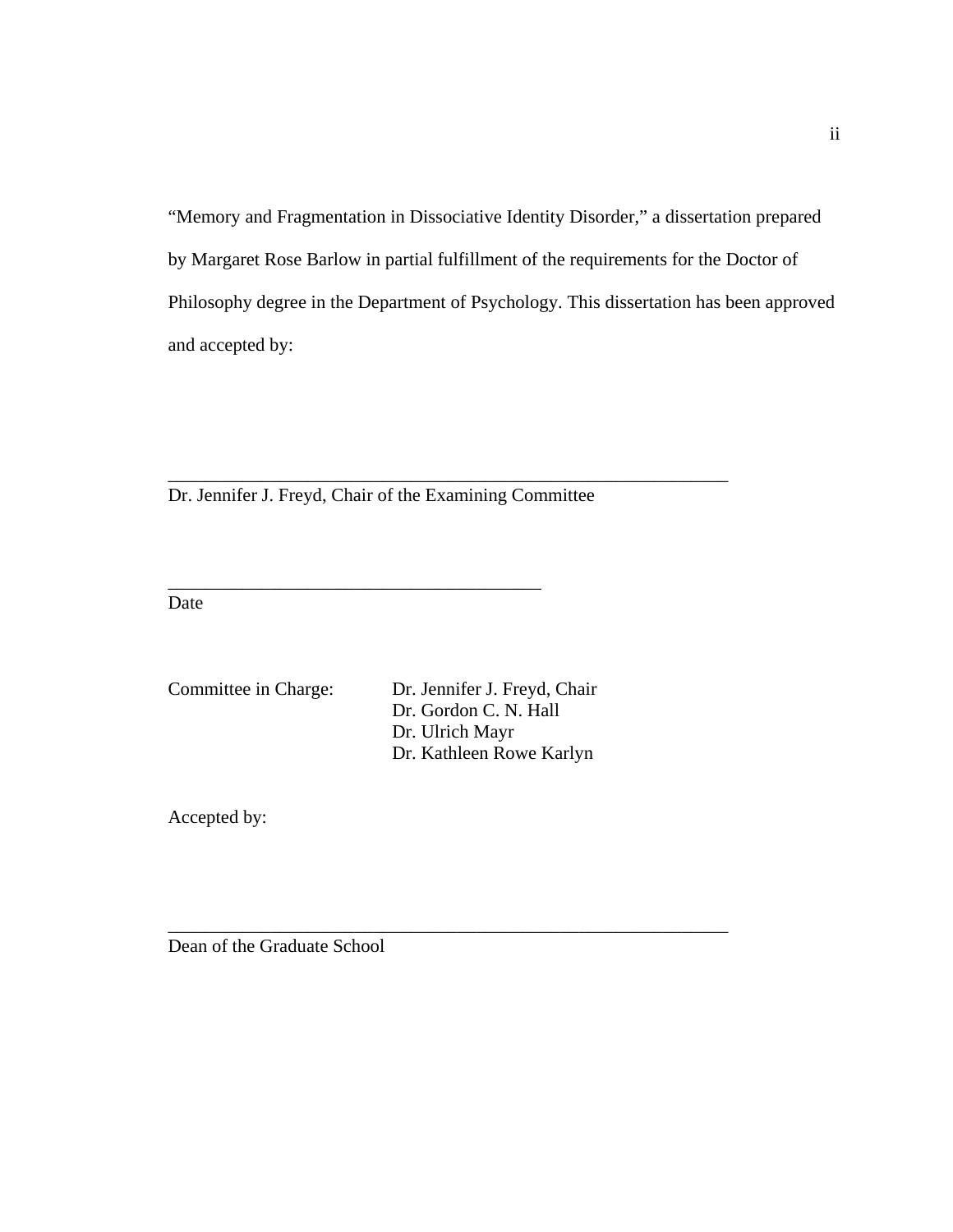"Memory and Fragmentation in Dissociative Identity Disorder," a dissertation prepared by Margaret Rose Barlow in partial fulfillment of the requirements for the Doctor of Philosophy degree in the Department of Psychology. This dissertation has been approved and accepted by:

Dr. Jennifer J. Freyd, Chair of the Examining Committee

\_\_\_\_\_\_\_\_\_\_\_\_\_\_\_\_\_\_\_\_\_\_\_\_\_\_\_\_\_\_\_\_\_\_\_\_\_\_\_\_

\_\_\_\_\_\_\_\_\_\_\_\_\_\_\_\_\_\_\_\_\_\_\_\_\_\_\_\_\_\_\_\_\_\_\_\_\_\_\_\_\_\_\_\_\_\_\_\_\_\_\_\_\_\_\_\_\_\_\_\_

Date

Committee in Charge: Dr. Jennifer J. Freyd, Chair Dr. Gordon C. N. Hall Dr. Ulrich Mayr Dr. Kathleen Rowe Karlyn

\_\_\_\_\_\_\_\_\_\_\_\_\_\_\_\_\_\_\_\_\_\_\_\_\_\_\_\_\_\_\_\_\_\_\_\_\_\_\_\_\_\_\_\_\_\_\_\_\_\_\_\_\_\_\_\_\_\_\_\_

Accepted by:

Dean of the Graduate School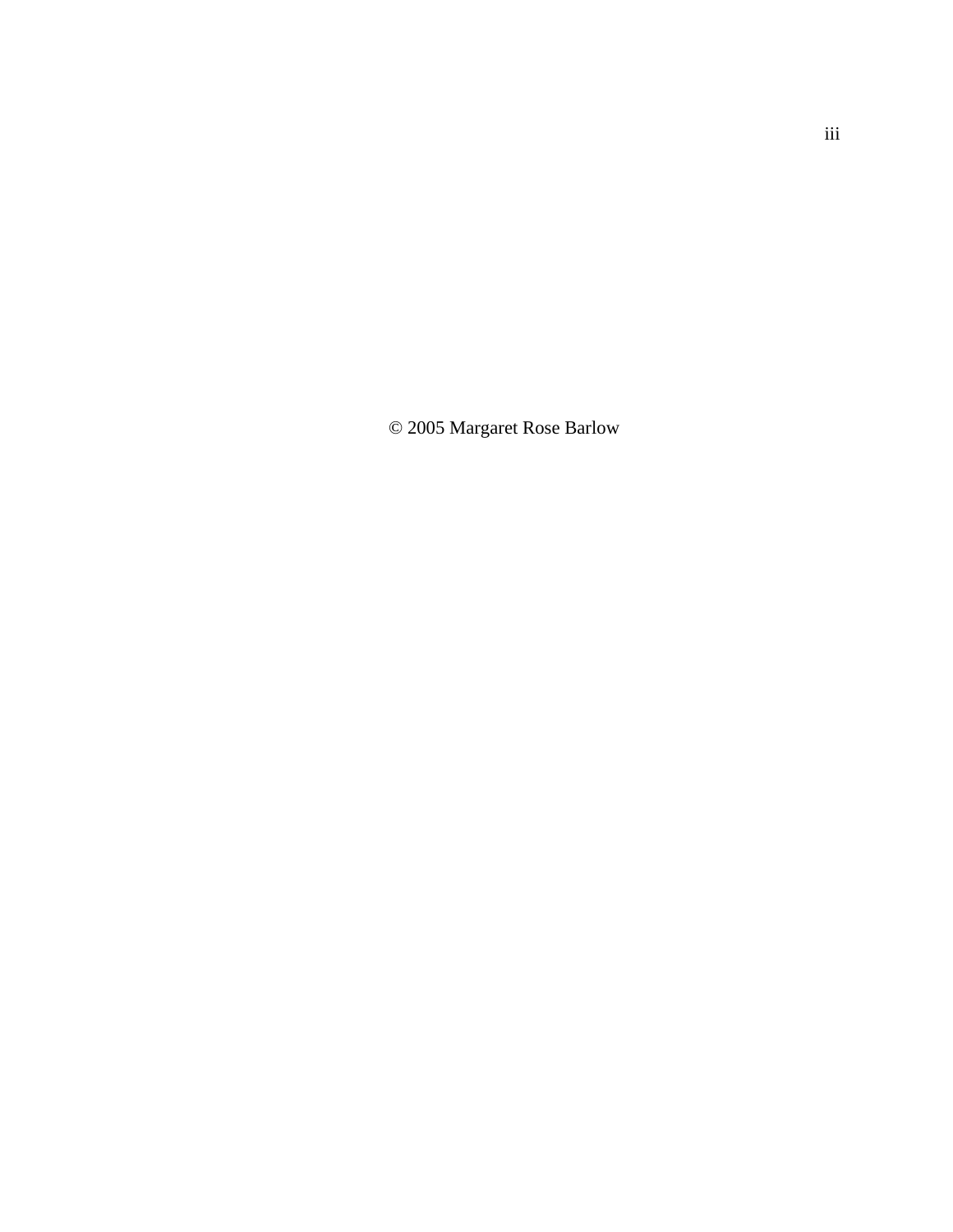© 2005 Margaret Rose Barlow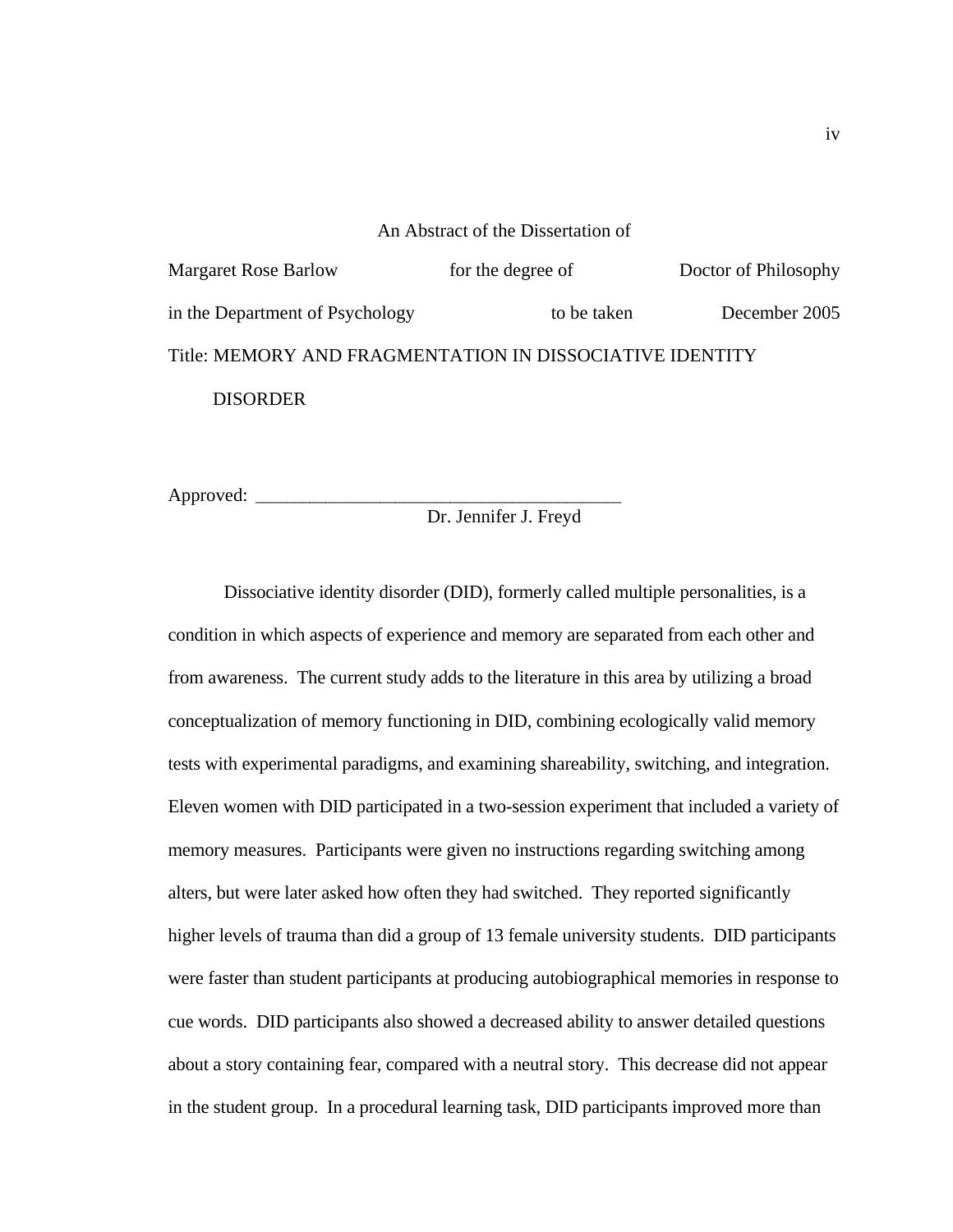# An Abstract of the Dissertation of Margaret Rose Barlow for the degree of Doctor of Philosophy in the Department of Psychology to be taken December 2005 Title: MEMORY AND FRAGMENTATION IN DISSOCIATIVE IDENTITY **DISORDER**

Approved:

# Dr. Jennifer J. Freyd

Dissociative identity disorder (DID), formerly called multiple personalities, is a condition in which aspects of experience and memory are separated from each other and from awareness. The current study adds to the literature in this area by utilizing a broad conceptualization of memory functioning in DID, combining ecologically valid memory tests with experimental paradigms, and examining shareability, switching, and integration. Eleven women with DID participated in a two-session experiment that included a variety of memory measures. Participants were given no instructions regarding switching among alters, but were later asked how often they had switched. They reported significantly higher levels of trauma than did a group of 13 female university students. DID participants were faster than student participants at producing autobiographical memories in response to cue words. DID participants also showed a decreased ability to answer detailed questions about a story containing fear, compared with a neutral story. This decrease did not appear in the student group. In a procedural learning task, DID participants improved more than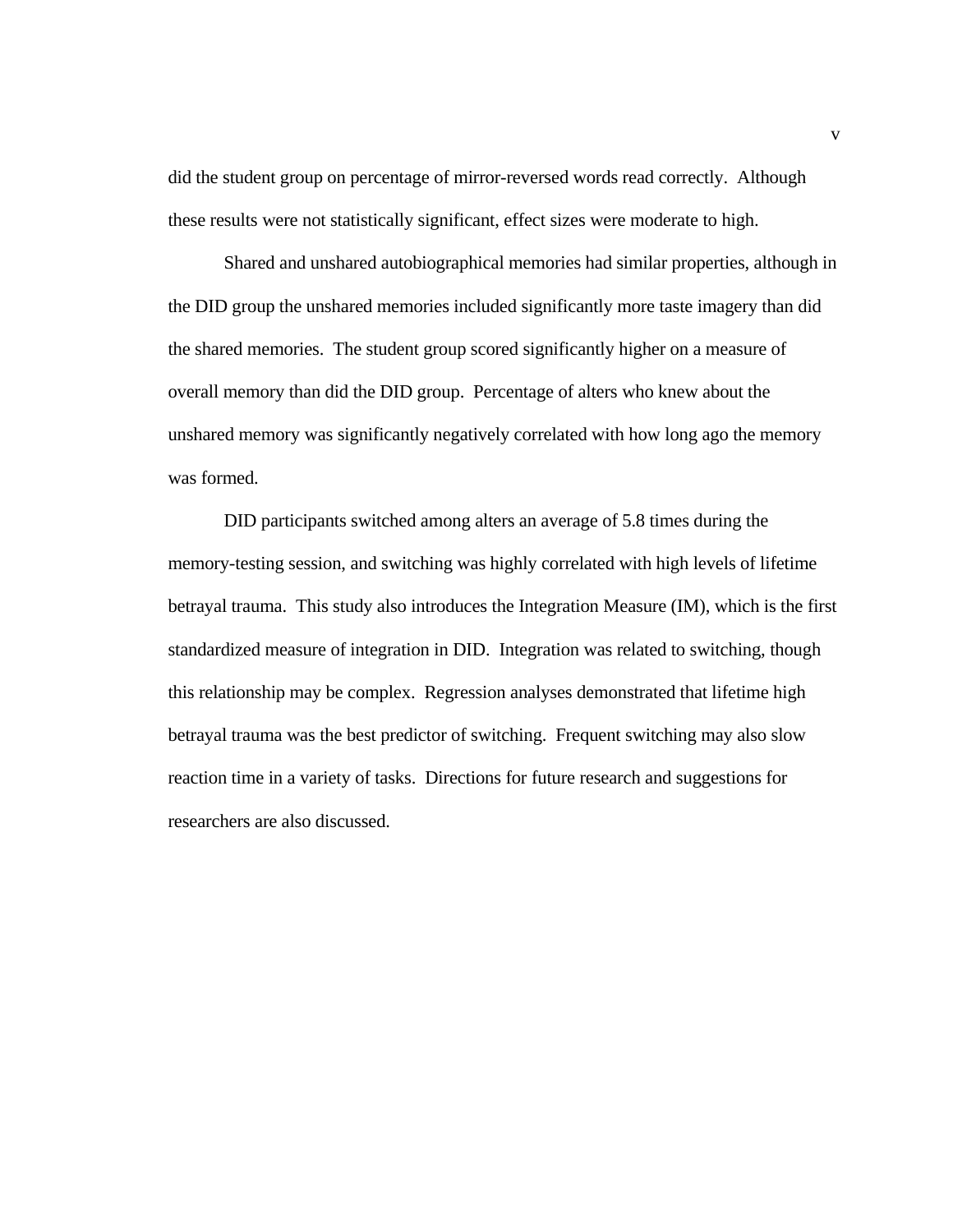did the student group on percentage of mirror-reversed words read correctly. Although these results were not statistically significant, effect sizes were moderate to high.

Shared and unshared autobiographical memories had similar properties, although in the DID group the unshared memories included significantly more taste imagery than did the shared memories. The student group scored significantly higher on a measure of overall memory than did the DID group. Percentage of alters who knew about the unshared memory was significantly negatively correlated with how long ago the memory was formed.

DID participants switched among alters an average of 5.8 times during the memory-testing session, and switching was highly correlated with high levels of lifetime betrayal trauma. This study also introduces the Integration Measure (IM), which is the first standardized measure of integration in DID. Integration was related to switching, though this relationship may be complex. Regression analyses demonstrated that lifetime high betrayal trauma was the best predictor of switching. Frequent switching may also slow reaction time in a variety of tasks. Directions for future research and suggestions for researchers are also discussed.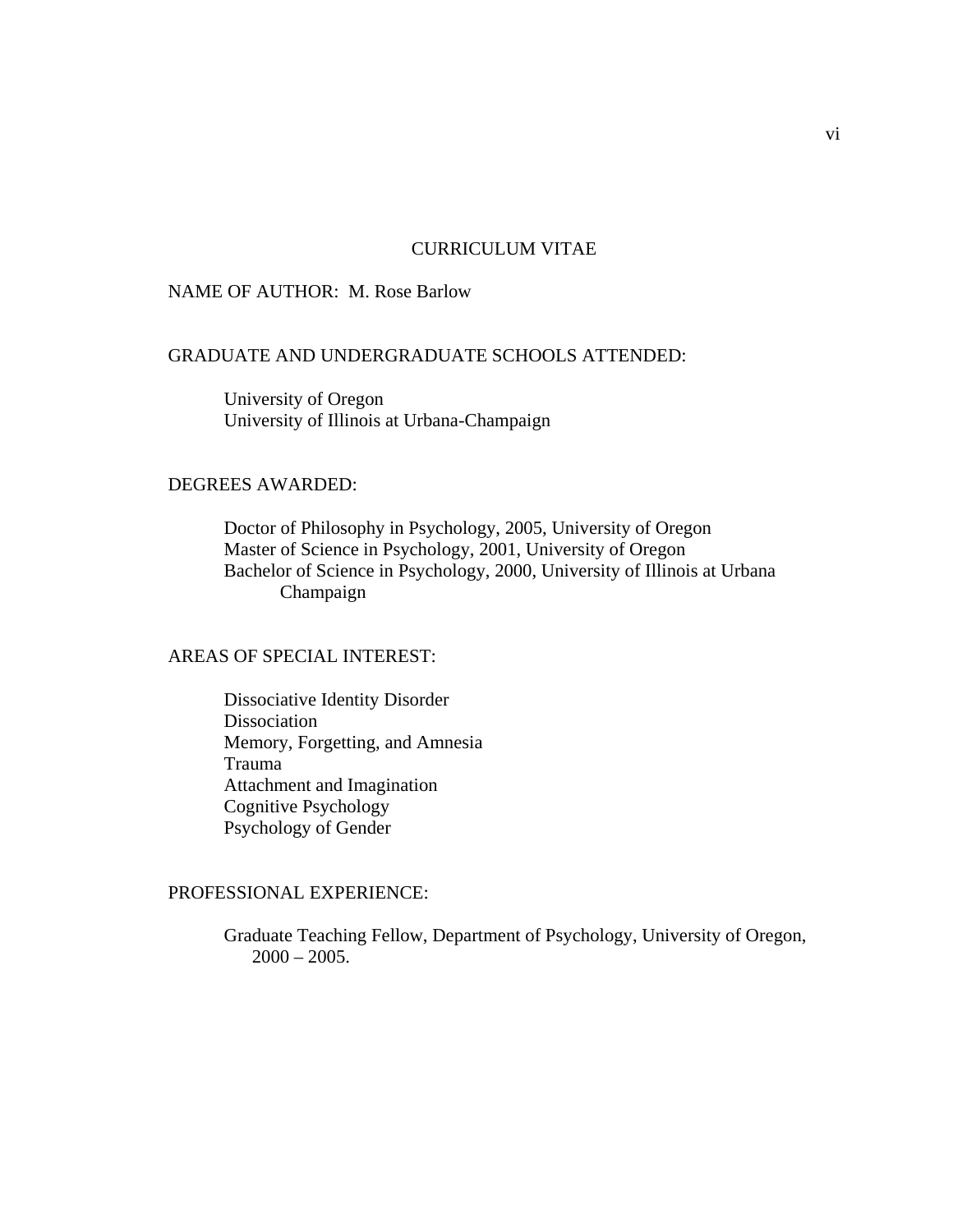## CURRICULUM VITAE

## NAME OF AUTHOR: M. Rose Barlow

## GRADUATE AND UNDERGRADUATE SCHOOLS ATTENDED:

 University of Oregon University of Illinois at Urbana-Champaign

#### DEGREES AWARDED:

 Doctor of Philosophy in Psychology, 2005, University of Oregon Master of Science in Psychology, 2001, University of Oregon Bachelor of Science in Psychology, 2000, University of Illinois at Urbana Champaign

## AREAS OF SPECIAL INTEREST:

 Dissociative Identity Disorder Dissociation Memory, Forgetting, and Amnesia Trauma Attachment and Imagination Cognitive Psychology Psychology of Gender

## PROFESSIONAL EXPERIENCE:

 Graduate Teaching Fellow, Department of Psychology, University of Oregon,  $2000 - 2005$ .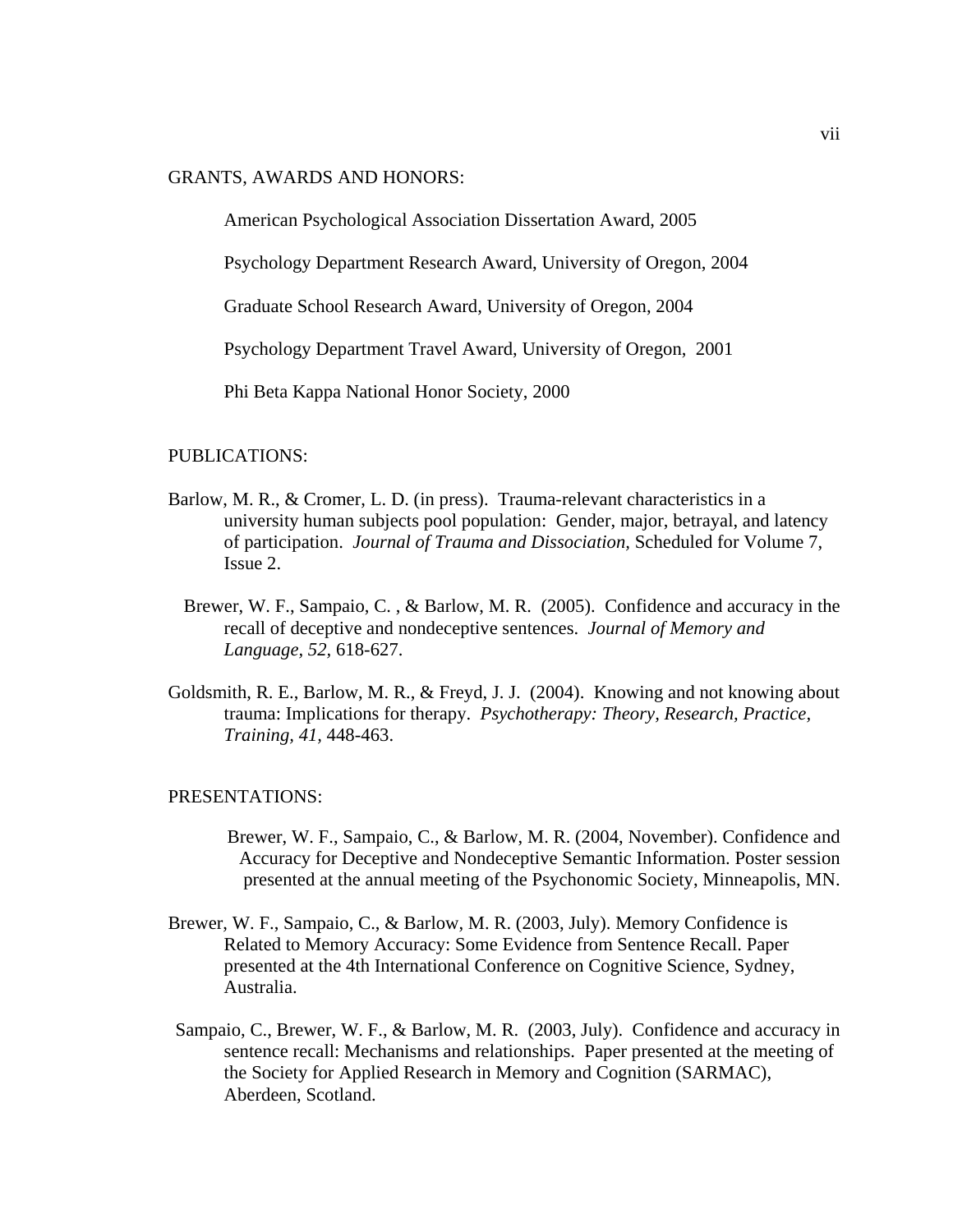GRANTS, AWARDS AND HONORS:

American Psychological Association Dissertation Award, 2005

Psychology Department Research Award, University of Oregon, 2004

Graduate School Research Award, University of Oregon, 2004

Psychology Department Travel Award, University of Oregon, 2001

Phi Beta Kappa National Honor Society, 2000

#### PUBLICATIONS:

- Barlow, M. R., & Cromer, L. D. (in press). Trauma-relevant characteristics in a university human subjects pool population: Gender, major, betrayal, and latency of participation. *Journal of Trauma and Dissociation,* Scheduled for Volume 7, Issue 2.
	- Brewer, W. F., Sampaio, C. , & Barlow, M. R. (2005). Confidence and accuracy in the recall of deceptive and nondeceptive sentences. *Journal of Memory and Language, 52,* 618-627.
- Goldsmith, R. E., Barlow, M. R., & Freyd, J. J. (2004). Knowing and not knowing about trauma: Implications for therapy. *Psychotherapy: Theory, Research, Practice, Training, 41,* 448-463.

## PRESENTATIONS:

- Brewer, W. F., Sampaio, C., & Barlow, M. R. (2004, November). Confidence and Accuracy for Deceptive and Nondeceptive Semantic Information. Poster session presented at the annual meeting of the Psychonomic Society, Minneapolis, MN.
- Brewer, W. F., Sampaio, C., & Barlow, M. R. (2003, July). Memory Confidence is Related to Memory Accuracy: Some Evidence from Sentence Recall. Paper presented at the 4th International Conference on Cognitive Science, Sydney, Australia.
- Sampaio, C., Brewer, W. F., & Barlow, M. R. (2003, July). Confidence and accuracy in sentence recall: Mechanisms and relationships. Paper presented at the meeting of the Society for Applied Research in Memory and Cognition (SARMAC), Aberdeen, Scotland.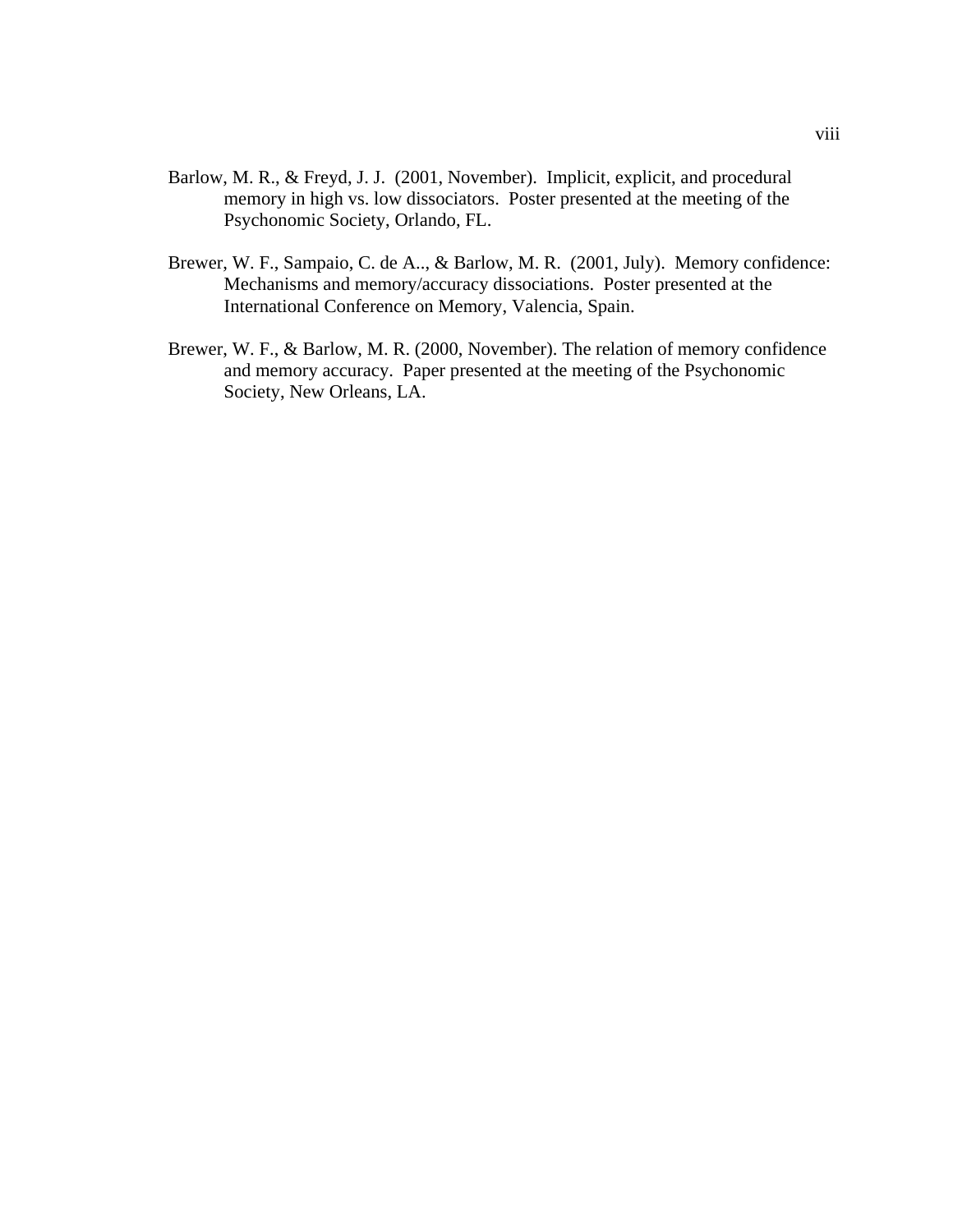- Barlow, M. R., & Freyd, J. J. (2001, November). Implicit, explicit, and procedural memory in high vs. low dissociators. Poster presented at the meeting of the Psychonomic Society, Orlando, FL.
- Brewer, W. F., Sampaio, C. de A.., & Barlow, M. R. (2001, July). Memory confidence: Mechanisms and memory/accuracy dissociations. Poster presented at the International Conference on Memory, Valencia, Spain.
- Brewer, W. F., & Barlow, M. R. (2000, November). The relation of memory confidence and memory accuracy. Paper presented at the meeting of the Psychonomic Society, New Orleans, LA.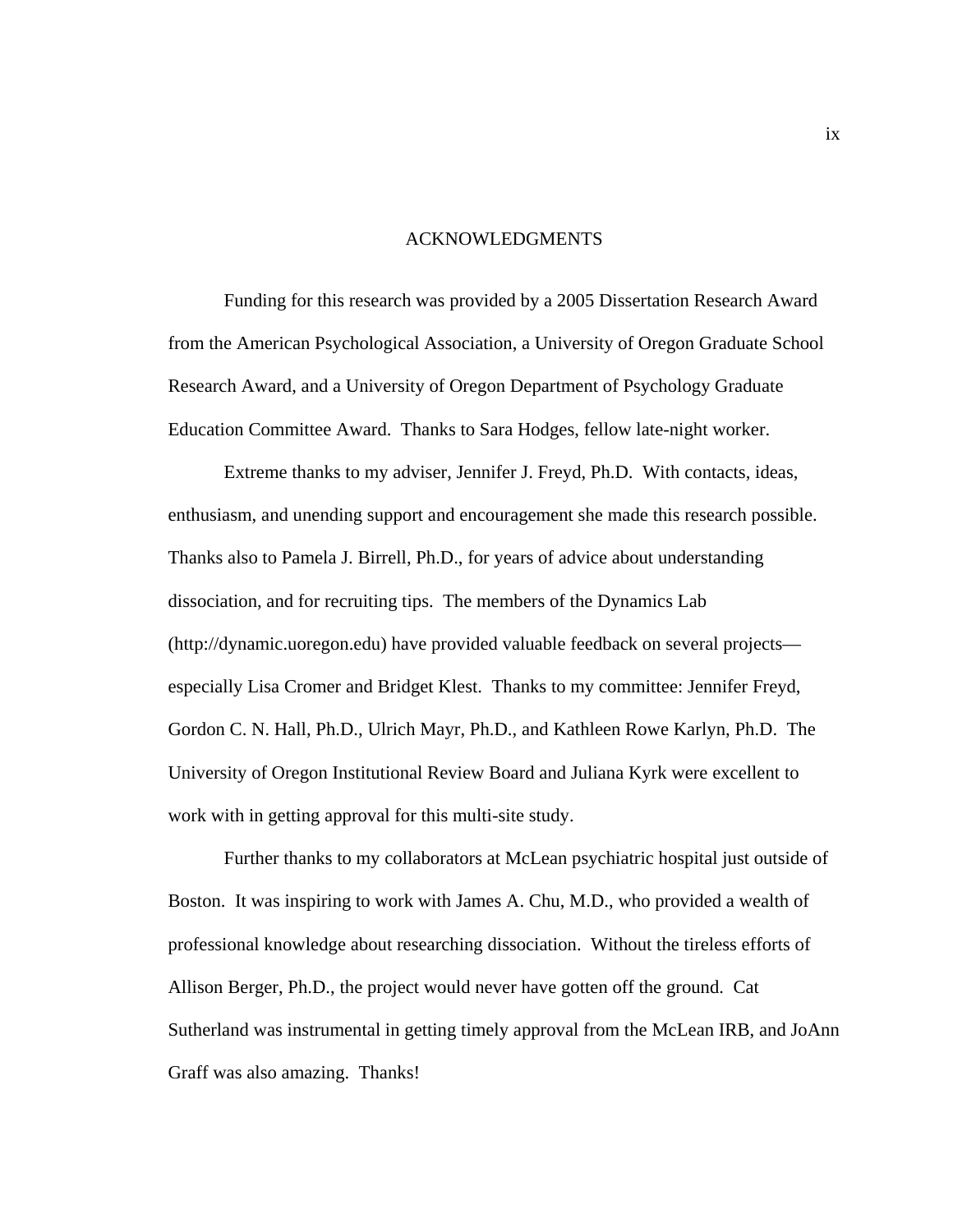#### ACKNOWLEDGMENTS

Funding for this research was provided by a 2005 Dissertation Research Award from the American Psychological Association, a University of Oregon Graduate School Research Award, and a University of Oregon Department of Psychology Graduate Education Committee Award. Thanks to Sara Hodges, fellow late-night worker.

 Extreme thanks to my adviser, Jennifer J. Freyd, Ph.D. With contacts, ideas, enthusiasm, and unending support and encouragement she made this research possible. Thanks also to Pamela J. Birrell, Ph.D., for years of advice about understanding dissociation, and for recruiting tips. The members of the Dynamics Lab (http://dynamic.uoregon.edu) have provided valuable feedback on several projects especially Lisa Cromer and Bridget Klest. Thanks to my committee: Jennifer Freyd, Gordon C. N. Hall, Ph.D., Ulrich Mayr, Ph.D., and Kathleen Rowe Karlyn, Ph.D. The University of Oregon Institutional Review Board and Juliana Kyrk were excellent to work with in getting approval for this multi-site study.

 Further thanks to my collaborators at McLean psychiatric hospital just outside of Boston. It was inspiring to work with James A. Chu, M.D., who provided a wealth of professional knowledge about researching dissociation. Without the tireless efforts of Allison Berger, Ph.D., the project would never have gotten off the ground. Cat Sutherland was instrumental in getting timely approval from the McLean IRB, and JoAnn Graff was also amazing. Thanks!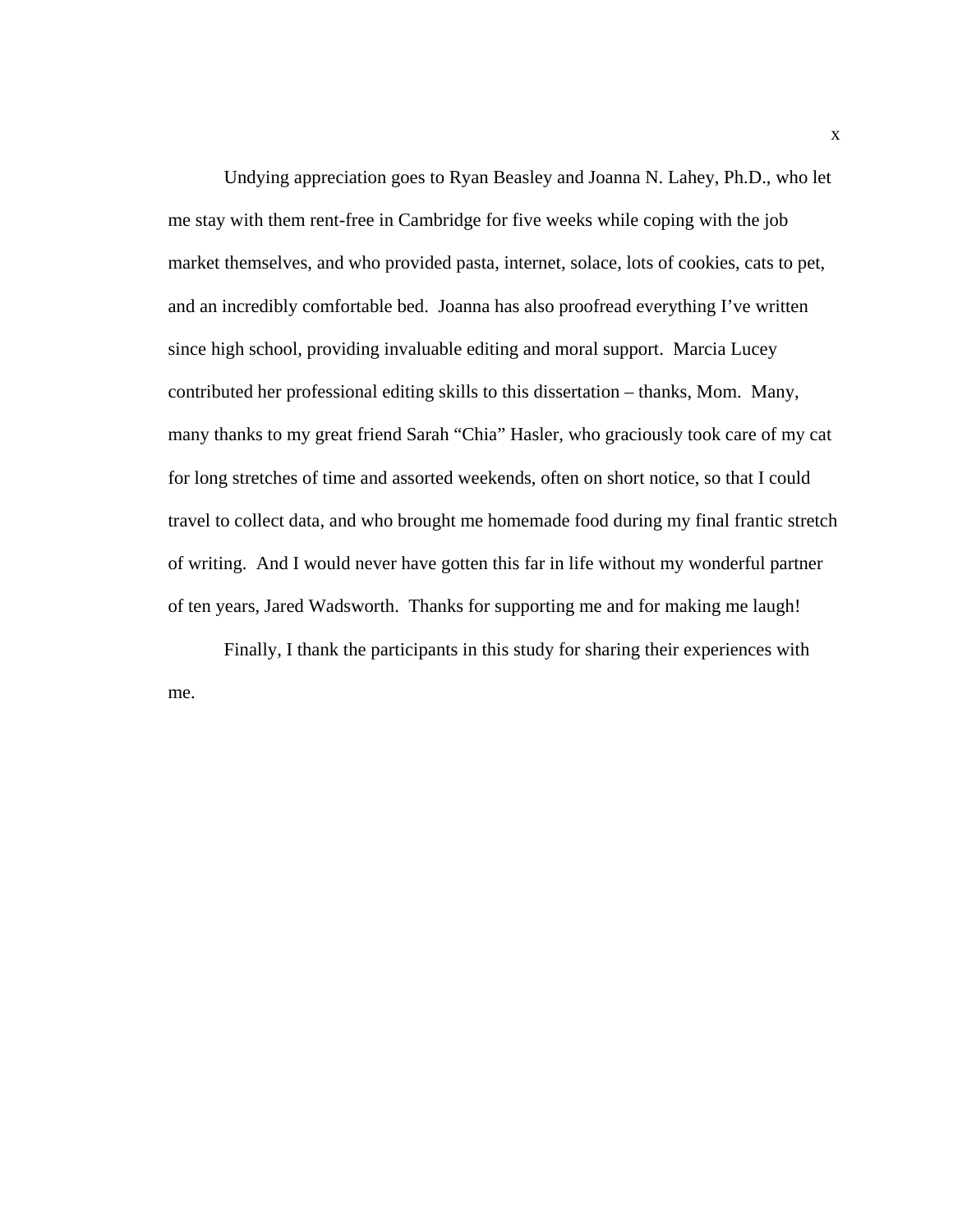Undying appreciation goes to Ryan Beasley and Joanna N. Lahey, Ph.D., who let me stay with them rent-free in Cambridge for five weeks while coping with the job market themselves, and who provided pasta, internet, solace, lots of cookies, cats to pet, and an incredibly comfortable bed. Joanna has also proofread everything I've written since high school, providing invaluable editing and moral support. Marcia Lucey contributed her professional editing skills to this dissertation – thanks, Mom. Many, many thanks to my great friend Sarah "Chia" Hasler, who graciously took care of my cat for long stretches of time and assorted weekends, often on short notice, so that I could travel to collect data, and who brought me homemade food during my final frantic stretch of writing. And I would never have gotten this far in life without my wonderful partner of ten years, Jared Wadsworth. Thanks for supporting me and for making me laugh!

 Finally, I thank the participants in this study for sharing their experiences with me.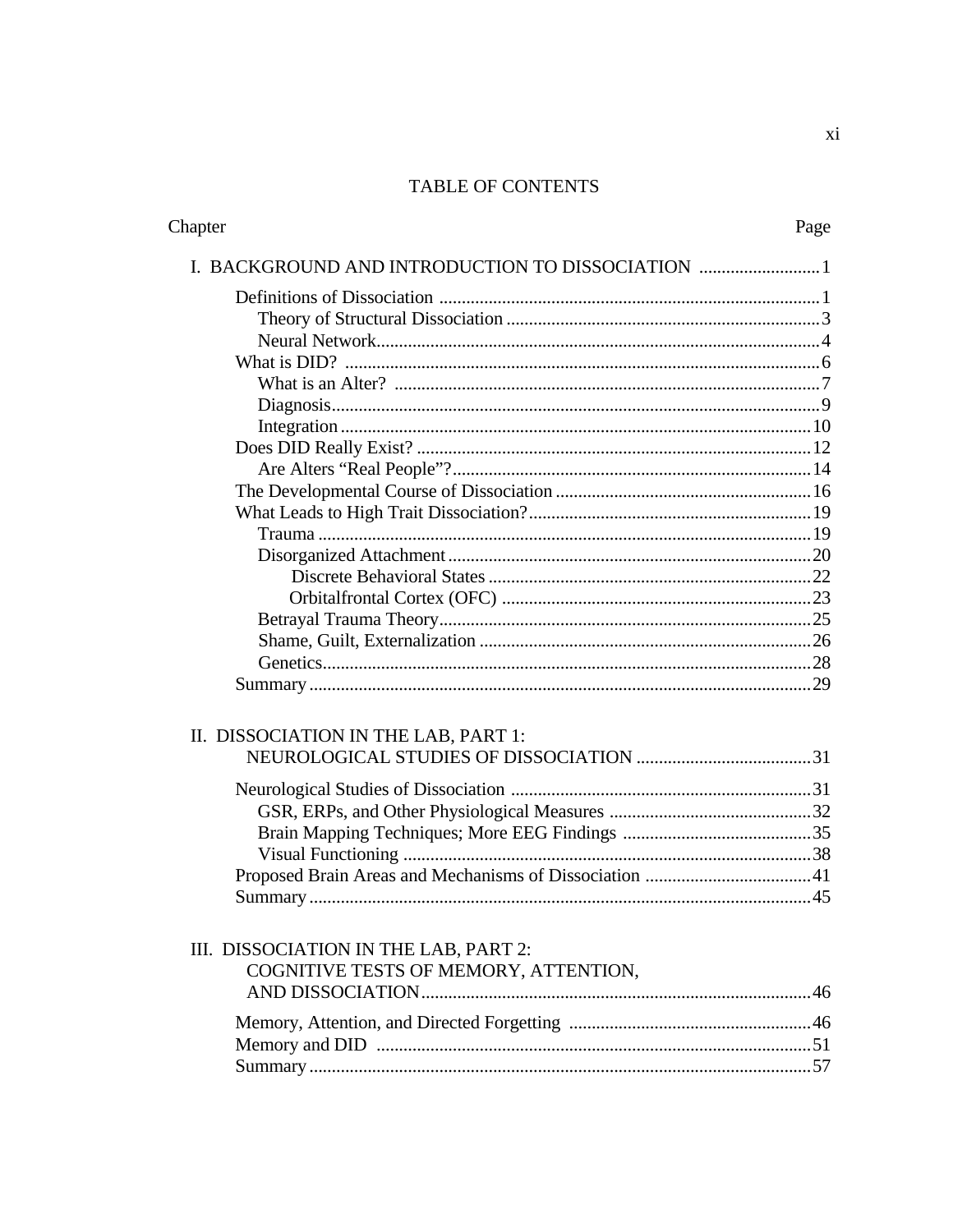# TABLE OF CONTENTS

| Chapter                                          | Page |
|--------------------------------------------------|------|
| I. BACKGROUND AND INTRODUCTION TO DISSOCIATION 1 |      |
|                                                  |      |
|                                                  |      |
|                                                  |      |
|                                                  |      |
|                                                  |      |
|                                                  |      |
|                                                  |      |
|                                                  |      |
|                                                  |      |
|                                                  |      |
|                                                  |      |
|                                                  |      |
|                                                  |      |
|                                                  |      |
|                                                  |      |
|                                                  |      |
|                                                  |      |
|                                                  |      |
|                                                  |      |
| II. DISSOCIATION IN THE LAB, PART 1:             |      |
|                                                  |      |
|                                                  |      |
|                                                  |      |
|                                                  |      |
|                                                  |      |
|                                                  |      |
|                                                  |      |
|                                                  |      |
| III. DISSOCIATION IN THE LAB, PART 2:            |      |
| COGNITIVE TESTS OF MEMORY, ATTENTION,            |      |
|                                                  |      |
|                                                  |      |
|                                                  |      |
|                                                  |      |
|                                                  |      |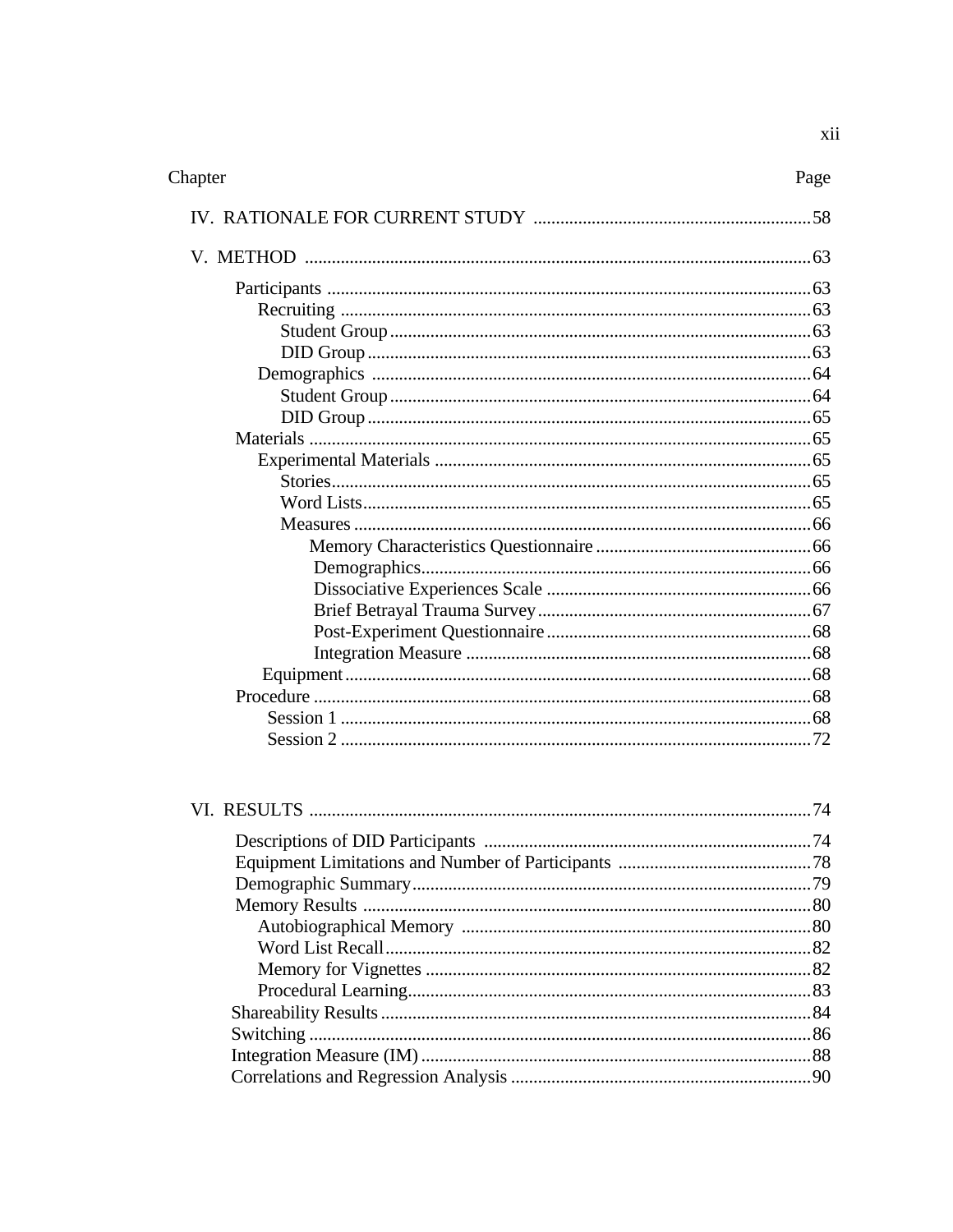| Chapter | Page |
|---------|------|
|         |      |
|         |      |
|         |      |
|         |      |
|         |      |
|         |      |
|         |      |
|         |      |
|         |      |
|         |      |
|         |      |
|         |      |
|         |      |
|         |      |
|         |      |
|         |      |
|         |      |
|         |      |
|         |      |
|         |      |
|         |      |
|         |      |
|         |      |
|         |      |
|         |      |
|         |      |
|         |      |
|         |      |
|         |      |
|         |      |
|         |      |
|         |      |
|         |      |
|         |      |
|         |      |
|         |      |
|         |      |
|         |      |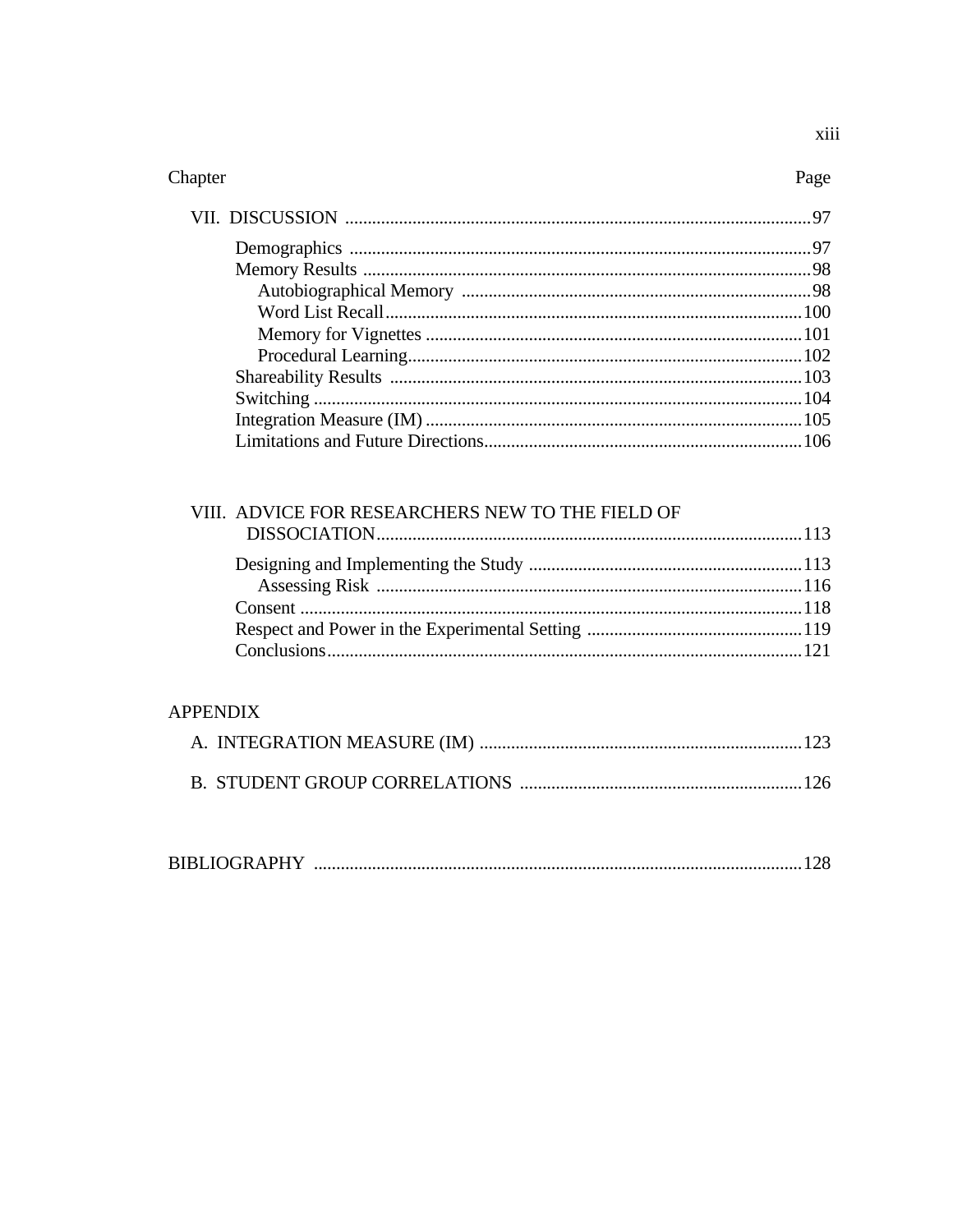| VIII. ADVICE FOR RESEARCHERS NEW TO THE FIELD OF |  |
|--------------------------------------------------|--|
|                                                  |  |
|                                                  |  |
|                                                  |  |
|                                                  |  |
|                                                  |  |
|                                                  |  |

# **APPENDIX**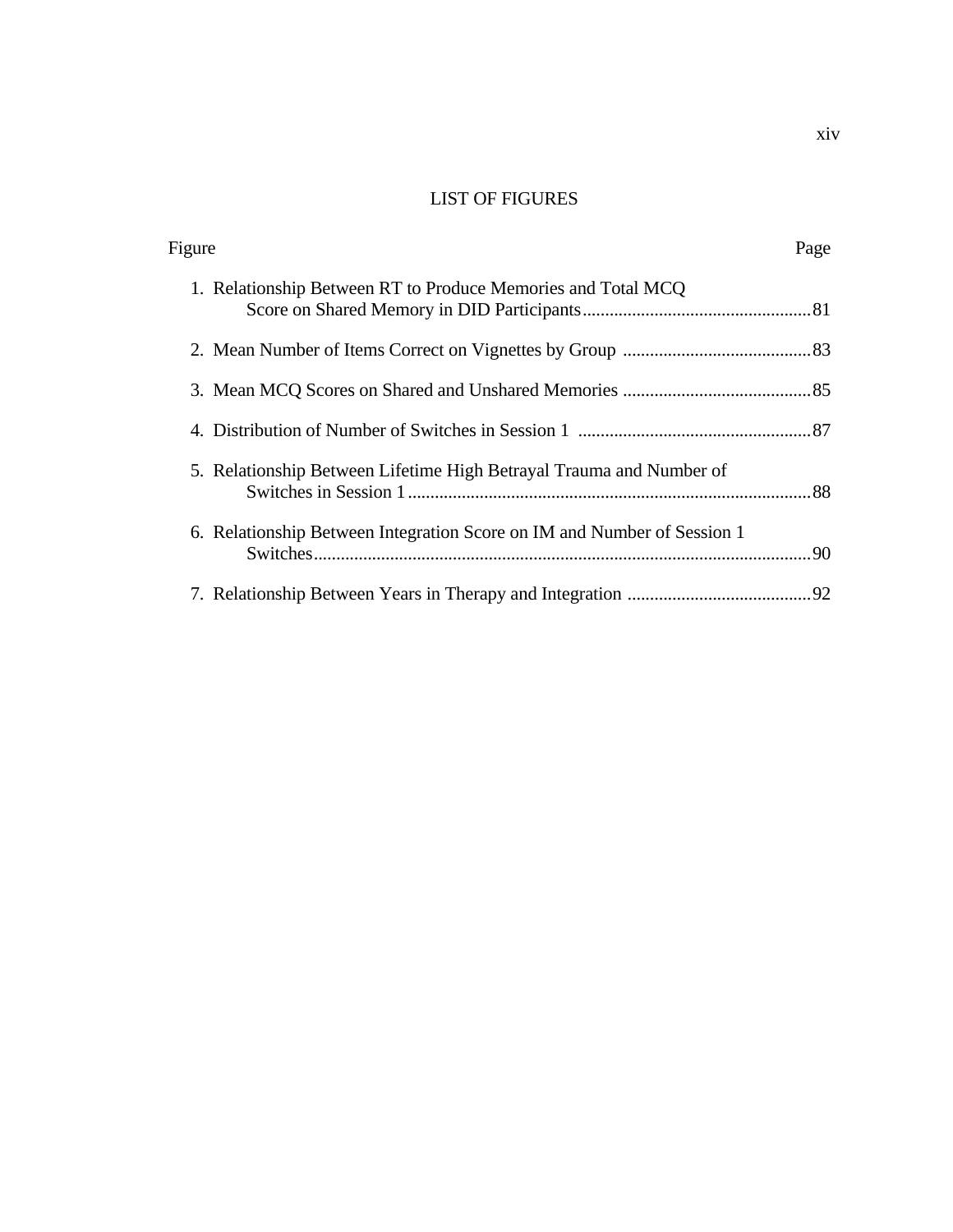# LIST OF FIGURES

| Figure                                                                  | Page |
|-------------------------------------------------------------------------|------|
| 1. Relationship Between RT to Produce Memories and Total MCQ            |      |
|                                                                         |      |
|                                                                         |      |
|                                                                         |      |
| 5. Relationship Between Lifetime High Betrayal Trauma and Number of     |      |
| 6. Relationship Between Integration Score on IM and Number of Session 1 |      |
|                                                                         |      |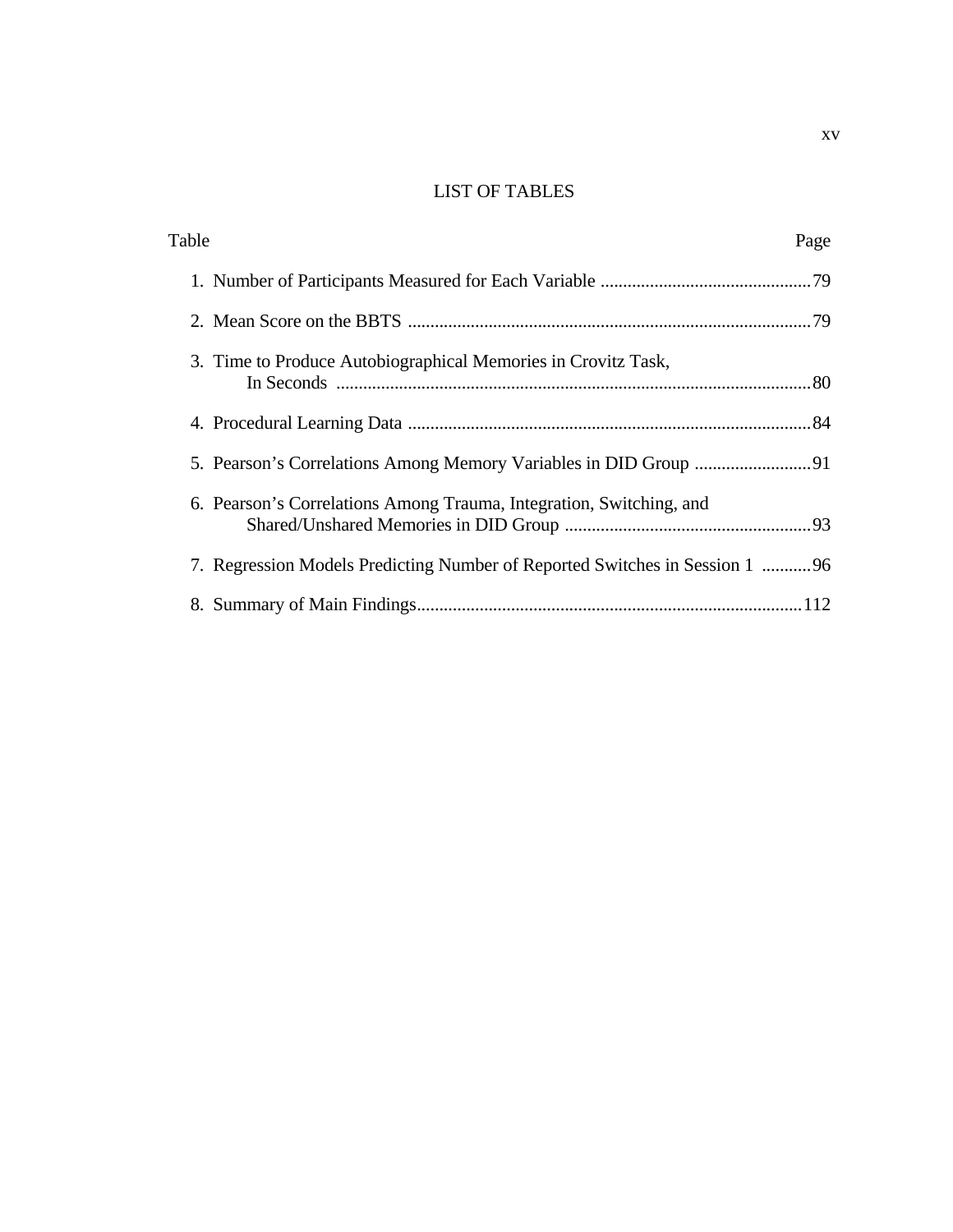# LIST OF TABLES

| Table                                                                       | Page |
|-----------------------------------------------------------------------------|------|
|                                                                             |      |
|                                                                             |      |
| 3. Time to Produce Autobiographical Memories in Crovitz Task,               |      |
|                                                                             |      |
|                                                                             |      |
| 6. Pearson's Correlations Among Trauma, Integration, Switching, and         |      |
| 7. Regression Models Predicting Number of Reported Switches in Session 1 96 |      |
|                                                                             |      |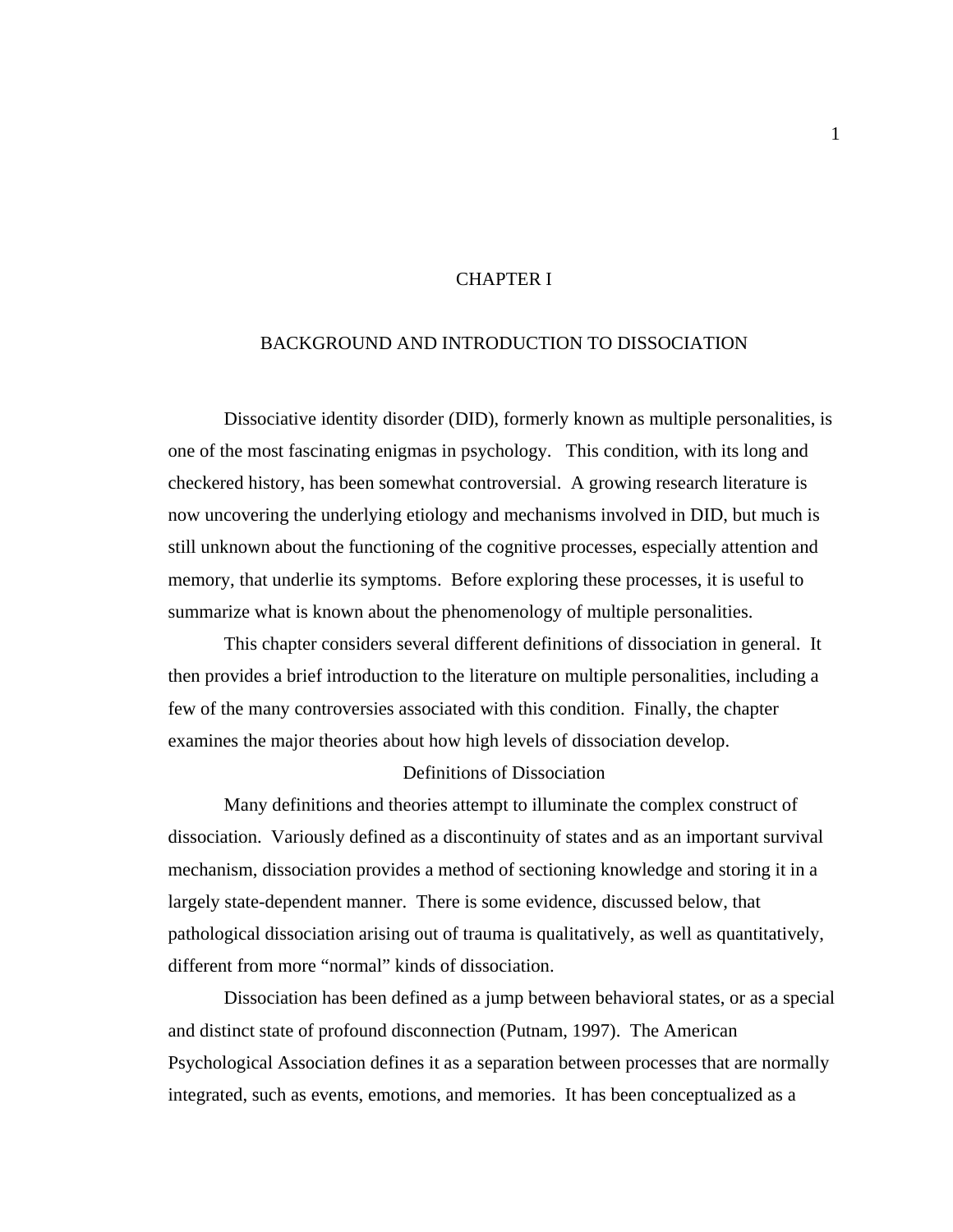#### CHAPTER I

## BACKGROUND AND INTRODUCTION TO DISSOCIATION

Dissociative identity disorder (DID), formerly known as multiple personalities, is one of the most fascinating enigmas in psychology. This condition, with its long and checkered history, has been somewhat controversial. A growing research literature is now uncovering the underlying etiology and mechanisms involved in DID, but much is still unknown about the functioning of the cognitive processes, especially attention and memory, that underlie its symptoms. Before exploring these processes, it is useful to summarize what is known about the phenomenology of multiple personalities.

 This chapter considers several different definitions of dissociation in general. It then provides a brief introduction to the literature on multiple personalities, including a few of the many controversies associated with this condition. Finally, the chapter examines the major theories about how high levels of dissociation develop.

#### Definitions of Dissociation

 Many definitions and theories attempt to illuminate the complex construct of dissociation. Variously defined as a discontinuity of states and as an important survival mechanism, dissociation provides a method of sectioning knowledge and storing it in a largely state-dependent manner. There is some evidence, discussed below, that pathological dissociation arising out of trauma is qualitatively, as well as quantitatively, different from more "normal" kinds of dissociation.

Dissociation has been defined as a jump between behavioral states, or as a special and distinct state of profound disconnection (Putnam, 1997). The American Psychological Association defines it as a separation between processes that are normally integrated, such as events, emotions, and memories. It has been conceptualized as a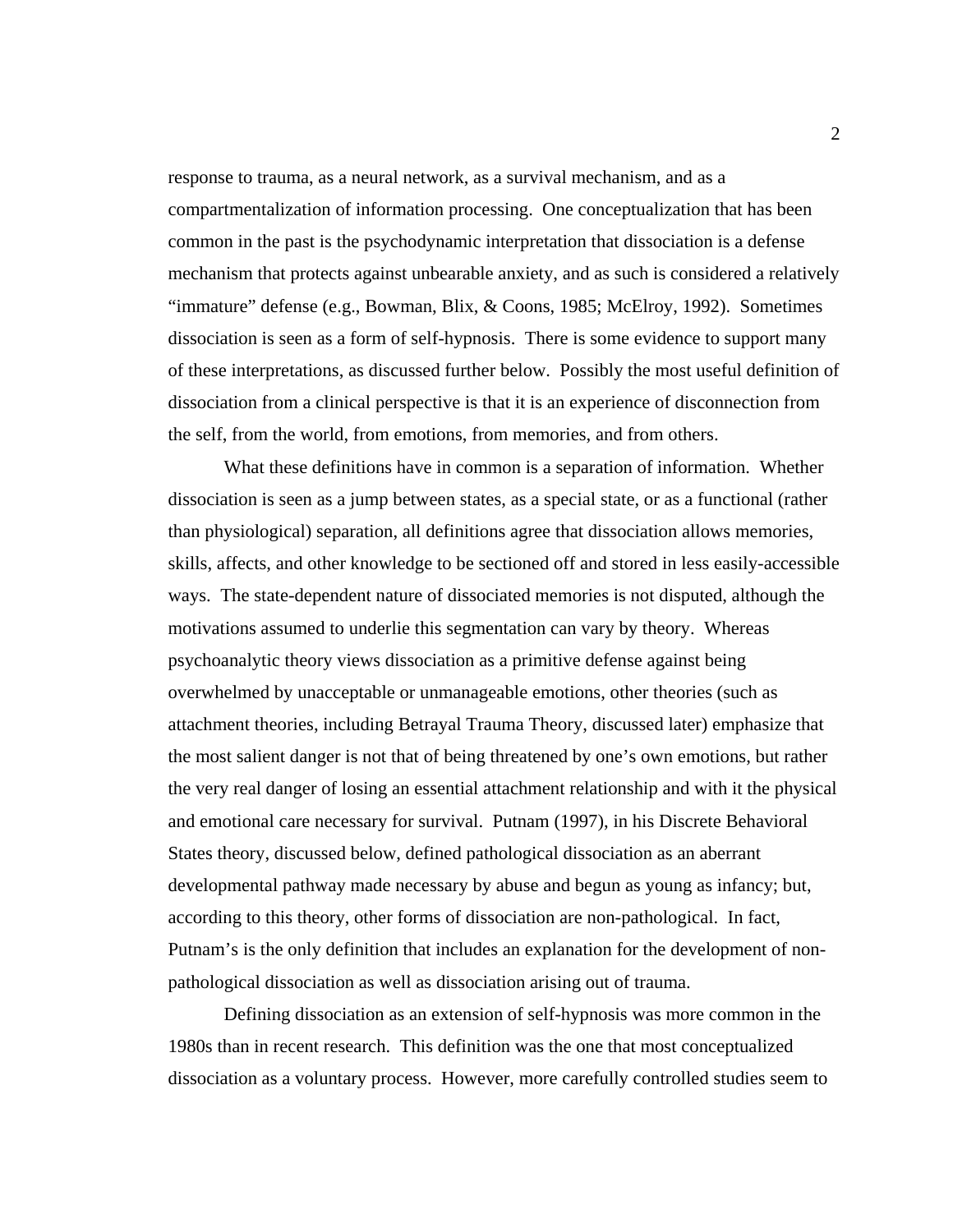response to trauma, as a neural network, as a survival mechanism, and as a compartmentalization of information processing. One conceptualization that has been common in the past is the psychodynamic interpretation that dissociation is a defense mechanism that protects against unbearable anxiety, and as such is considered a relatively "immature" defense (e.g., Bowman, Blix, & Coons, 1985; McElroy, 1992). Sometimes dissociation is seen as a form of self-hypnosis. There is some evidence to support many of these interpretations, as discussed further below. Possibly the most useful definition of dissociation from a clinical perspective is that it is an experience of disconnection from the self, from the world, from emotions, from memories, and from others.

What these definitions have in common is a separation of information. Whether dissociation is seen as a jump between states, as a special state, or as a functional (rather than physiological) separation, all definitions agree that dissociation allows memories, skills, affects, and other knowledge to be sectioned off and stored in less easily-accessible ways. The state-dependent nature of dissociated memories is not disputed, although the motivations assumed to underlie this segmentation can vary by theory. Whereas psychoanalytic theory views dissociation as a primitive defense against being overwhelmed by unacceptable or unmanageable emotions, other theories (such as attachment theories, including Betrayal Trauma Theory, discussed later) emphasize that the most salient danger is not that of being threatened by one's own emotions, but rather the very real danger of losing an essential attachment relationship and with it the physical and emotional care necessary for survival. Putnam (1997), in his Discrete Behavioral States theory, discussed below, defined pathological dissociation as an aberrant developmental pathway made necessary by abuse and begun as young as infancy; but, according to this theory, other forms of dissociation are non-pathological. In fact, Putnam's is the only definition that includes an explanation for the development of nonpathological dissociation as well as dissociation arising out of trauma.

 Defining dissociation as an extension of self-hypnosis was more common in the 1980s than in recent research. This definition was the one that most conceptualized dissociation as a voluntary process. However, more carefully controlled studies seem to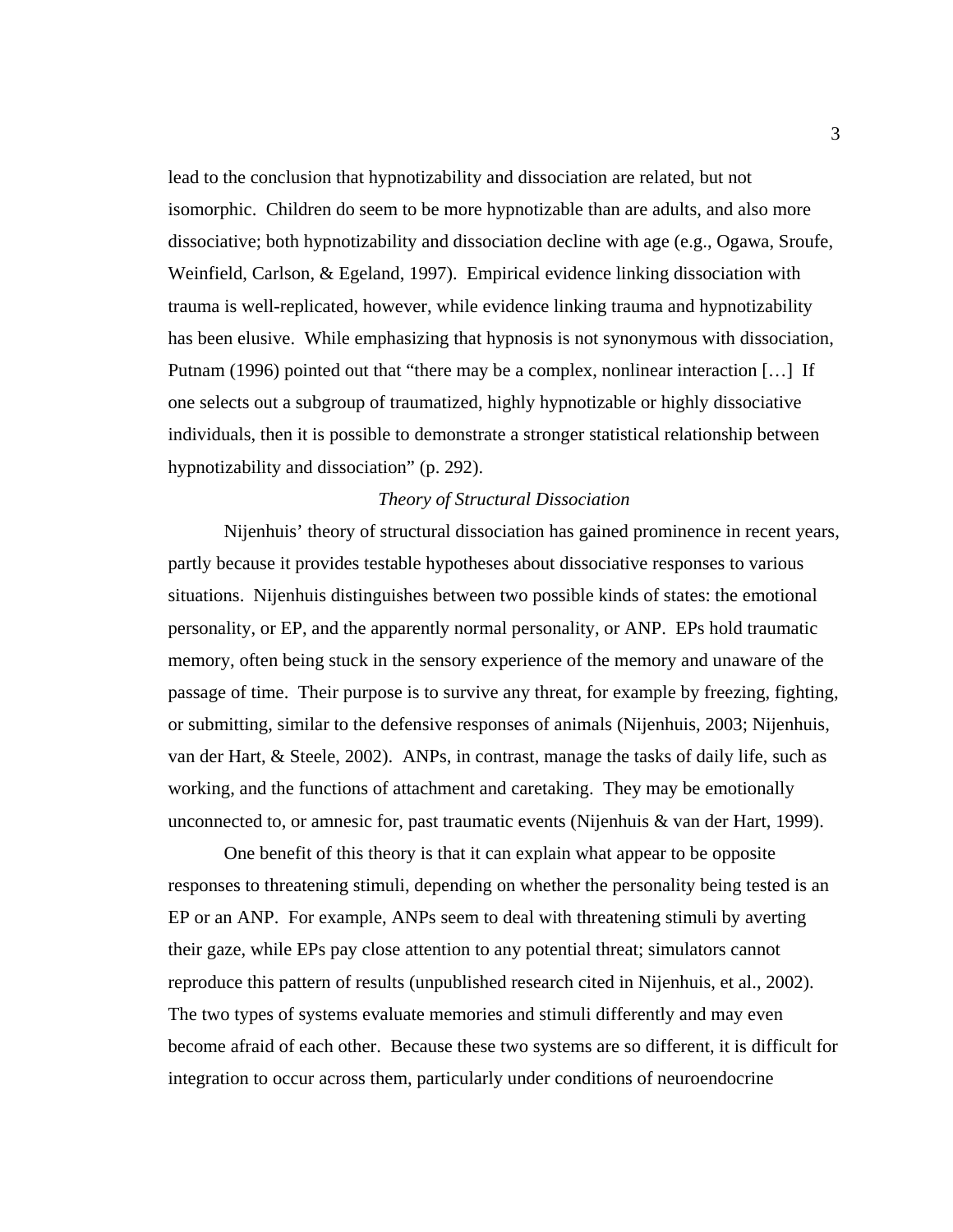lead to the conclusion that hypnotizability and dissociation are related, but not isomorphic. Children do seem to be more hypnotizable than are adults, and also more dissociative; both hypnotizability and dissociation decline with age (e.g., Ogawa, Sroufe, Weinfield, Carlson, & Egeland, 1997). Empirical evidence linking dissociation with trauma is well-replicated, however, while evidence linking trauma and hypnotizability has been elusive. While emphasizing that hypnosis is not synonymous with dissociation, Putnam (1996) pointed out that "there may be a complex, nonlinear interaction […] If one selects out a subgroup of traumatized, highly hypnotizable or highly dissociative individuals, then it is possible to demonstrate a stronger statistical relationship between hypnotizability and dissociation" (p. 292).

#### *Theory of Structural Dissociation*

 Nijenhuis' theory of structural dissociation has gained prominence in recent years, partly because it provides testable hypotheses about dissociative responses to various situations. Nijenhuis distinguishes between two possible kinds of states: the emotional personality, or EP, and the apparently normal personality, or ANP. EPs hold traumatic memory, often being stuck in the sensory experience of the memory and unaware of the passage of time. Their purpose is to survive any threat, for example by freezing, fighting, or submitting, similar to the defensive responses of animals (Nijenhuis, 2003; Nijenhuis, van der Hart, & Steele, 2002). ANPs, in contrast, manage the tasks of daily life, such as working, and the functions of attachment and caretaking. They may be emotionally unconnected to, or amnesic for, past traumatic events (Nijenhuis & van der Hart, 1999).

One benefit of this theory is that it can explain what appear to be opposite responses to threatening stimuli, depending on whether the personality being tested is an EP or an ANP. For example, ANPs seem to deal with threatening stimuli by averting their gaze, while EPs pay close attention to any potential threat; simulators cannot reproduce this pattern of results (unpublished research cited in Nijenhuis, et al., 2002). The two types of systems evaluate memories and stimuli differently and may even become afraid of each other. Because these two systems are so different, it is difficult for integration to occur across them, particularly under conditions of neuroendocrine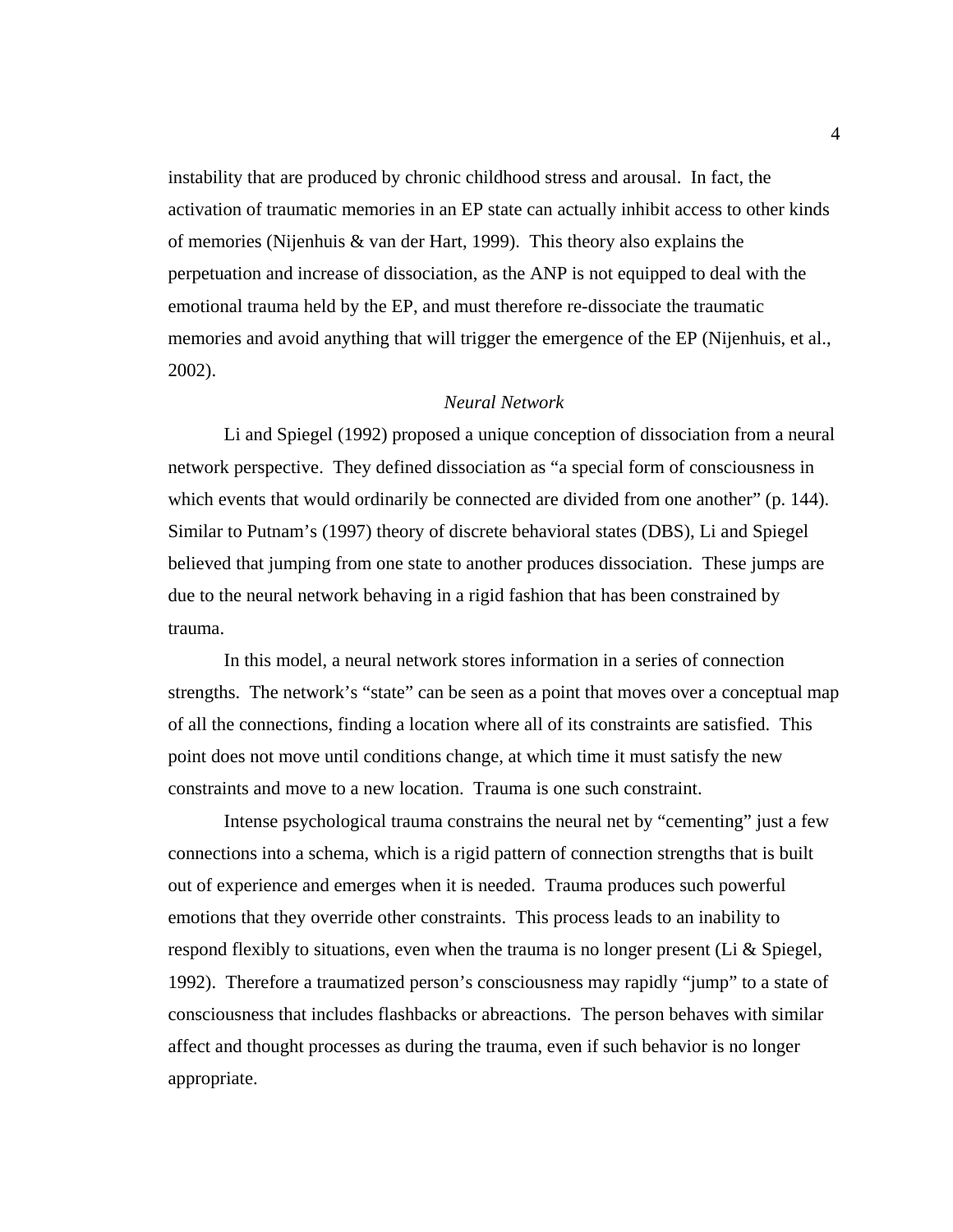instability that are produced by chronic childhood stress and arousal. In fact, the activation of traumatic memories in an EP state can actually inhibit access to other kinds of memories (Nijenhuis & van der Hart, 1999). This theory also explains the perpetuation and increase of dissociation, as the ANP is not equipped to deal with the emotional trauma held by the EP, and must therefore re-dissociate the traumatic memories and avoid anything that will trigger the emergence of the EP (Nijenhuis, et al., 2002).

## *Neural Network*

Li and Spiegel (1992) proposed a unique conception of dissociation from a neural network perspective. They defined dissociation as "a special form of consciousness in which events that would ordinarily be connected are divided from one another" (p. 144). Similar to Putnam's (1997) theory of discrete behavioral states (DBS), Li and Spiegel believed that jumping from one state to another produces dissociation. These jumps are due to the neural network behaving in a rigid fashion that has been constrained by trauma.

 In this model, a neural network stores information in a series of connection strengths. The network's "state" can be seen as a point that moves over a conceptual map of all the connections, finding a location where all of its constraints are satisfied. This point does not move until conditions change, at which time it must satisfy the new constraints and move to a new location. Trauma is one such constraint.

 Intense psychological trauma constrains the neural net by "cementing" just a few connections into a schema, which is a rigid pattern of connection strengths that is built out of experience and emerges when it is needed. Trauma produces such powerful emotions that they override other constraints. This process leads to an inability to respond flexibly to situations, even when the trauma is no longer present (Li & Spiegel, 1992). Therefore a traumatized person's consciousness may rapidly "jump" to a state of consciousness that includes flashbacks or abreactions. The person behaves with similar affect and thought processes as during the trauma, even if such behavior is no longer appropriate.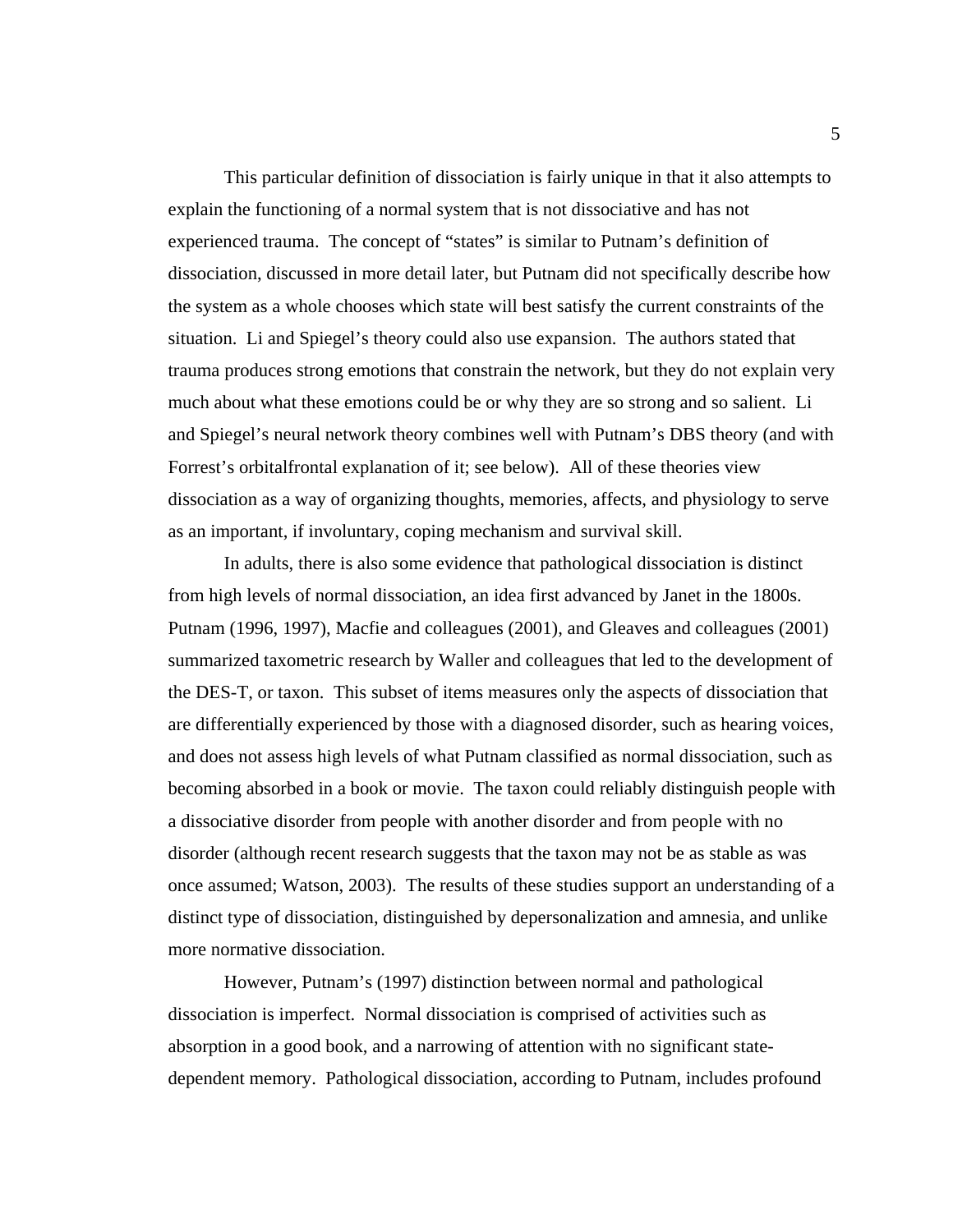This particular definition of dissociation is fairly unique in that it also attempts to explain the functioning of a normal system that is not dissociative and has not experienced trauma. The concept of "states" is similar to Putnam's definition of dissociation, discussed in more detail later, but Putnam did not specifically describe how the system as a whole chooses which state will best satisfy the current constraints of the situation. Li and Spiegel's theory could also use expansion. The authors stated that trauma produces strong emotions that constrain the network, but they do not explain very much about what these emotions could be or why they are so strong and so salient. Li and Spiegel's neural network theory combines well with Putnam's DBS theory (and with Forrest's orbitalfrontal explanation of it; see below). All of these theories view dissociation as a way of organizing thoughts, memories, affects, and physiology to serve as an important, if involuntary, coping mechanism and survival skill.

In adults, there is also some evidence that pathological dissociation is distinct from high levels of normal dissociation, an idea first advanced by Janet in the 1800s. Putnam (1996, 1997), Macfie and colleagues (2001), and Gleaves and colleagues (2001) summarized taxometric research by Waller and colleagues that led to the development of the DES-T, or taxon. This subset of items measures only the aspects of dissociation that are differentially experienced by those with a diagnosed disorder, such as hearing voices, and does not assess high levels of what Putnam classified as normal dissociation, such as becoming absorbed in a book or movie. The taxon could reliably distinguish people with a dissociative disorder from people with another disorder and from people with no disorder (although recent research suggests that the taxon may not be as stable as was once assumed; Watson, 2003). The results of these studies support an understanding of a distinct type of dissociation, distinguished by depersonalization and amnesia, and unlike more normative dissociation.

However, Putnam's (1997) distinction between normal and pathological dissociation is imperfect. Normal dissociation is comprised of activities such as absorption in a good book, and a narrowing of attention with no significant statedependent memory. Pathological dissociation, according to Putnam, includes profound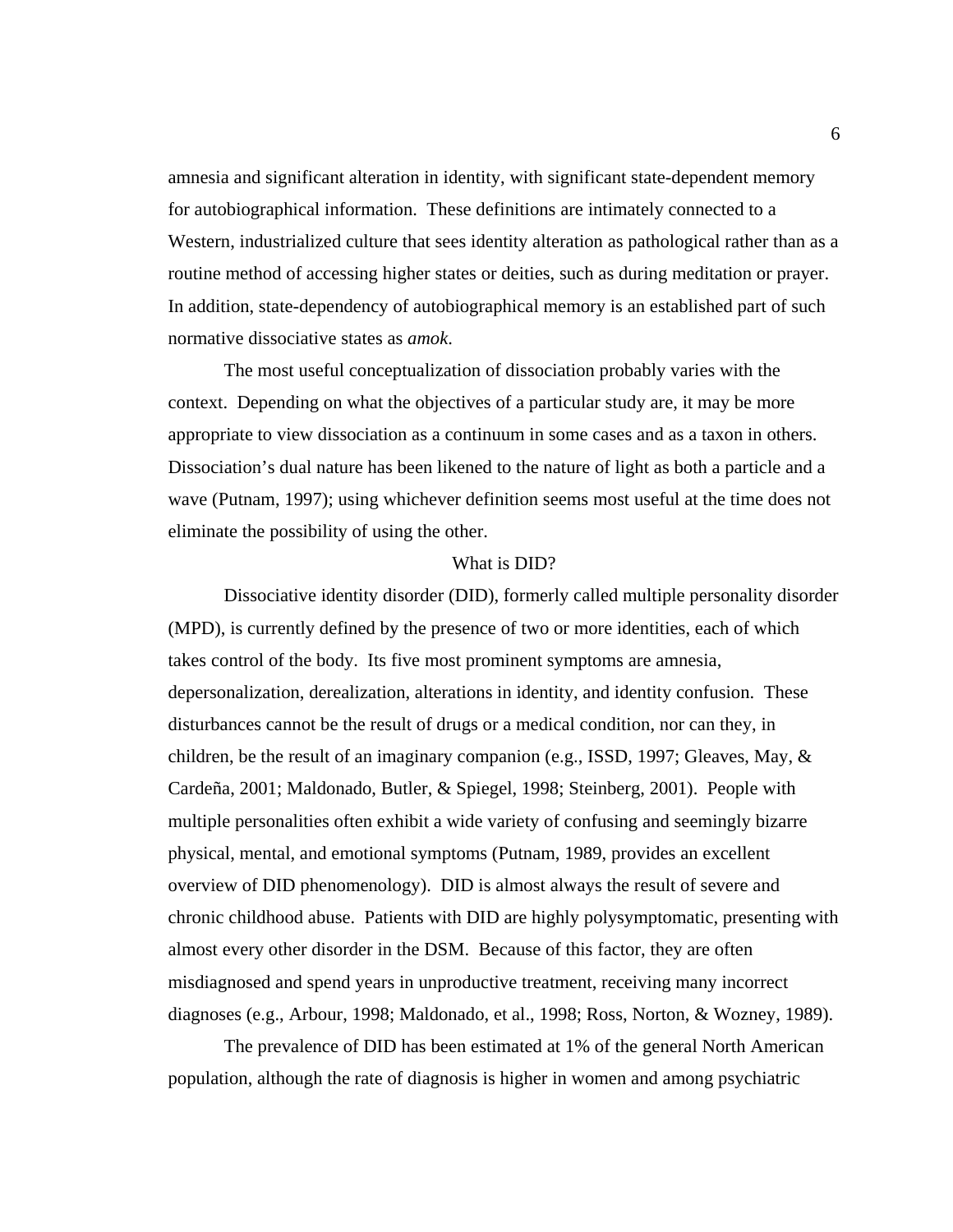amnesia and significant alteration in identity, with significant state-dependent memory for autobiographical information. These definitions are intimately connected to a Western, industrialized culture that sees identity alteration as pathological rather than as a routine method of accessing higher states or deities, such as during meditation or prayer. In addition, state-dependency of autobiographical memory is an established part of such normative dissociative states as *amok*.

The most useful conceptualization of dissociation probably varies with the context. Depending on what the objectives of a particular study are, it may be more appropriate to view dissociation as a continuum in some cases and as a taxon in others. Dissociation's dual nature has been likened to the nature of light as both a particle and a wave (Putnam, 1997); using whichever definition seems most useful at the time does not eliminate the possibility of using the other.

#### What is DID?

 Dissociative identity disorder (DID), formerly called multiple personality disorder (MPD), is currently defined by the presence of two or more identities, each of which takes control of the body. Its five most prominent symptoms are amnesia, depersonalization, derealization, alterations in identity, and identity confusion. These disturbances cannot be the result of drugs or a medical condition, nor can they, in children, be the result of an imaginary companion (e.g., ISSD, 1997; Gleaves, May, & Cardeña, 2001; Maldonado, Butler, & Spiegel, 1998; Steinberg, 2001). People with multiple personalities often exhibit a wide variety of confusing and seemingly bizarre physical, mental, and emotional symptoms (Putnam, 1989, provides an excellent overview of DID phenomenology). DID is almost always the result of severe and chronic childhood abuse. Patients with DID are highly polysymptomatic, presenting with almost every other disorder in the DSM. Because of this factor, they are often misdiagnosed and spend years in unproductive treatment, receiving many incorrect diagnoses (e.g., Arbour, 1998; Maldonado, et al., 1998; Ross, Norton, & Wozney, 1989).

The prevalence of DID has been estimated at 1% of the general North American population, although the rate of diagnosis is higher in women and among psychiatric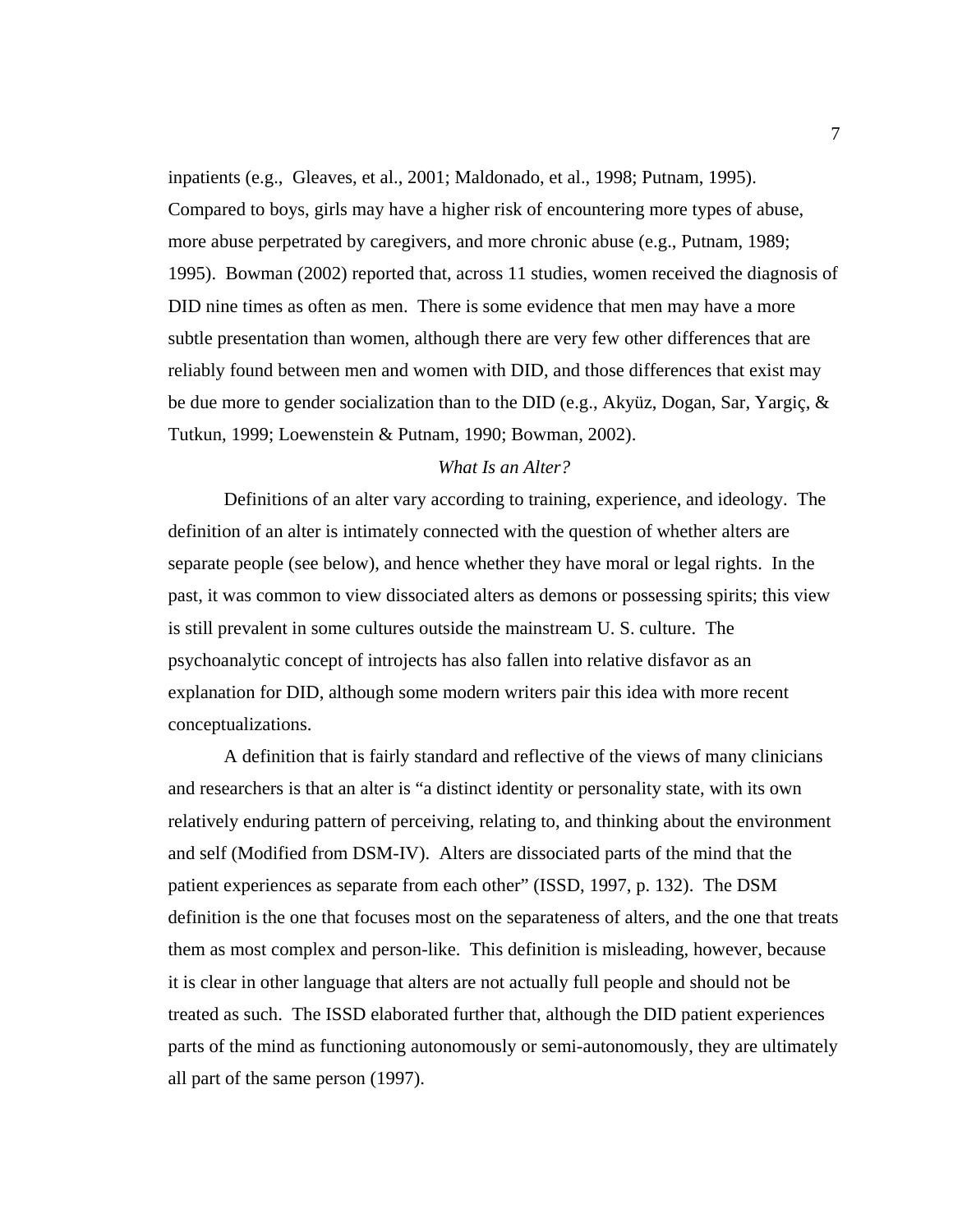inpatients (e.g., Gleaves, et al., 2001; Maldonado, et al., 1998; Putnam, 1995). Compared to boys, girls may have a higher risk of encountering more types of abuse, more abuse perpetrated by caregivers, and more chronic abuse (e.g., Putnam, 1989; 1995). Bowman (2002) reported that, across 11 studies, women received the diagnosis of DID nine times as often as men. There is some evidence that men may have a more subtle presentation than women, although there are very few other differences that are reliably found between men and women with DID, and those differences that exist may be due more to gender socialization than to the DID (e.g., Akyüz, Dogan, Sar, Yargiç, & Tutkun, 1999; Loewenstein & Putnam, 1990; Bowman, 2002).

#### *What Is an Alter?*

Definitions of an alter vary according to training, experience, and ideology. The definition of an alter is intimately connected with the question of whether alters are separate people (see below), and hence whether they have moral or legal rights. In the past, it was common to view dissociated alters as demons or possessing spirits; this view is still prevalent in some cultures outside the mainstream U. S. culture. The psychoanalytic concept of introjects has also fallen into relative disfavor as an explanation for DID, although some modern writers pair this idea with more recent conceptualizations.

 A definition that is fairly standard and reflective of the views of many clinicians and researchers is that an alter is "a distinct identity or personality state, with its own relatively enduring pattern of perceiving, relating to, and thinking about the environment and self (Modified from DSM-IV). Alters are dissociated parts of the mind that the patient experiences as separate from each other" (ISSD, 1997, p. 132). The DSM definition is the one that focuses most on the separateness of alters, and the one that treats them as most complex and person-like. This definition is misleading, however, because it is clear in other language that alters are not actually full people and should not be treated as such. The ISSD elaborated further that, although the DID patient experiences parts of the mind as functioning autonomously or semi-autonomously, they are ultimately all part of the same person (1997).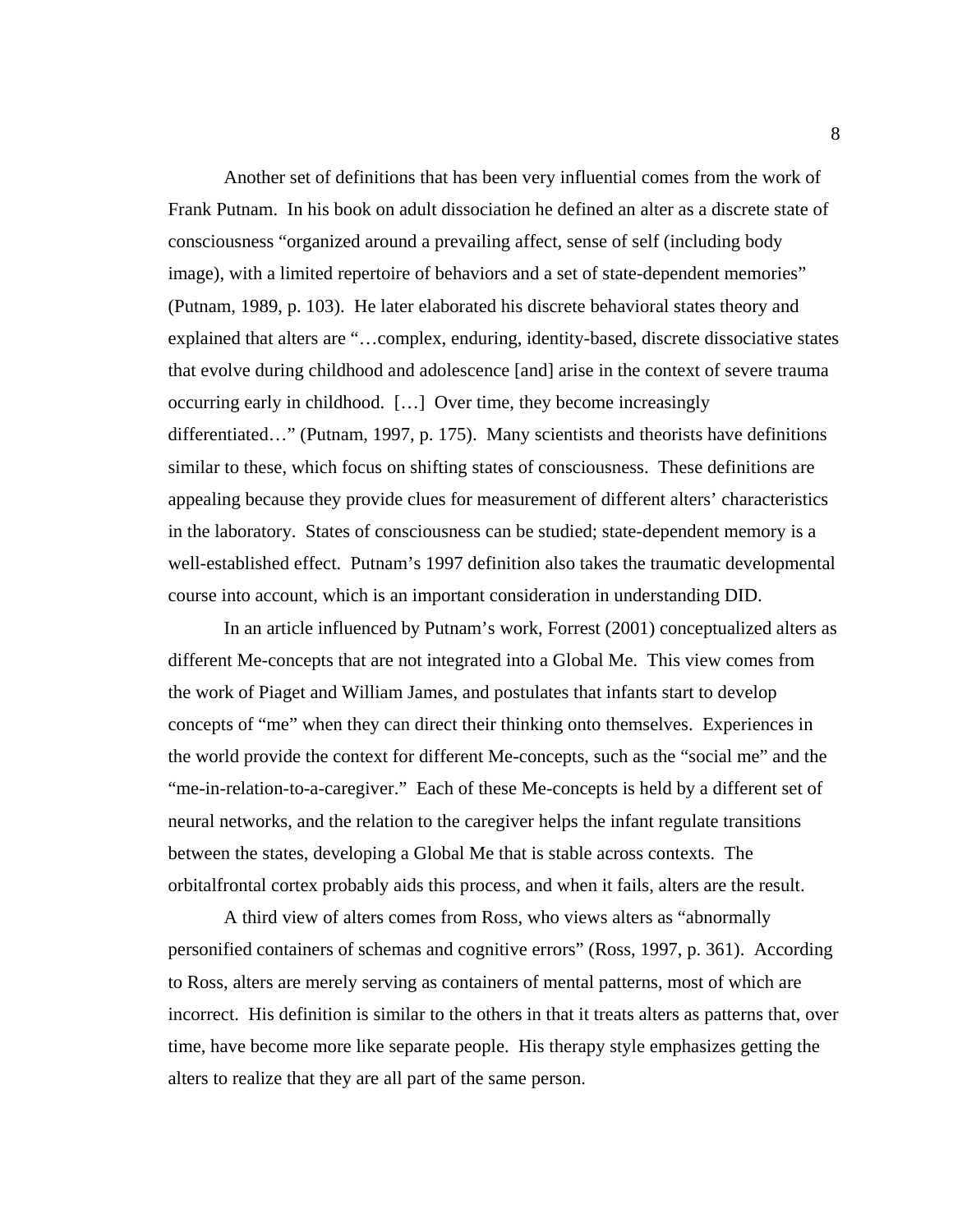Another set of definitions that has been very influential comes from the work of Frank Putnam. In his book on adult dissociation he defined an alter as a discrete state of consciousness "organized around a prevailing affect, sense of self (including body image), with a limited repertoire of behaviors and a set of state-dependent memories" (Putnam, 1989, p. 103). He later elaborated his discrete behavioral states theory and explained that alters are "…complex, enduring, identity-based, discrete dissociative states that evolve during childhood and adolescence [and] arise in the context of severe trauma occurring early in childhood. […] Over time, they become increasingly differentiated…" (Putnam, 1997, p. 175). Many scientists and theorists have definitions similar to these, which focus on shifting states of consciousness. These definitions are appealing because they provide clues for measurement of different alters' characteristics in the laboratory. States of consciousness can be studied; state-dependent memory is a well-established effect. Putnam's 1997 definition also takes the traumatic developmental course into account, which is an important consideration in understanding DID.

In an article influenced by Putnam's work, Forrest (2001) conceptualized alters as different Me-concepts that are not integrated into a Global Me. This view comes from the work of Piaget and William James, and postulates that infants start to develop concepts of "me" when they can direct their thinking onto themselves. Experiences in the world provide the context for different Me-concepts, such as the "social me" and the "me-in-relation-to-a-caregiver." Each of these Me-concepts is held by a different set of neural networks, and the relation to the caregiver helps the infant regulate transitions between the states, developing a Global Me that is stable across contexts. The orbitalfrontal cortex probably aids this process, and when it fails, alters are the result.

A third view of alters comes from Ross, who views alters as "abnormally personified containers of schemas and cognitive errors" (Ross, 1997, p. 361). According to Ross, alters are merely serving as containers of mental patterns, most of which are incorrect. His definition is similar to the others in that it treats alters as patterns that, over time, have become more like separate people. His therapy style emphasizes getting the alters to realize that they are all part of the same person.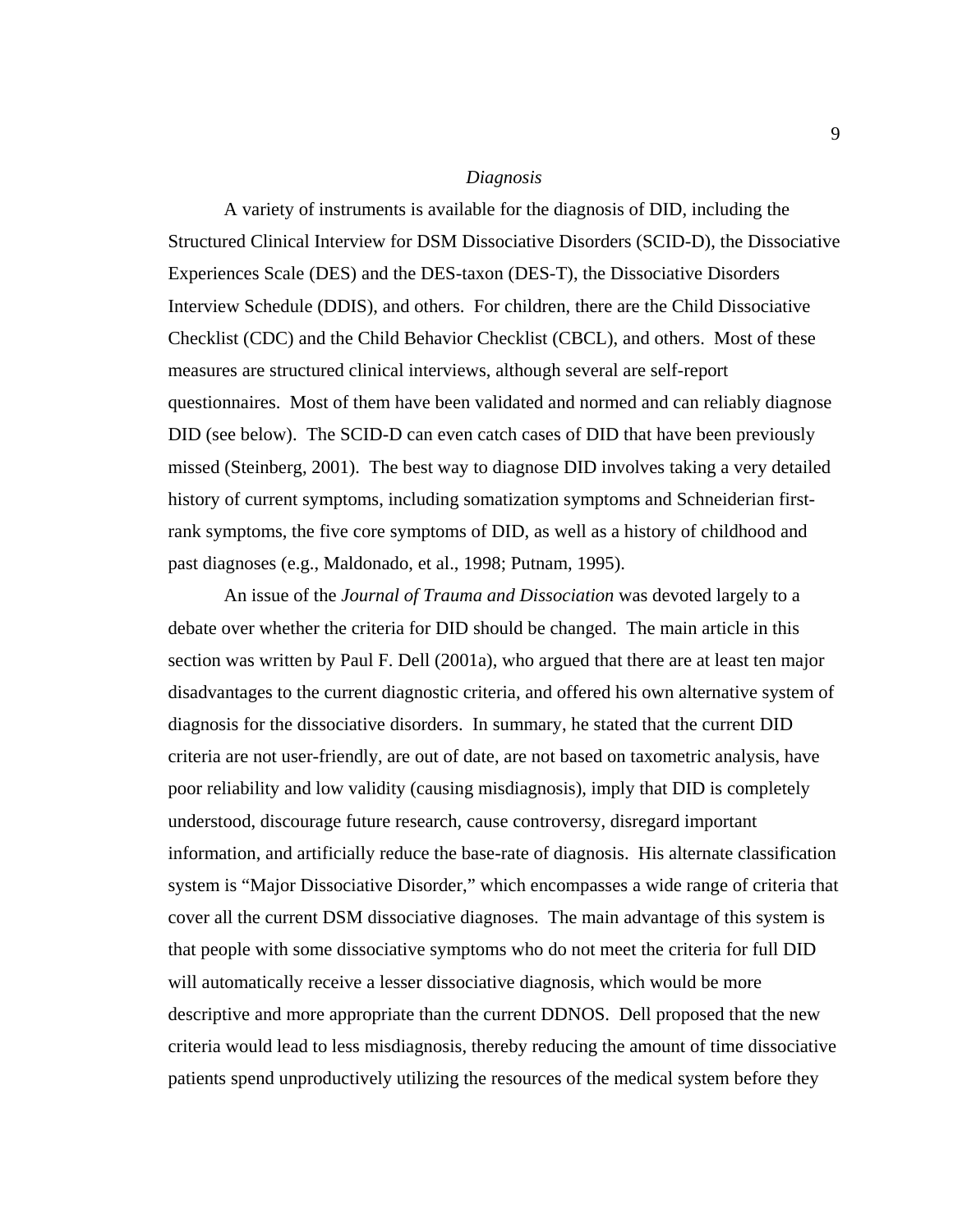#### *Diagnosis*

A variety of instruments is available for the diagnosis of DID, including the Structured Clinical Interview for DSM Dissociative Disorders (SCID-D), the Dissociative Experiences Scale (DES) and the DES-taxon (DES-T), the Dissociative Disorders Interview Schedule (DDIS), and others. For children, there are the Child Dissociative Checklist (CDC) and the Child Behavior Checklist (CBCL), and others. Most of these measures are structured clinical interviews, although several are self-report questionnaires. Most of them have been validated and normed and can reliably diagnose DID (see below). The SCID-D can even catch cases of DID that have been previously missed (Steinberg, 2001). The best way to diagnose DID involves taking a very detailed history of current symptoms, including somatization symptoms and Schneiderian firstrank symptoms, the five core symptoms of DID, as well as a history of childhood and past diagnoses (e.g., Maldonado, et al., 1998; Putnam, 1995).

An issue of the *Journal of Trauma and Dissociation* was devoted largely to a debate over whether the criteria for DID should be changed. The main article in this section was written by Paul F. Dell (2001a), who argued that there are at least ten major disadvantages to the current diagnostic criteria, and offered his own alternative system of diagnosis for the dissociative disorders. In summary, he stated that the current DID criteria are not user-friendly, are out of date, are not based on taxometric analysis, have poor reliability and low validity (causing misdiagnosis), imply that DID is completely understood, discourage future research, cause controversy, disregard important information, and artificially reduce the base-rate of diagnosis. His alternate classification system is "Major Dissociative Disorder," which encompasses a wide range of criteria that cover all the current DSM dissociative diagnoses. The main advantage of this system is that people with some dissociative symptoms who do not meet the criteria for full DID will automatically receive a lesser dissociative diagnosis, which would be more descriptive and more appropriate than the current DDNOS. Dell proposed that the new criteria would lead to less misdiagnosis, thereby reducing the amount of time dissociative patients spend unproductively utilizing the resources of the medical system before they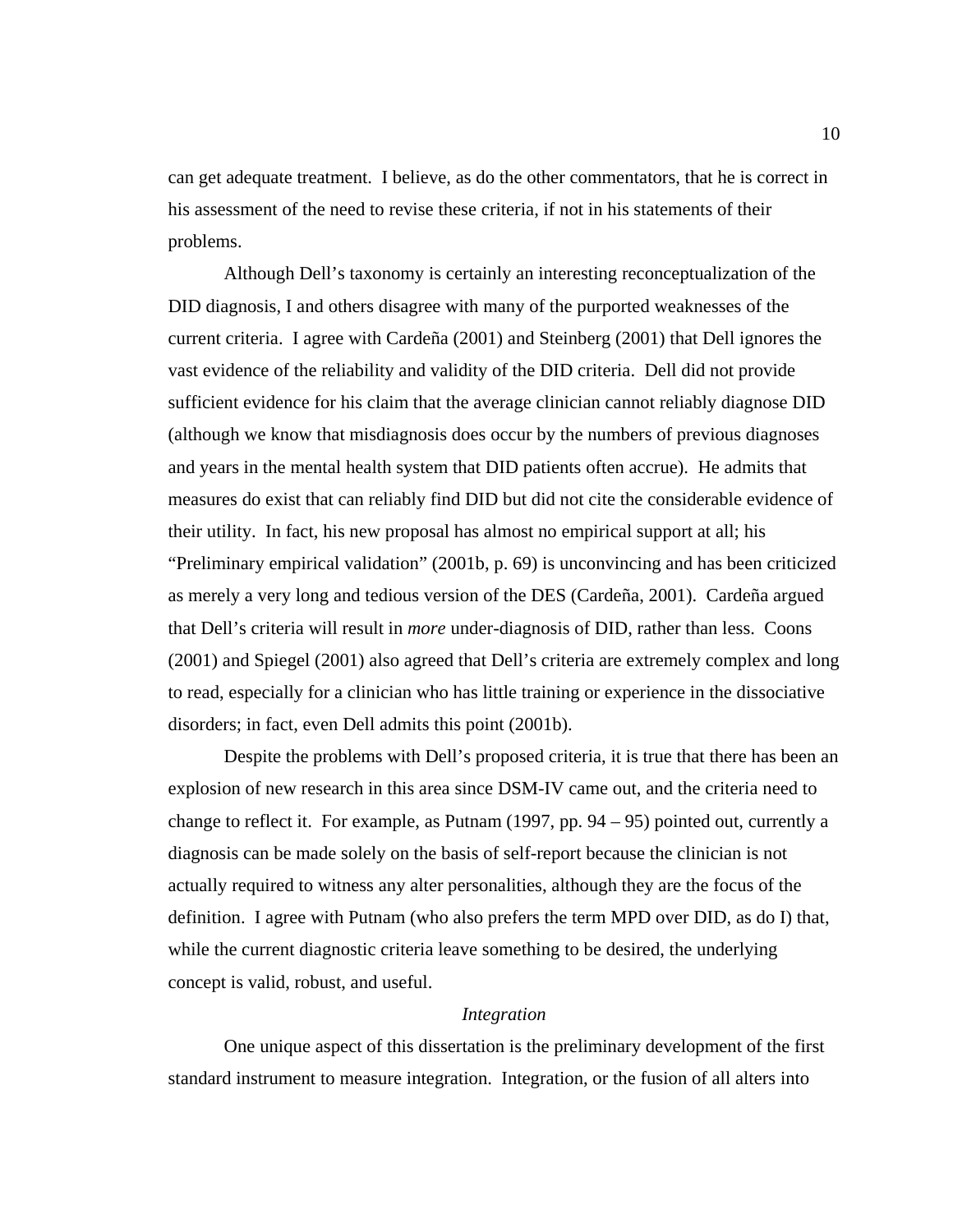can get adequate treatment. I believe, as do the other commentators, that he is correct in his assessment of the need to revise these criteria, if not in his statements of their problems.

 Although Dell's taxonomy is certainly an interesting reconceptualization of the DID diagnosis, I and others disagree with many of the purported weaknesses of the current criteria. I agree with Cardeña (2001) and Steinberg (2001) that Dell ignores the vast evidence of the reliability and validity of the DID criteria. Dell did not provide sufficient evidence for his claim that the average clinician cannot reliably diagnose DID (although we know that misdiagnosis does occur by the numbers of previous diagnoses and years in the mental health system that DID patients often accrue). He admits that measures do exist that can reliably find DID but did not cite the considerable evidence of their utility. In fact, his new proposal has almost no empirical support at all; his "Preliminary empirical validation" (2001b, p. 69) is unconvincing and has been criticized as merely a very long and tedious version of the DES (Cardeña, 2001). Cardeña argued that Dell's criteria will result in *more* under-diagnosis of DID, rather than less. Coons (2001) and Spiegel (2001) also agreed that Dell's criteria are extremely complex and long to read, especially for a clinician who has little training or experience in the dissociative disorders; in fact, even Dell admits this point (2001b).

 Despite the problems with Dell's proposed criteria, it is true that there has been an explosion of new research in this area since DSM-IV came out, and the criteria need to change to reflect it. For example, as Putnam  $(1997, pp. 94 - 95)$  pointed out, currently a diagnosis can be made solely on the basis of self-report because the clinician is not actually required to witness any alter personalities, although they are the focus of the definition. I agree with Putnam (who also prefers the term MPD over DID, as do I) that, while the current diagnostic criteria leave something to be desired, the underlying concept is valid, robust, and useful.

#### *Integration*

One unique aspect of this dissertation is the preliminary development of the first standard instrument to measure integration. Integration, or the fusion of all alters into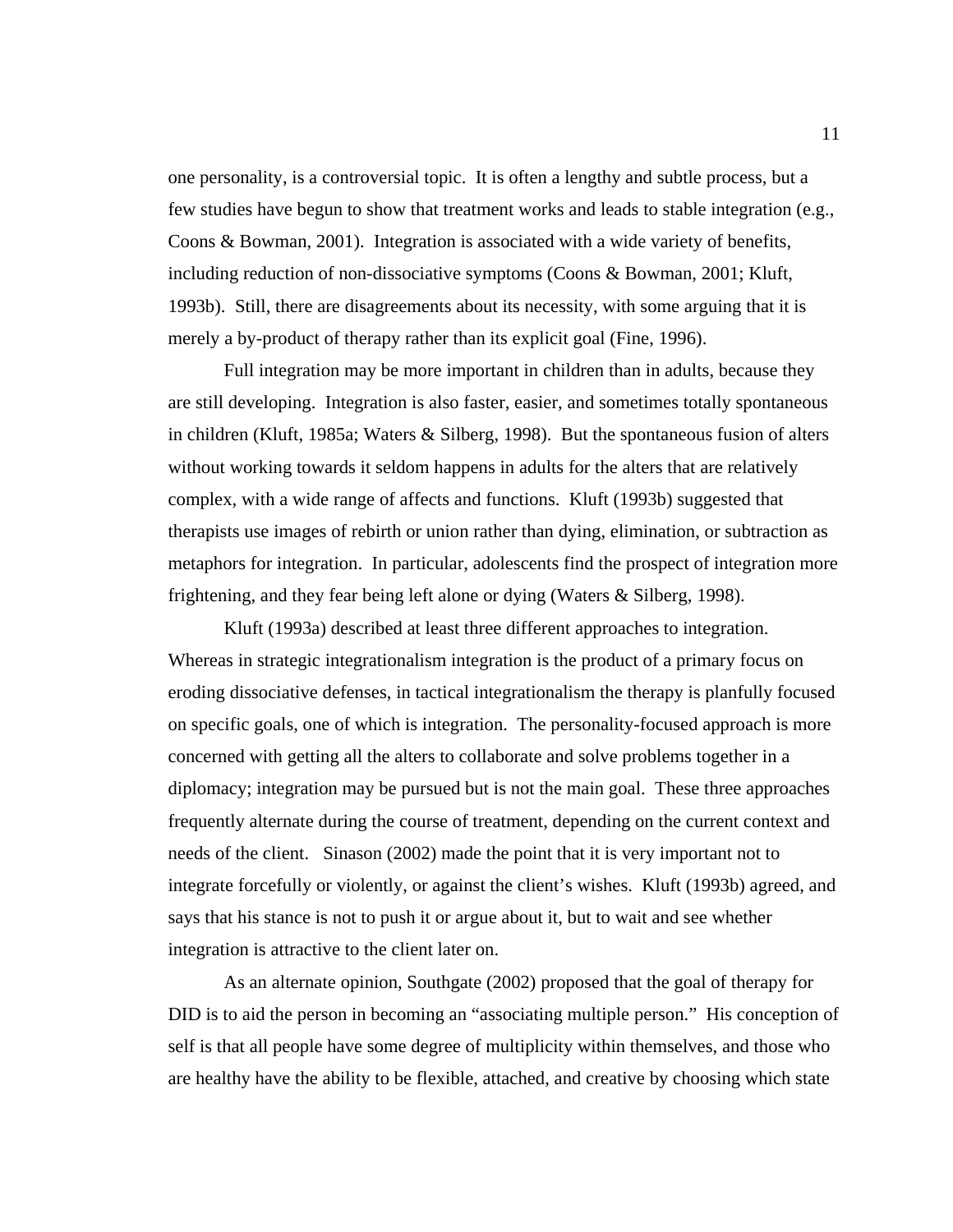one personality, is a controversial topic. It is often a lengthy and subtle process, but a few studies have begun to show that treatment works and leads to stable integration (e.g., Coons & Bowman, 2001). Integration is associated with a wide variety of benefits, including reduction of non-dissociative symptoms (Coons & Bowman, 2001; Kluft, 1993b). Still, there are disagreements about its necessity, with some arguing that it is merely a by-product of therapy rather than its explicit goal (Fine, 1996).

Full integration may be more important in children than in adults, because they are still developing. Integration is also faster, easier, and sometimes totally spontaneous in children (Kluft, 1985a; Waters & Silberg, 1998). But the spontaneous fusion of alters without working towards it seldom happens in adults for the alters that are relatively complex, with a wide range of affects and functions. Kluft (1993b) suggested that therapists use images of rebirth or union rather than dying, elimination, or subtraction as metaphors for integration. In particular, adolescents find the prospect of integration more frightening, and they fear being left alone or dying (Waters & Silberg, 1998).

Kluft (1993a) described at least three different approaches to integration. Whereas in strategic integrationalism integration is the product of a primary focus on eroding dissociative defenses, in tactical integrationalism the therapy is planfully focused on specific goals, one of which is integration. The personality-focused approach is more concerned with getting all the alters to collaborate and solve problems together in a diplomacy; integration may be pursued but is not the main goal. These three approaches frequently alternate during the course of treatment, depending on the current context and needs of the client. Sinason (2002) made the point that it is very important not to integrate forcefully or violently, or against the client's wishes. Kluft (1993b) agreed, and says that his stance is not to push it or argue about it, but to wait and see whether integration is attractive to the client later on.

As an alternate opinion, Southgate (2002) proposed that the goal of therapy for DID is to aid the person in becoming an "associating multiple person." His conception of self is that all people have some degree of multiplicity within themselves, and those who are healthy have the ability to be flexible, attached, and creative by choosing which state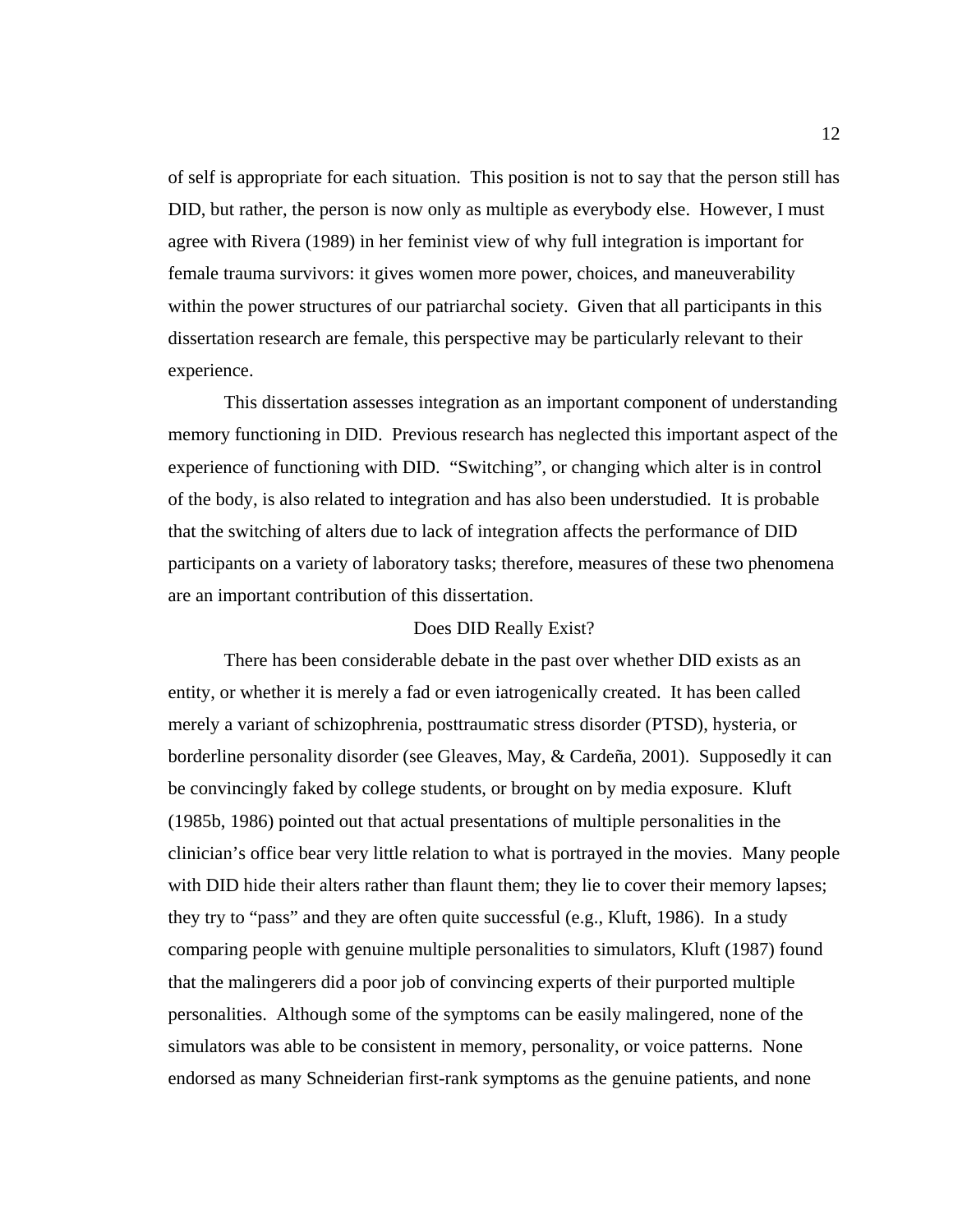of self is appropriate for each situation. This position is not to say that the person still has DID, but rather, the person is now only as multiple as everybody else. However, I must agree with Rivera (1989) in her feminist view of why full integration is important for female trauma survivors: it gives women more power, choices, and maneuverability within the power structures of our patriarchal society. Given that all participants in this dissertation research are female, this perspective may be particularly relevant to their experience.

This dissertation assesses integration as an important component of understanding memory functioning in DID. Previous research has neglected this important aspect of the experience of functioning with DID. "Switching", or changing which alter is in control of the body, is also related to integration and has also been understudied. It is probable that the switching of alters due to lack of integration affects the performance of DID participants on a variety of laboratory tasks; therefore, measures of these two phenomena are an important contribution of this dissertation.

#### Does DID Really Exist?

There has been considerable debate in the past over whether DID exists as an entity, or whether it is merely a fad or even iatrogenically created. It has been called merely a variant of schizophrenia, posttraumatic stress disorder (PTSD), hysteria, or borderline personality disorder (see Gleaves, May, & Cardeña, 2001). Supposedly it can be convincingly faked by college students, or brought on by media exposure. Kluft (1985b, 1986) pointed out that actual presentations of multiple personalities in the clinician's office bear very little relation to what is portrayed in the movies. Many people with DID hide their alters rather than flaunt them; they lie to cover their memory lapses; they try to "pass" and they are often quite successful (e.g., Kluft, 1986). In a study comparing people with genuine multiple personalities to simulators, Kluft (1987) found that the malingerers did a poor job of convincing experts of their purported multiple personalities. Although some of the symptoms can be easily malingered, none of the simulators was able to be consistent in memory, personality, or voice patterns. None endorsed as many Schneiderian first-rank symptoms as the genuine patients, and none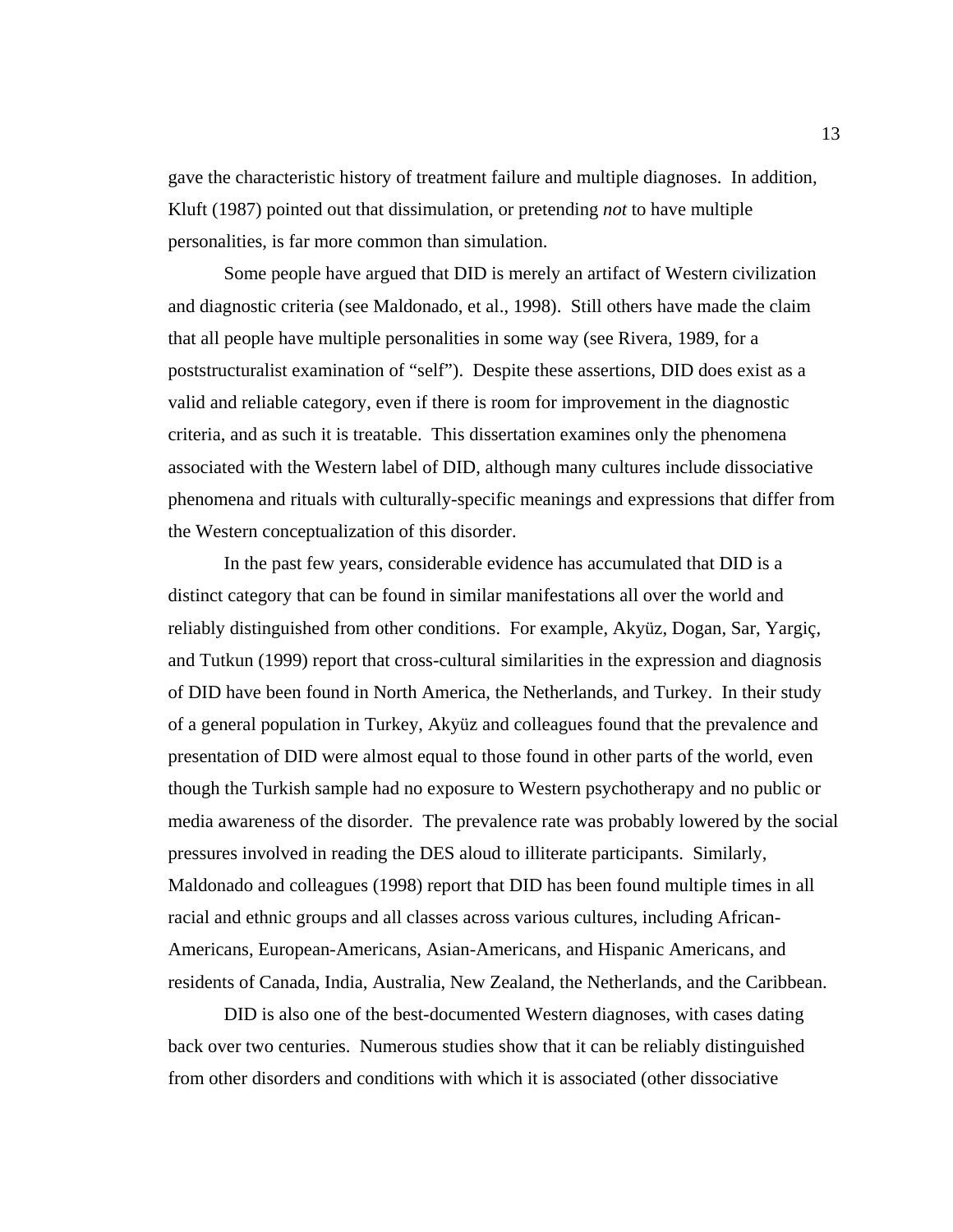gave the characteristic history of treatment failure and multiple diagnoses. In addition, Kluft (1987) pointed out that dissimulation, or pretending *not* to have multiple personalities, is far more common than simulation.

Some people have argued that DID is merely an artifact of Western civilization and diagnostic criteria (see Maldonado, et al., 1998). Still others have made the claim that all people have multiple personalities in some way (see Rivera, 1989, for a poststructuralist examination of "self"). Despite these assertions, DID does exist as a valid and reliable category, even if there is room for improvement in the diagnostic criteria, and as such it is treatable. This dissertation examines only the phenomena associated with the Western label of DID, although many cultures include dissociative phenomena and rituals with culturally-specific meanings and expressions that differ from the Western conceptualization of this disorder.

In the past few years, considerable evidence has accumulated that DID is a distinct category that can be found in similar manifestations all over the world and reliably distinguished from other conditions. For example, Akyüz, Dogan, Sar, Yargiç, and Tutkun (1999) report that cross-cultural similarities in the expression and diagnosis of DID have been found in North America, the Netherlands, and Turkey. In their study of a general population in Turkey, Akyüz and colleagues found that the prevalence and presentation of DID were almost equal to those found in other parts of the world, even though the Turkish sample had no exposure to Western psychotherapy and no public or media awareness of the disorder. The prevalence rate was probably lowered by the social pressures involved in reading the DES aloud to illiterate participants. Similarly, Maldonado and colleagues (1998) report that DID has been found multiple times in all racial and ethnic groups and all classes across various cultures, including African-Americans, European-Americans, Asian-Americans, and Hispanic Americans, and residents of Canada, India, Australia, New Zealand, the Netherlands, and the Caribbean.

DID is also one of the best-documented Western diagnoses, with cases dating back over two centuries. Numerous studies show that it can be reliably distinguished from other disorders and conditions with which it is associated (other dissociative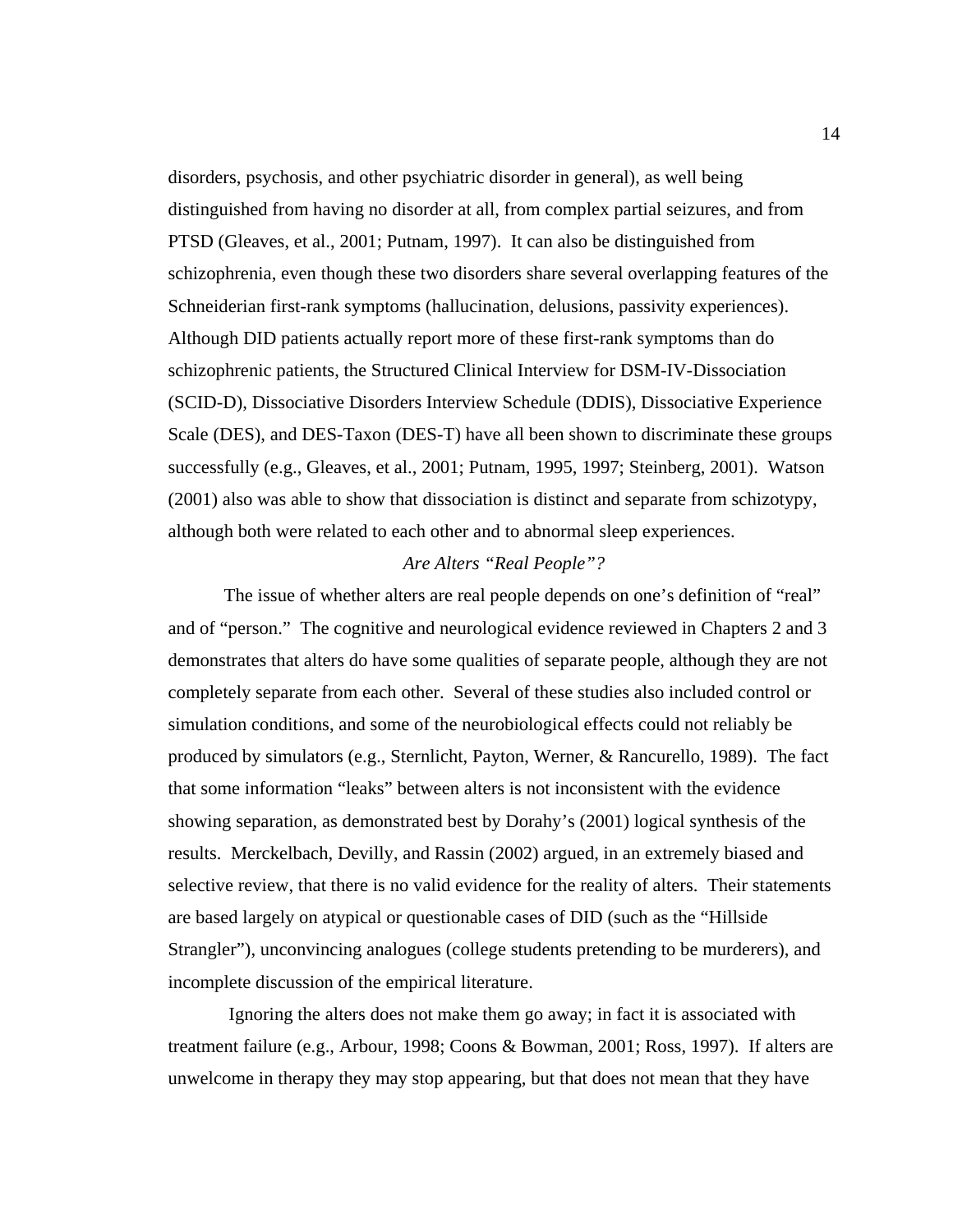disorders, psychosis, and other psychiatric disorder in general), as well being distinguished from having no disorder at all, from complex partial seizures, and from PTSD (Gleaves, et al., 2001; Putnam, 1997). It can also be distinguished from schizophrenia, even though these two disorders share several overlapping features of the Schneiderian first-rank symptoms (hallucination, delusions, passivity experiences). Although DID patients actually report more of these first-rank symptoms than do schizophrenic patients, the Structured Clinical Interview for DSM-IV-Dissociation (SCID-D), Dissociative Disorders Interview Schedule (DDIS), Dissociative Experience Scale (DES), and DES-Taxon (DES-T) have all been shown to discriminate these groups successfully (e.g., Gleaves, et al., 2001; Putnam, 1995, 1997; Steinberg, 2001). Watson (2001) also was able to show that dissociation is distinct and separate from schizotypy, although both were related to each other and to abnormal sleep experiences.

#### *Are Alters "Real People"?*

The issue of whether alters are real people depends on one's definition of "real" and of "person." The cognitive and neurological evidence reviewed in Chapters 2 and 3 demonstrates that alters do have some qualities of separate people, although they are not completely separate from each other. Several of these studies also included control or simulation conditions, and some of the neurobiological effects could not reliably be produced by simulators (e.g., Sternlicht, Payton, Werner, & Rancurello, 1989). The fact that some information "leaks" between alters is not inconsistent with the evidence showing separation, as demonstrated best by Dorahy's (2001) logical synthesis of the results. Merckelbach, Devilly, and Rassin (2002) argued, in an extremely biased and selective review, that there is no valid evidence for the reality of alters. Their statements are based largely on atypical or questionable cases of DID (such as the "Hillside Strangler"), unconvincing analogues (college students pretending to be murderers), and incomplete discussion of the empirical literature.

 Ignoring the alters does not make them go away; in fact it is associated with treatment failure (e.g., Arbour, 1998; Coons & Bowman, 2001; Ross, 1997). If alters are unwelcome in therapy they may stop appearing, but that does not mean that they have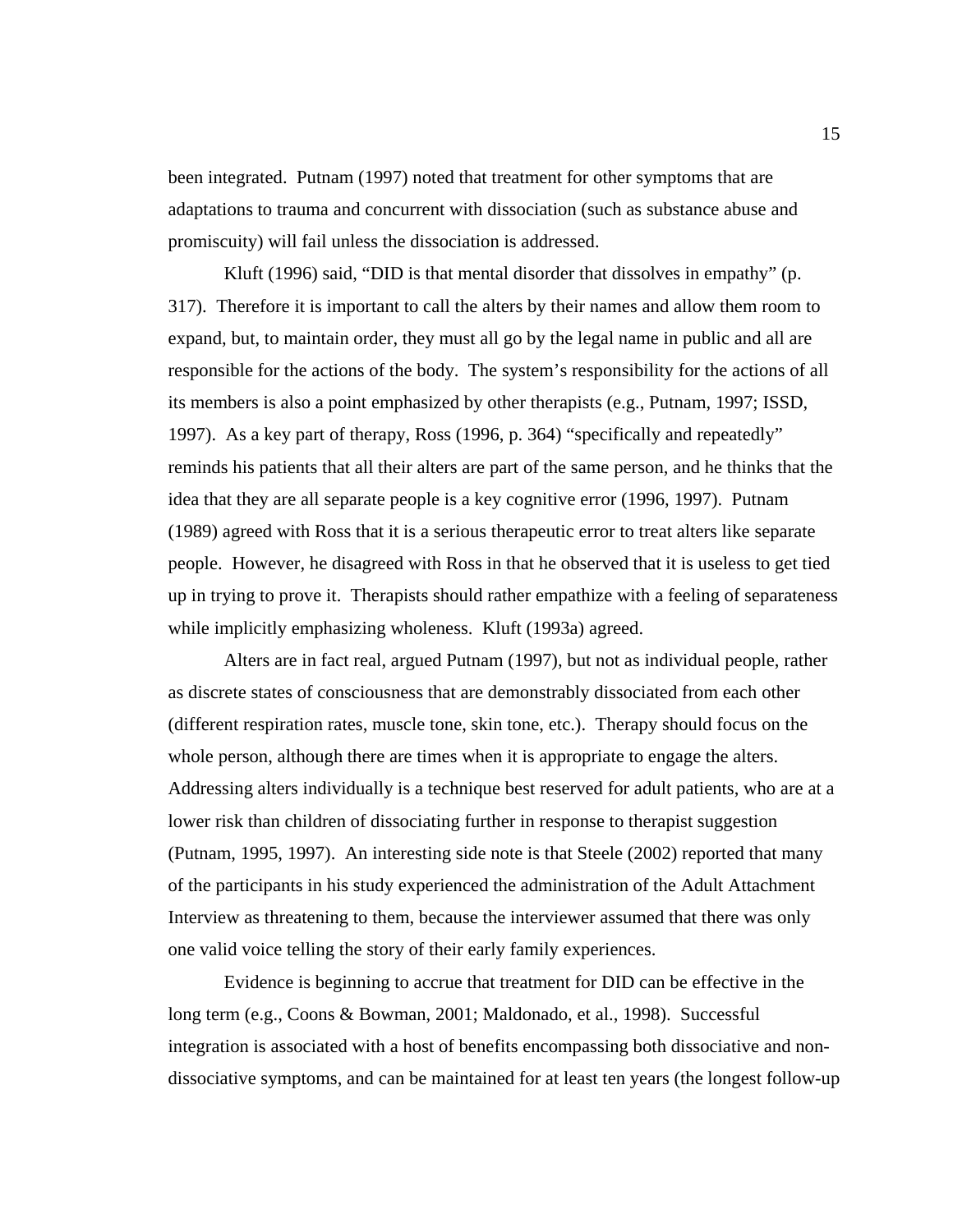been integrated. Putnam (1997) noted that treatment for other symptoms that are adaptations to trauma and concurrent with dissociation (such as substance abuse and promiscuity) will fail unless the dissociation is addressed.

Kluft (1996) said, "DID is that mental disorder that dissolves in empathy" (p. 317). Therefore it is important to call the alters by their names and allow them room to expand, but, to maintain order, they must all go by the legal name in public and all are responsible for the actions of the body. The system's responsibility for the actions of all its members is also a point emphasized by other therapists (e.g., Putnam, 1997; ISSD, 1997). As a key part of therapy, Ross (1996, p. 364) "specifically and repeatedly" reminds his patients that all their alters are part of the same person, and he thinks that the idea that they are all separate people is a key cognitive error (1996, 1997). Putnam (1989) agreed with Ross that it is a serious therapeutic error to treat alters like separate people. However, he disagreed with Ross in that he observed that it is useless to get tied up in trying to prove it. Therapists should rather empathize with a feeling of separateness while implicitly emphasizing wholeness. Kluft (1993a) agreed.

Alters are in fact real, argued Putnam (1997), but not as individual people, rather as discrete states of consciousness that are demonstrably dissociated from each other (different respiration rates, muscle tone, skin tone, etc.). Therapy should focus on the whole person, although there are times when it is appropriate to engage the alters. Addressing alters individually is a technique best reserved for adult patients, who are at a lower risk than children of dissociating further in response to therapist suggestion (Putnam, 1995, 1997). An interesting side note is that Steele (2002) reported that many of the participants in his study experienced the administration of the Adult Attachment Interview as threatening to them, because the interviewer assumed that there was only one valid voice telling the story of their early family experiences.

Evidence is beginning to accrue that treatment for DID can be effective in the long term (e.g., Coons & Bowman, 2001; Maldonado, et al., 1998). Successful integration is associated with a host of benefits encompassing both dissociative and nondissociative symptoms, and can be maintained for at least ten years (the longest follow-up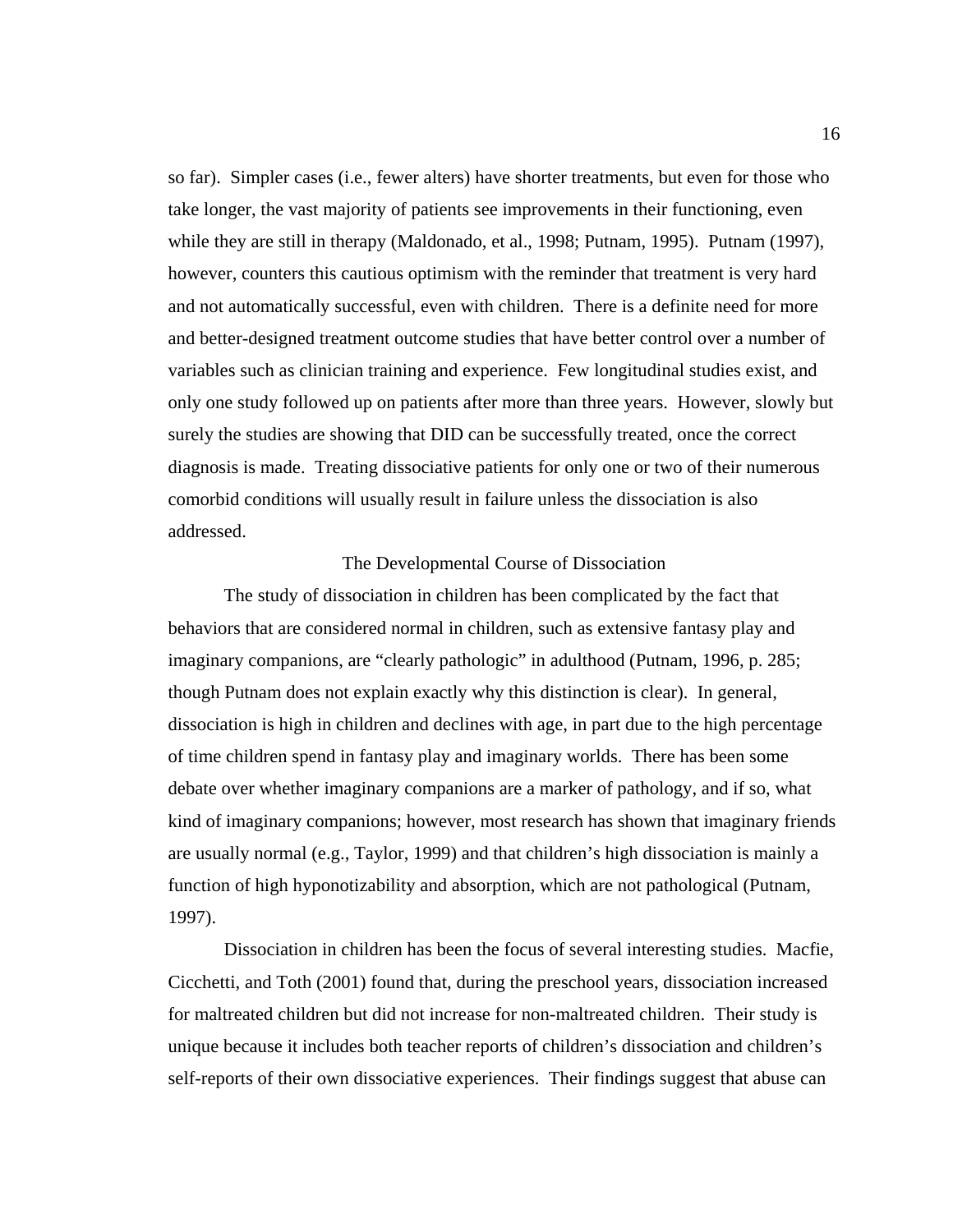so far). Simpler cases (i.e., fewer alters) have shorter treatments, but even for those who take longer, the vast majority of patients see improvements in their functioning, even while they are still in therapy (Maldonado, et al., 1998; Putnam, 1995). Putnam (1997), however, counters this cautious optimism with the reminder that treatment is very hard and not automatically successful, even with children. There is a definite need for more and better-designed treatment outcome studies that have better control over a number of variables such as clinician training and experience. Few longitudinal studies exist, and only one study followed up on patients after more than three years. However, slowly but surely the studies are showing that DID can be successfully treated, once the correct diagnosis is made. Treating dissociative patients for only one or two of their numerous comorbid conditions will usually result in failure unless the dissociation is also addressed.

#### The Developmental Course of Dissociation

The study of dissociation in children has been complicated by the fact that behaviors that are considered normal in children, such as extensive fantasy play and imaginary companions, are "clearly pathologic" in adulthood (Putnam, 1996, p. 285; though Putnam does not explain exactly why this distinction is clear). In general, dissociation is high in children and declines with age, in part due to the high percentage of time children spend in fantasy play and imaginary worlds. There has been some debate over whether imaginary companions are a marker of pathology, and if so, what kind of imaginary companions; however, most research has shown that imaginary friends are usually normal (e.g., Taylor, 1999) and that children's high dissociation is mainly a function of high hyponotizability and absorption, which are not pathological (Putnam, 1997).

Dissociation in children has been the focus of several interesting studies. Macfie, Cicchetti, and Toth (2001) found that, during the preschool years, dissociation increased for maltreated children but did not increase for non-maltreated children. Their study is unique because it includes both teacher reports of children's dissociation and children's self-reports of their own dissociative experiences. Their findings suggest that abuse can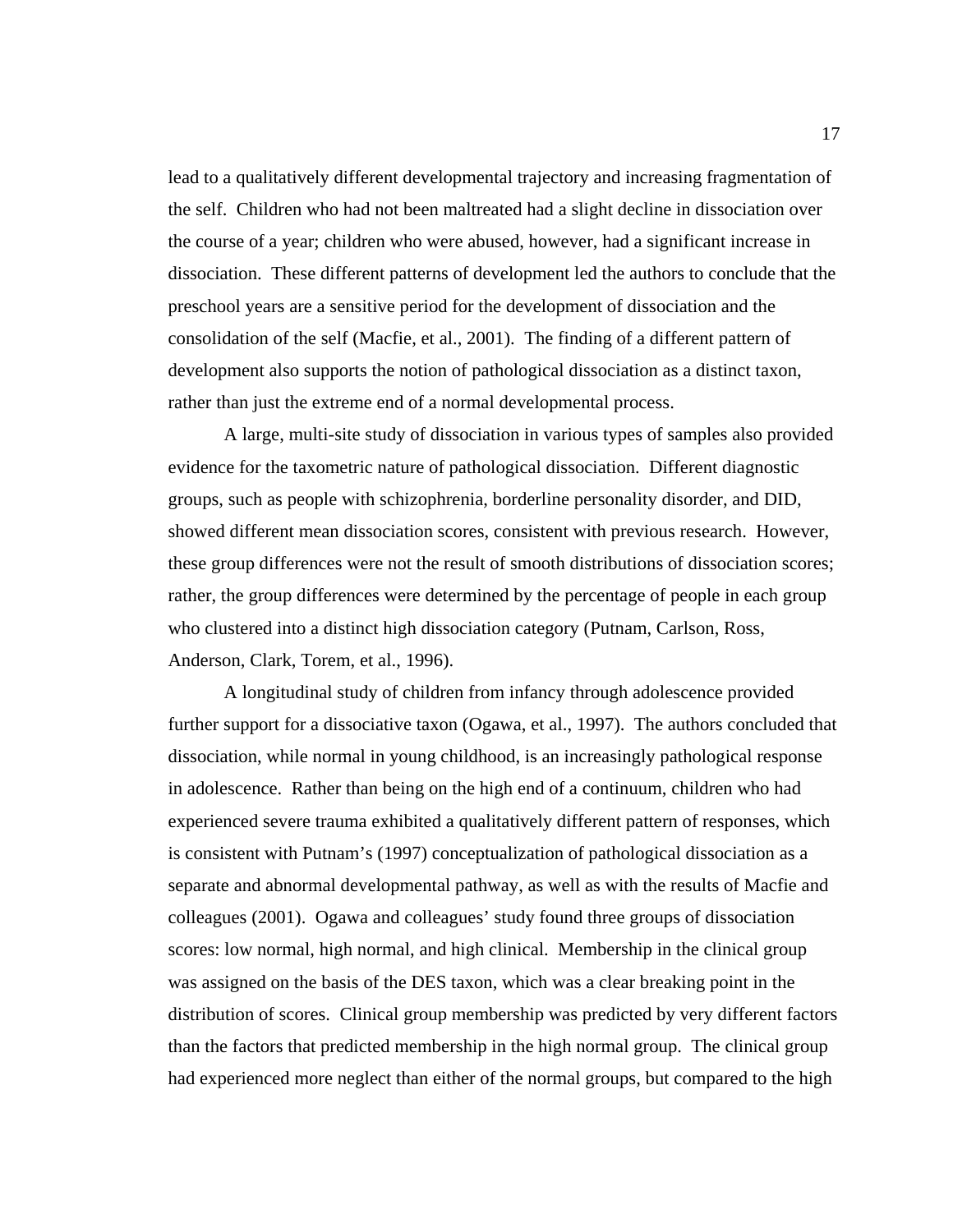lead to a qualitatively different developmental trajectory and increasing fragmentation of the self. Children who had not been maltreated had a slight decline in dissociation over the course of a year; children who were abused, however, had a significant increase in dissociation. These different patterns of development led the authors to conclude that the preschool years are a sensitive period for the development of dissociation and the consolidation of the self (Macfie, et al., 2001). The finding of a different pattern of development also supports the notion of pathological dissociation as a distinct taxon, rather than just the extreme end of a normal developmental process.

A large, multi-site study of dissociation in various types of samples also provided evidence for the taxometric nature of pathological dissociation. Different diagnostic groups, such as people with schizophrenia, borderline personality disorder, and DID, showed different mean dissociation scores, consistent with previous research. However, these group differences were not the result of smooth distributions of dissociation scores; rather, the group differences were determined by the percentage of people in each group who clustered into a distinct high dissociation category (Putnam, Carlson, Ross, Anderson, Clark, Torem, et al., 1996).

A longitudinal study of children from infancy through adolescence provided further support for a dissociative taxon (Ogawa, et al., 1997). The authors concluded that dissociation, while normal in young childhood, is an increasingly pathological response in adolescence. Rather than being on the high end of a continuum, children who had experienced severe trauma exhibited a qualitatively different pattern of responses, which is consistent with Putnam's (1997) conceptualization of pathological dissociation as a separate and abnormal developmental pathway, as well as with the results of Macfie and colleagues (2001). Ogawa and colleagues' study found three groups of dissociation scores: low normal, high normal, and high clinical. Membership in the clinical group was assigned on the basis of the DES taxon, which was a clear breaking point in the distribution of scores. Clinical group membership was predicted by very different factors than the factors that predicted membership in the high normal group. The clinical group had experienced more neglect than either of the normal groups, but compared to the high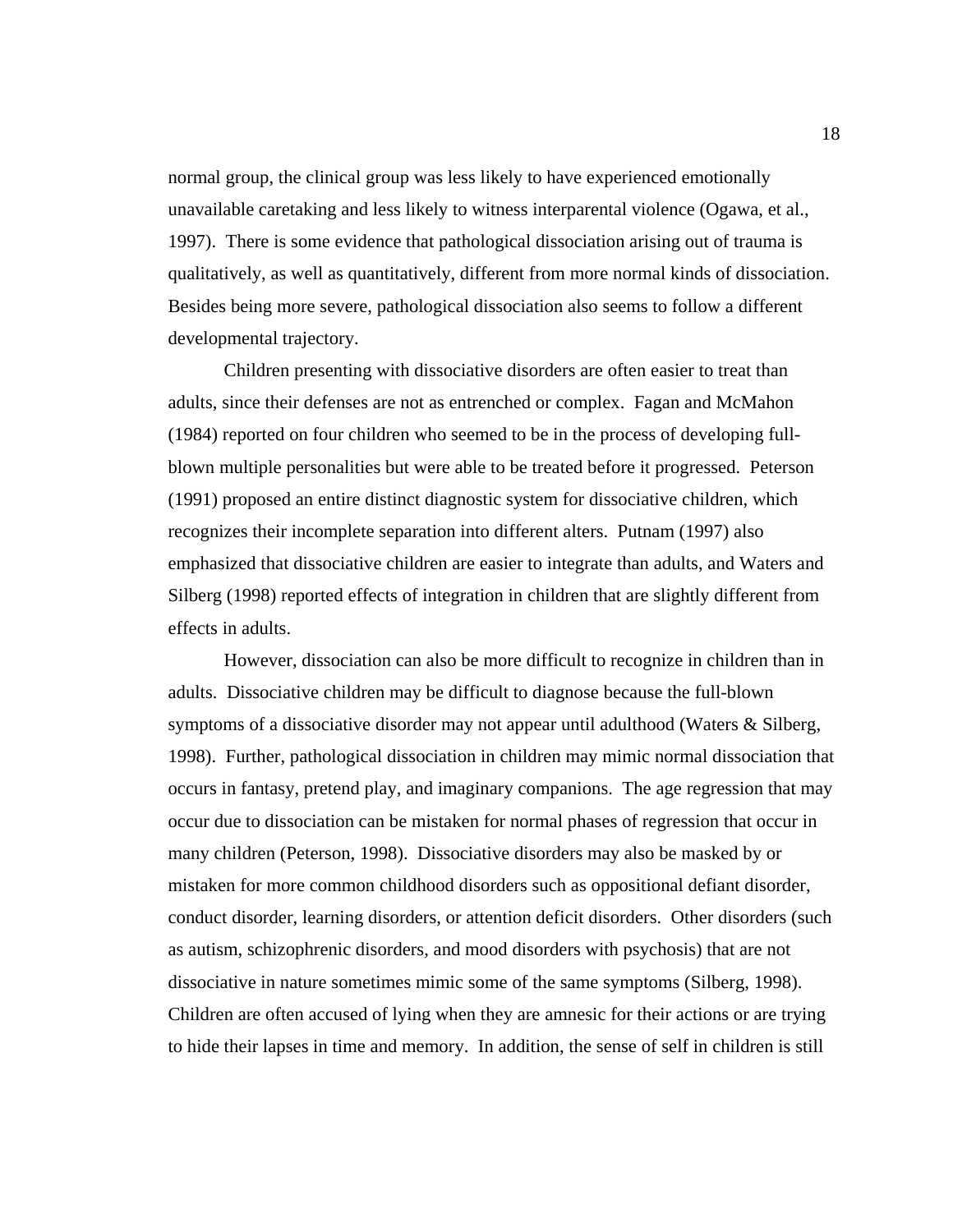normal group, the clinical group was less likely to have experienced emotionally unavailable caretaking and less likely to witness interparental violence (Ogawa, et al., 1997). There is some evidence that pathological dissociation arising out of trauma is qualitatively, as well as quantitatively, different from more normal kinds of dissociation. Besides being more severe, pathological dissociation also seems to follow a different developmental trajectory.

Children presenting with dissociative disorders are often easier to treat than adults, since their defenses are not as entrenched or complex. Fagan and McMahon (1984) reported on four children who seemed to be in the process of developing fullblown multiple personalities but were able to be treated before it progressed. Peterson (1991) proposed an entire distinct diagnostic system for dissociative children, which recognizes their incomplete separation into different alters. Putnam (1997) also emphasized that dissociative children are easier to integrate than adults, and Waters and Silberg (1998) reported effects of integration in children that are slightly different from effects in adults.

However, dissociation can also be more difficult to recognize in children than in adults. Dissociative children may be difficult to diagnose because the full-blown symptoms of a dissociative disorder may not appear until adulthood (Waters & Silberg, 1998). Further, pathological dissociation in children may mimic normal dissociation that occurs in fantasy, pretend play, and imaginary companions. The age regression that may occur due to dissociation can be mistaken for normal phases of regression that occur in many children (Peterson, 1998). Dissociative disorders may also be masked by or mistaken for more common childhood disorders such as oppositional defiant disorder, conduct disorder, learning disorders, or attention deficit disorders. Other disorders (such as autism, schizophrenic disorders, and mood disorders with psychosis) that are not dissociative in nature sometimes mimic some of the same symptoms (Silberg, 1998). Children are often accused of lying when they are amnesic for their actions or are trying to hide their lapses in time and memory. In addition, the sense of self in children is still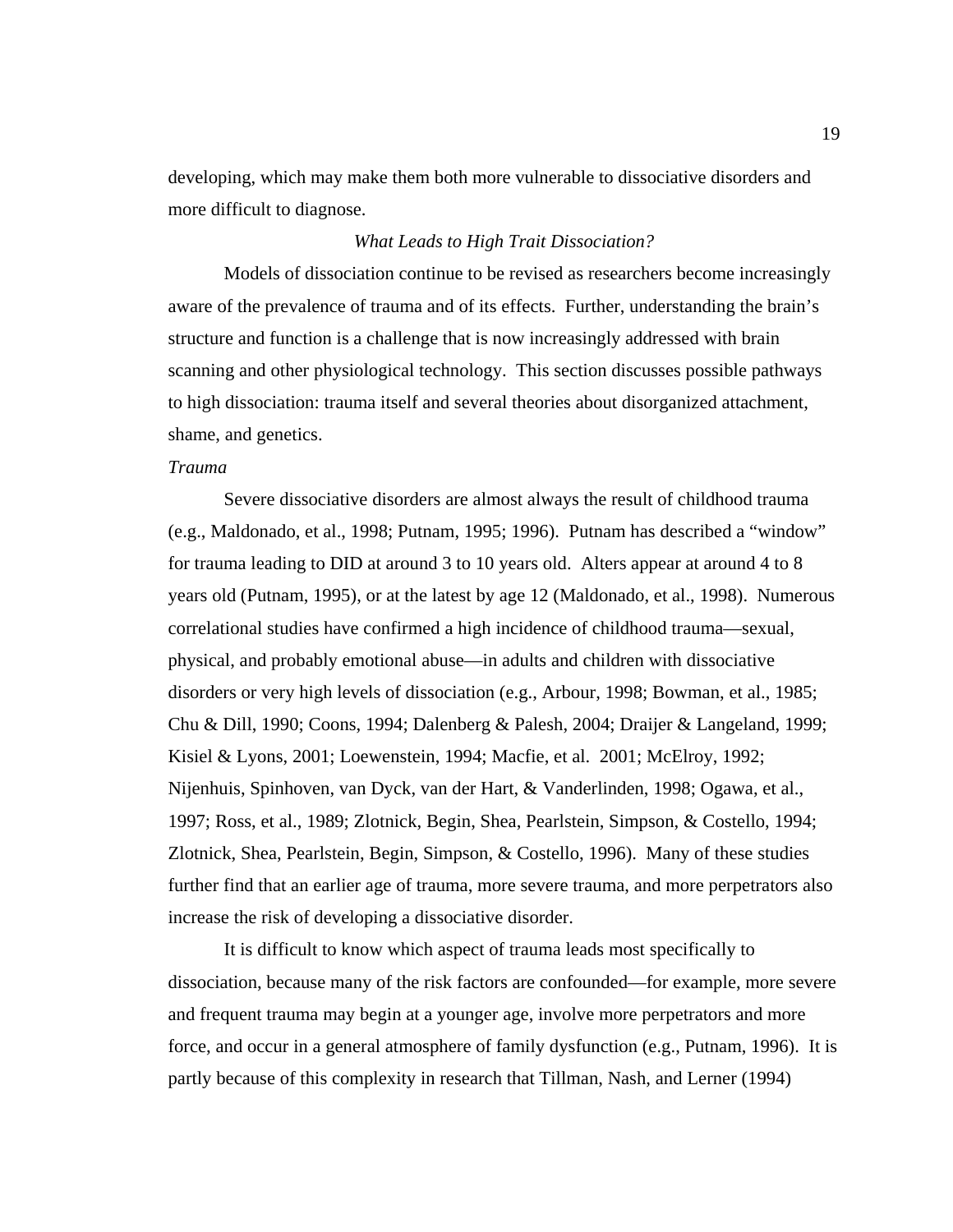developing, which may make them both more vulnerable to dissociative disorders and more difficult to diagnose.

## *What Leads to High Trait Dissociation?*

 Models of dissociation continue to be revised as researchers become increasingly aware of the prevalence of trauma and of its effects. Further, understanding the brain's structure and function is a challenge that is now increasingly addressed with brain scanning and other physiological technology. This section discusses possible pathways to high dissociation: trauma itself and several theories about disorganized attachment, shame, and genetics.

#### *Trauma*

 Severe dissociative disorders are almost always the result of childhood trauma (e.g., Maldonado, et al., 1998; Putnam, 1995; 1996). Putnam has described a "window" for trauma leading to DID at around 3 to 10 years old. Alters appear at around 4 to 8 years old (Putnam, 1995), or at the latest by age 12 (Maldonado, et al., 1998). Numerous correlational studies have confirmed a high incidence of childhood trauma—sexual, physical, and probably emotional abuse—in adults and children with dissociative disorders or very high levels of dissociation (e.g., Arbour, 1998; Bowman, et al., 1985; Chu & Dill, 1990; Coons, 1994; Dalenberg & Palesh, 2004; Draijer & Langeland, 1999; Kisiel & Lyons, 2001; Loewenstein, 1994; Macfie, et al. 2001; McElroy, 1992; Nijenhuis, Spinhoven, van Dyck, van der Hart, & Vanderlinden, 1998; Ogawa, et al., 1997; Ross, et al., 1989; Zlotnick, Begin, Shea, Pearlstein, Simpson, & Costello, 1994; Zlotnick, Shea, Pearlstein, Begin, Simpson, & Costello, 1996). Many of these studies further find that an earlier age of trauma, more severe trauma, and more perpetrators also increase the risk of developing a dissociative disorder.

It is difficult to know which aspect of trauma leads most specifically to dissociation, because many of the risk factors are confounded—for example, more severe and frequent trauma may begin at a younger age, involve more perpetrators and more force, and occur in a general atmosphere of family dysfunction (e.g., Putnam, 1996). It is partly because of this complexity in research that Tillman, Nash, and Lerner (1994)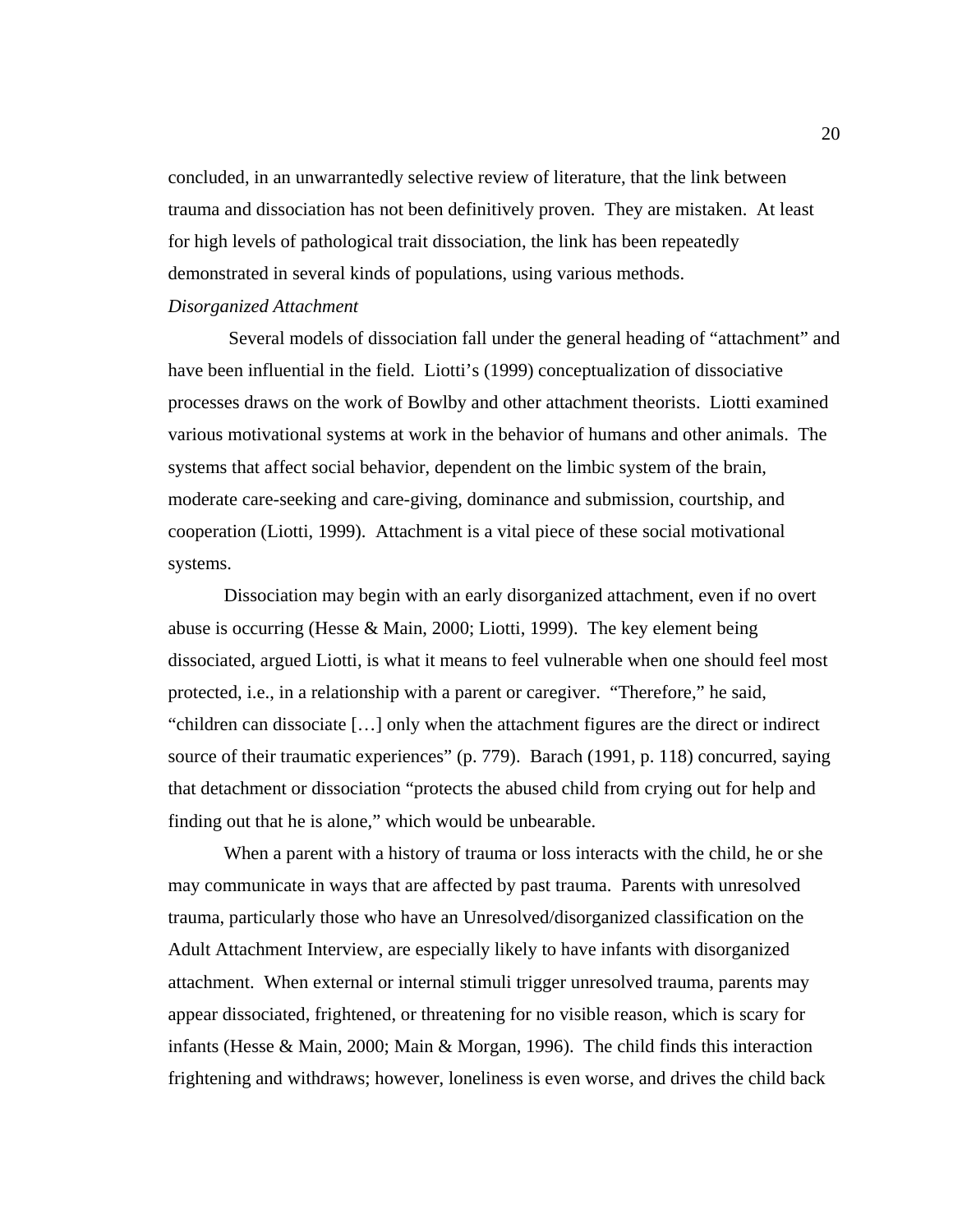concluded, in an unwarrantedly selective review of literature, that the link between trauma and dissociation has not been definitively proven. They are mistaken. At least for high levels of pathological trait dissociation, the link has been repeatedly demonstrated in several kinds of populations, using various methods. *Disorganized Attachment* 

Several models of dissociation fall under the general heading of "attachment" and have been influential in the field. Liotti's (1999) conceptualization of dissociative processes draws on the work of Bowlby and other attachment theorists. Liotti examined various motivational systems at work in the behavior of humans and other animals. The systems that affect social behavior, dependent on the limbic system of the brain, moderate care-seeking and care-giving, dominance and submission, courtship, and cooperation (Liotti, 1999). Attachment is a vital piece of these social motivational systems.

Dissociation may begin with an early disorganized attachment, even if no overt abuse is occurring (Hesse & Main, 2000; Liotti, 1999). The key element being dissociated, argued Liotti, is what it means to feel vulnerable when one should feel most protected, i.e., in a relationship with a parent or caregiver. "Therefore," he said, "children can dissociate […] only when the attachment figures are the direct or indirect source of their traumatic experiences" (p. 779). Barach (1991, p. 118) concurred, saying that detachment or dissociation "protects the abused child from crying out for help and finding out that he is alone," which would be unbearable.

When a parent with a history of trauma or loss interacts with the child, he or she may communicate in ways that are affected by past trauma. Parents with unresolved trauma, particularly those who have an Unresolved/disorganized classification on the Adult Attachment Interview, are especially likely to have infants with disorganized attachment. When external or internal stimuli trigger unresolved trauma, parents may appear dissociated, frightened, or threatening for no visible reason, which is scary for infants (Hesse & Main, 2000; Main & Morgan, 1996). The child finds this interaction frightening and withdraws; however, loneliness is even worse, and drives the child back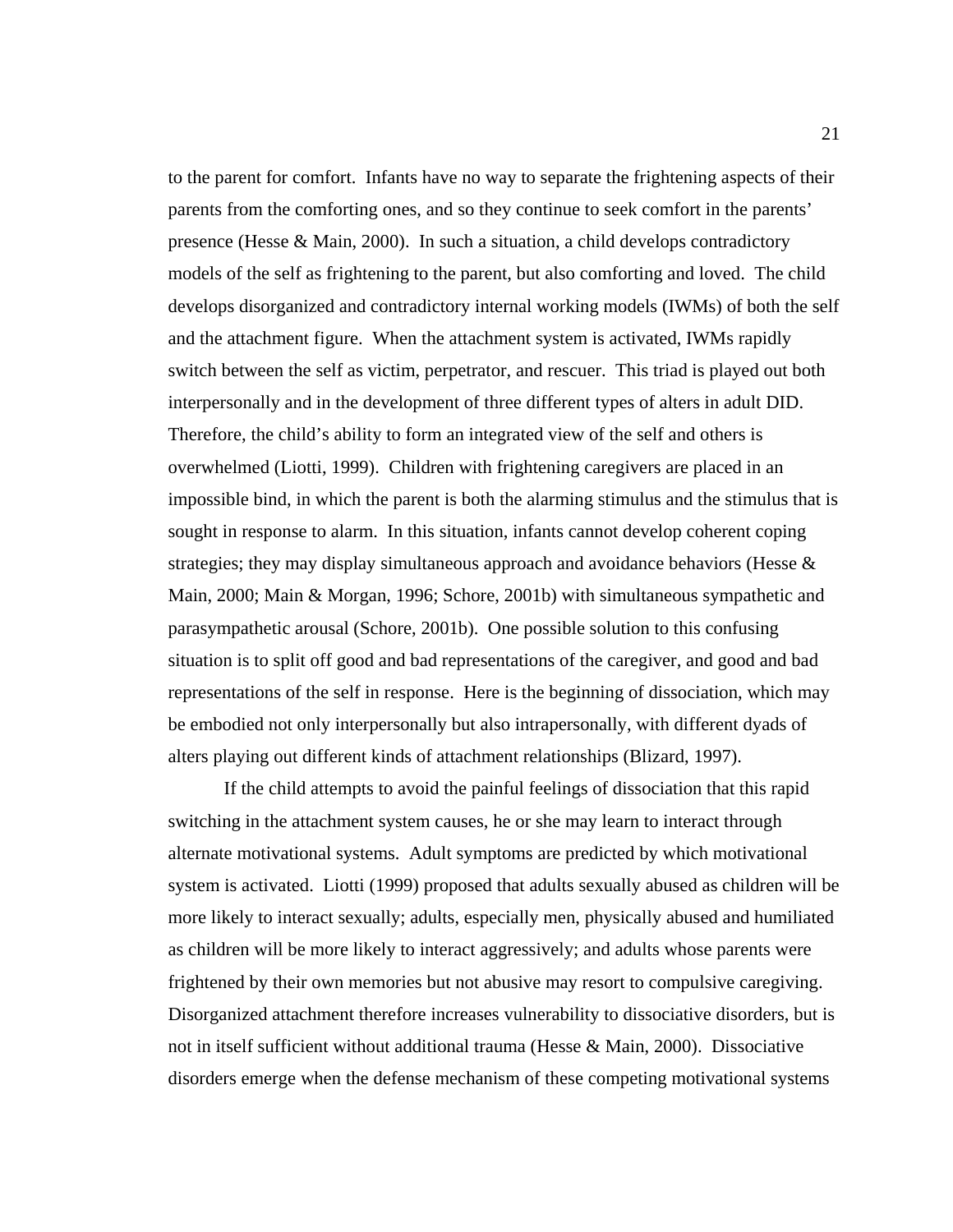to the parent for comfort. Infants have no way to separate the frightening aspects of their parents from the comforting ones, and so they continue to seek comfort in the parents' presence (Hesse & Main, 2000). In such a situation, a child develops contradictory models of the self as frightening to the parent, but also comforting and loved. The child develops disorganized and contradictory internal working models (IWMs) of both the self and the attachment figure. When the attachment system is activated, IWMs rapidly switch between the self as victim, perpetrator, and rescuer. This triad is played out both interpersonally and in the development of three different types of alters in adult DID. Therefore, the child's ability to form an integrated view of the self and others is overwhelmed (Liotti, 1999). Children with frightening caregivers are placed in an impossible bind, in which the parent is both the alarming stimulus and the stimulus that is sought in response to alarm. In this situation, infants cannot develop coherent coping strategies; they may display simultaneous approach and avoidance behaviors (Hesse & Main, 2000; Main & Morgan, 1996; Schore, 2001b) with simultaneous sympathetic and parasympathetic arousal (Schore, 2001b). One possible solution to this confusing situation is to split off good and bad representations of the caregiver, and good and bad representations of the self in response. Here is the beginning of dissociation, which may be embodied not only interpersonally but also intrapersonally, with different dyads of alters playing out different kinds of attachment relationships (Blizard, 1997).

If the child attempts to avoid the painful feelings of dissociation that this rapid switching in the attachment system causes, he or she may learn to interact through alternate motivational systems. Adult symptoms are predicted by which motivational system is activated. Liotti (1999) proposed that adults sexually abused as children will be more likely to interact sexually; adults, especially men, physically abused and humiliated as children will be more likely to interact aggressively; and adults whose parents were frightened by their own memories but not abusive may resort to compulsive caregiving. Disorganized attachment therefore increases vulnerability to dissociative disorders, but is not in itself sufficient without additional trauma (Hesse & Main, 2000). Dissociative disorders emerge when the defense mechanism of these competing motivational systems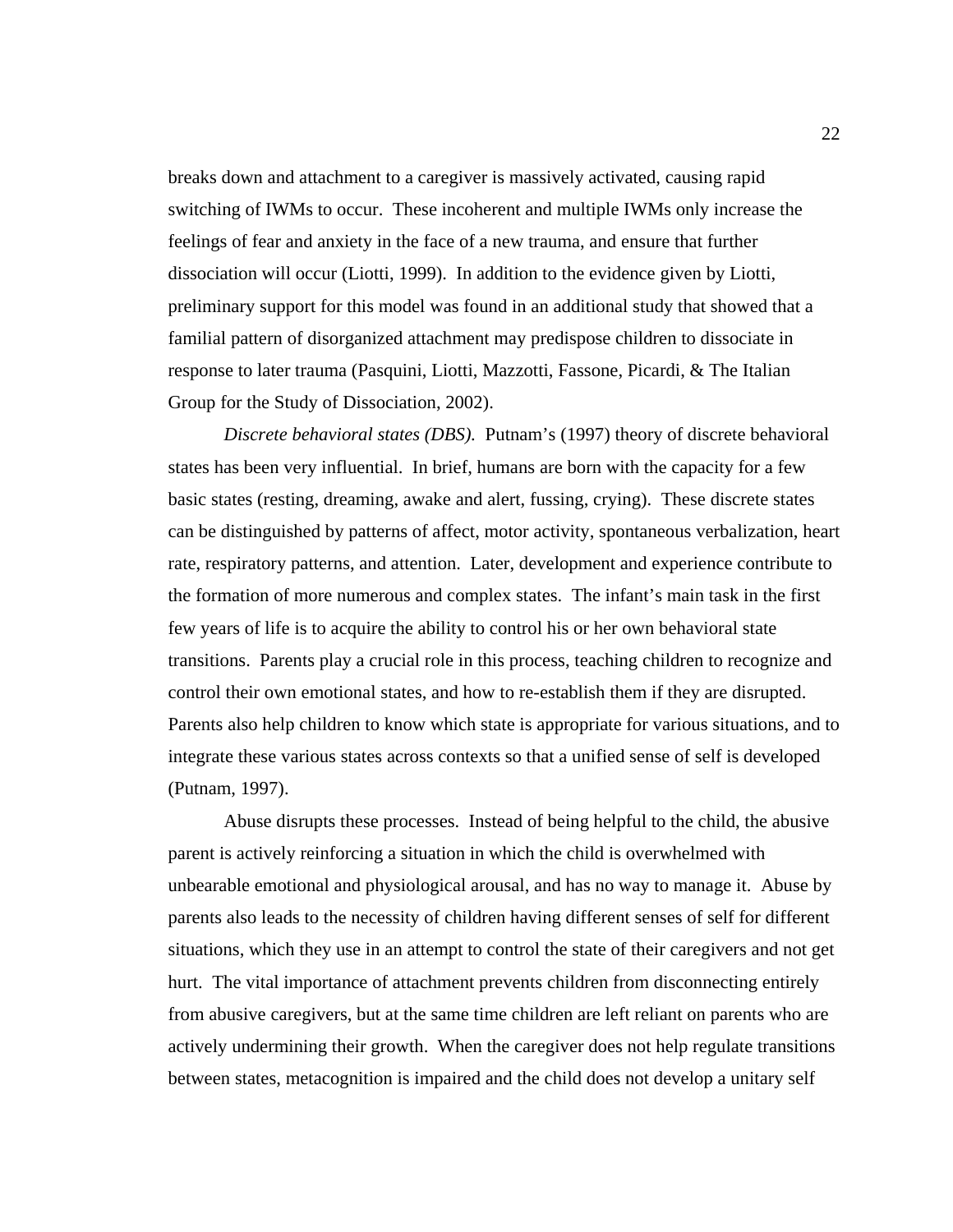breaks down and attachment to a caregiver is massively activated, causing rapid switching of IWMs to occur. These incoherent and multiple IWMs only increase the feelings of fear and anxiety in the face of a new trauma, and ensure that further dissociation will occur (Liotti, 1999). In addition to the evidence given by Liotti, preliminary support for this model was found in an additional study that showed that a familial pattern of disorganized attachment may predispose children to dissociate in response to later trauma (Pasquini, Liotti, Mazzotti, Fassone, Picardi, & The Italian Group for the Study of Dissociation, 2002).

*Discrete behavioral states (DBS).* Putnam's (1997) theory of discrete behavioral states has been very influential. In brief, humans are born with the capacity for a few basic states (resting, dreaming, awake and alert, fussing, crying). These discrete states can be distinguished by patterns of affect, motor activity, spontaneous verbalization, heart rate, respiratory patterns, and attention. Later, development and experience contribute to the formation of more numerous and complex states. The infant's main task in the first few years of life is to acquire the ability to control his or her own behavioral state transitions. Parents play a crucial role in this process, teaching children to recognize and control their own emotional states, and how to re-establish them if they are disrupted. Parents also help children to know which state is appropriate for various situations, and to integrate these various states across contexts so that a unified sense of self is developed (Putnam, 1997).

Abuse disrupts these processes. Instead of being helpful to the child, the abusive parent is actively reinforcing a situation in which the child is overwhelmed with unbearable emotional and physiological arousal, and has no way to manage it. Abuse by parents also leads to the necessity of children having different senses of self for different situations, which they use in an attempt to control the state of their caregivers and not get hurt. The vital importance of attachment prevents children from disconnecting entirely from abusive caregivers, but at the same time children are left reliant on parents who are actively undermining their growth. When the caregiver does not help regulate transitions between states, metacognition is impaired and the child does not develop a unitary self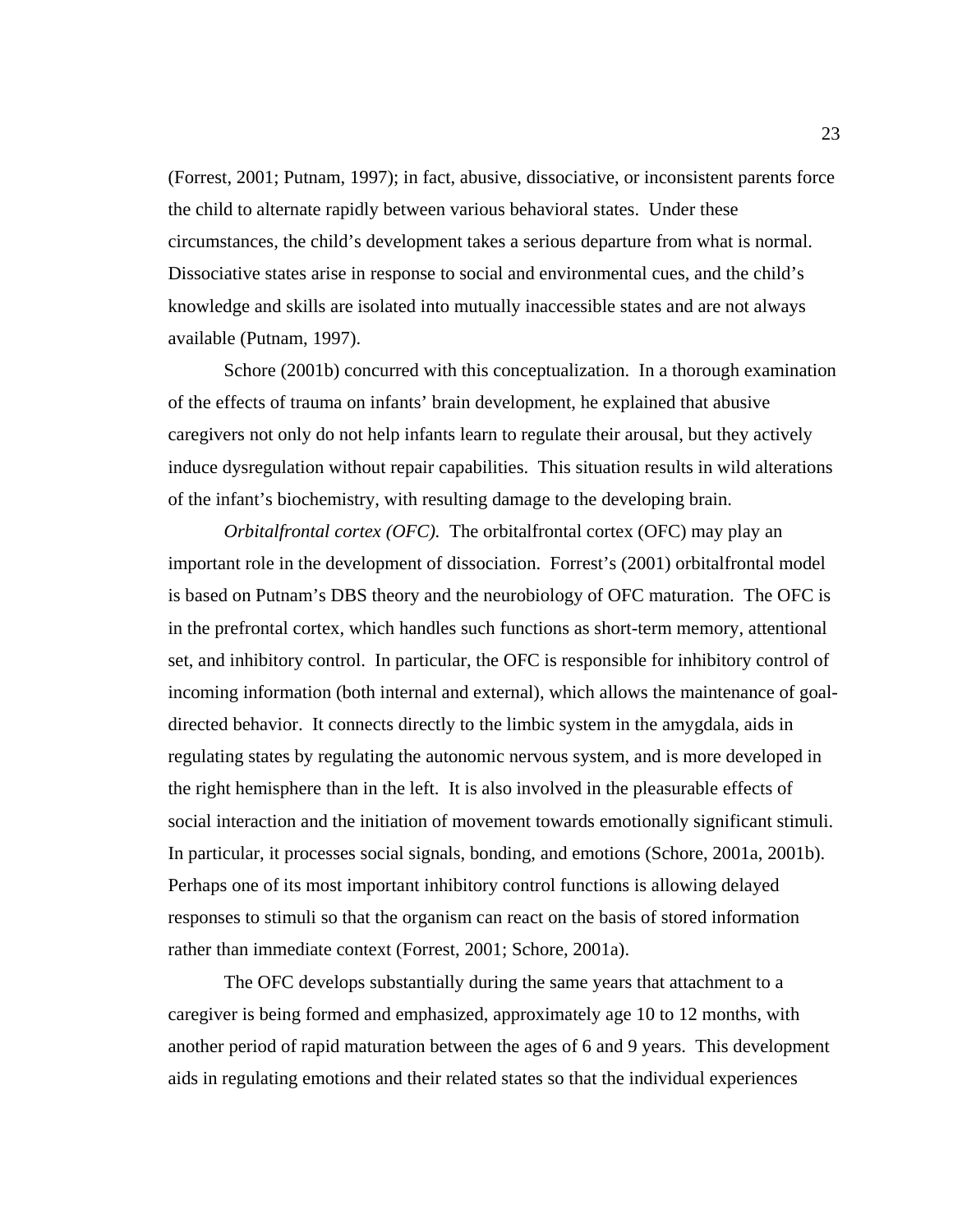(Forrest, 2001; Putnam, 1997); in fact, abusive, dissociative, or inconsistent parents force the child to alternate rapidly between various behavioral states. Under these circumstances, the child's development takes a serious departure from what is normal. Dissociative states arise in response to social and environmental cues, and the child's knowledge and skills are isolated into mutually inaccessible states and are not always available (Putnam, 1997).

Schore (2001b) concurred with this conceptualization. In a thorough examination of the effects of trauma on infants' brain development, he explained that abusive caregivers not only do not help infants learn to regulate their arousal, but they actively induce dysregulation without repair capabilities. This situation results in wild alterations of the infant's biochemistry, with resulting damage to the developing brain.

*Orbitalfrontal cortex (OFC).* The orbitalfrontal cortex (OFC) may play an important role in the development of dissociation. Forrest's (2001) orbitalfrontal model is based on Putnam's DBS theory and the neurobiology of OFC maturation. The OFC is in the prefrontal cortex, which handles such functions as short-term memory, attentional set, and inhibitory control. In particular, the OFC is responsible for inhibitory control of incoming information (both internal and external), which allows the maintenance of goaldirected behavior. It connects directly to the limbic system in the amygdala, aids in regulating states by regulating the autonomic nervous system, and is more developed in the right hemisphere than in the left. It is also involved in the pleasurable effects of social interaction and the initiation of movement towards emotionally significant stimuli. In particular, it processes social signals, bonding, and emotions (Schore, 2001a, 2001b). Perhaps one of its most important inhibitory control functions is allowing delayed responses to stimuli so that the organism can react on the basis of stored information rather than immediate context (Forrest, 2001; Schore, 2001a).

 The OFC develops substantially during the same years that attachment to a caregiver is being formed and emphasized, approximately age 10 to 12 months, with another period of rapid maturation between the ages of 6 and 9 years. This development aids in regulating emotions and their related states so that the individual experiences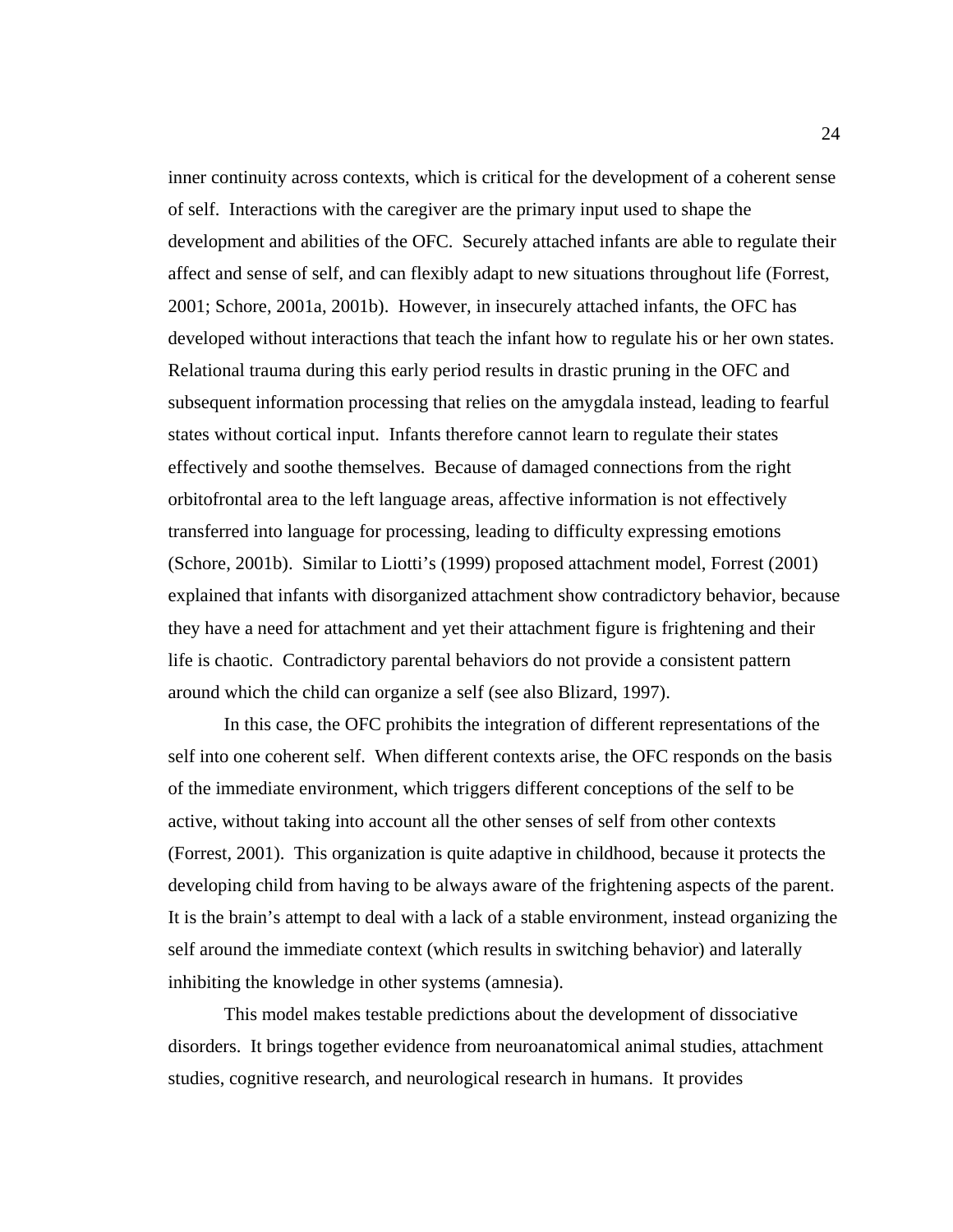inner continuity across contexts, which is critical for the development of a coherent sense of self. Interactions with the caregiver are the primary input used to shape the development and abilities of the OFC. Securely attached infants are able to regulate their affect and sense of self, and can flexibly adapt to new situations throughout life (Forrest, 2001; Schore, 2001a, 2001b). However, in insecurely attached infants, the OFC has developed without interactions that teach the infant how to regulate his or her own states. Relational trauma during this early period results in drastic pruning in the OFC and subsequent information processing that relies on the amygdala instead, leading to fearful states without cortical input. Infants therefore cannot learn to regulate their states effectively and soothe themselves. Because of damaged connections from the right orbitofrontal area to the left language areas, affective information is not effectively transferred into language for processing, leading to difficulty expressing emotions (Schore, 2001b). Similar to Liotti's (1999) proposed attachment model, Forrest (2001) explained that infants with disorganized attachment show contradictory behavior, because they have a need for attachment and yet their attachment figure is frightening and their life is chaotic. Contradictory parental behaviors do not provide a consistent pattern around which the child can organize a self (see also Blizard, 1997).

In this case, the OFC prohibits the integration of different representations of the self into one coherent self. When different contexts arise, the OFC responds on the basis of the immediate environment, which triggers different conceptions of the self to be active, without taking into account all the other senses of self from other contexts (Forrest, 2001). This organization is quite adaptive in childhood, because it protects the developing child from having to be always aware of the frightening aspects of the parent. It is the brain's attempt to deal with a lack of a stable environment, instead organizing the self around the immediate context (which results in switching behavior) and laterally inhibiting the knowledge in other systems (amnesia).

This model makes testable predictions about the development of dissociative disorders. It brings together evidence from neuroanatomical animal studies, attachment studies, cognitive research, and neurological research in humans. It provides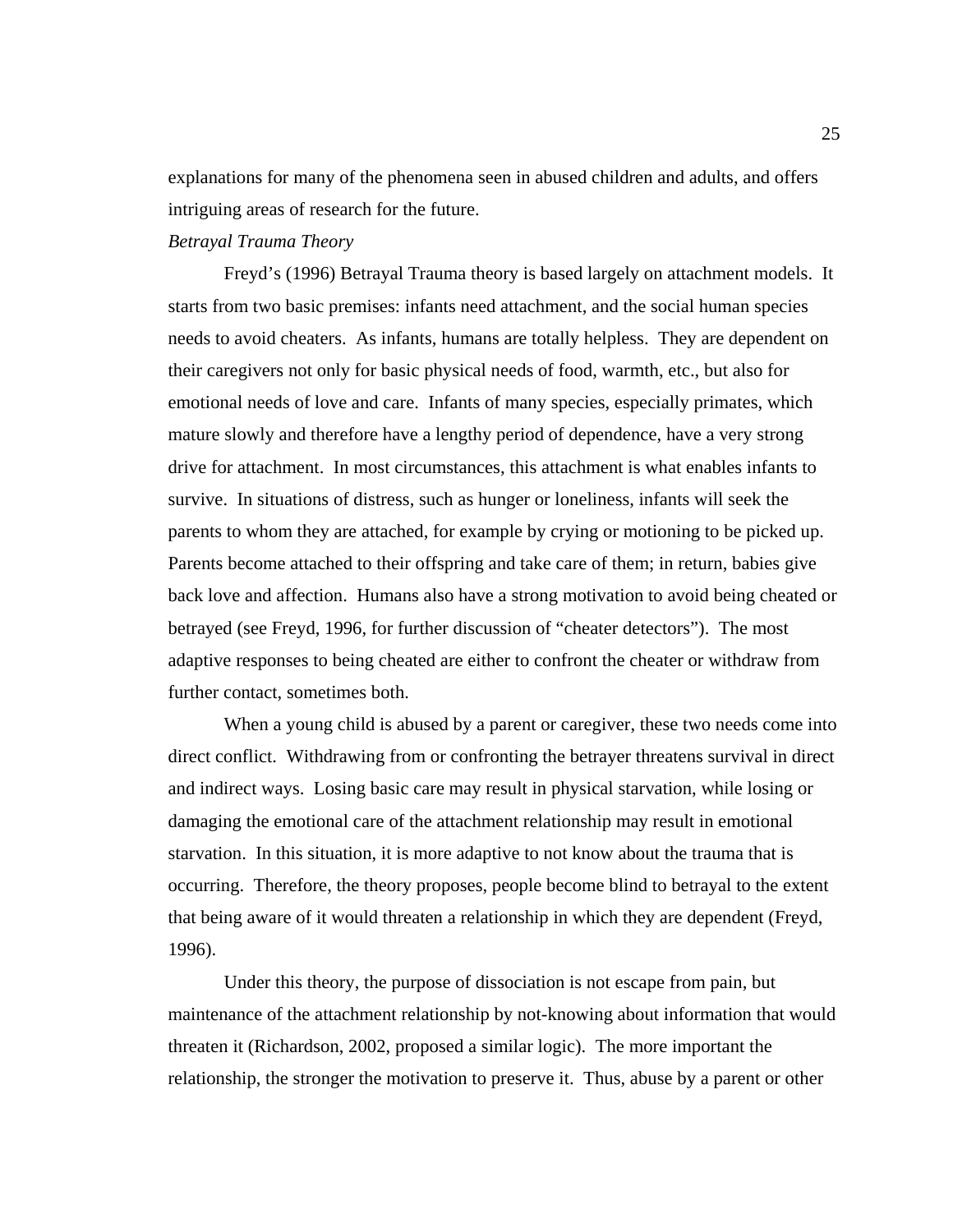explanations for many of the phenomena seen in abused children and adults, and offers intriguing areas of research for the future.

# *Betrayal Trauma Theory*

Freyd's (1996) Betrayal Trauma theory is based largely on attachment models. It starts from two basic premises: infants need attachment, and the social human species needs to avoid cheaters. As infants, humans are totally helpless. They are dependent on their caregivers not only for basic physical needs of food, warmth, etc., but also for emotional needs of love and care. Infants of many species, especially primates, which mature slowly and therefore have a lengthy period of dependence, have a very strong drive for attachment. In most circumstances, this attachment is what enables infants to survive. In situations of distress, such as hunger or loneliness, infants will seek the parents to whom they are attached, for example by crying or motioning to be picked up. Parents become attached to their offspring and take care of them; in return, babies give back love and affection. Humans also have a strong motivation to avoid being cheated or betrayed (see Freyd, 1996, for further discussion of "cheater detectors"). The most adaptive responses to being cheated are either to confront the cheater or withdraw from further contact, sometimes both.

 When a young child is abused by a parent or caregiver, these two needs come into direct conflict. Withdrawing from or confronting the betrayer threatens survival in direct and indirect ways. Losing basic care may result in physical starvation, while losing or damaging the emotional care of the attachment relationship may result in emotional starvation. In this situation, it is more adaptive to not know about the trauma that is occurring. Therefore, the theory proposes, people become blind to betrayal to the extent that being aware of it would threaten a relationship in which they are dependent (Freyd, 1996).

Under this theory, the purpose of dissociation is not escape from pain, but maintenance of the attachment relationship by not-knowing about information that would threaten it (Richardson, 2002, proposed a similar logic). The more important the relationship, the stronger the motivation to preserve it. Thus, abuse by a parent or other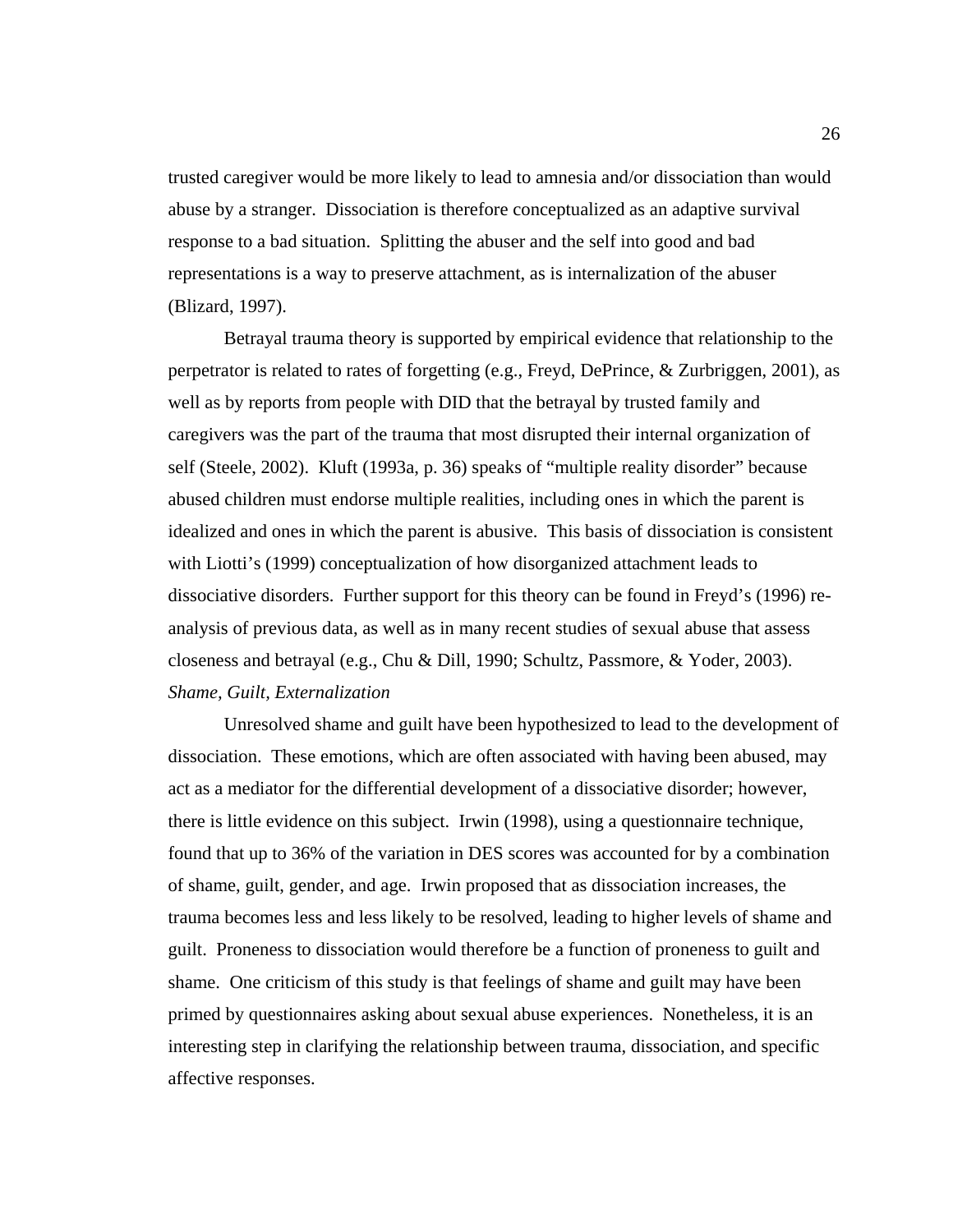trusted caregiver would be more likely to lead to amnesia and/or dissociation than would abuse by a stranger. Dissociation is therefore conceptualized as an adaptive survival response to a bad situation. Splitting the abuser and the self into good and bad representations is a way to preserve attachment, as is internalization of the abuser (Blizard, 1997).

Betrayal trauma theory is supported by empirical evidence that relationship to the perpetrator is related to rates of forgetting (e.g., Freyd, DePrince, & Zurbriggen, 2001), as well as by reports from people with DID that the betrayal by trusted family and caregivers was the part of the trauma that most disrupted their internal organization of self (Steele, 2002). Kluft (1993a, p. 36) speaks of "multiple reality disorder" because abused children must endorse multiple realities, including ones in which the parent is idealized and ones in which the parent is abusive. This basis of dissociation is consistent with Liotti's (1999) conceptualization of how disorganized attachment leads to dissociative disorders. Further support for this theory can be found in Freyd's (1996) reanalysis of previous data, as well as in many recent studies of sexual abuse that assess closeness and betrayal (e.g., Chu & Dill, 1990; Schultz, Passmore, & Yoder, 2003). *Shame, Guilt, Externalization* 

Unresolved shame and guilt have been hypothesized to lead to the development of dissociation. These emotions, which are often associated with having been abused, may act as a mediator for the differential development of a dissociative disorder; however, there is little evidence on this subject. Irwin (1998), using a questionnaire technique, found that up to 36% of the variation in DES scores was accounted for by a combination of shame, guilt, gender, and age. Irwin proposed that as dissociation increases, the trauma becomes less and less likely to be resolved, leading to higher levels of shame and guilt. Proneness to dissociation would therefore be a function of proneness to guilt and shame. One criticism of this study is that feelings of shame and guilt may have been primed by questionnaires asking about sexual abuse experiences. Nonetheless, it is an interesting step in clarifying the relationship between trauma, dissociation, and specific affective responses.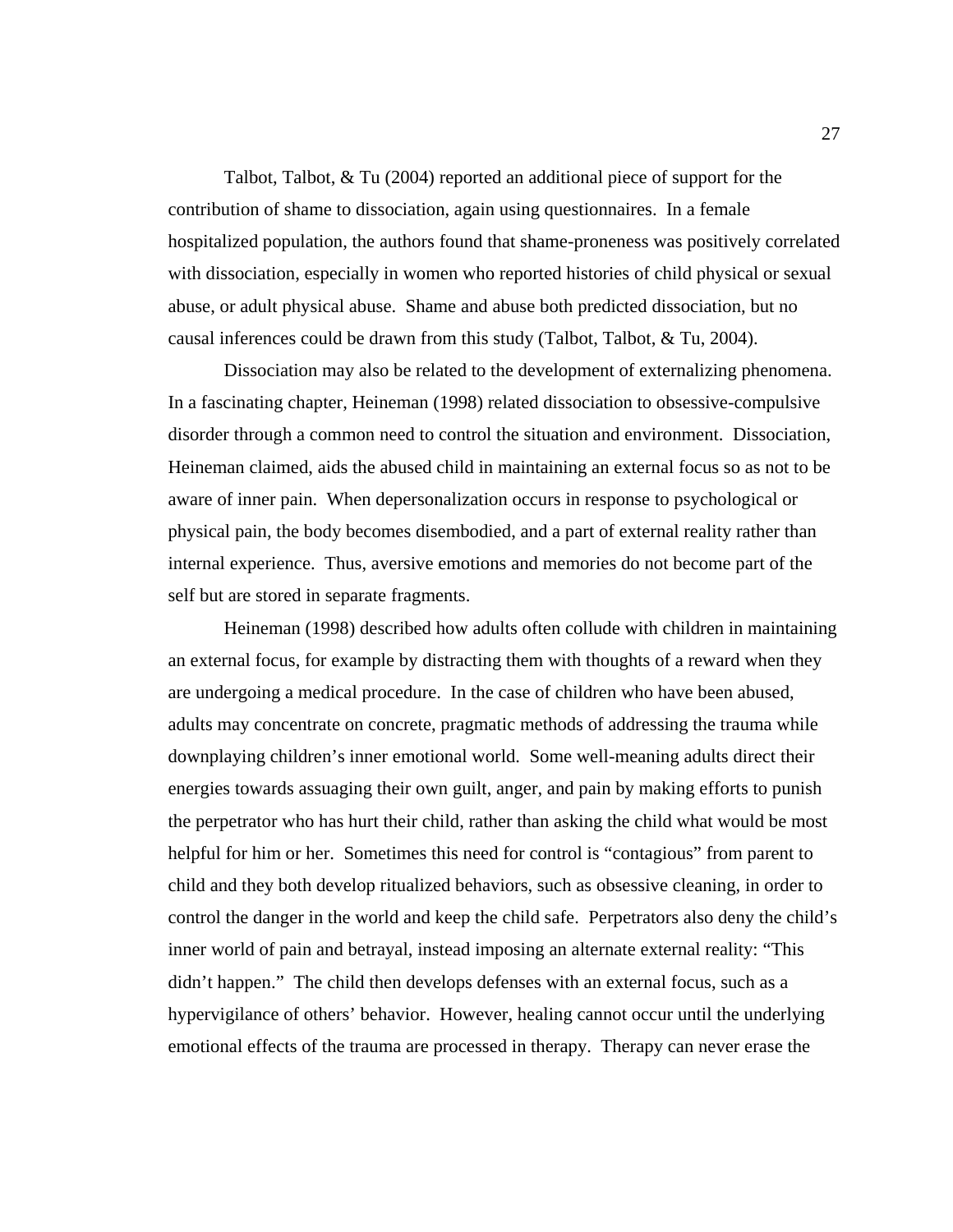Talbot, Talbot, & Tu (2004) reported an additional piece of support for the contribution of shame to dissociation, again using questionnaires. In a female hospitalized population, the authors found that shame-proneness was positively correlated with dissociation, especially in women who reported histories of child physical or sexual abuse, or adult physical abuse. Shame and abuse both predicted dissociation, but no causal inferences could be drawn from this study (Talbot, Talbot, & Tu, 2004).

 Dissociation may also be related to the development of externalizing phenomena. In a fascinating chapter, Heineman (1998) related dissociation to obsessive-compulsive disorder through a common need to control the situation and environment. Dissociation, Heineman claimed, aids the abused child in maintaining an external focus so as not to be aware of inner pain. When depersonalization occurs in response to psychological or physical pain, the body becomes disembodied, and a part of external reality rather than internal experience. Thus, aversive emotions and memories do not become part of the self but are stored in separate fragments.

 Heineman (1998) described how adults often collude with children in maintaining an external focus, for example by distracting them with thoughts of a reward when they are undergoing a medical procedure. In the case of children who have been abused, adults may concentrate on concrete, pragmatic methods of addressing the trauma while downplaying children's inner emotional world. Some well-meaning adults direct their energies towards assuaging their own guilt, anger, and pain by making efforts to punish the perpetrator who has hurt their child, rather than asking the child what would be most helpful for him or her. Sometimes this need for control is "contagious" from parent to child and they both develop ritualized behaviors, such as obsessive cleaning, in order to control the danger in the world and keep the child safe. Perpetrators also deny the child's inner world of pain and betrayal, instead imposing an alternate external reality: "This didn't happen." The child then develops defenses with an external focus, such as a hypervigilance of others' behavior. However, healing cannot occur until the underlying emotional effects of the trauma are processed in therapy. Therapy can never erase the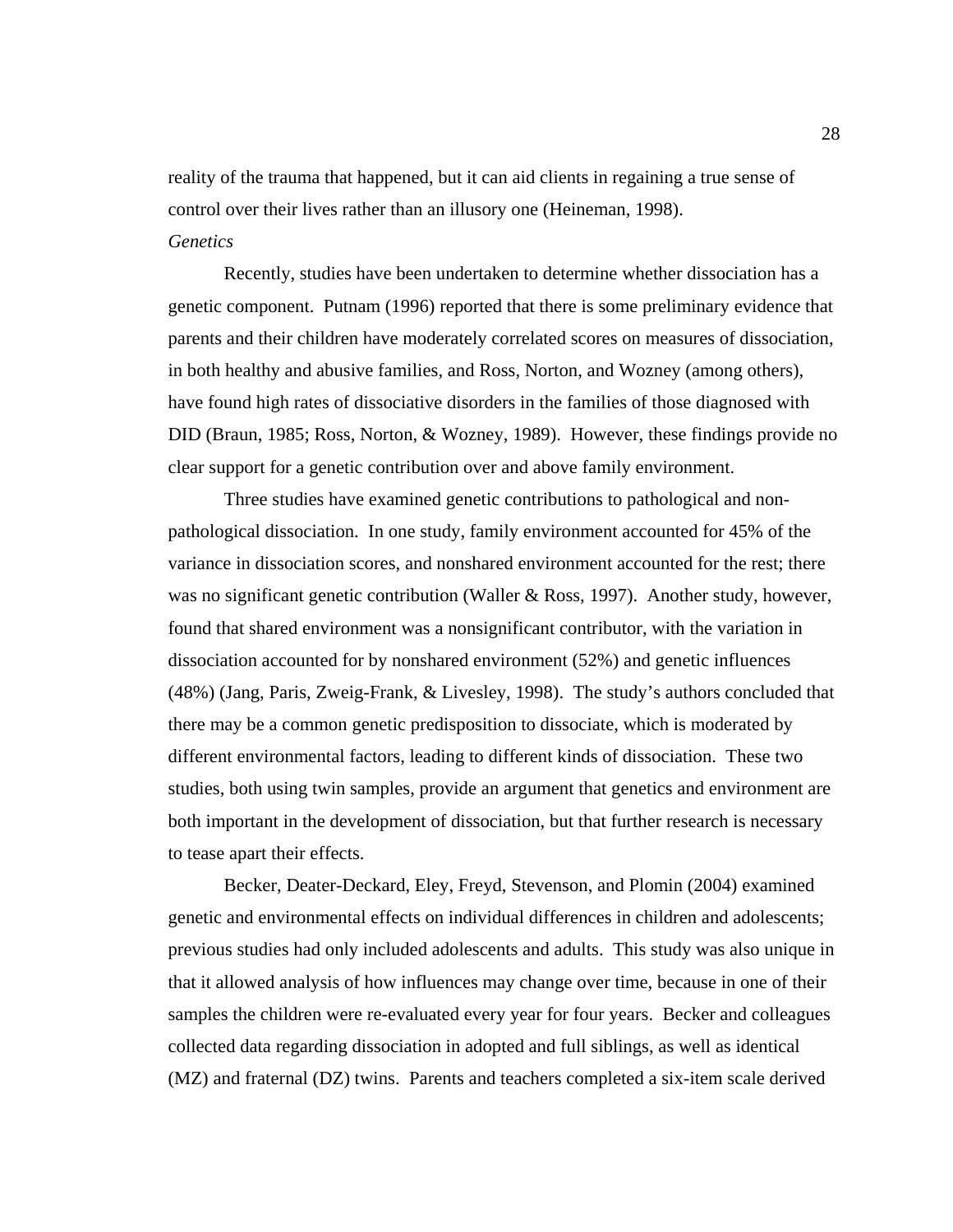reality of the trauma that happened, but it can aid clients in regaining a true sense of control over their lives rather than an illusory one (Heineman, 1998). *Genetics* 

Recently, studies have been undertaken to determine whether dissociation has a genetic component. Putnam (1996) reported that there is some preliminary evidence that parents and their children have moderately correlated scores on measures of dissociation, in both healthy and abusive families, and Ross, Norton, and Wozney (among others), have found high rates of dissociative disorders in the families of those diagnosed with DID (Braun, 1985; Ross, Norton, & Wozney, 1989). However, these findings provide no clear support for a genetic contribution over and above family environment.

Three studies have examined genetic contributions to pathological and nonpathological dissociation. In one study, family environment accounted for 45% of the variance in dissociation scores, and nonshared environment accounted for the rest; there was no significant genetic contribution (Waller & Ross, 1997). Another study, however, found that shared environment was a nonsignificant contributor, with the variation in dissociation accounted for by nonshared environment (52%) and genetic influences (48%) (Jang, Paris, Zweig-Frank, & Livesley, 1998). The study's authors concluded that there may be a common genetic predisposition to dissociate, which is moderated by different environmental factors, leading to different kinds of dissociation. These two studies, both using twin samples, provide an argument that genetics and environment are both important in the development of dissociation, but that further research is necessary to tease apart their effects.

Becker, Deater-Deckard, Eley, Freyd, Stevenson, and Plomin (2004) examined genetic and environmental effects on individual differences in children and adolescents; previous studies had only included adolescents and adults. This study was also unique in that it allowed analysis of how influences may change over time, because in one of their samples the children were re-evaluated every year for four years. Becker and colleagues collected data regarding dissociation in adopted and full siblings, as well as identical (MZ) and fraternal (DZ) twins. Parents and teachers completed a six-item scale derived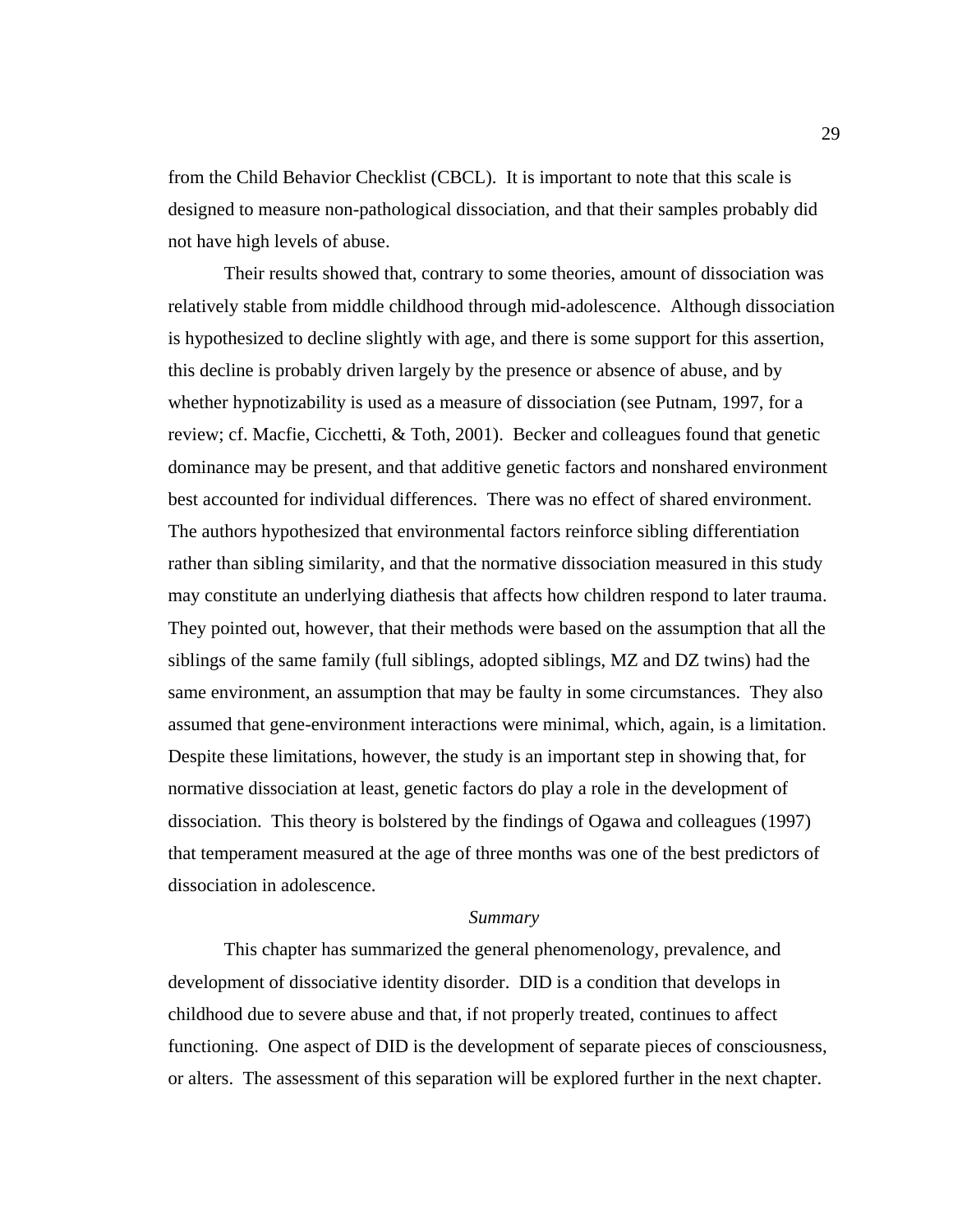from the Child Behavior Checklist (CBCL). It is important to note that this scale is designed to measure non-pathological dissociation, and that their samples probably did not have high levels of abuse.

Their results showed that, contrary to some theories, amount of dissociation was relatively stable from middle childhood through mid-adolescence. Although dissociation is hypothesized to decline slightly with age, and there is some support for this assertion, this decline is probably driven largely by the presence or absence of abuse, and by whether hypnotizability is used as a measure of dissociation (see Putnam, 1997, for a review; cf. Macfie, Cicchetti, & Toth, 2001). Becker and colleagues found that genetic dominance may be present, and that additive genetic factors and nonshared environment best accounted for individual differences. There was no effect of shared environment. The authors hypothesized that environmental factors reinforce sibling differentiation rather than sibling similarity, and that the normative dissociation measured in this study may constitute an underlying diathesis that affects how children respond to later trauma. They pointed out, however, that their methods were based on the assumption that all the siblings of the same family (full siblings, adopted siblings, MZ and DZ twins) had the same environment, an assumption that may be faulty in some circumstances. They also assumed that gene-environment interactions were minimal, which, again, is a limitation. Despite these limitations, however, the study is an important step in showing that, for normative dissociation at least, genetic factors do play a role in the development of dissociation. This theory is bolstered by the findings of Ogawa and colleagues (1997) that temperament measured at the age of three months was one of the best predictors of dissociation in adolescence.

#### *Summary*

 This chapter has summarized the general phenomenology, prevalence, and development of dissociative identity disorder. DID is a condition that develops in childhood due to severe abuse and that, if not properly treated, continues to affect functioning. One aspect of DID is the development of separate pieces of consciousness, or alters. The assessment of this separation will be explored further in the next chapter.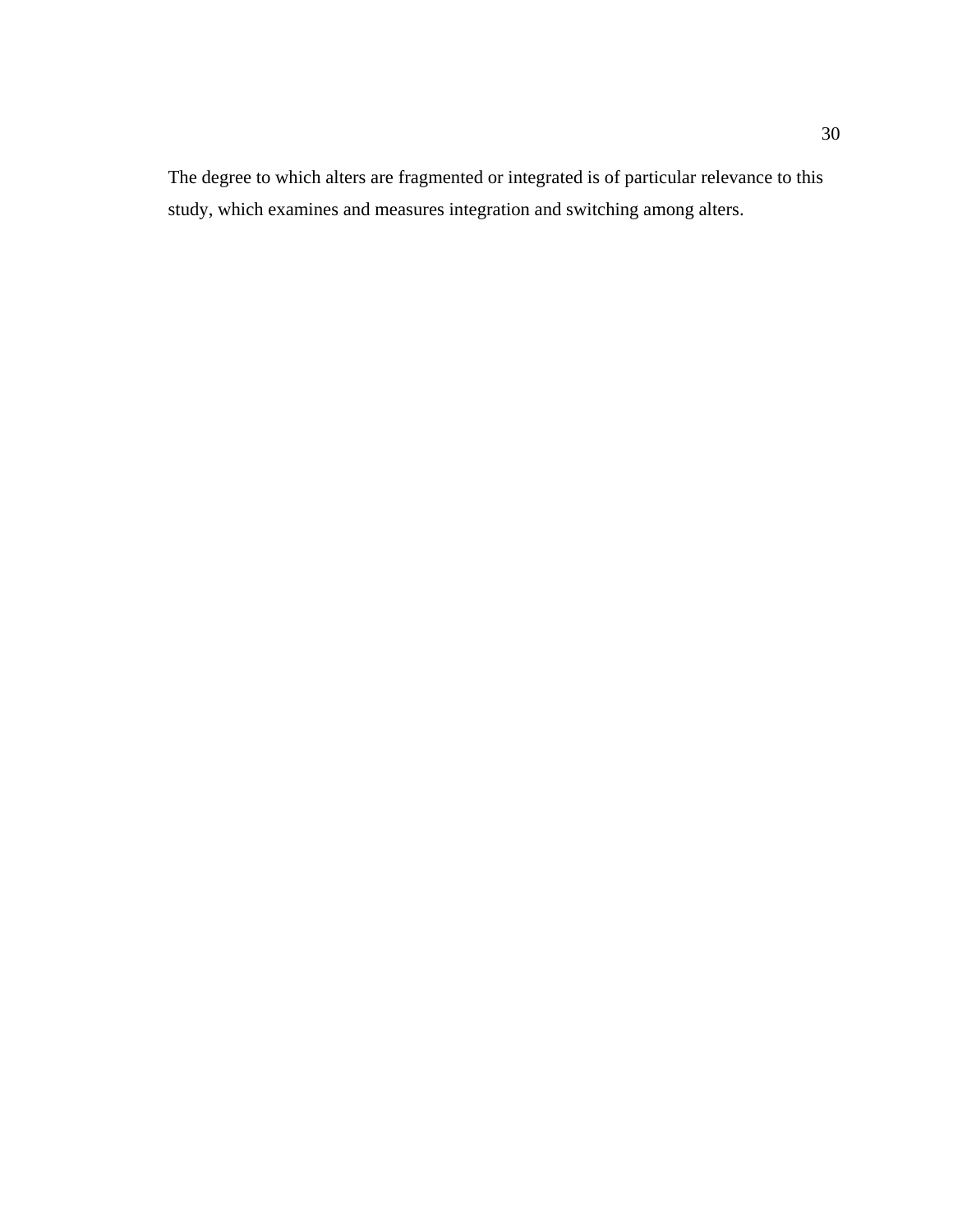The degree to which alters are fragmented or integrated is of particular relevance to this study, which examines and measures integration and switching among alters.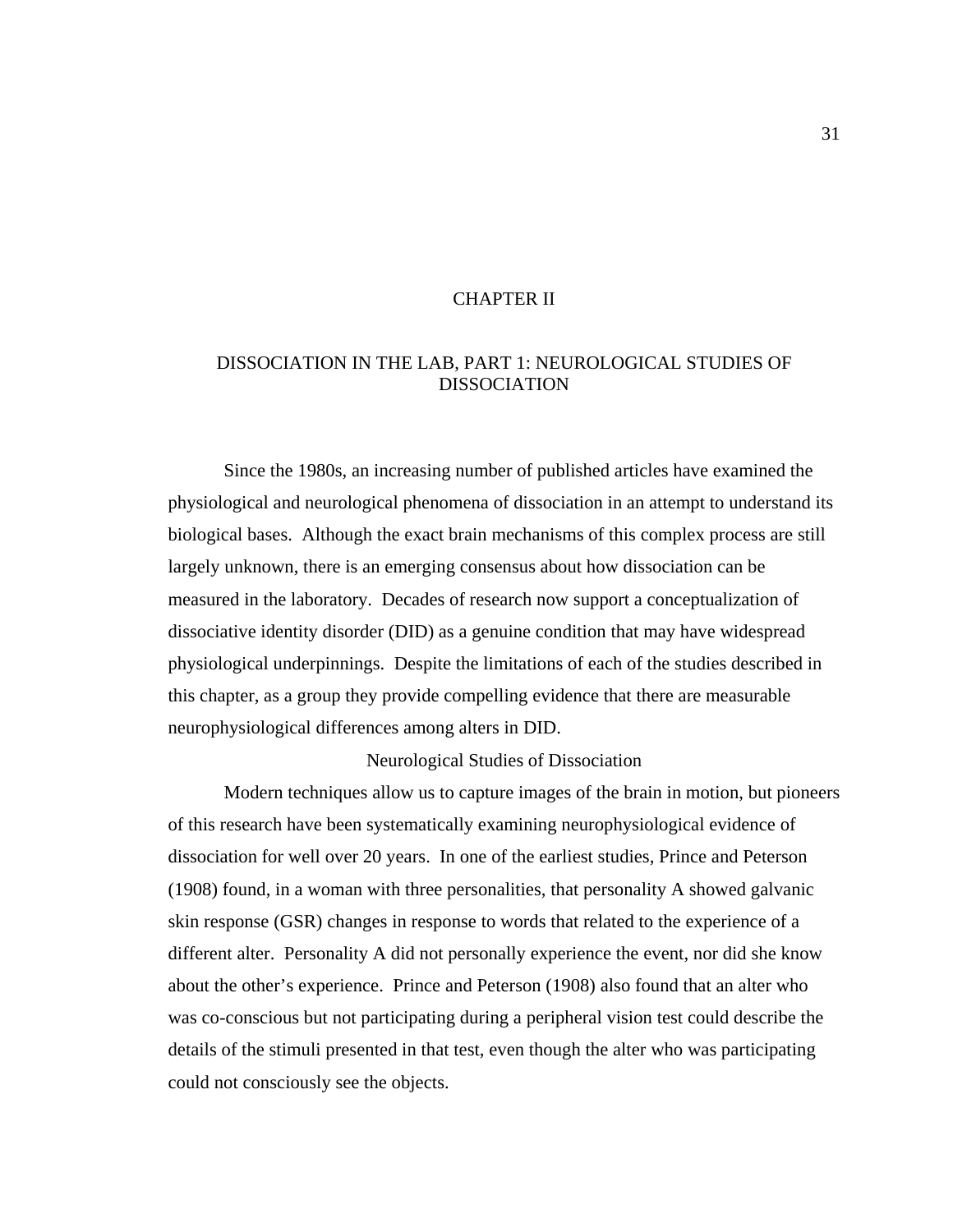# CHAPTER II

# DISSOCIATION IN THE LAB, PART 1: NEUROLOGICAL STUDIES OF DISSOCIATION

Since the 1980s, an increasing number of published articles have examined the physiological and neurological phenomena of dissociation in an attempt to understand its biological bases. Although the exact brain mechanisms of this complex process are still largely unknown, there is an emerging consensus about how dissociation can be measured in the laboratory. Decades of research now support a conceptualization of dissociative identity disorder (DID) as a genuine condition that may have widespread physiological underpinnings. Despite the limitations of each of the studies described in this chapter, as a group they provide compelling evidence that there are measurable neurophysiological differences among alters in DID.

# Neurological Studies of Dissociation

 Modern techniques allow us to capture images of the brain in motion, but pioneers of this research have been systematically examining neurophysiological evidence of dissociation for well over 20 years. In one of the earliest studies, Prince and Peterson (1908) found, in a woman with three personalities, that personality A showed galvanic skin response (GSR) changes in response to words that related to the experience of a different alter. Personality A did not personally experience the event, nor did she know about the other's experience. Prince and Peterson (1908) also found that an alter who was co-conscious but not participating during a peripheral vision test could describe the details of the stimuli presented in that test, even though the alter who was participating could not consciously see the objects.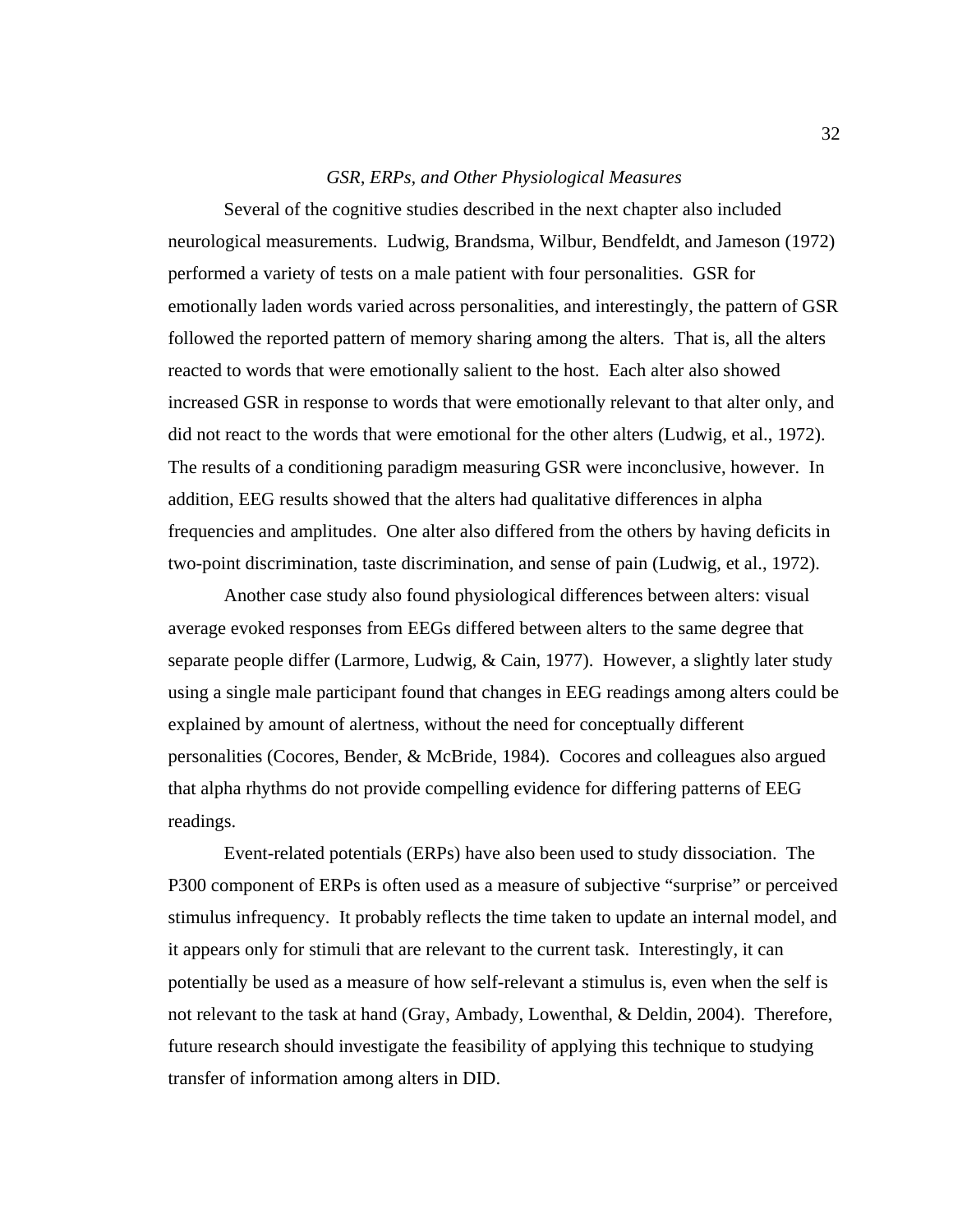#### *GSR, ERPs, and Other Physiological Measures*

Several of the cognitive studies described in the next chapter also included neurological measurements. Ludwig, Brandsma, Wilbur, Bendfeldt, and Jameson (1972) performed a variety of tests on a male patient with four personalities. GSR for emotionally laden words varied across personalities, and interestingly, the pattern of GSR followed the reported pattern of memory sharing among the alters. That is, all the alters reacted to words that were emotionally salient to the host. Each alter also showed increased GSR in response to words that were emotionally relevant to that alter only, and did not react to the words that were emotional for the other alters (Ludwig, et al., 1972). The results of a conditioning paradigm measuring GSR were inconclusive, however. In addition, EEG results showed that the alters had qualitative differences in alpha frequencies and amplitudes. One alter also differed from the others by having deficits in two-point discrimination, taste discrimination, and sense of pain (Ludwig, et al., 1972).

Another case study also found physiological differences between alters: visual average evoked responses from EEGs differed between alters to the same degree that separate people differ (Larmore, Ludwig, & Cain, 1977). However, a slightly later study using a single male participant found that changes in EEG readings among alters could be explained by amount of alertness, without the need for conceptually different personalities (Cocores, Bender, & McBride, 1984). Cocores and colleagues also argued that alpha rhythms do not provide compelling evidence for differing patterns of EEG readings.

Event-related potentials (ERPs) have also been used to study dissociation. The P300 component of ERPs is often used as a measure of subjective "surprise" or perceived stimulus infrequency. It probably reflects the time taken to update an internal model, and it appears only for stimuli that are relevant to the current task. Interestingly, it can potentially be used as a measure of how self-relevant a stimulus is, even when the self is not relevant to the task at hand (Gray, Ambady, Lowenthal, & Deldin, 2004). Therefore, future research should investigate the feasibility of applying this technique to studying transfer of information among alters in DID.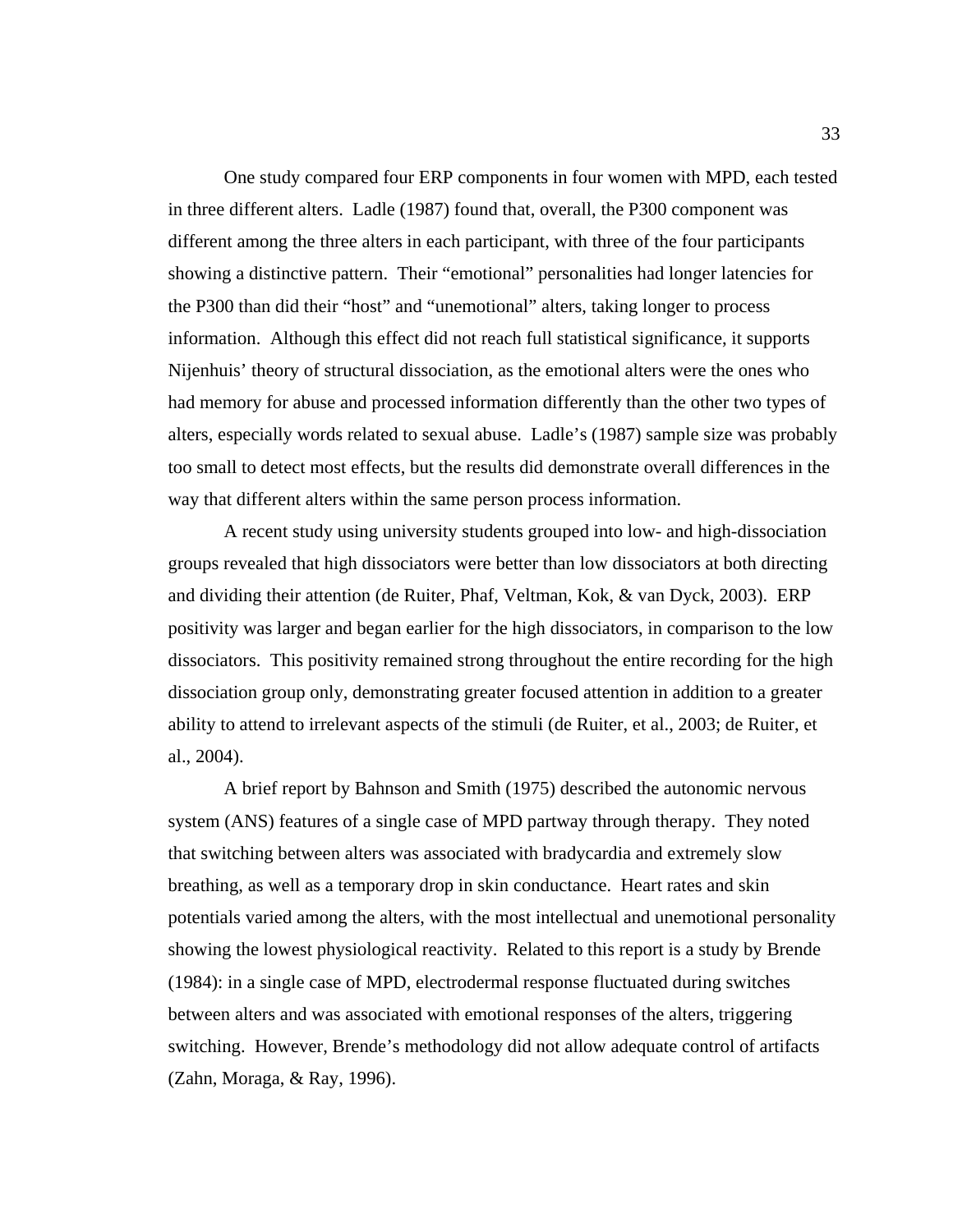One study compared four ERP components in four women with MPD, each tested in three different alters. Ladle (1987) found that, overall, the P300 component was different among the three alters in each participant, with three of the four participants showing a distinctive pattern. Their "emotional" personalities had longer latencies for the P300 than did their "host" and "unemotional" alters, taking longer to process information. Although this effect did not reach full statistical significance, it supports Nijenhuis' theory of structural dissociation, as the emotional alters were the ones who had memory for abuse and processed information differently than the other two types of alters, especially words related to sexual abuse. Ladle's (1987) sample size was probably too small to detect most effects, but the results did demonstrate overall differences in the way that different alters within the same person process information.

A recent study using university students grouped into low- and high-dissociation groups revealed that high dissociators were better than low dissociators at both directing and dividing their attention (de Ruiter, Phaf, Veltman, Kok, & van Dyck, 2003). ERP positivity was larger and began earlier for the high dissociators, in comparison to the low dissociators. This positivity remained strong throughout the entire recording for the high dissociation group only, demonstrating greater focused attention in addition to a greater ability to attend to irrelevant aspects of the stimuli (de Ruiter, et al., 2003; de Ruiter, et al., 2004).

A brief report by Bahnson and Smith (1975) described the autonomic nervous system (ANS) features of a single case of MPD partway through therapy. They noted that switching between alters was associated with bradycardia and extremely slow breathing, as well as a temporary drop in skin conductance. Heart rates and skin potentials varied among the alters, with the most intellectual and unemotional personality showing the lowest physiological reactivity. Related to this report is a study by Brende (1984): in a single case of MPD, electrodermal response fluctuated during switches between alters and was associated with emotional responses of the alters, triggering switching. However, Brende's methodology did not allow adequate control of artifacts (Zahn, Moraga, & Ray, 1996).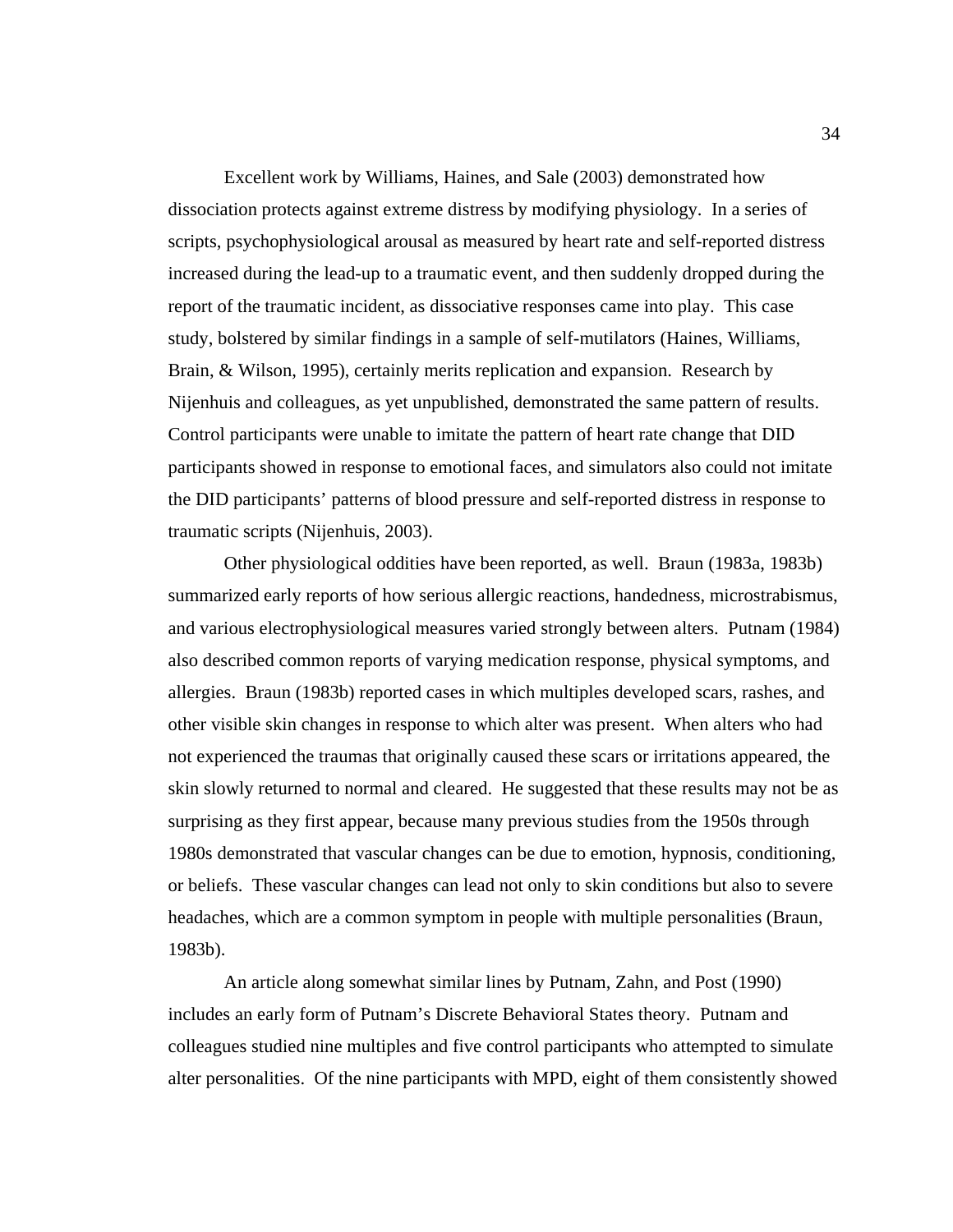Excellent work by Williams, Haines, and Sale (2003) demonstrated how dissociation protects against extreme distress by modifying physiology. In a series of scripts, psychophysiological arousal as measured by heart rate and self-reported distress increased during the lead-up to a traumatic event, and then suddenly dropped during the report of the traumatic incident, as dissociative responses came into play. This case study, bolstered by similar findings in a sample of self-mutilators (Haines, Williams, Brain, & Wilson, 1995), certainly merits replication and expansion. Research by Nijenhuis and colleagues, as yet unpublished, demonstrated the same pattern of results. Control participants were unable to imitate the pattern of heart rate change that DID participants showed in response to emotional faces, and simulators also could not imitate the DID participants' patterns of blood pressure and self-reported distress in response to traumatic scripts (Nijenhuis, 2003).

Other physiological oddities have been reported, as well. Braun (1983a, 1983b) summarized early reports of how serious allergic reactions, handedness, microstrabismus, and various electrophysiological measures varied strongly between alters. Putnam (1984) also described common reports of varying medication response, physical symptoms, and allergies. Braun (1983b) reported cases in which multiples developed scars, rashes, and other visible skin changes in response to which alter was present. When alters who had not experienced the traumas that originally caused these scars or irritations appeared, the skin slowly returned to normal and cleared. He suggested that these results may not be as surprising as they first appear, because many previous studies from the 1950s through 1980s demonstrated that vascular changes can be due to emotion, hypnosis, conditioning, or beliefs. These vascular changes can lead not only to skin conditions but also to severe headaches, which are a common symptom in people with multiple personalities (Braun, 1983b).

An article along somewhat similar lines by Putnam, Zahn, and Post (1990) includes an early form of Putnam's Discrete Behavioral States theory. Putnam and colleagues studied nine multiples and five control participants who attempted to simulate alter personalities. Of the nine participants with MPD, eight of them consistently showed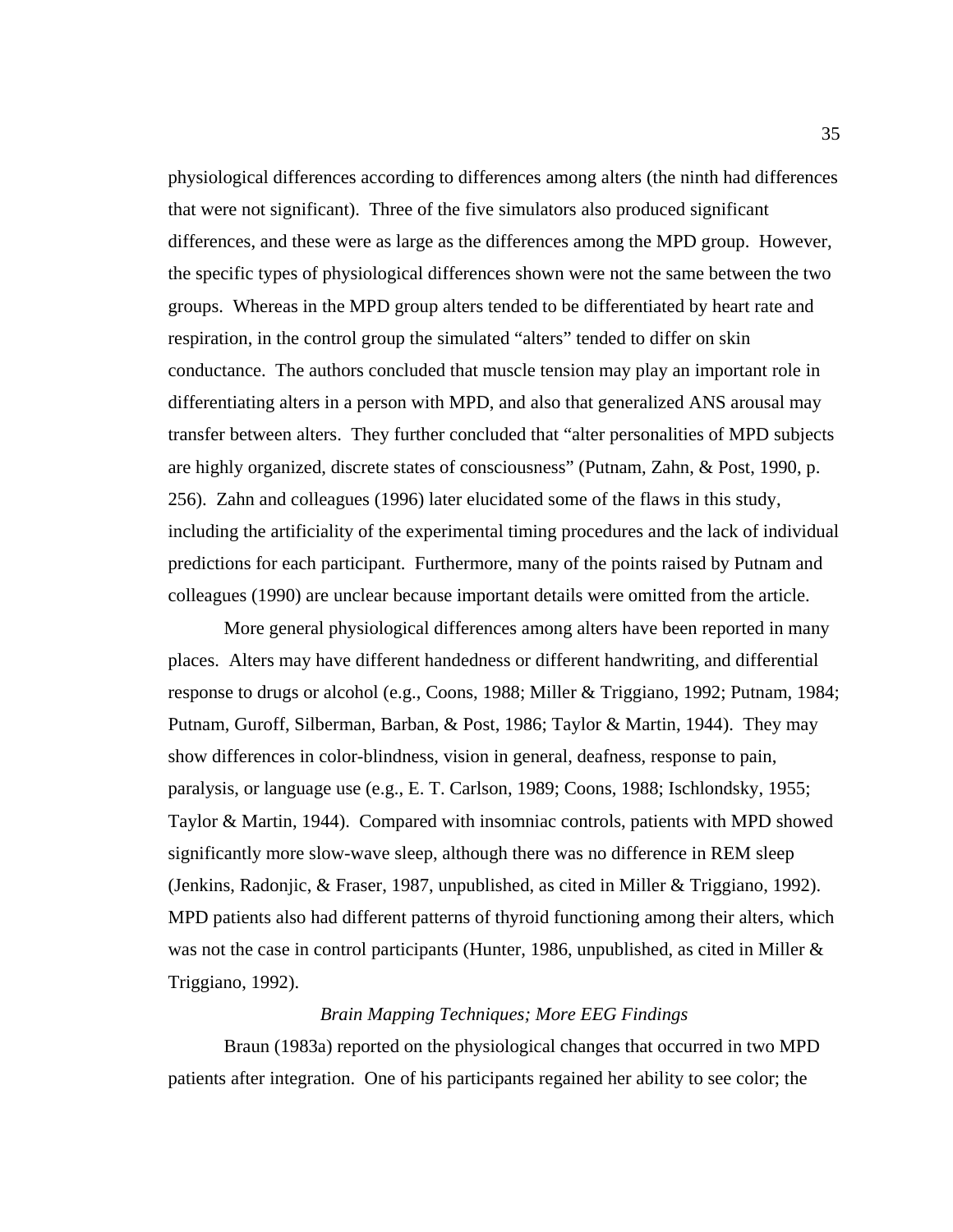physiological differences according to differences among alters (the ninth had differences that were not significant). Three of the five simulators also produced significant differences, and these were as large as the differences among the MPD group. However, the specific types of physiological differences shown were not the same between the two groups. Whereas in the MPD group alters tended to be differentiated by heart rate and respiration, in the control group the simulated "alters" tended to differ on skin conductance. The authors concluded that muscle tension may play an important role in differentiating alters in a person with MPD, and also that generalized ANS arousal may transfer between alters. They further concluded that "alter personalities of MPD subjects are highly organized, discrete states of consciousness" (Putnam, Zahn, & Post, 1990, p. 256). Zahn and colleagues (1996) later elucidated some of the flaws in this study, including the artificiality of the experimental timing procedures and the lack of individual predictions for each participant. Furthermore, many of the points raised by Putnam and colleagues (1990) are unclear because important details were omitted from the article.

More general physiological differences among alters have been reported in many places. Alters may have different handedness or different handwriting, and differential response to drugs or alcohol (e.g., Coons, 1988; Miller & Triggiano, 1992; Putnam, 1984; Putnam, Guroff, Silberman, Barban, & Post, 1986; Taylor & Martin, 1944). They may show differences in color-blindness, vision in general, deafness, response to pain, paralysis, or language use (e.g., E. T. Carlson, 1989; Coons, 1988; Ischlondsky, 1955; Taylor & Martin, 1944). Compared with insomniac controls, patients with MPD showed significantly more slow-wave sleep, although there was no difference in REM sleep (Jenkins, Radonjic, & Fraser, 1987, unpublished, as cited in Miller & Triggiano, 1992). MPD patients also had different patterns of thyroid functioning among their alters, which was not the case in control participants (Hunter, 1986, unpublished, as cited in Miller & Triggiano, 1992).

### *Brain Mapping Techniques; More EEG Findings*

Braun (1983a) reported on the physiological changes that occurred in two MPD patients after integration. One of his participants regained her ability to see color; the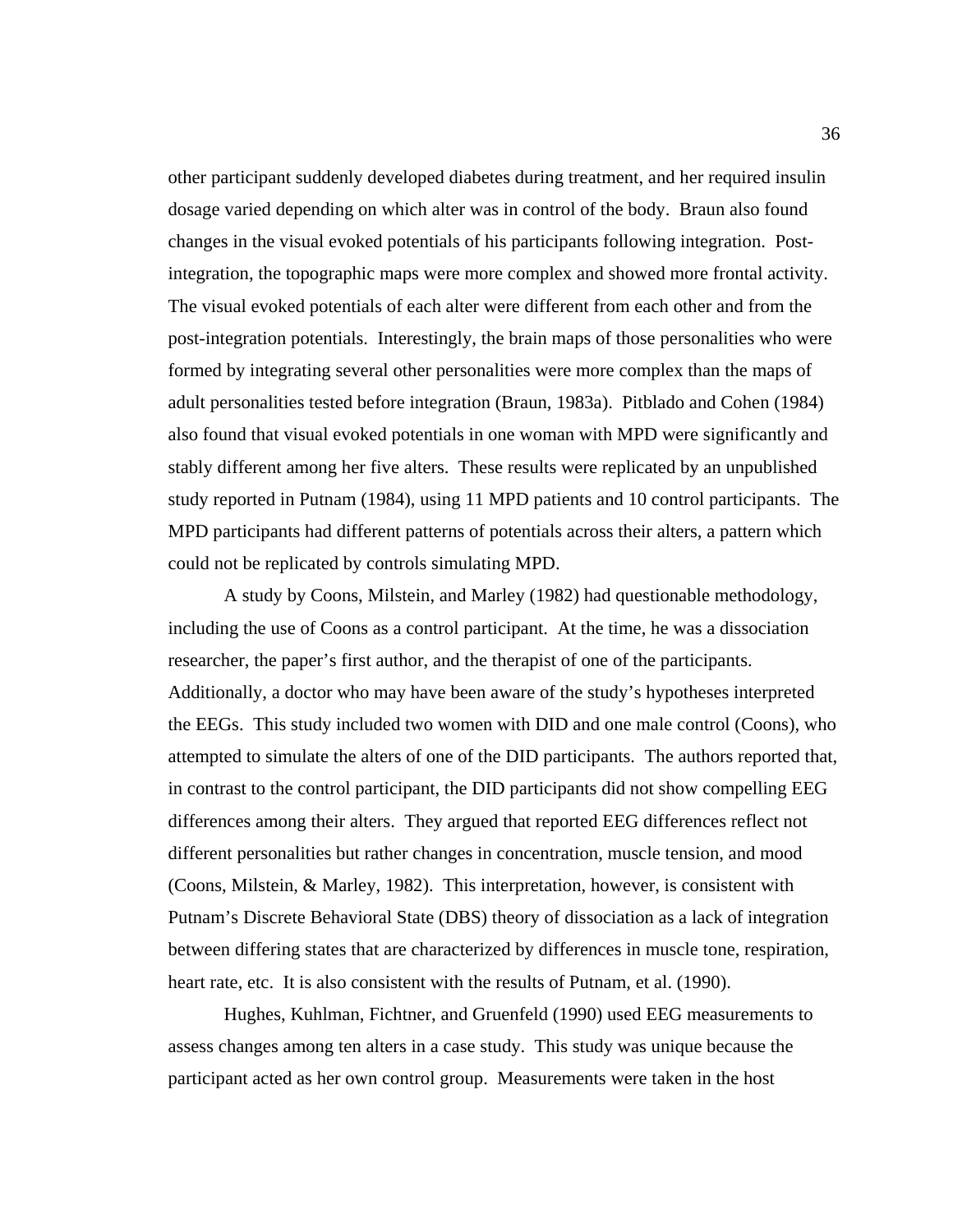other participant suddenly developed diabetes during treatment, and her required insulin dosage varied depending on which alter was in control of the body. Braun also found changes in the visual evoked potentials of his participants following integration. Postintegration, the topographic maps were more complex and showed more frontal activity. The visual evoked potentials of each alter were different from each other and from the post-integration potentials. Interestingly, the brain maps of those personalities who were formed by integrating several other personalities were more complex than the maps of adult personalities tested before integration (Braun, 1983a). Pitblado and Cohen (1984) also found that visual evoked potentials in one woman with MPD were significantly and stably different among her five alters. These results were replicated by an unpublished study reported in Putnam (1984), using 11 MPD patients and 10 control participants. The MPD participants had different patterns of potentials across their alters, a pattern which could not be replicated by controls simulating MPD.

A study by Coons, Milstein, and Marley (1982) had questionable methodology, including the use of Coons as a control participant. At the time, he was a dissociation researcher, the paper's first author, and the therapist of one of the participants. Additionally, a doctor who may have been aware of the study's hypotheses interpreted the EEGs. This study included two women with DID and one male control (Coons), who attempted to simulate the alters of one of the DID participants. The authors reported that, in contrast to the control participant, the DID participants did not show compelling EEG differences among their alters. They argued that reported EEG differences reflect not different personalities but rather changes in concentration, muscle tension, and mood (Coons, Milstein, & Marley, 1982). This interpretation, however, is consistent with Putnam's Discrete Behavioral State (DBS) theory of dissociation as a lack of integration between differing states that are characterized by differences in muscle tone, respiration, heart rate, etc. It is also consistent with the results of Putnam, et al. (1990).

 Hughes, Kuhlman, Fichtner, and Gruenfeld (1990) used EEG measurements to assess changes among ten alters in a case study. This study was unique because the participant acted as her own control group. Measurements were taken in the host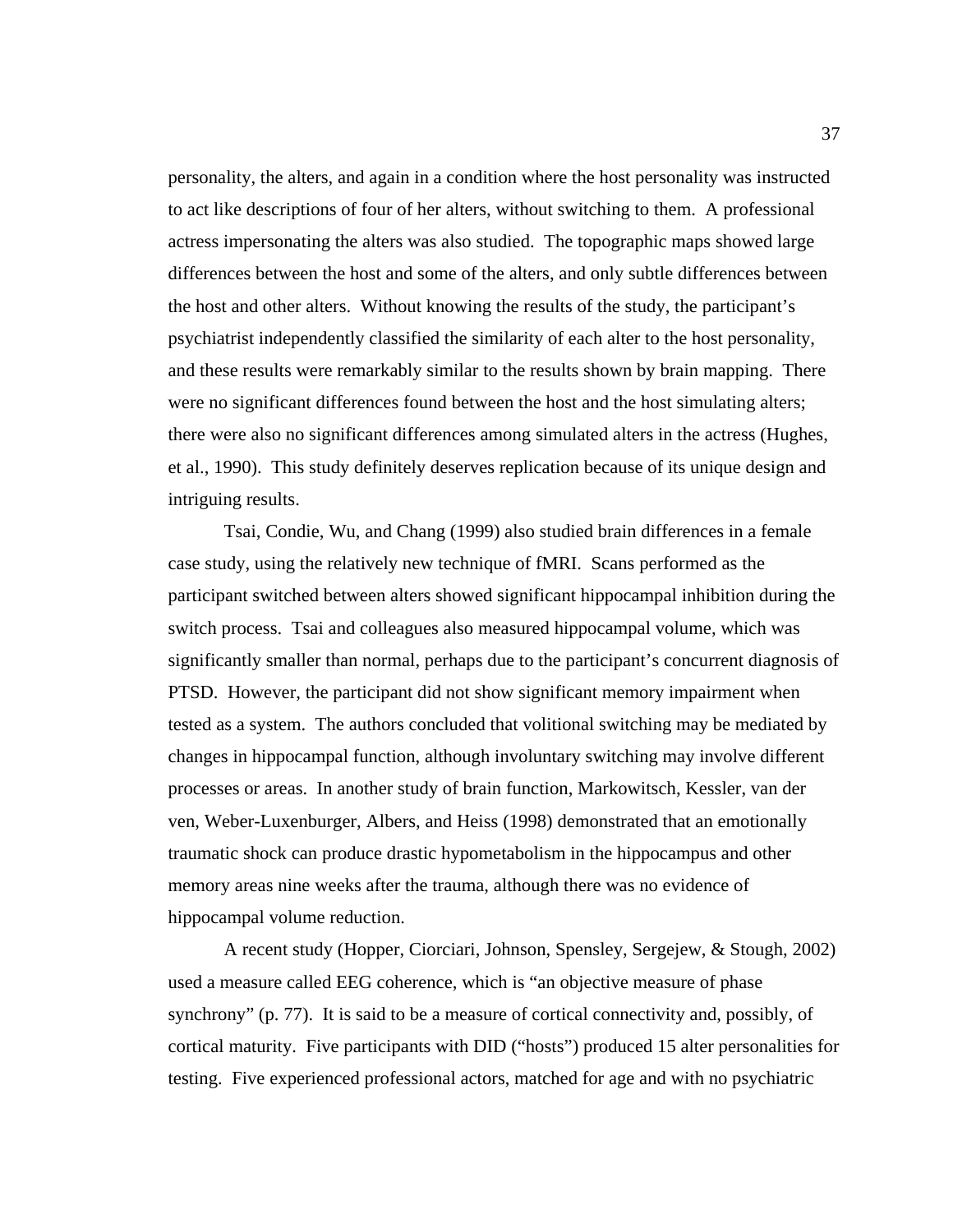personality, the alters, and again in a condition where the host personality was instructed to act like descriptions of four of her alters, without switching to them. A professional actress impersonating the alters was also studied. The topographic maps showed large differences between the host and some of the alters, and only subtle differences between the host and other alters. Without knowing the results of the study, the participant's psychiatrist independently classified the similarity of each alter to the host personality, and these results were remarkably similar to the results shown by brain mapping. There were no significant differences found between the host and the host simulating alters; there were also no significant differences among simulated alters in the actress (Hughes, et al., 1990). This study definitely deserves replication because of its unique design and intriguing results.

 Tsai, Condie, Wu, and Chang (1999) also studied brain differences in a female case study, using the relatively new technique of fMRI. Scans performed as the participant switched between alters showed significant hippocampal inhibition during the switch process. Tsai and colleagues also measured hippocampal volume, which was significantly smaller than normal, perhaps due to the participant's concurrent diagnosis of PTSD. However, the participant did not show significant memory impairment when tested as a system. The authors concluded that volitional switching may be mediated by changes in hippocampal function, although involuntary switching may involve different processes or areas. In another study of brain function, Markowitsch, Kessler, van der ven, Weber-Luxenburger, Albers, and Heiss (1998) demonstrated that an emotionally traumatic shock can produce drastic hypometabolism in the hippocampus and other memory areas nine weeks after the trauma, although there was no evidence of hippocampal volume reduction.

 A recent study (Hopper, Ciorciari, Johnson, Spensley, Sergejew, & Stough, 2002) used a measure called EEG coherence, which is "an objective measure of phase synchrony" (p. 77). It is said to be a measure of cortical connectivity and, possibly, of cortical maturity. Five participants with DID ("hosts") produced 15 alter personalities for testing. Five experienced professional actors, matched for age and with no psychiatric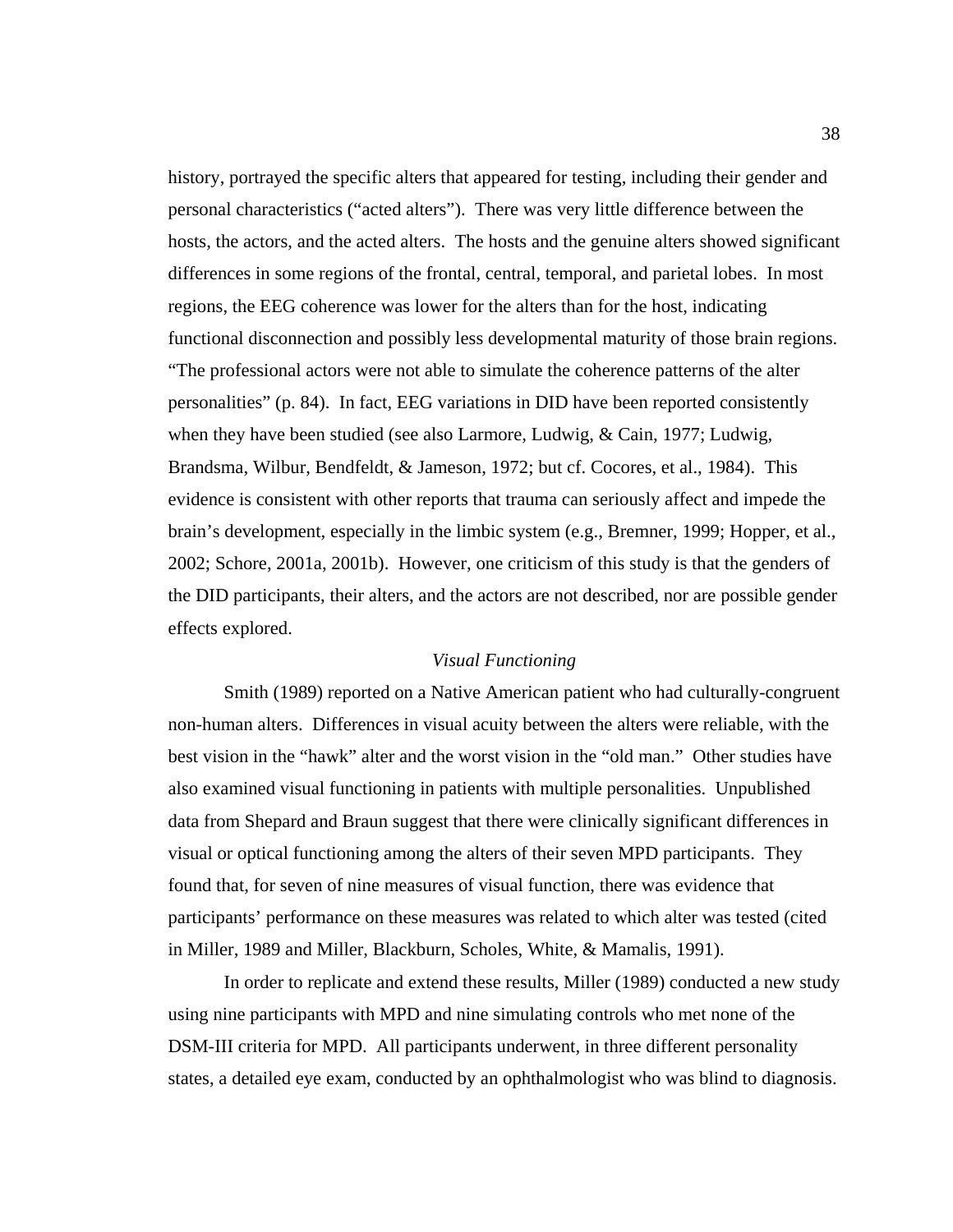history, portrayed the specific alters that appeared for testing, including their gender and personal characteristics ("acted alters"). There was very little difference between the hosts, the actors, and the acted alters. The hosts and the genuine alters showed significant differences in some regions of the frontal, central, temporal, and parietal lobes. In most regions, the EEG coherence was lower for the alters than for the host, indicating functional disconnection and possibly less developmental maturity of those brain regions. "The professional actors were not able to simulate the coherence patterns of the alter personalities" (p. 84). In fact, EEG variations in DID have been reported consistently when they have been studied (see also Larmore, Ludwig, & Cain, 1977; Ludwig, Brandsma, Wilbur, Bendfeldt, & Jameson, 1972; but cf. Cocores, et al., 1984). This evidence is consistent with other reports that trauma can seriously affect and impede the brain's development, especially in the limbic system (e.g., Bremner, 1999; Hopper, et al., 2002; Schore, 2001a, 2001b). However, one criticism of this study is that the genders of the DID participants, their alters, and the actors are not described, nor are possible gender effects explored.

## *Visual Functioning*

Smith (1989) reported on a Native American patient who had culturally-congruent non-human alters. Differences in visual acuity between the alters were reliable, with the best vision in the "hawk" alter and the worst vision in the "old man." Other studies have also examined visual functioning in patients with multiple personalities. Unpublished data from Shepard and Braun suggest that there were clinically significant differences in visual or optical functioning among the alters of their seven MPD participants. They found that, for seven of nine measures of visual function, there was evidence that participants' performance on these measures was related to which alter was tested (cited in Miller, 1989 and Miller, Blackburn, Scholes, White, & Mamalis, 1991).

 In order to replicate and extend these results, Miller (1989) conducted a new study using nine participants with MPD and nine simulating controls who met none of the DSM-III criteria for MPD. All participants underwent, in three different personality states, a detailed eye exam, conducted by an ophthalmologist who was blind to diagnosis.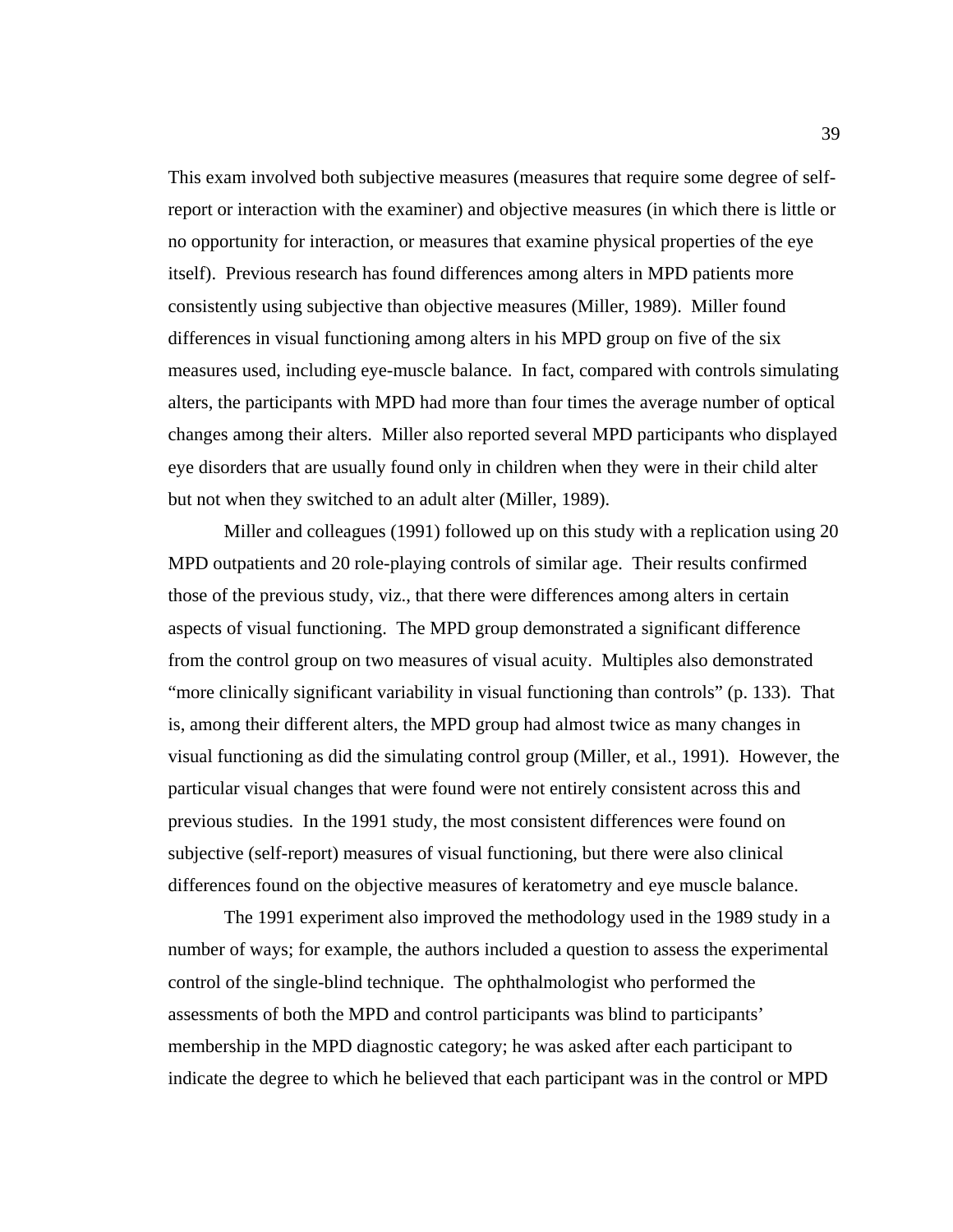This exam involved both subjective measures (measures that require some degree of selfreport or interaction with the examiner) and objective measures (in which there is little or no opportunity for interaction, or measures that examine physical properties of the eye itself). Previous research has found differences among alters in MPD patients more consistently using subjective than objective measures (Miller, 1989). Miller found differences in visual functioning among alters in his MPD group on five of the six measures used, including eye-muscle balance. In fact, compared with controls simulating alters, the participants with MPD had more than four times the average number of optical changes among their alters. Miller also reported several MPD participants who displayed eye disorders that are usually found only in children when they were in their child alter but not when they switched to an adult alter (Miller, 1989).

Miller and colleagues (1991) followed up on this study with a replication using 20 MPD outpatients and 20 role-playing controls of similar age. Their results confirmed those of the previous study, viz., that there were differences among alters in certain aspects of visual functioning. The MPD group demonstrated a significant difference from the control group on two measures of visual acuity. Multiples also demonstrated "more clinically significant variability in visual functioning than controls" (p. 133). That is, among their different alters, the MPD group had almost twice as many changes in visual functioning as did the simulating control group (Miller, et al., 1991). However, the particular visual changes that were found were not entirely consistent across this and previous studies. In the 1991 study, the most consistent differences were found on subjective (self-report) measures of visual functioning, but there were also clinical differences found on the objective measures of keratometry and eye muscle balance.

The 1991 experiment also improved the methodology used in the 1989 study in a number of ways; for example, the authors included a question to assess the experimental control of the single-blind technique. The ophthalmologist who performed the assessments of both the MPD and control participants was blind to participants' membership in the MPD diagnostic category; he was asked after each participant to indicate the degree to which he believed that each participant was in the control or MPD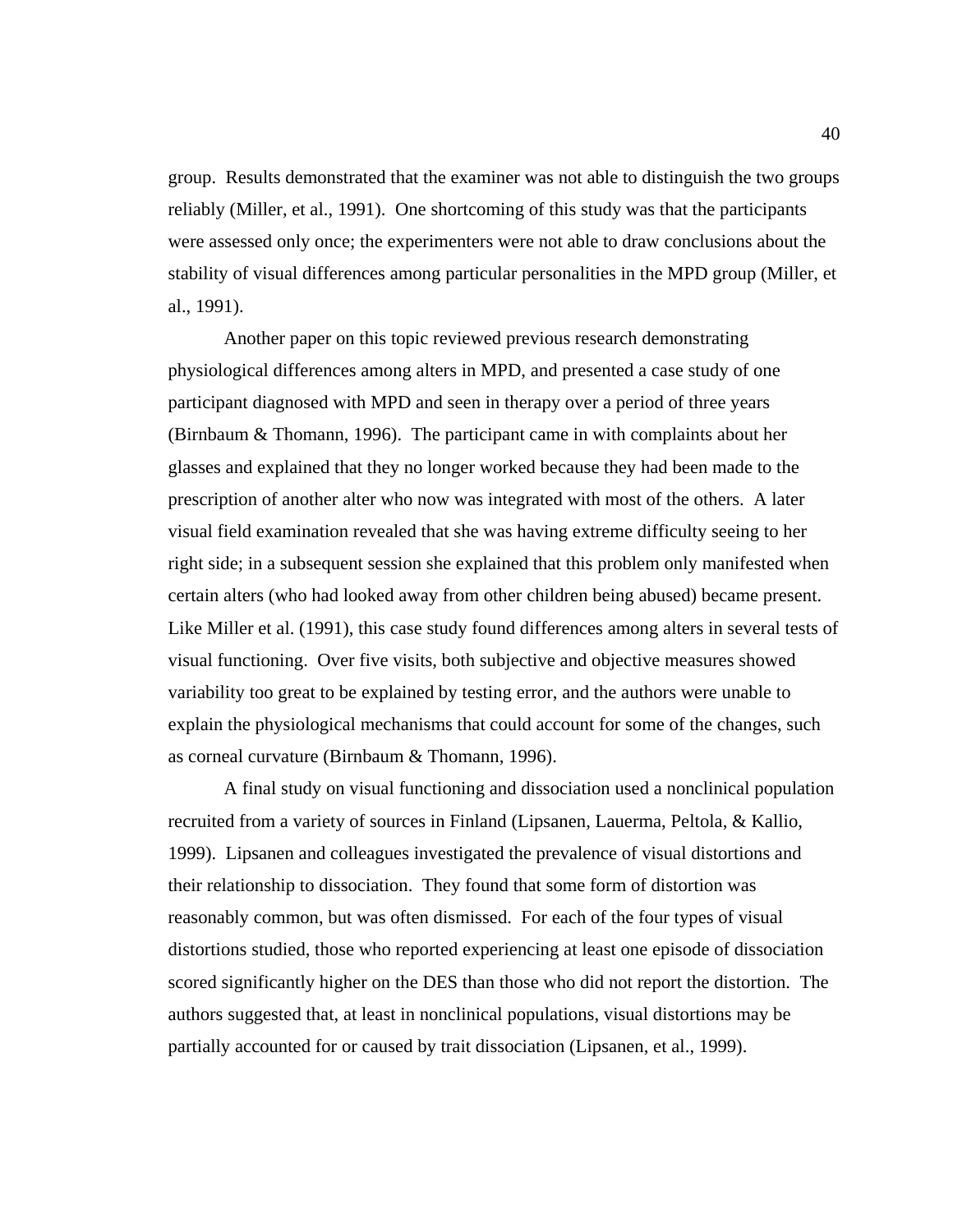group. Results demonstrated that the examiner was not able to distinguish the two groups reliably (Miller, et al., 1991). One shortcoming of this study was that the participants were assessed only once; the experimenters were not able to draw conclusions about the stability of visual differences among particular personalities in the MPD group (Miller, et al., 1991).

Another paper on this topic reviewed previous research demonstrating physiological differences among alters in MPD, and presented a case study of one participant diagnosed with MPD and seen in therapy over a period of three years (Birnbaum & Thomann, 1996). The participant came in with complaints about her glasses and explained that they no longer worked because they had been made to the prescription of another alter who now was integrated with most of the others. A later visual field examination revealed that she was having extreme difficulty seeing to her right side; in a subsequent session she explained that this problem only manifested when certain alters (who had looked away from other children being abused) became present. Like Miller et al. (1991), this case study found differences among alters in several tests of visual functioning. Over five visits, both subjective and objective measures showed variability too great to be explained by testing error, and the authors were unable to explain the physiological mechanisms that could account for some of the changes, such as corneal curvature (Birnbaum & Thomann, 1996).

A final study on visual functioning and dissociation used a nonclinical population recruited from a variety of sources in Finland (Lipsanen, Lauerma, Peltola, & Kallio, 1999). Lipsanen and colleagues investigated the prevalence of visual distortions and their relationship to dissociation. They found that some form of distortion was reasonably common, but was often dismissed. For each of the four types of visual distortions studied, those who reported experiencing at least one episode of dissociation scored significantly higher on the DES than those who did not report the distortion. The authors suggested that, at least in nonclinical populations, visual distortions may be partially accounted for or caused by trait dissociation (Lipsanen, et al., 1999).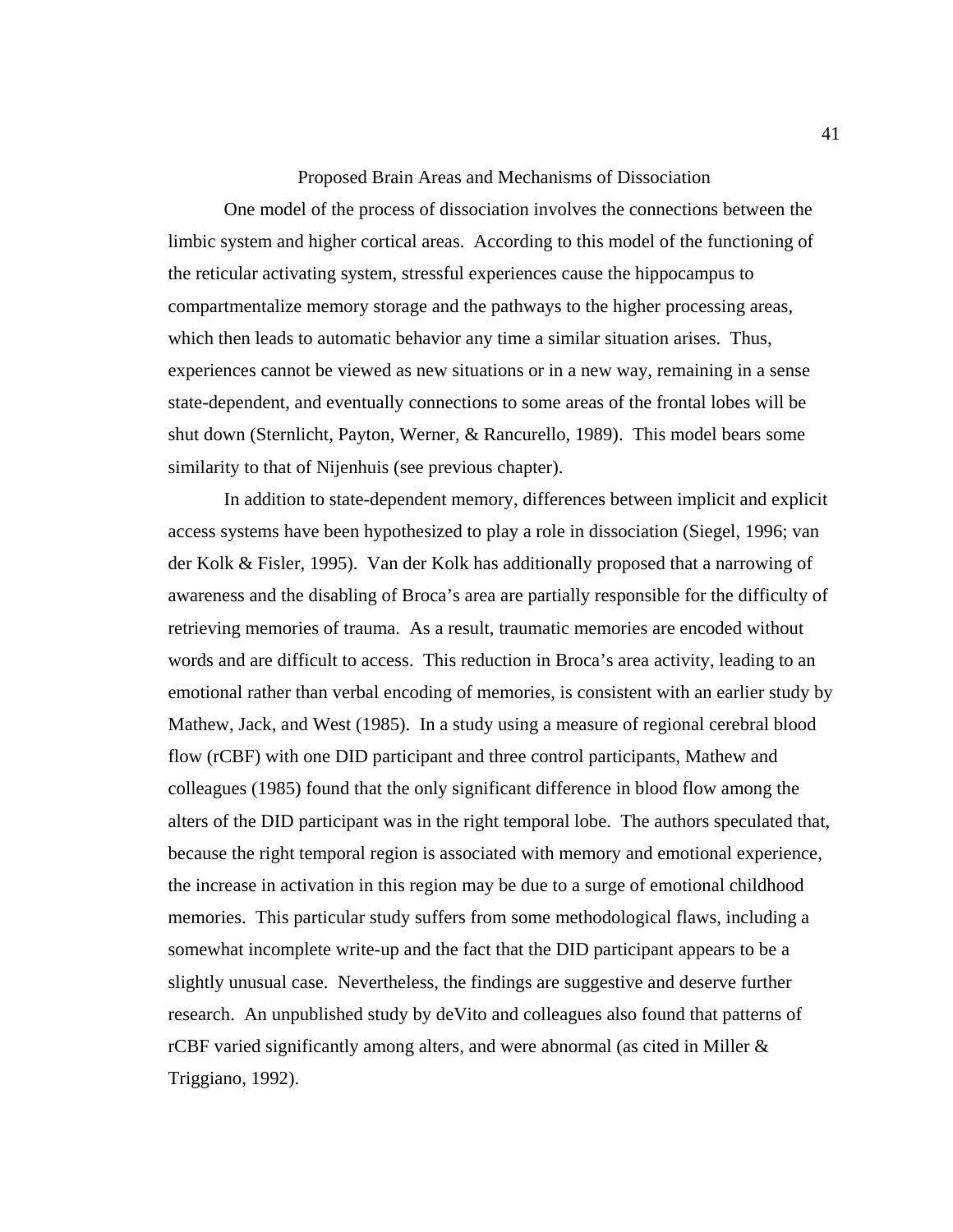#### Proposed Brain Areas and Mechanisms of Dissociation

One model of the process of dissociation involves the connections between the limbic system and higher cortical areas. According to this model of the functioning of the reticular activating system, stressful experiences cause the hippocampus to compartmentalize memory storage and the pathways to the higher processing areas, which then leads to automatic behavior any time a similar situation arises. Thus, experiences cannot be viewed as new situations or in a new way, remaining in a sense state-dependent, and eventually connections to some areas of the frontal lobes will be shut down (Sternlicht, Payton, Werner, & Rancurello, 1989). This model bears some similarity to that of Nijenhuis (see previous chapter).

In addition to state-dependent memory, differences between implicit and explicit access systems have been hypothesized to play a role in dissociation (Siegel, 1996; van der Kolk & Fisler, 1995). Van der Kolk has additionally proposed that a narrowing of awareness and the disabling of Broca's area are partially responsible for the difficulty of retrieving memories of trauma. As a result, traumatic memories are encoded without words and are difficult to access. This reduction in Broca's area activity, leading to an emotional rather than verbal encoding of memories, is consistent with an earlier study by Mathew, Jack, and West (1985). In a study using a measure of regional cerebral blood flow (rCBF) with one DID participant and three control participants, Mathew and colleagues (1985) found that the only significant difference in blood flow among the alters of the DID participant was in the right temporal lobe. The authors speculated that, because the right temporal region is associated with memory and emotional experience, the increase in activation in this region may be due to a surge of emotional childhood memories. This particular study suffers from some methodological flaws, including a somewhat incomplete write-up and the fact that the DID participant appears to be a slightly unusual case. Nevertheless, the findings are suggestive and deserve further research. An unpublished study by deVito and colleagues also found that patterns of rCBF varied significantly among alters, and were abnormal (as cited in Miller & Triggiano, 1992).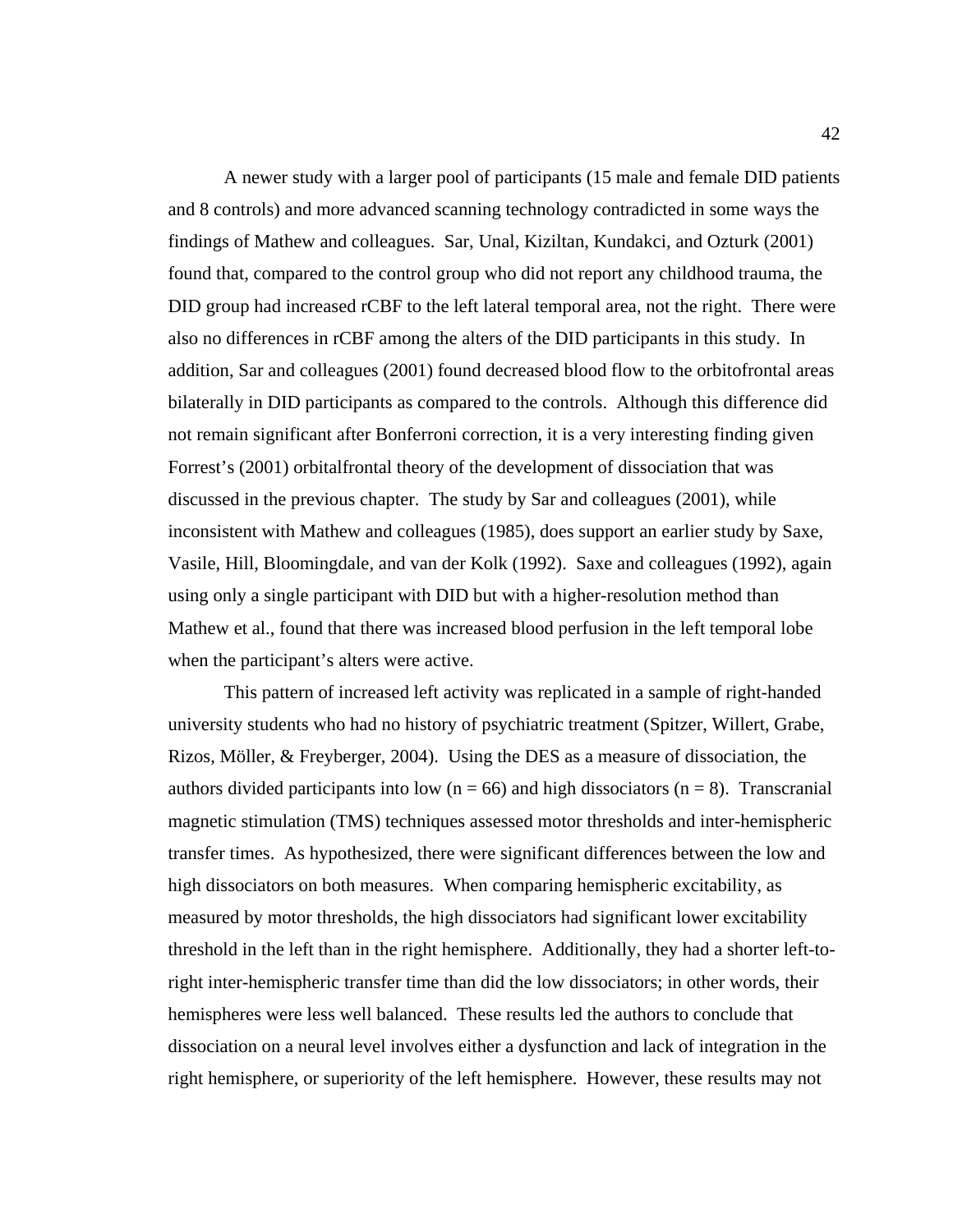A newer study with a larger pool of participants (15 male and female DID patients and 8 controls) and more advanced scanning technology contradicted in some ways the findings of Mathew and colleagues. Sar, Unal, Kiziltan, Kundakci, and Ozturk (2001) found that, compared to the control group who did not report any childhood trauma, the DID group had increased rCBF to the left lateral temporal area, not the right. There were also no differences in rCBF among the alters of the DID participants in this study. In addition, Sar and colleagues (2001) found decreased blood flow to the orbitofrontal areas bilaterally in DID participants as compared to the controls. Although this difference did not remain significant after Bonferroni correction, it is a very interesting finding given Forrest's (2001) orbitalfrontal theory of the development of dissociation that was discussed in the previous chapter. The study by Sar and colleagues (2001), while inconsistent with Mathew and colleagues (1985), does support an earlier study by Saxe, Vasile, Hill, Bloomingdale, and van der Kolk (1992). Saxe and colleagues (1992), again using only a single participant with DID but with a higher-resolution method than Mathew et al., found that there was increased blood perfusion in the left temporal lobe when the participant's alters were active.

 This pattern of increased left activity was replicated in a sample of right-handed university students who had no history of psychiatric treatment (Spitzer, Willert, Grabe, Rizos, Möller, & Freyberger, 2004). Using the DES as a measure of dissociation, the authors divided participants into low ( $n = 66$ ) and high dissociators ( $n = 8$ ). Transcranial magnetic stimulation (TMS) techniques assessed motor thresholds and inter-hemispheric transfer times. As hypothesized, there were significant differences between the low and high dissociators on both measures. When comparing hemispheric excitability, as measured by motor thresholds, the high dissociators had significant lower excitability threshold in the left than in the right hemisphere. Additionally, they had a shorter left-toright inter-hemispheric transfer time than did the low dissociators; in other words, their hemispheres were less well balanced. These results led the authors to conclude that dissociation on a neural level involves either a dysfunction and lack of integration in the right hemisphere, or superiority of the left hemisphere. However, these results may not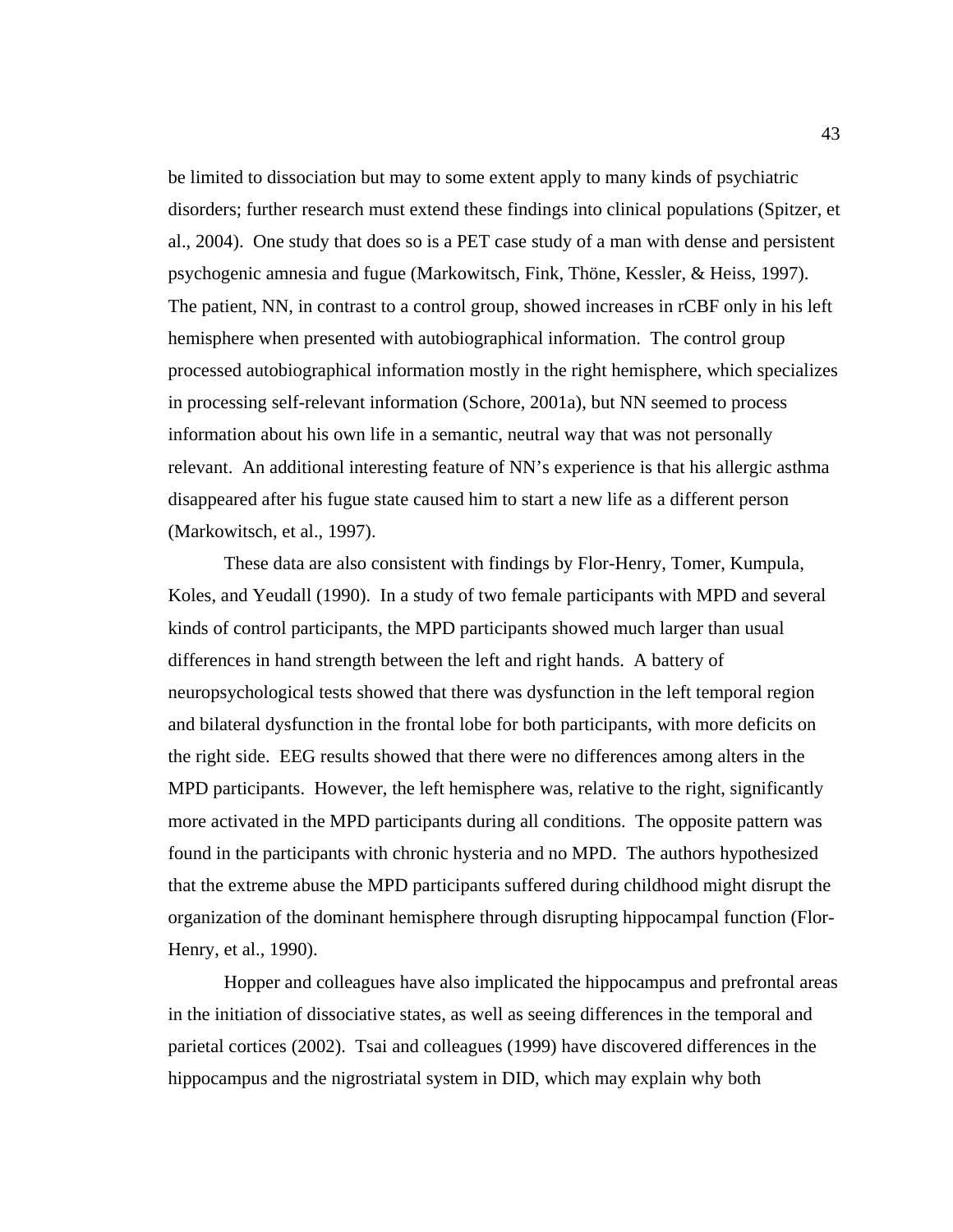be limited to dissociation but may to some extent apply to many kinds of psychiatric disorders; further research must extend these findings into clinical populations (Spitzer, et al., 2004). One study that does so is a PET case study of a man with dense and persistent psychogenic amnesia and fugue (Markowitsch, Fink, Thöne, Kessler, & Heiss, 1997). The patient, NN, in contrast to a control group, showed increases in rCBF only in his left hemisphere when presented with autobiographical information. The control group processed autobiographical information mostly in the right hemisphere, which specializes in processing self-relevant information (Schore, 2001a), but NN seemed to process information about his own life in a semantic, neutral way that was not personally relevant. An additional interesting feature of NN's experience is that his allergic asthma disappeared after his fugue state caused him to start a new life as a different person (Markowitsch, et al., 1997).

 These data are also consistent with findings by Flor-Henry, Tomer, Kumpula, Koles, and Yeudall (1990). In a study of two female participants with MPD and several kinds of control participants, the MPD participants showed much larger than usual differences in hand strength between the left and right hands. A battery of neuropsychological tests showed that there was dysfunction in the left temporal region and bilateral dysfunction in the frontal lobe for both participants, with more deficits on the right side. EEG results showed that there were no differences among alters in the MPD participants. However, the left hemisphere was, relative to the right, significantly more activated in the MPD participants during all conditions. The opposite pattern was found in the participants with chronic hysteria and no MPD. The authors hypothesized that the extreme abuse the MPD participants suffered during childhood might disrupt the organization of the dominant hemisphere through disrupting hippocampal function (Flor-Henry, et al., 1990).

 Hopper and colleagues have also implicated the hippocampus and prefrontal areas in the initiation of dissociative states, as well as seeing differences in the temporal and parietal cortices (2002). Tsai and colleagues (1999) have discovered differences in the hippocampus and the nigrostriatal system in DID, which may explain why both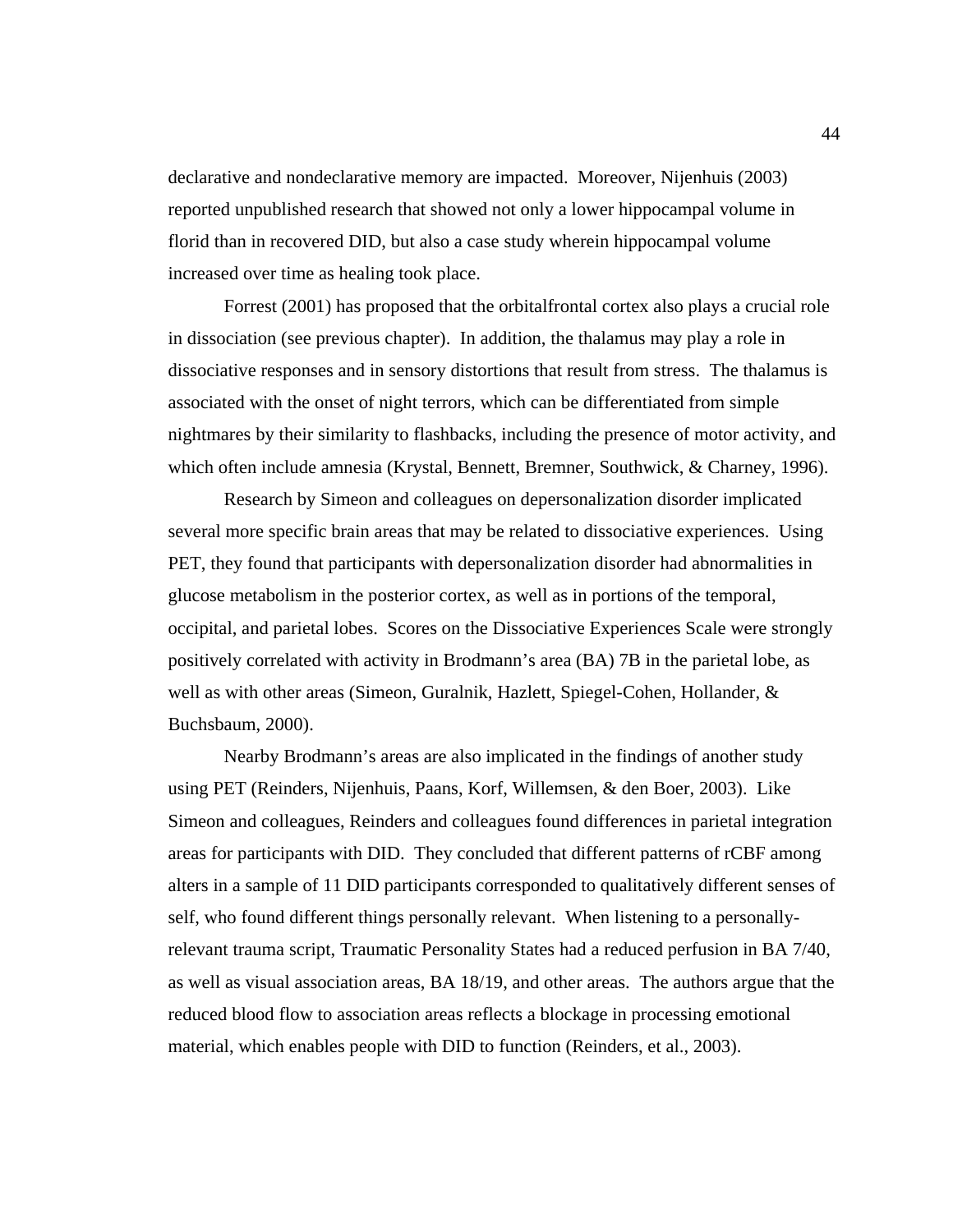declarative and nondeclarative memory are impacted. Moreover, Nijenhuis (2003) reported unpublished research that showed not only a lower hippocampal volume in florid than in recovered DID, but also a case study wherein hippocampal volume increased over time as healing took place.

Forrest (2001) has proposed that the orbitalfrontal cortex also plays a crucial role in dissociation (see previous chapter). In addition, the thalamus may play a role in dissociative responses and in sensory distortions that result from stress. The thalamus is associated with the onset of night terrors, which can be differentiated from simple nightmares by their similarity to flashbacks, including the presence of motor activity, and which often include amnesia (Krystal, Bennett, Bremner, Southwick, & Charney, 1996).

 Research by Simeon and colleagues on depersonalization disorder implicated several more specific brain areas that may be related to dissociative experiences. Using PET, they found that participants with depersonalization disorder had abnormalities in glucose metabolism in the posterior cortex, as well as in portions of the temporal, occipital, and parietal lobes. Scores on the Dissociative Experiences Scale were strongly positively correlated with activity in Brodmann's area (BA) 7B in the parietal lobe, as well as with other areas (Simeon, Guralnik, Hazlett, Spiegel-Cohen, Hollander, & Buchsbaum, 2000).

Nearby Brodmann's areas are also implicated in the findings of another study using PET (Reinders, Nijenhuis, Paans, Korf, Willemsen, & den Boer, 2003). Like Simeon and colleagues, Reinders and colleagues found differences in parietal integration areas for participants with DID. They concluded that different patterns of rCBF among alters in a sample of 11 DID participants corresponded to qualitatively different senses of self, who found different things personally relevant. When listening to a personallyrelevant trauma script, Traumatic Personality States had a reduced perfusion in BA 7/40, as well as visual association areas, BA 18/19, and other areas. The authors argue that the reduced blood flow to association areas reflects a blockage in processing emotional material, which enables people with DID to function (Reinders, et al., 2003).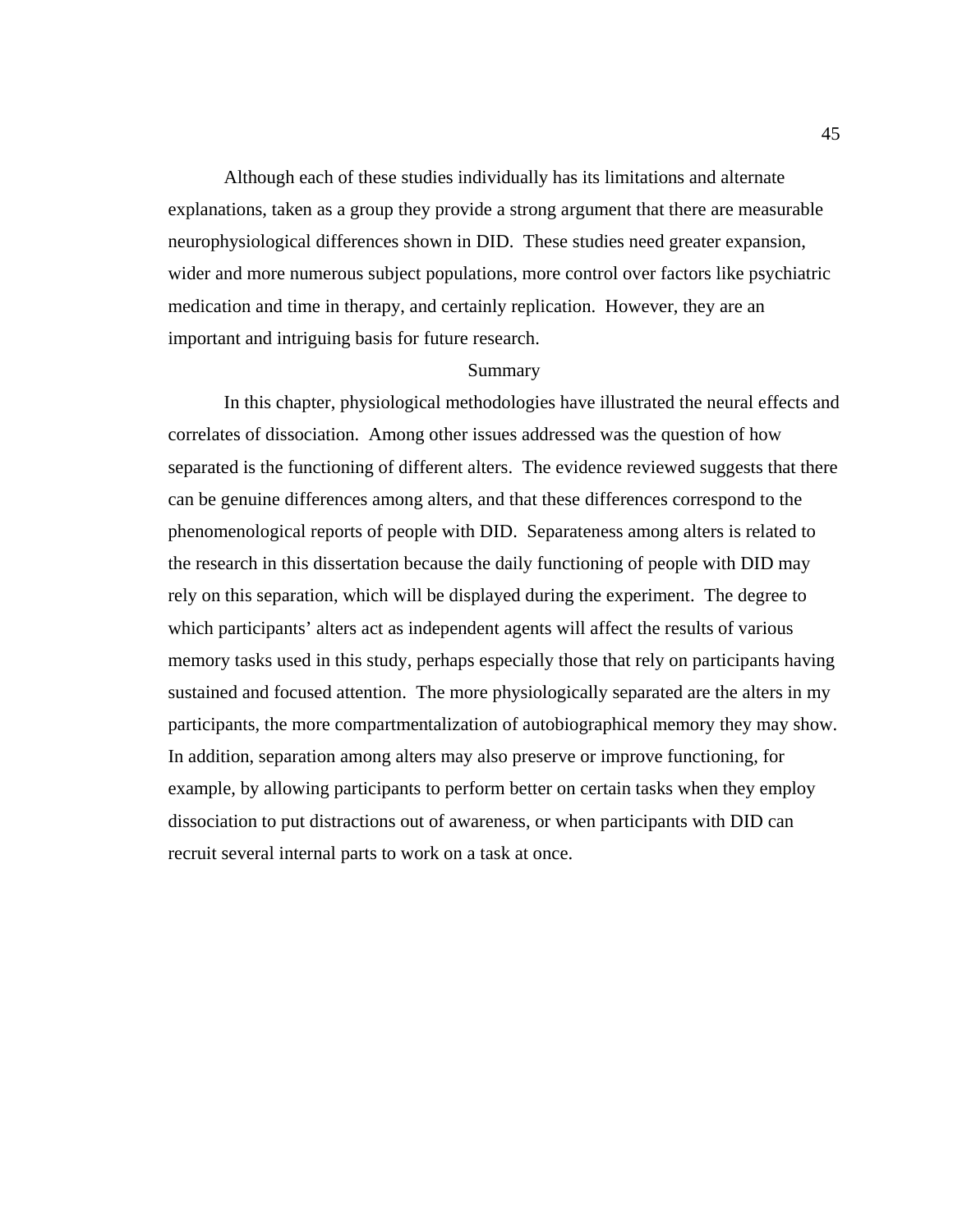Although each of these studies individually has its limitations and alternate explanations, taken as a group they provide a strong argument that there are measurable neurophysiological differences shown in DID. These studies need greater expansion, wider and more numerous subject populations, more control over factors like psychiatric medication and time in therapy, and certainly replication. However, they are an important and intriguing basis for future research.

# Summary

 In this chapter, physiological methodologies have illustrated the neural effects and correlates of dissociation. Among other issues addressed was the question of how separated is the functioning of different alters. The evidence reviewed suggests that there can be genuine differences among alters, and that these differences correspond to the phenomenological reports of people with DID. Separateness among alters is related to the research in this dissertation because the daily functioning of people with DID may rely on this separation, which will be displayed during the experiment. The degree to which participants' alters act as independent agents will affect the results of various memory tasks used in this study, perhaps especially those that rely on participants having sustained and focused attention. The more physiologically separated are the alters in my participants, the more compartmentalization of autobiographical memory they may show. In addition, separation among alters may also preserve or improve functioning, for example, by allowing participants to perform better on certain tasks when they employ dissociation to put distractions out of awareness, or when participants with DID can recruit several internal parts to work on a task at once.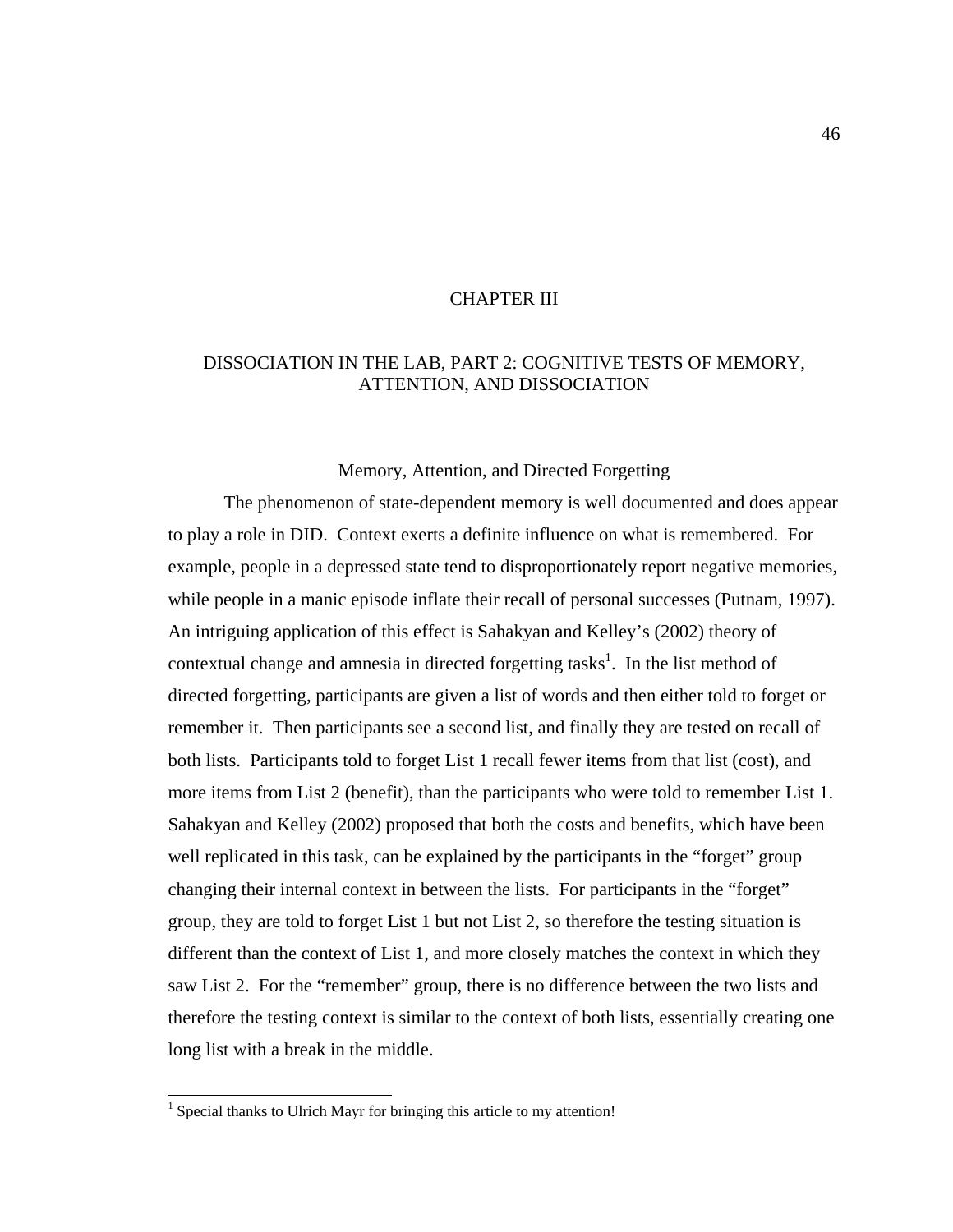## CHAPTER III

# DISSOCIATION IN THE LAB, PART 2: COGNITIVE TESTS OF MEMORY, ATTENTION, AND DISSOCIATION

# Memory, Attention, and Directed Forgetting

 The phenomenon of state-dependent memory is well documented and does appear to play a role in DID. Context exerts a definite influence on what is remembered. For example, people in a depressed state tend to disproportionately report negative memories, while people in a manic episode inflate their recall of personal successes (Putnam, 1997). An intriguing application of this effect is Sahakyan and Kelley's (2002) theory of contextual change and amnesia in directed forgetting tasks<sup>1</sup>. In the list method of directed forgetting, participants are given a list of words and then either told to forget or remember it. Then participants see a second list, and finally they are tested on recall of both lists. Participants told to forget List 1 recall fewer items from that list (cost), and more items from List 2 (benefit), than the participants who were told to remember List 1. Sahakyan and Kelley (2002) proposed that both the costs and benefits, which have been well replicated in this task, can be explained by the participants in the "forget" group changing their internal context in between the lists. For participants in the "forget" group, they are told to forget List 1 but not List 2, so therefore the testing situation is different than the context of List 1, and more closely matches the context in which they saw List 2. For the "remember" group, there is no difference between the two lists and therefore the testing context is similar to the context of both lists, essentially creating one long list with a break in the middle.

-

<sup>&</sup>lt;sup>1</sup> Special thanks to Ulrich Mayr for bringing this article to my attention!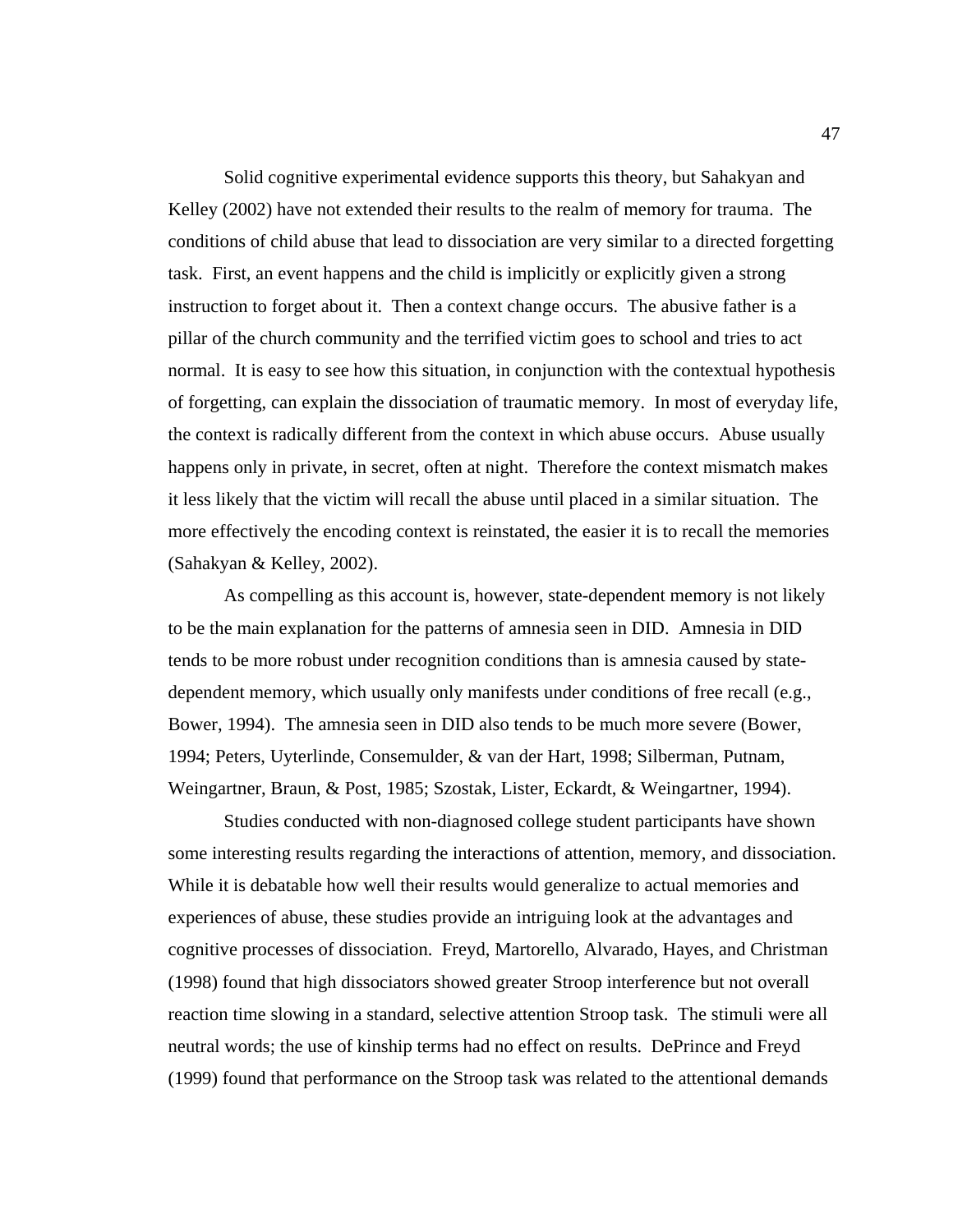Solid cognitive experimental evidence supports this theory, but Sahakyan and Kelley (2002) have not extended their results to the realm of memory for trauma. The conditions of child abuse that lead to dissociation are very similar to a directed forgetting task. First, an event happens and the child is implicitly or explicitly given a strong instruction to forget about it. Then a context change occurs. The abusive father is a pillar of the church community and the terrified victim goes to school and tries to act normal. It is easy to see how this situation, in conjunction with the contextual hypothesis of forgetting, can explain the dissociation of traumatic memory. In most of everyday life, the context is radically different from the context in which abuse occurs. Abuse usually happens only in private, in secret, often at night. Therefore the context mismatch makes it less likely that the victim will recall the abuse until placed in a similar situation. The more effectively the encoding context is reinstated, the easier it is to recall the memories (Sahakyan & Kelley, 2002).

As compelling as this account is, however, state-dependent memory is not likely to be the main explanation for the patterns of amnesia seen in DID. Amnesia in DID tends to be more robust under recognition conditions than is amnesia caused by statedependent memory, which usually only manifests under conditions of free recall (e.g., Bower, 1994). The amnesia seen in DID also tends to be much more severe (Bower, 1994; Peters, Uyterlinde, Consemulder, & van der Hart, 1998; Silberman, Putnam, Weingartner, Braun, & Post, 1985; Szostak, Lister, Eckardt, & Weingartner, 1994).

Studies conducted with non-diagnosed college student participants have shown some interesting results regarding the interactions of attention, memory, and dissociation. While it is debatable how well their results would generalize to actual memories and experiences of abuse, these studies provide an intriguing look at the advantages and cognitive processes of dissociation. Freyd, Martorello, Alvarado, Hayes, and Christman (1998) found that high dissociators showed greater Stroop interference but not overall reaction time slowing in a standard, selective attention Stroop task. The stimuli were all neutral words; the use of kinship terms had no effect on results. DePrince and Freyd (1999) found that performance on the Stroop task was related to the attentional demands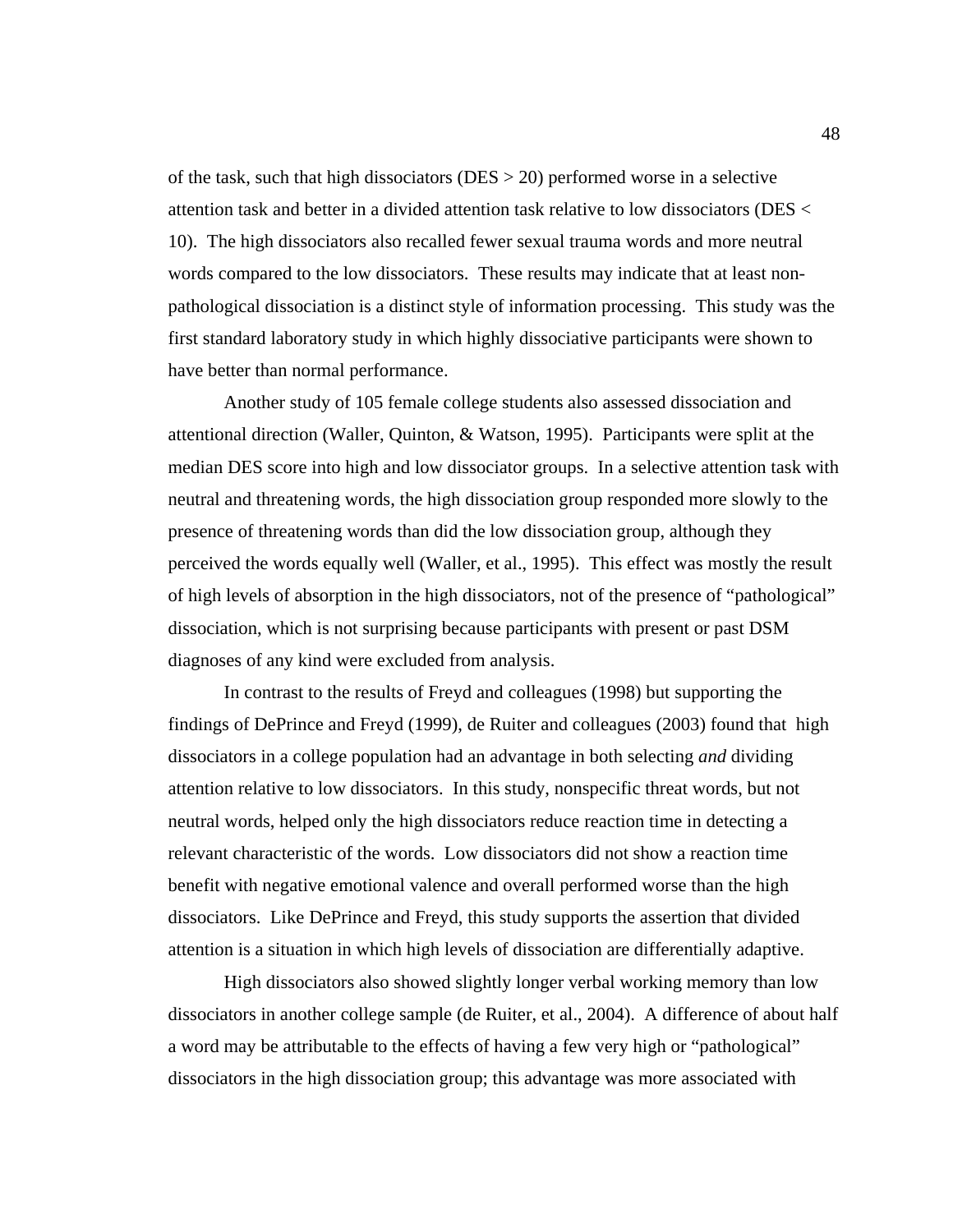of the task, such that high dissociators ( $DES > 20$ ) performed worse in a selective attention task and better in a divided attention task relative to low dissociators (DES < 10). The high dissociators also recalled fewer sexual trauma words and more neutral words compared to the low dissociators. These results may indicate that at least nonpathological dissociation is a distinct style of information processing. This study was the first standard laboratory study in which highly dissociative participants were shown to have better than normal performance.

Another study of 105 female college students also assessed dissociation and attentional direction (Waller, Quinton, & Watson, 1995). Participants were split at the median DES score into high and low dissociator groups. In a selective attention task with neutral and threatening words, the high dissociation group responded more slowly to the presence of threatening words than did the low dissociation group, although they perceived the words equally well (Waller, et al., 1995). This effect was mostly the result of high levels of absorption in the high dissociators, not of the presence of "pathological" dissociation, which is not surprising because participants with present or past DSM diagnoses of any kind were excluded from analysis.

In contrast to the results of Freyd and colleagues (1998) but supporting the findings of DePrince and Freyd (1999), de Ruiter and colleagues (2003) found that high dissociators in a college population had an advantage in both selecting *and* dividing attention relative to low dissociators. In this study, nonspecific threat words, but not neutral words, helped only the high dissociators reduce reaction time in detecting a relevant characteristic of the words. Low dissociators did not show a reaction time benefit with negative emotional valence and overall performed worse than the high dissociators. Like DePrince and Freyd, this study supports the assertion that divided attention is a situation in which high levels of dissociation are differentially adaptive.

High dissociators also showed slightly longer verbal working memory than low dissociators in another college sample (de Ruiter, et al., 2004). A difference of about half a word may be attributable to the effects of having a few very high or "pathological" dissociators in the high dissociation group; this advantage was more associated with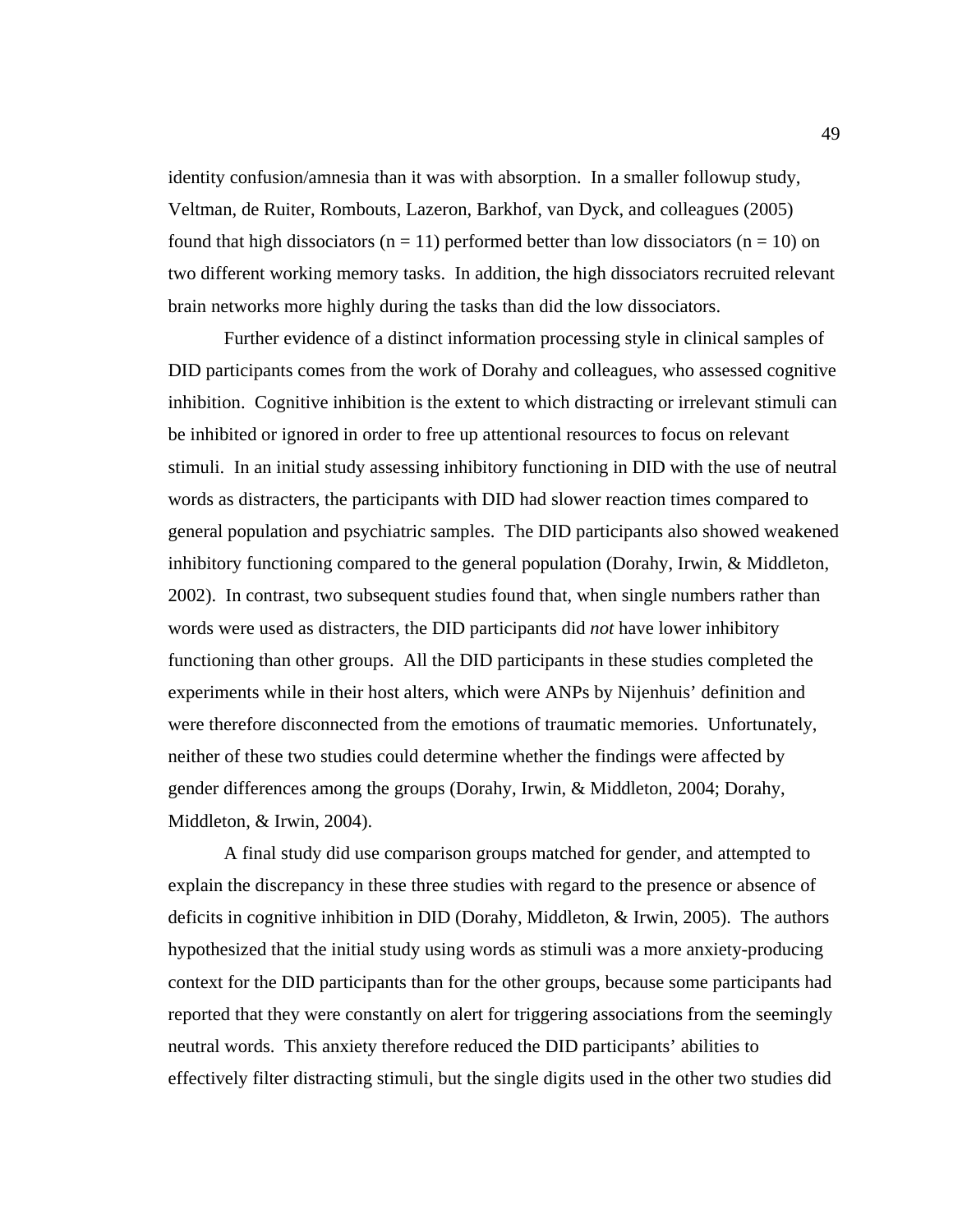identity confusion/amnesia than it was with absorption. In a smaller followup study, Veltman, de Ruiter, Rombouts, Lazeron, Barkhof, van Dyck, and colleagues (2005) found that high dissociators ( $n = 11$ ) performed better than low dissociators ( $n = 10$ ) on two different working memory tasks. In addition, the high dissociators recruited relevant brain networks more highly during the tasks than did the low dissociators.

Further evidence of a distinct information processing style in clinical samples of DID participants comes from the work of Dorahy and colleagues, who assessed cognitive inhibition. Cognitive inhibition is the extent to which distracting or irrelevant stimuli can be inhibited or ignored in order to free up attentional resources to focus on relevant stimuli. In an initial study assessing inhibitory functioning in DID with the use of neutral words as distracters, the participants with DID had slower reaction times compared to general population and psychiatric samples. The DID participants also showed weakened inhibitory functioning compared to the general population (Dorahy, Irwin, & Middleton, 2002). In contrast, two subsequent studies found that, when single numbers rather than words were used as distracters, the DID participants did *not* have lower inhibitory functioning than other groups. All the DID participants in these studies completed the experiments while in their host alters, which were ANPs by Nijenhuis' definition and were therefore disconnected from the emotions of traumatic memories. Unfortunately, neither of these two studies could determine whether the findings were affected by gender differences among the groups (Dorahy, Irwin, & Middleton, 2004; Dorahy, Middleton, & Irwin, 2004).

A final study did use comparison groups matched for gender, and attempted to explain the discrepancy in these three studies with regard to the presence or absence of deficits in cognitive inhibition in DID (Dorahy, Middleton, & Irwin, 2005). The authors hypothesized that the initial study using words as stimuli was a more anxiety-producing context for the DID participants than for the other groups, because some participants had reported that they were constantly on alert for triggering associations from the seemingly neutral words. This anxiety therefore reduced the DID participants' abilities to effectively filter distracting stimuli, but the single digits used in the other two studies did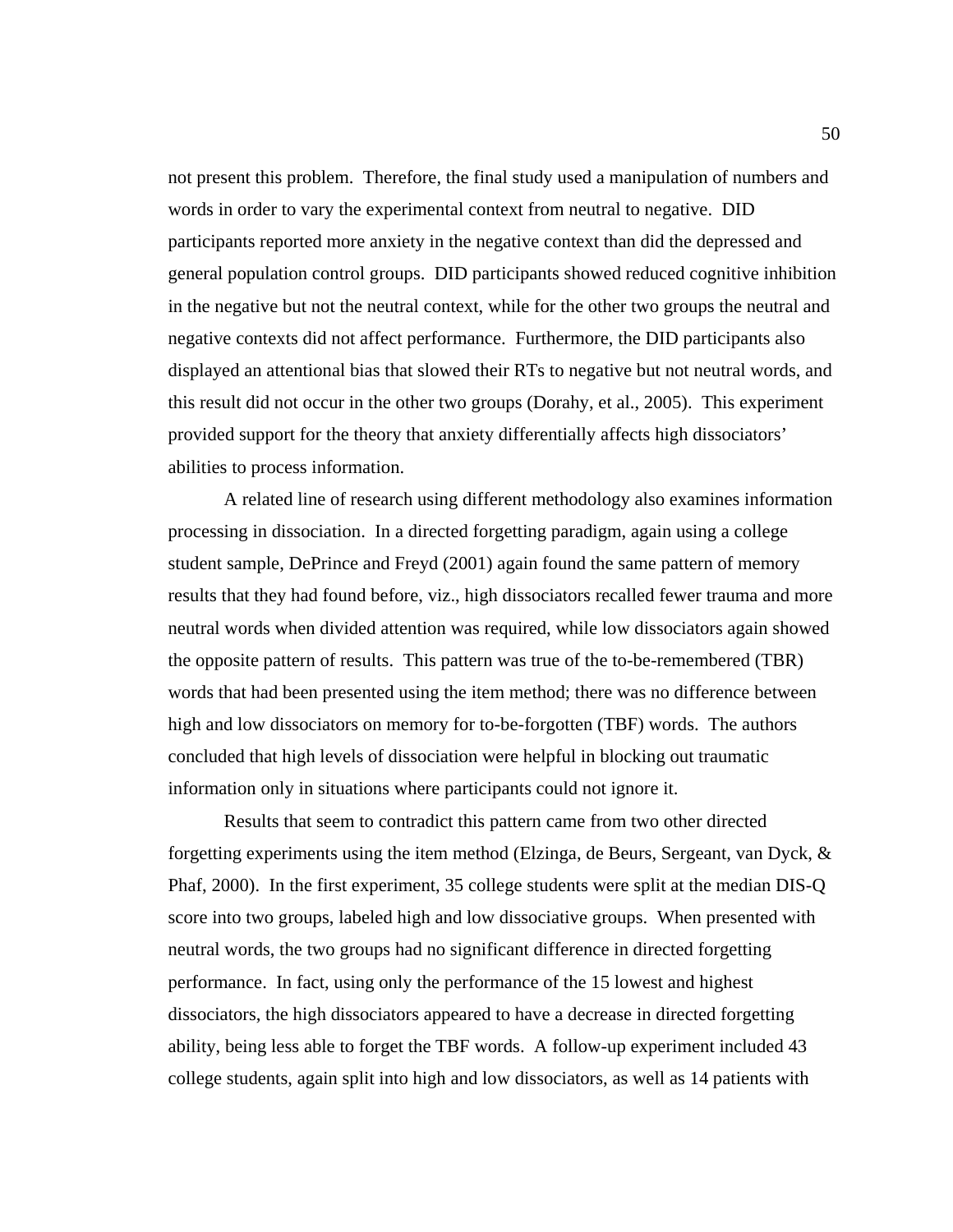not present this problem. Therefore, the final study used a manipulation of numbers and words in order to vary the experimental context from neutral to negative. DID participants reported more anxiety in the negative context than did the depressed and general population control groups. DID participants showed reduced cognitive inhibition in the negative but not the neutral context, while for the other two groups the neutral and negative contexts did not affect performance. Furthermore, the DID participants also displayed an attentional bias that slowed their RTs to negative but not neutral words, and this result did not occur in the other two groups (Dorahy, et al., 2005). This experiment provided support for the theory that anxiety differentially affects high dissociators' abilities to process information.

A related line of research using different methodology also examines information processing in dissociation. In a directed forgetting paradigm, again using a college student sample, DePrince and Freyd (2001) again found the same pattern of memory results that they had found before, viz., high dissociators recalled fewer trauma and more neutral words when divided attention was required, while low dissociators again showed the opposite pattern of results. This pattern was true of the to-be-remembered (TBR) words that had been presented using the item method; there was no difference between high and low dissociators on memory for to-be-forgotten (TBF) words. The authors concluded that high levels of dissociation were helpful in blocking out traumatic information only in situations where participants could not ignore it.

Results that seem to contradict this pattern came from two other directed forgetting experiments using the item method (Elzinga, de Beurs, Sergeant, van Dyck, & Phaf, 2000). In the first experiment, 35 college students were split at the median DIS-Q score into two groups, labeled high and low dissociative groups. When presented with neutral words, the two groups had no significant difference in directed forgetting performance. In fact, using only the performance of the 15 lowest and highest dissociators, the high dissociators appeared to have a decrease in directed forgetting ability, being less able to forget the TBF words. A follow-up experiment included 43 college students, again split into high and low dissociators, as well as 14 patients with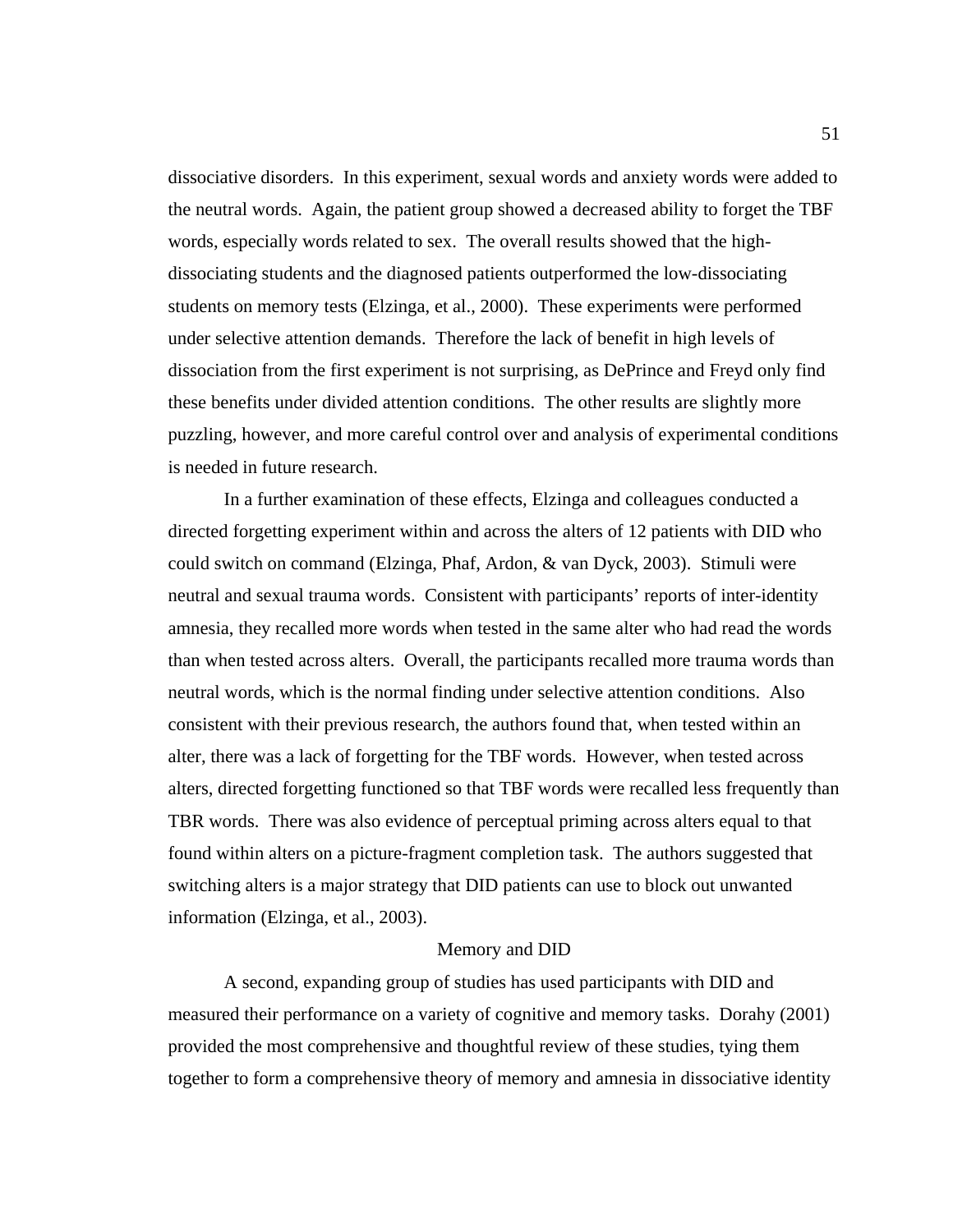dissociative disorders. In this experiment, sexual words and anxiety words were added to the neutral words. Again, the patient group showed a decreased ability to forget the TBF words, especially words related to sex. The overall results showed that the highdissociating students and the diagnosed patients outperformed the low-dissociating students on memory tests (Elzinga, et al., 2000). These experiments were performed under selective attention demands. Therefore the lack of benefit in high levels of dissociation from the first experiment is not surprising, as DePrince and Freyd only find these benefits under divided attention conditions. The other results are slightly more puzzling, however, and more careful control over and analysis of experimental conditions is needed in future research.

In a further examination of these effects, Elzinga and colleagues conducted a directed forgetting experiment within and across the alters of 12 patients with DID who could switch on command (Elzinga, Phaf, Ardon, & van Dyck, 2003). Stimuli were neutral and sexual trauma words. Consistent with participants' reports of inter-identity amnesia, they recalled more words when tested in the same alter who had read the words than when tested across alters. Overall, the participants recalled more trauma words than neutral words, which is the normal finding under selective attention conditions. Also consistent with their previous research, the authors found that, when tested within an alter, there was a lack of forgetting for the TBF words. However, when tested across alters, directed forgetting functioned so that TBF words were recalled less frequently than TBR words. There was also evidence of perceptual priming across alters equal to that found within alters on a picture-fragment completion task. The authors suggested that switching alters is a major strategy that DID patients can use to block out unwanted information (Elzinga, et al., 2003).

## Memory and DID

 A second, expanding group of studies has used participants with DID and measured their performance on a variety of cognitive and memory tasks. Dorahy (2001) provided the most comprehensive and thoughtful review of these studies, tying them together to form a comprehensive theory of memory and amnesia in dissociative identity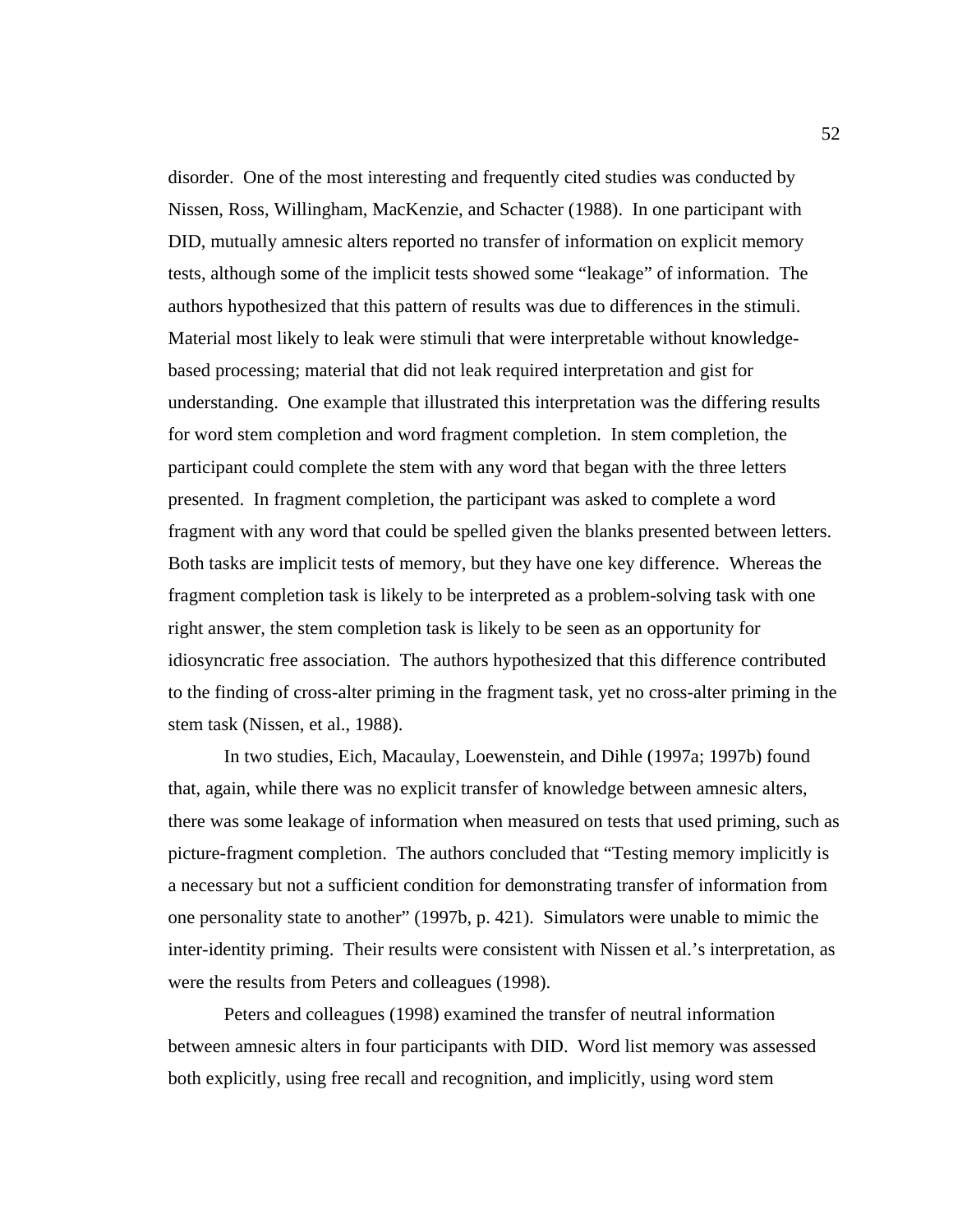disorder. One of the most interesting and frequently cited studies was conducted by Nissen, Ross, Willingham, MacKenzie, and Schacter (1988). In one participant with DID, mutually amnesic alters reported no transfer of information on explicit memory tests, although some of the implicit tests showed some "leakage" of information. The authors hypothesized that this pattern of results was due to differences in the stimuli. Material most likely to leak were stimuli that were interpretable without knowledgebased processing; material that did not leak required interpretation and gist for understanding. One example that illustrated this interpretation was the differing results for word stem completion and word fragment completion. In stem completion, the participant could complete the stem with any word that began with the three letters presented. In fragment completion, the participant was asked to complete a word fragment with any word that could be spelled given the blanks presented between letters. Both tasks are implicit tests of memory, but they have one key difference. Whereas the fragment completion task is likely to be interpreted as a problem-solving task with one right answer, the stem completion task is likely to be seen as an opportunity for idiosyncratic free association. The authors hypothesized that this difference contributed to the finding of cross-alter priming in the fragment task, yet no cross-alter priming in the stem task (Nissen, et al., 1988).

 In two studies, Eich, Macaulay, Loewenstein, and Dihle (1997a; 1997b) found that, again, while there was no explicit transfer of knowledge between amnesic alters, there was some leakage of information when measured on tests that used priming, such as picture-fragment completion. The authors concluded that "Testing memory implicitly is a necessary but not a sufficient condition for demonstrating transfer of information from one personality state to another" (1997b, p. 421). Simulators were unable to mimic the inter-identity priming. Their results were consistent with Nissen et al.'s interpretation, as were the results from Peters and colleagues (1998).

 Peters and colleagues (1998) examined the transfer of neutral information between amnesic alters in four participants with DID. Word list memory was assessed both explicitly, using free recall and recognition, and implicitly, using word stem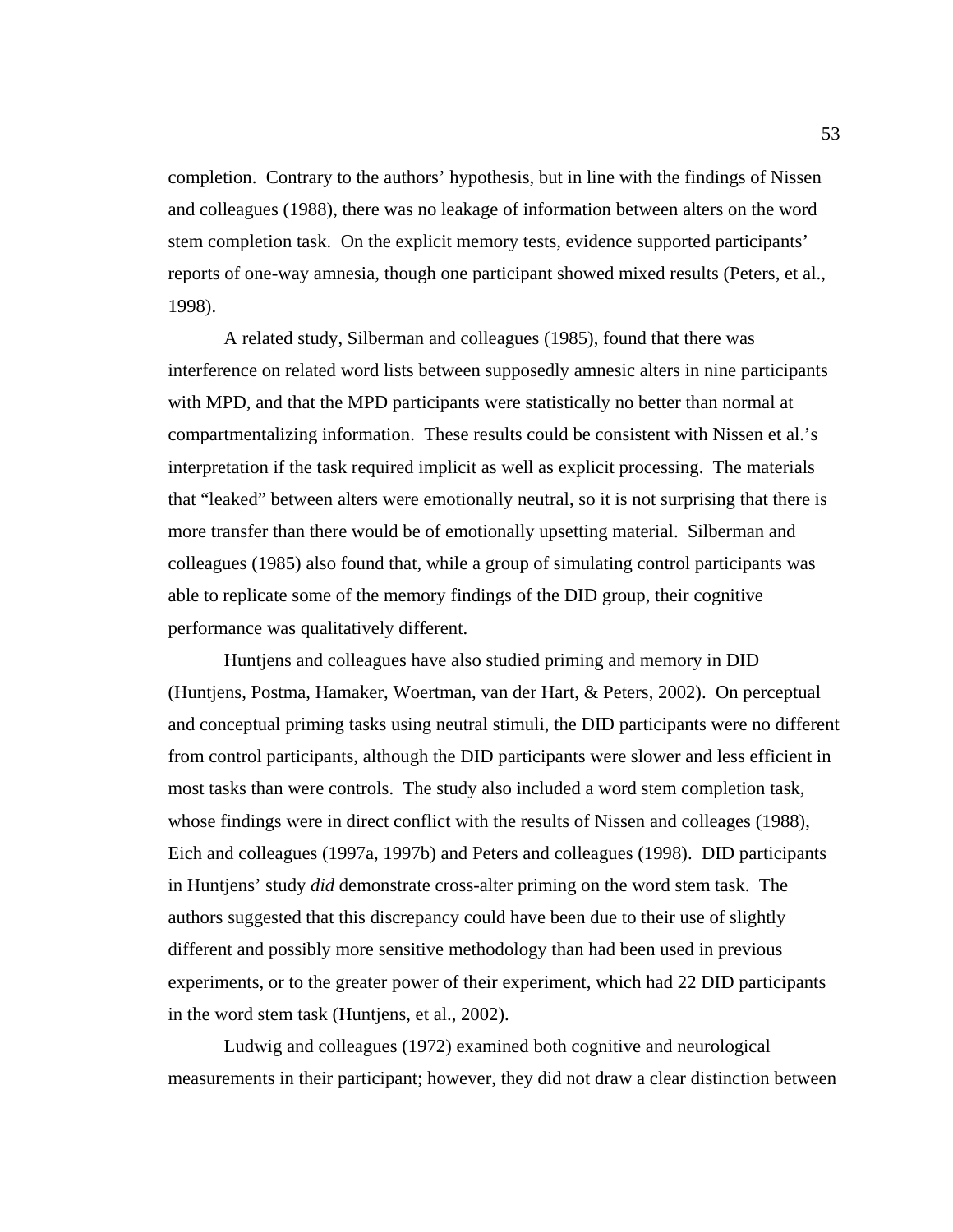completion. Contrary to the authors' hypothesis, but in line with the findings of Nissen and colleagues (1988), there was no leakage of information between alters on the word stem completion task. On the explicit memory tests, evidence supported participants' reports of one-way amnesia, though one participant showed mixed results (Peters, et al., 1998).

A related study, Silberman and colleagues (1985), found that there was interference on related word lists between supposedly amnesic alters in nine participants with MPD, and that the MPD participants were statistically no better than normal at compartmentalizing information. These results could be consistent with Nissen et al.'s interpretation if the task required implicit as well as explicit processing. The materials that "leaked" between alters were emotionally neutral, so it is not surprising that there is more transfer than there would be of emotionally upsetting material. Silberman and colleagues (1985) also found that, while a group of simulating control participants was able to replicate some of the memory findings of the DID group, their cognitive performance was qualitatively different.

Huntjens and colleagues have also studied priming and memory in DID (Huntjens, Postma, Hamaker, Woertman, van der Hart, & Peters, 2002). On perceptual and conceptual priming tasks using neutral stimuli, the DID participants were no different from control participants, although the DID participants were slower and less efficient in most tasks than were controls. The study also included a word stem completion task, whose findings were in direct conflict with the results of Nissen and colleages (1988), Eich and colleagues (1997a, 1997b) and Peters and colleagues (1998). DID participants in Huntjens' study *did* demonstrate cross-alter priming on the word stem task. The authors suggested that this discrepancy could have been due to their use of slightly different and possibly more sensitive methodology than had been used in previous experiments, or to the greater power of their experiment, which had 22 DID participants in the word stem task (Huntjens, et al., 2002).

 Ludwig and colleagues (1972) examined both cognitive and neurological measurements in their participant; however, they did not draw a clear distinction between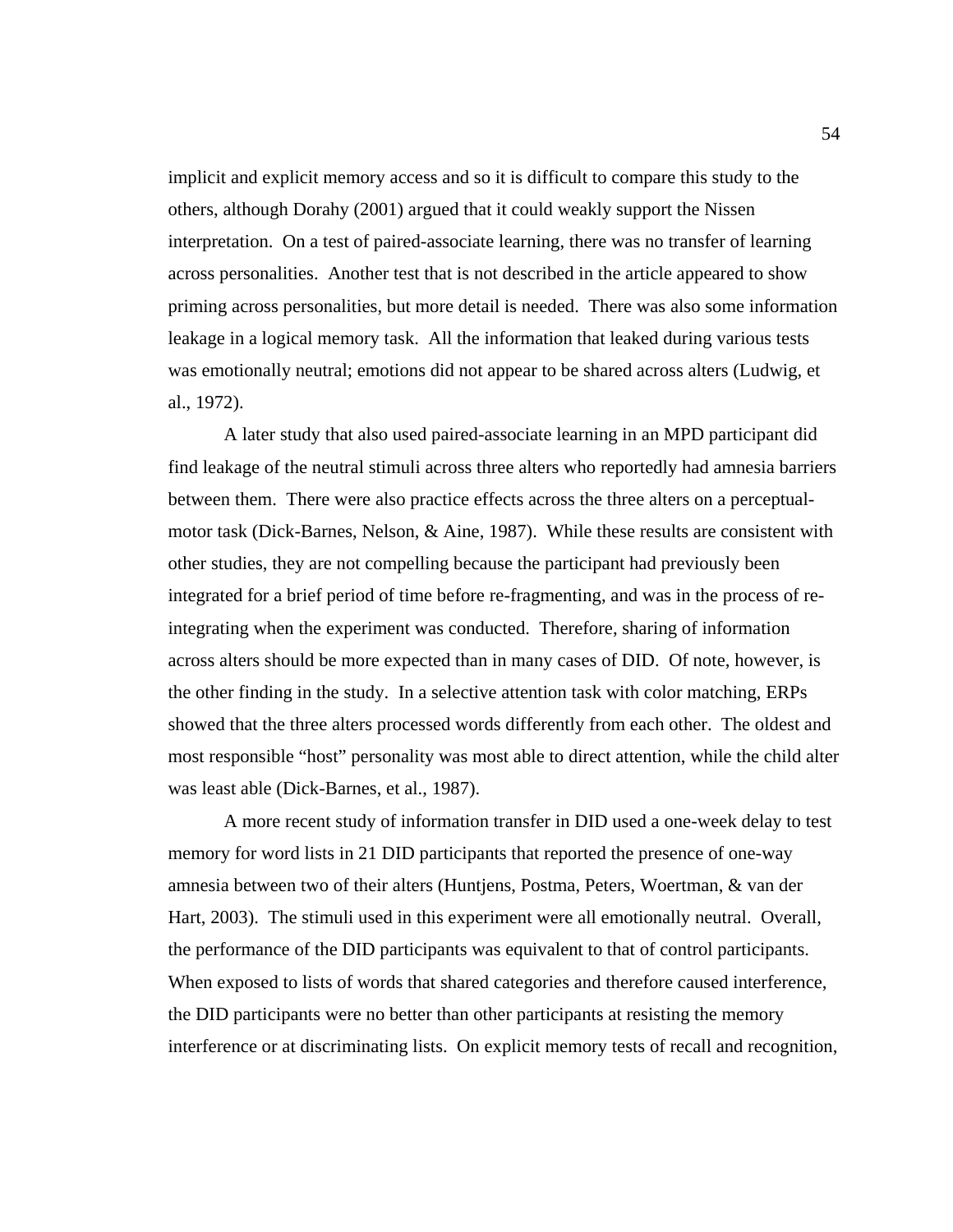implicit and explicit memory access and so it is difficult to compare this study to the others, although Dorahy (2001) argued that it could weakly support the Nissen interpretation. On a test of paired-associate learning, there was no transfer of learning across personalities. Another test that is not described in the article appeared to show priming across personalities, but more detail is needed. There was also some information leakage in a logical memory task. All the information that leaked during various tests was emotionally neutral; emotions did not appear to be shared across alters (Ludwig, et al., 1972).

 A later study that also used paired-associate learning in an MPD participant did find leakage of the neutral stimuli across three alters who reportedly had amnesia barriers between them. There were also practice effects across the three alters on a perceptualmotor task (Dick-Barnes, Nelson, & Aine, 1987). While these results are consistent with other studies, they are not compelling because the participant had previously been integrated for a brief period of time before re-fragmenting, and was in the process of reintegrating when the experiment was conducted. Therefore, sharing of information across alters should be more expected than in many cases of DID. Of note, however, is the other finding in the study. In a selective attention task with color matching, ERPs showed that the three alters processed words differently from each other. The oldest and most responsible "host" personality was most able to direct attention, while the child alter was least able (Dick-Barnes, et al., 1987).

 A more recent study of information transfer in DID used a one-week delay to test memory for word lists in 21 DID participants that reported the presence of one-way amnesia between two of their alters (Huntjens, Postma, Peters, Woertman, & van der Hart, 2003). The stimuli used in this experiment were all emotionally neutral. Overall, the performance of the DID participants was equivalent to that of control participants. When exposed to lists of words that shared categories and therefore caused interference, the DID participants were no better than other participants at resisting the memory interference or at discriminating lists. On explicit memory tests of recall and recognition,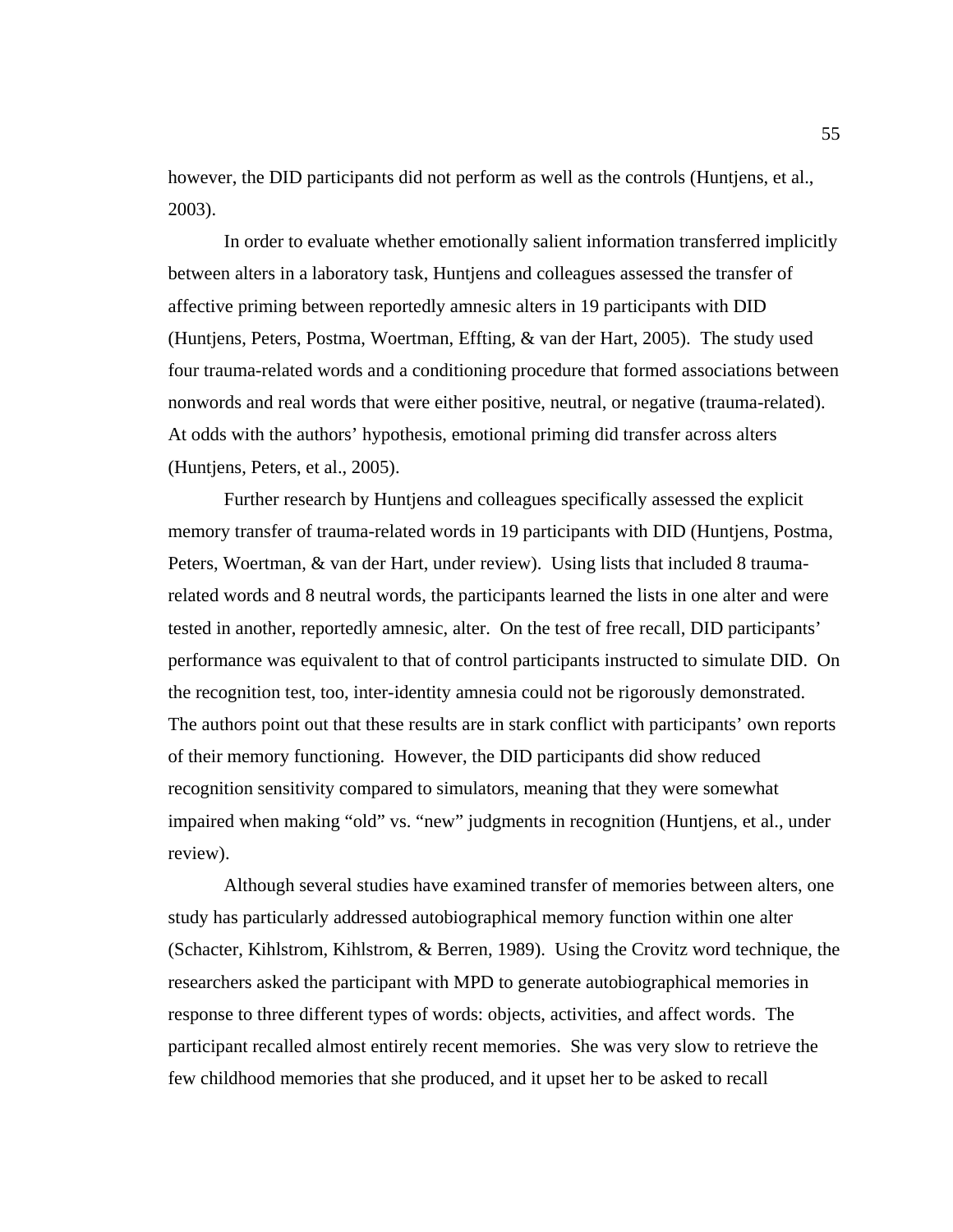however, the DID participants did not perform as well as the controls (Huntjens, et al., 2003).

 In order to evaluate whether emotionally salient information transferred implicitly between alters in a laboratory task, Huntjens and colleagues assessed the transfer of affective priming between reportedly amnesic alters in 19 participants with DID (Huntjens, Peters, Postma, Woertman, Effting, & van der Hart, 2005). The study used four trauma-related words and a conditioning procedure that formed associations between nonwords and real words that were either positive, neutral, or negative (trauma-related). At odds with the authors' hypothesis, emotional priming did transfer across alters (Huntjens, Peters, et al., 2005).

 Further research by Huntjens and colleagues specifically assessed the explicit memory transfer of trauma-related words in 19 participants with DID (Huntjens, Postma, Peters, Woertman, & van der Hart, under review). Using lists that included 8 traumarelated words and 8 neutral words, the participants learned the lists in one alter and were tested in another, reportedly amnesic, alter. On the test of free recall, DID participants' performance was equivalent to that of control participants instructed to simulate DID. On the recognition test, too, inter-identity amnesia could not be rigorously demonstrated. The authors point out that these results are in stark conflict with participants' own reports of their memory functioning. However, the DID participants did show reduced recognition sensitivity compared to simulators, meaning that they were somewhat impaired when making "old" vs. "new" judgments in recognition (Huntjens, et al., under review).

 Although several studies have examined transfer of memories between alters, one study has particularly addressed autobiographical memory function within one alter (Schacter, Kihlstrom, Kihlstrom, & Berren, 1989). Using the Crovitz word technique, the researchers asked the participant with MPD to generate autobiographical memories in response to three different types of words: objects, activities, and affect words. The participant recalled almost entirely recent memories. She was very slow to retrieve the few childhood memories that she produced, and it upset her to be asked to recall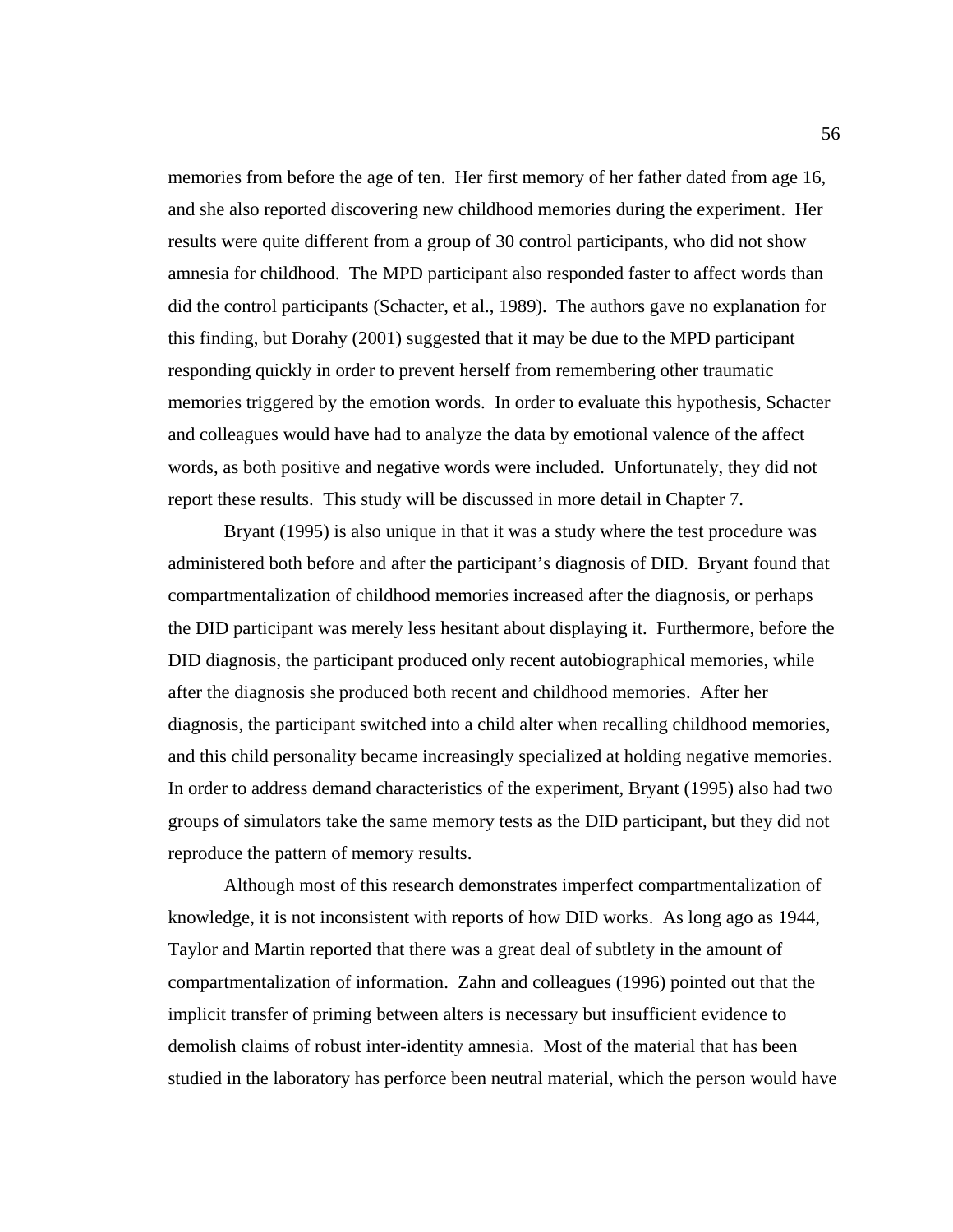memories from before the age of ten. Her first memory of her father dated from age 16, and she also reported discovering new childhood memories during the experiment. Her results were quite different from a group of 30 control participants, who did not show amnesia for childhood. The MPD participant also responded faster to affect words than did the control participants (Schacter, et al., 1989). The authors gave no explanation for this finding, but Dorahy (2001) suggested that it may be due to the MPD participant responding quickly in order to prevent herself from remembering other traumatic memories triggered by the emotion words. In order to evaluate this hypothesis, Schacter and colleagues would have had to analyze the data by emotional valence of the affect words, as both positive and negative words were included. Unfortunately, they did not report these results. This study will be discussed in more detail in Chapter 7.

Bryant (1995) is also unique in that it was a study where the test procedure was administered both before and after the participant's diagnosis of DID. Bryant found that compartmentalization of childhood memories increased after the diagnosis, or perhaps the DID participant was merely less hesitant about displaying it. Furthermore, before the DID diagnosis, the participant produced only recent autobiographical memories, while after the diagnosis she produced both recent and childhood memories. After her diagnosis, the participant switched into a child alter when recalling childhood memories, and this child personality became increasingly specialized at holding negative memories. In order to address demand characteristics of the experiment, Bryant (1995) also had two groups of simulators take the same memory tests as the DID participant, but they did not reproduce the pattern of memory results.

 Although most of this research demonstrates imperfect compartmentalization of knowledge, it is not inconsistent with reports of how DID works. As long ago as 1944, Taylor and Martin reported that there was a great deal of subtlety in the amount of compartmentalization of information. Zahn and colleagues (1996) pointed out that the implicit transfer of priming between alters is necessary but insufficient evidence to demolish claims of robust inter-identity amnesia. Most of the material that has been studied in the laboratory has perforce been neutral material, which the person would have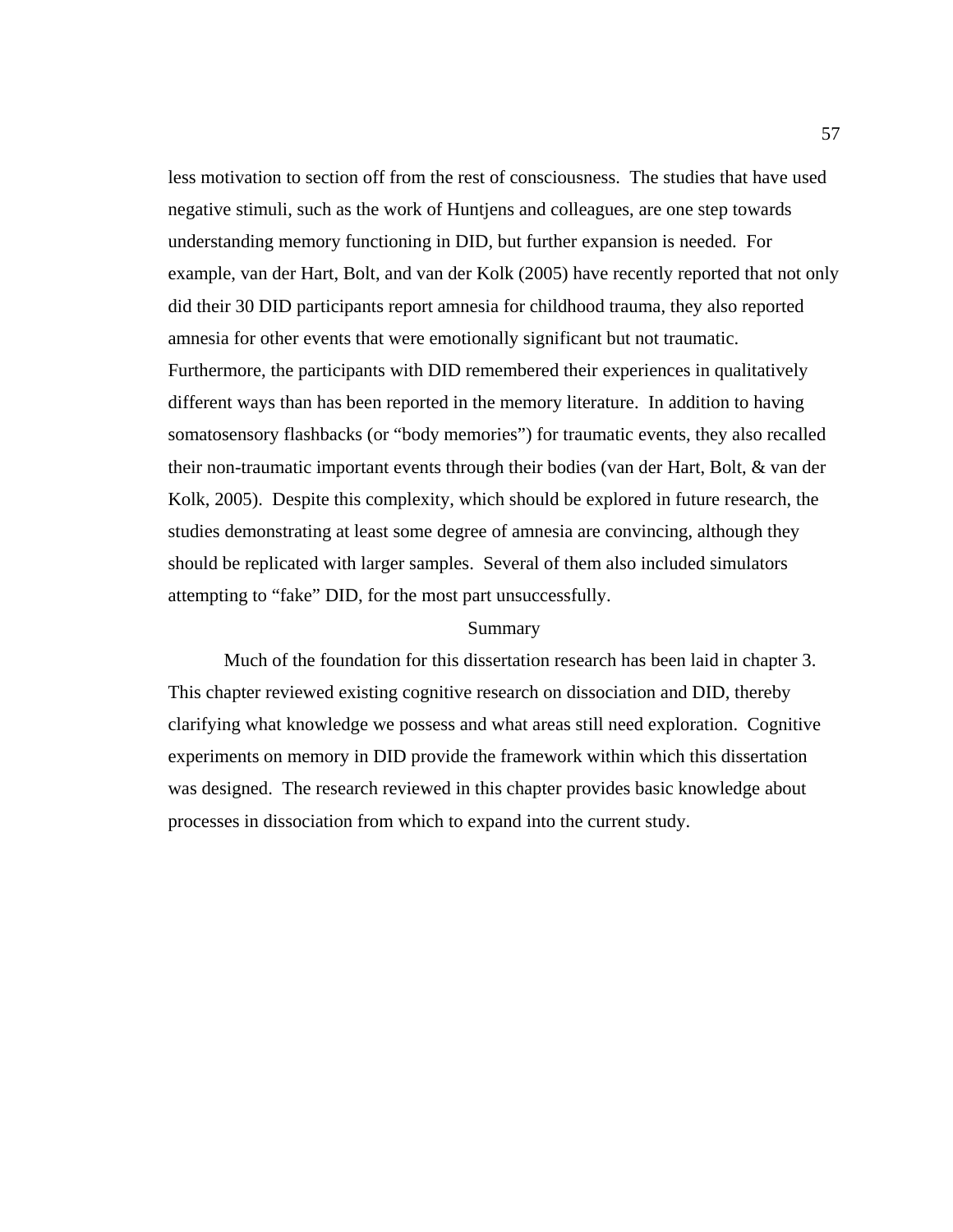less motivation to section off from the rest of consciousness. The studies that have used negative stimuli, such as the work of Huntjens and colleagues, are one step towards understanding memory functioning in DID, but further expansion is needed. For example, van der Hart, Bolt, and van der Kolk (2005) have recently reported that not only did their 30 DID participants report amnesia for childhood trauma, they also reported amnesia for other events that were emotionally significant but not traumatic. Furthermore, the participants with DID remembered their experiences in qualitatively different ways than has been reported in the memory literature. In addition to having somatosensory flashbacks (or "body memories") for traumatic events, they also recalled their non-traumatic important events through their bodies (van der Hart, Bolt, & van der Kolk, 2005). Despite this complexity, which should be explored in future research, the studies demonstrating at least some degree of amnesia are convincing, although they should be replicated with larger samples. Several of them also included simulators attempting to "fake" DID, for the most part unsuccessfully.

### Summary

 Much of the foundation for this dissertation research has been laid in chapter 3. This chapter reviewed existing cognitive research on dissociation and DID, thereby clarifying what knowledge we possess and what areas still need exploration. Cognitive experiments on memory in DID provide the framework within which this dissertation was designed. The research reviewed in this chapter provides basic knowledge about processes in dissociation from which to expand into the current study.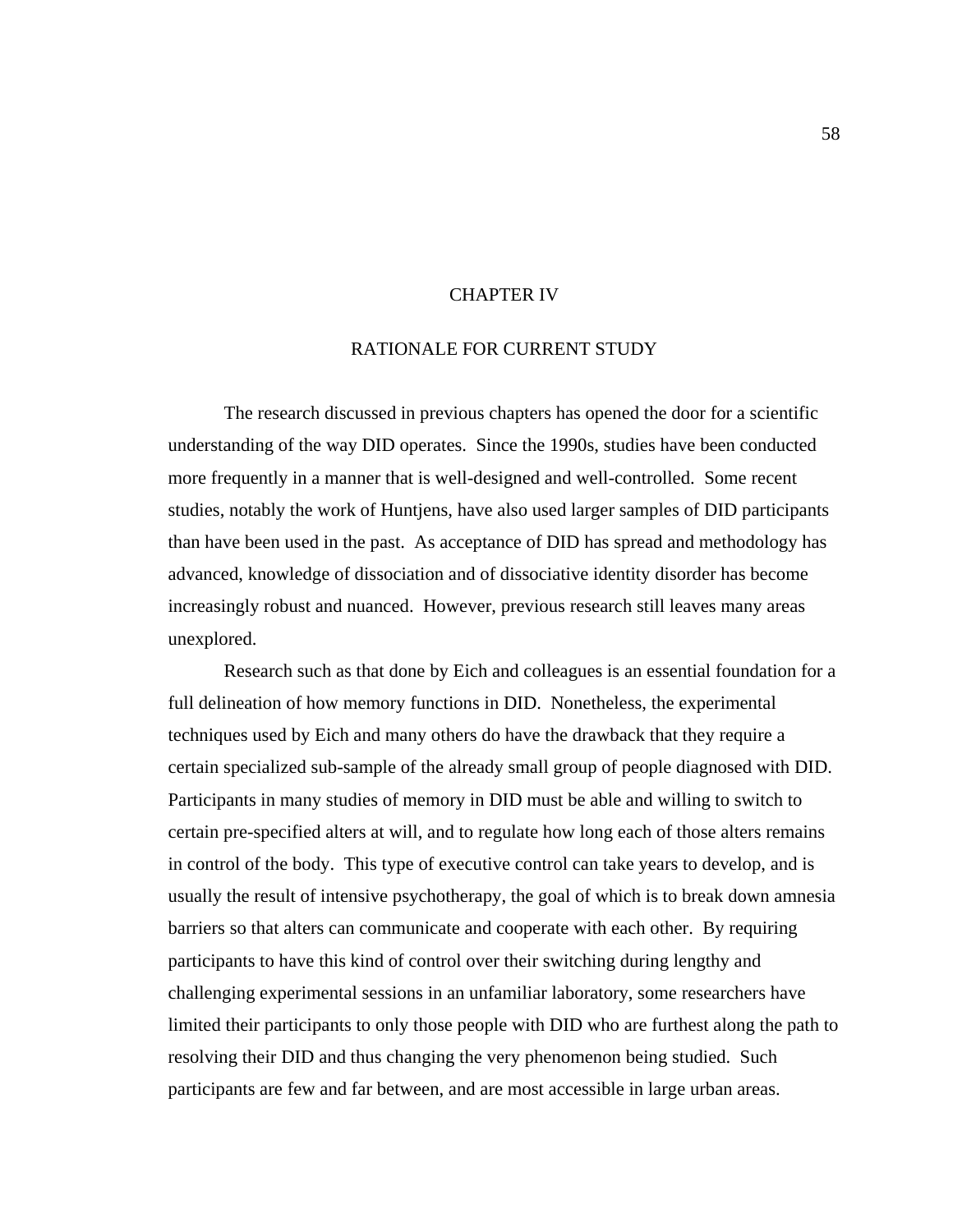#### CHAPTER IV

#### RATIONALE FOR CURRENT STUDY

 The research discussed in previous chapters has opened the door for a scientific understanding of the way DID operates. Since the 1990s, studies have been conducted more frequently in a manner that is well-designed and well-controlled. Some recent studies, notably the work of Huntjens, have also used larger samples of DID participants than have been used in the past. As acceptance of DID has spread and methodology has advanced, knowledge of dissociation and of dissociative identity disorder has become increasingly robust and nuanced. However, previous research still leaves many areas unexplored.

 Research such as that done by Eich and colleagues is an essential foundation for a full delineation of how memory functions in DID. Nonetheless, the experimental techniques used by Eich and many others do have the drawback that they require a certain specialized sub-sample of the already small group of people diagnosed with DID. Participants in many studies of memory in DID must be able and willing to switch to certain pre-specified alters at will, and to regulate how long each of those alters remains in control of the body. This type of executive control can take years to develop, and is usually the result of intensive psychotherapy, the goal of which is to break down amnesia barriers so that alters can communicate and cooperate with each other. By requiring participants to have this kind of control over their switching during lengthy and challenging experimental sessions in an unfamiliar laboratory, some researchers have limited their participants to only those people with DID who are furthest along the path to resolving their DID and thus changing the very phenomenon being studied. Such participants are few and far between, and are most accessible in large urban areas.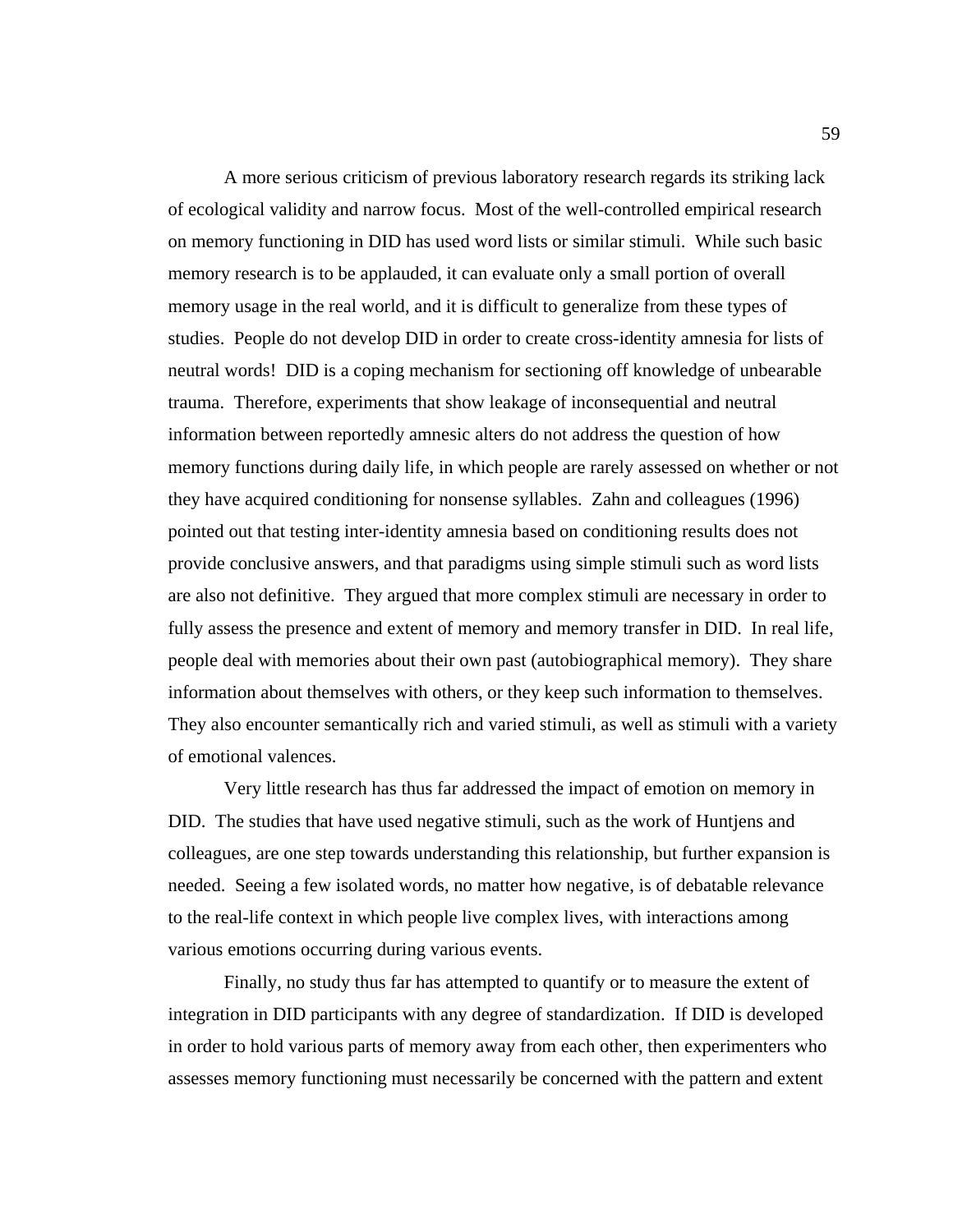A more serious criticism of previous laboratory research regards its striking lack of ecological validity and narrow focus. Most of the well-controlled empirical research on memory functioning in DID has used word lists or similar stimuli. While such basic memory research is to be applauded, it can evaluate only a small portion of overall memory usage in the real world, and it is difficult to generalize from these types of studies. People do not develop DID in order to create cross-identity amnesia for lists of neutral words! DID is a coping mechanism for sectioning off knowledge of unbearable trauma. Therefore, experiments that show leakage of inconsequential and neutral information between reportedly amnesic alters do not address the question of how memory functions during daily life, in which people are rarely assessed on whether or not they have acquired conditioning for nonsense syllables. Zahn and colleagues (1996) pointed out that testing inter-identity amnesia based on conditioning results does not provide conclusive answers, and that paradigms using simple stimuli such as word lists are also not definitive. They argued that more complex stimuli are necessary in order to fully assess the presence and extent of memory and memory transfer in DID. In real life, people deal with memories about their own past (autobiographical memory). They share information about themselves with others, or they keep such information to themselves. They also encounter semantically rich and varied stimuli, as well as stimuli with a variety of emotional valences.

 Very little research has thus far addressed the impact of emotion on memory in DID. The studies that have used negative stimuli, such as the work of Huntjens and colleagues, are one step towards understanding this relationship, but further expansion is needed. Seeing a few isolated words, no matter how negative, is of debatable relevance to the real-life context in which people live complex lives, with interactions among various emotions occurring during various events.

 Finally, no study thus far has attempted to quantify or to measure the extent of integration in DID participants with any degree of standardization. If DID is developed in order to hold various parts of memory away from each other, then experimenters who assesses memory functioning must necessarily be concerned with the pattern and extent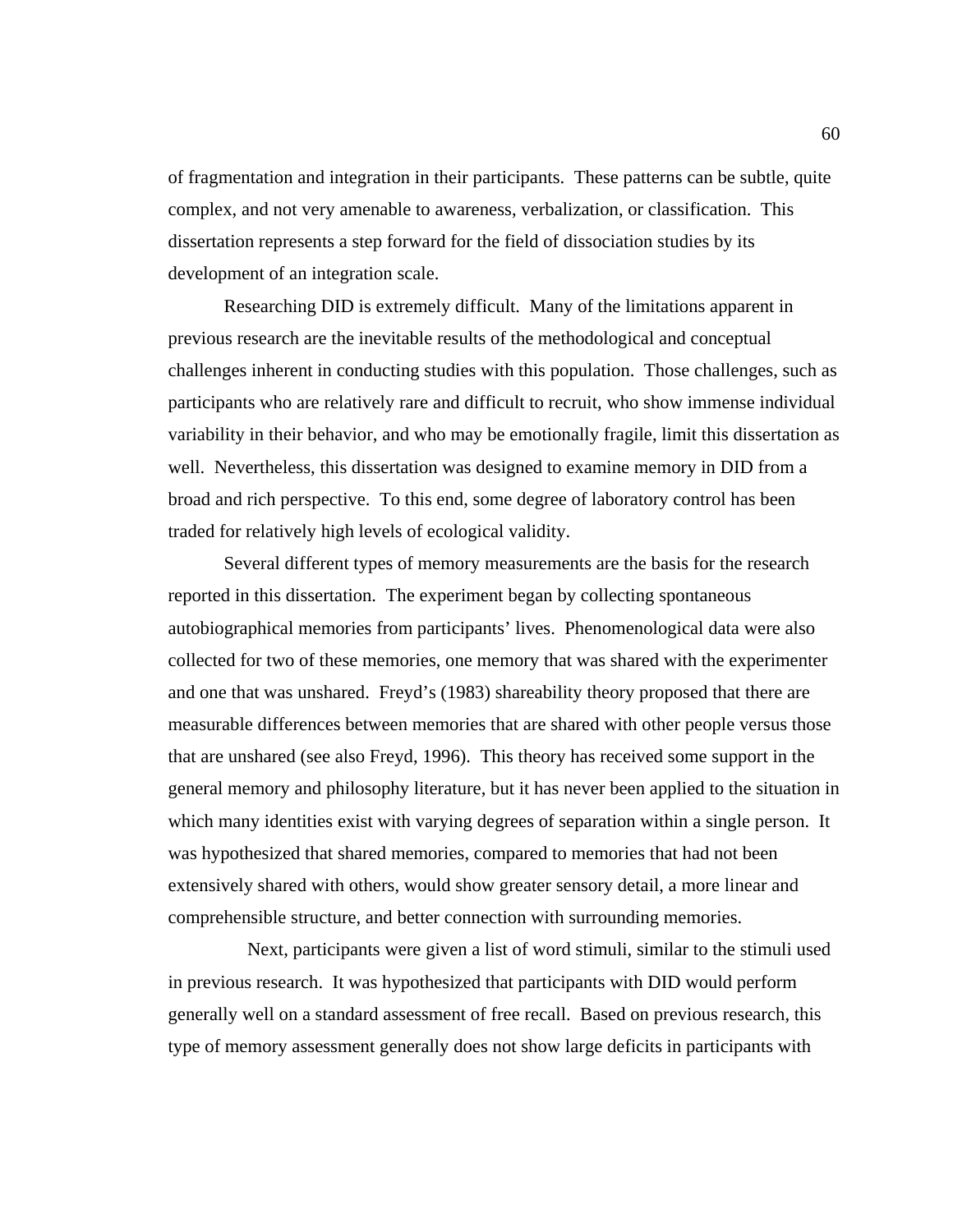of fragmentation and integration in their participants. These patterns can be subtle, quite complex, and not very amenable to awareness, verbalization, or classification. This dissertation represents a step forward for the field of dissociation studies by its development of an integration scale.

 Researching DID is extremely difficult. Many of the limitations apparent in previous research are the inevitable results of the methodological and conceptual challenges inherent in conducting studies with this population. Those challenges, such as participants who are relatively rare and difficult to recruit, who show immense individual variability in their behavior, and who may be emotionally fragile, limit this dissertation as well. Nevertheless, this dissertation was designed to examine memory in DID from a broad and rich perspective. To this end, some degree of laboratory control has been traded for relatively high levels of ecological validity.

 Several different types of memory measurements are the basis for the research reported in this dissertation. The experiment began by collecting spontaneous autobiographical memories from participants' lives. Phenomenological data were also collected for two of these memories, one memory that was shared with the experimenter and one that was unshared. Freyd's (1983) shareability theory proposed that there are measurable differences between memories that are shared with other people versus those that are unshared (see also Freyd, 1996). This theory has received some support in the general memory and philosophy literature, but it has never been applied to the situation in which many identities exist with varying degrees of separation within a single person. It was hypothesized that shared memories, compared to memories that had not been extensively shared with others, would show greater sensory detail, a more linear and comprehensible structure, and better connection with surrounding memories.

 Next, participants were given a list of word stimuli, similar to the stimuli used in previous research. It was hypothesized that participants with DID would perform generally well on a standard assessment of free recall. Based on previous research, this type of memory assessment generally does not show large deficits in participants with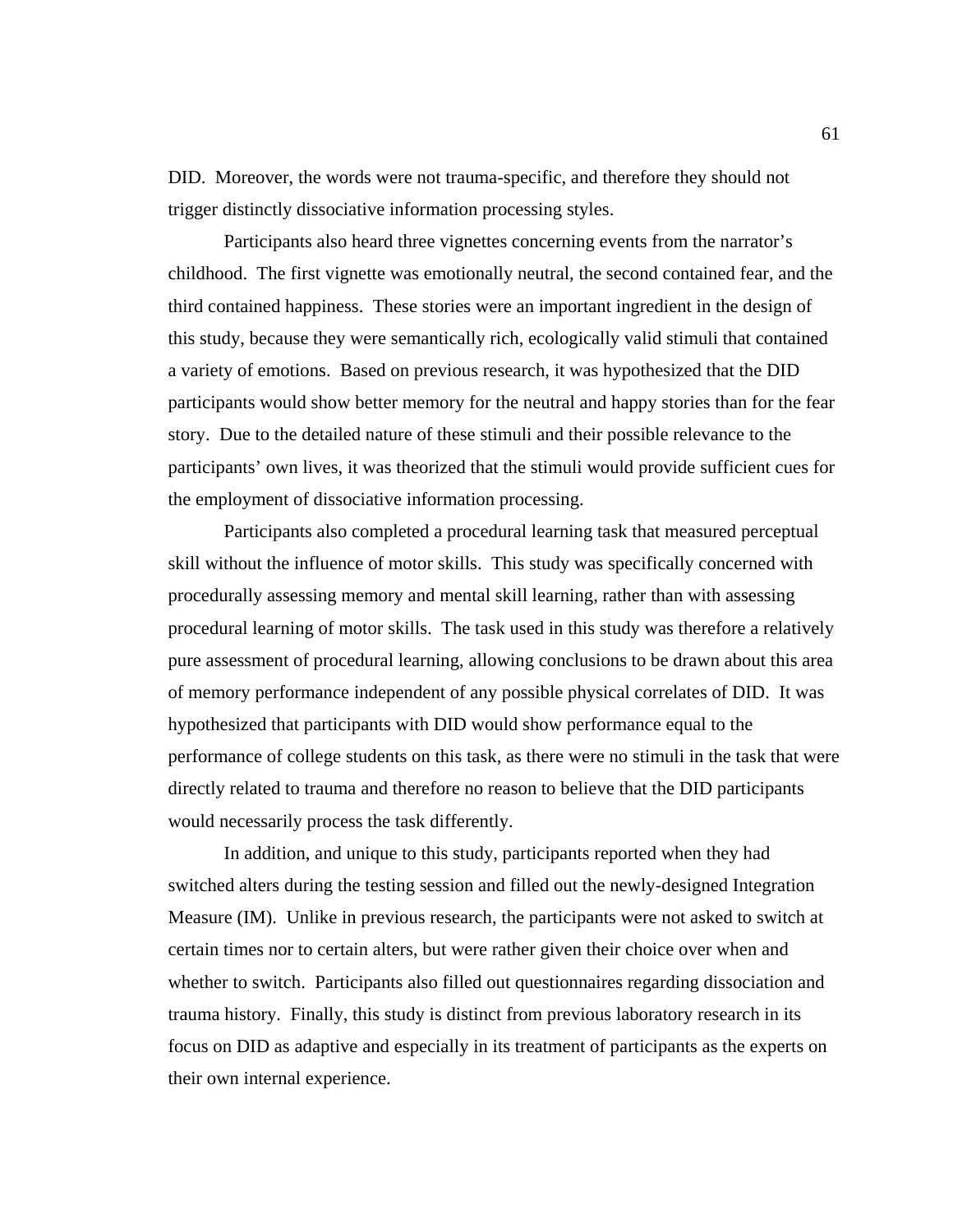DID. Moreover, the words were not trauma-specific, and therefore they should not trigger distinctly dissociative information processing styles.

 Participants also heard three vignettes concerning events from the narrator's childhood. The first vignette was emotionally neutral, the second contained fear, and the third contained happiness. These stories were an important ingredient in the design of this study, because they were semantically rich, ecologically valid stimuli that contained a variety of emotions. Based on previous research, it was hypothesized that the DID participants would show better memory for the neutral and happy stories than for the fear story. Due to the detailed nature of these stimuli and their possible relevance to the participants' own lives, it was theorized that the stimuli would provide sufficient cues for the employment of dissociative information processing.

 Participants also completed a procedural learning task that measured perceptual skill without the influence of motor skills. This study was specifically concerned with procedurally assessing memory and mental skill learning, rather than with assessing procedural learning of motor skills. The task used in this study was therefore a relatively pure assessment of procedural learning, allowing conclusions to be drawn about this area of memory performance independent of any possible physical correlates of DID. It was hypothesized that participants with DID would show performance equal to the performance of college students on this task, as there were no stimuli in the task that were directly related to trauma and therefore no reason to believe that the DID participants would necessarily process the task differently.

In addition, and unique to this study, participants reported when they had switched alters during the testing session and filled out the newly-designed Integration Measure (IM). Unlike in previous research, the participants were not asked to switch at certain times nor to certain alters, but were rather given their choice over when and whether to switch. Participants also filled out questionnaires regarding dissociation and trauma history. Finally, this study is distinct from previous laboratory research in its focus on DID as adaptive and especially in its treatment of participants as the experts on their own internal experience.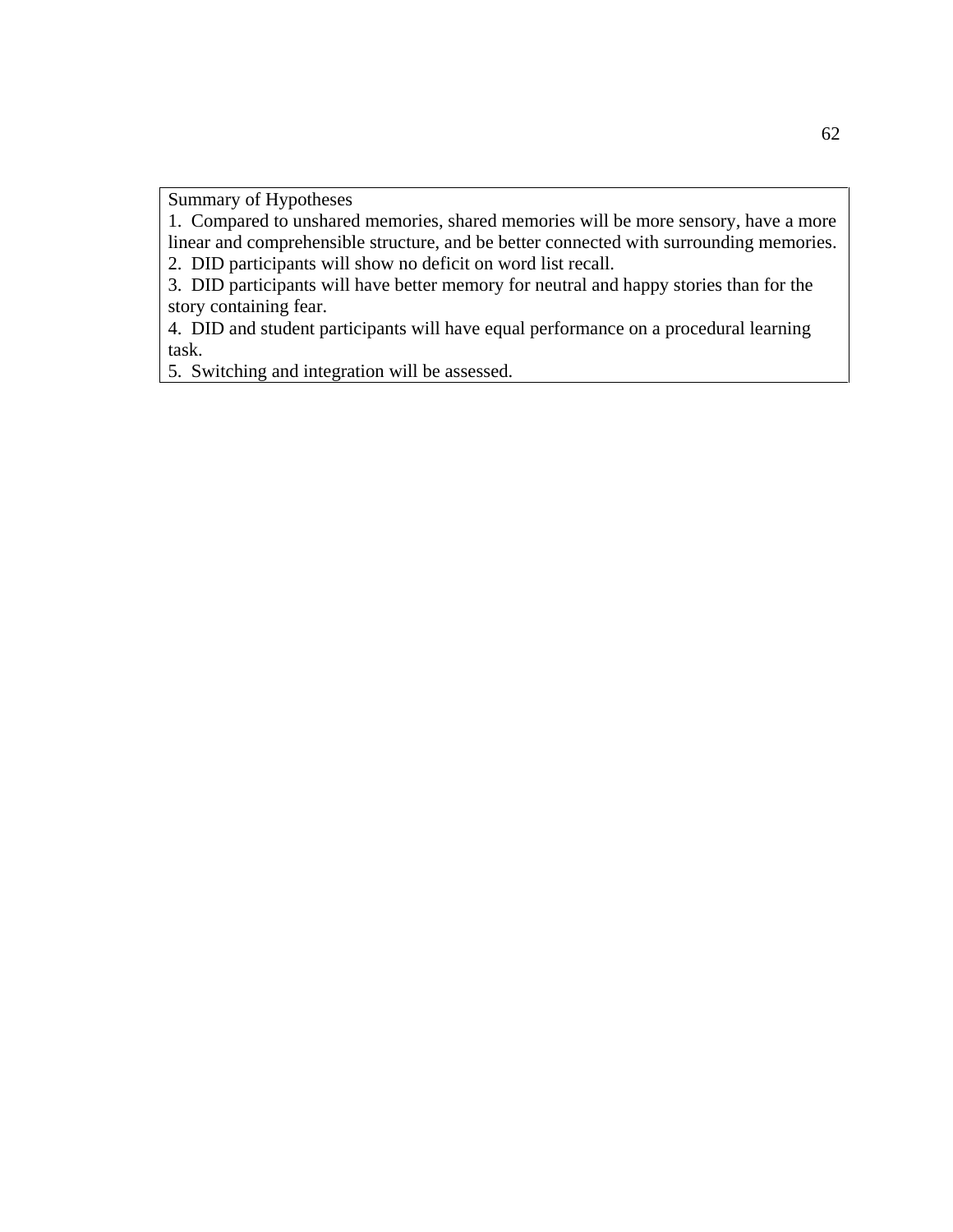Summary of Hypotheses

1. Compared to unshared memories, shared memories will be more sensory, have a more linear and comprehensible structure, and be better connected with surrounding memories.

2. DID participants will show no deficit on word list recall.

3. DID participants will have better memory for neutral and happy stories than for the story containing fear.

4. DID and student participants will have equal performance on a procedural learning task.

5. Switching and integration will be assessed.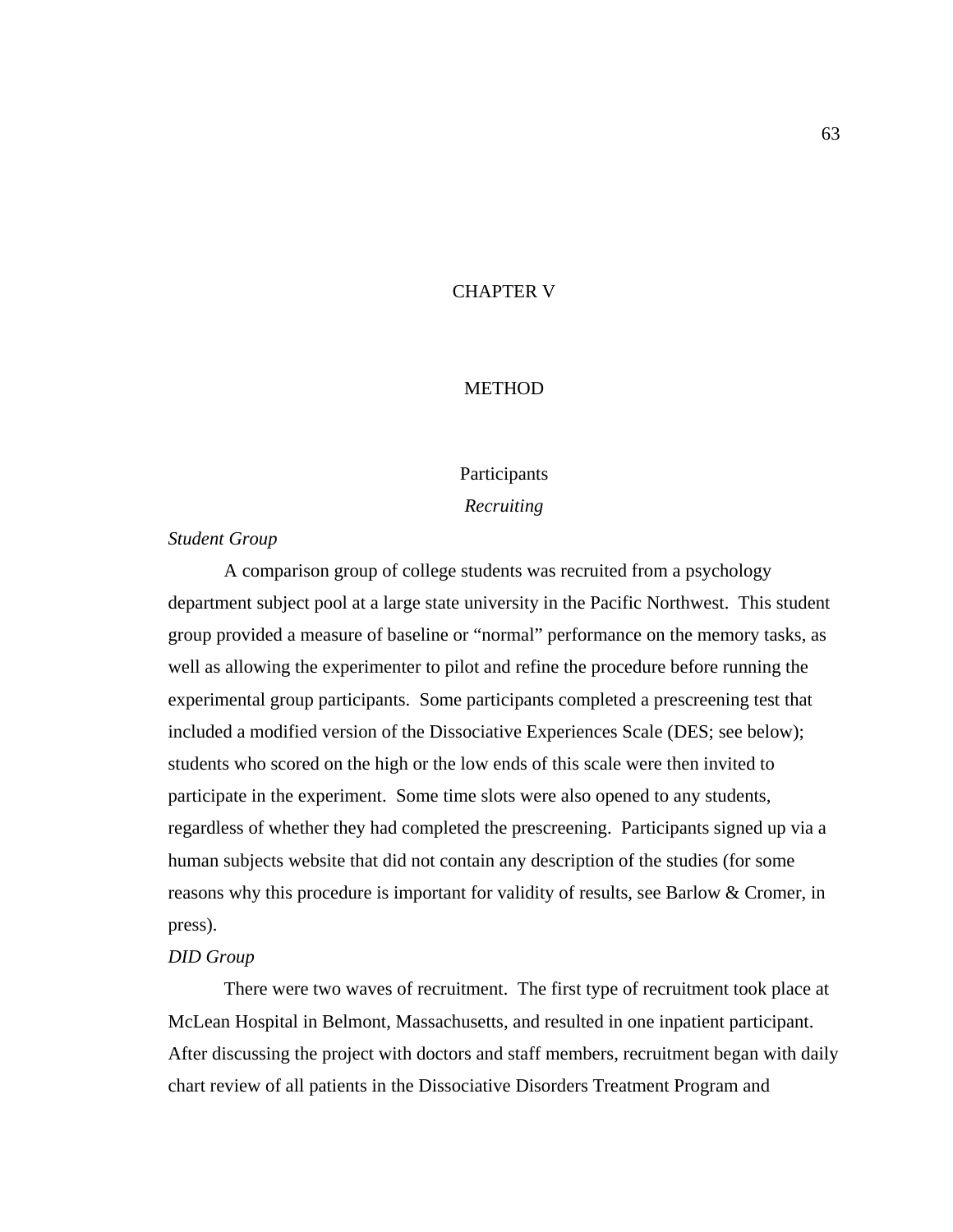## CHAPTER V

## **METHOD**

# Participants

## *Recruiting*

## *Student Group*

A comparison group of college students was recruited from a psychology department subject pool at a large state university in the Pacific Northwest. This student group provided a measure of baseline or "normal" performance on the memory tasks, as well as allowing the experimenter to pilot and refine the procedure before running the experimental group participants. Some participants completed a prescreening test that included a modified version of the Dissociative Experiences Scale (DES; see below); students who scored on the high or the low ends of this scale were then invited to participate in the experiment. Some time slots were also opened to any students, regardless of whether they had completed the prescreening. Participants signed up via a human subjects website that did not contain any description of the studies (for some reasons why this procedure is important for validity of results, see Barlow & Cromer, in press).

#### *DID Group*

There were two waves of recruitment. The first type of recruitment took place at McLean Hospital in Belmont, Massachusetts, and resulted in one inpatient participant. After discussing the project with doctors and staff members, recruitment began with daily chart review of all patients in the Dissociative Disorders Treatment Program and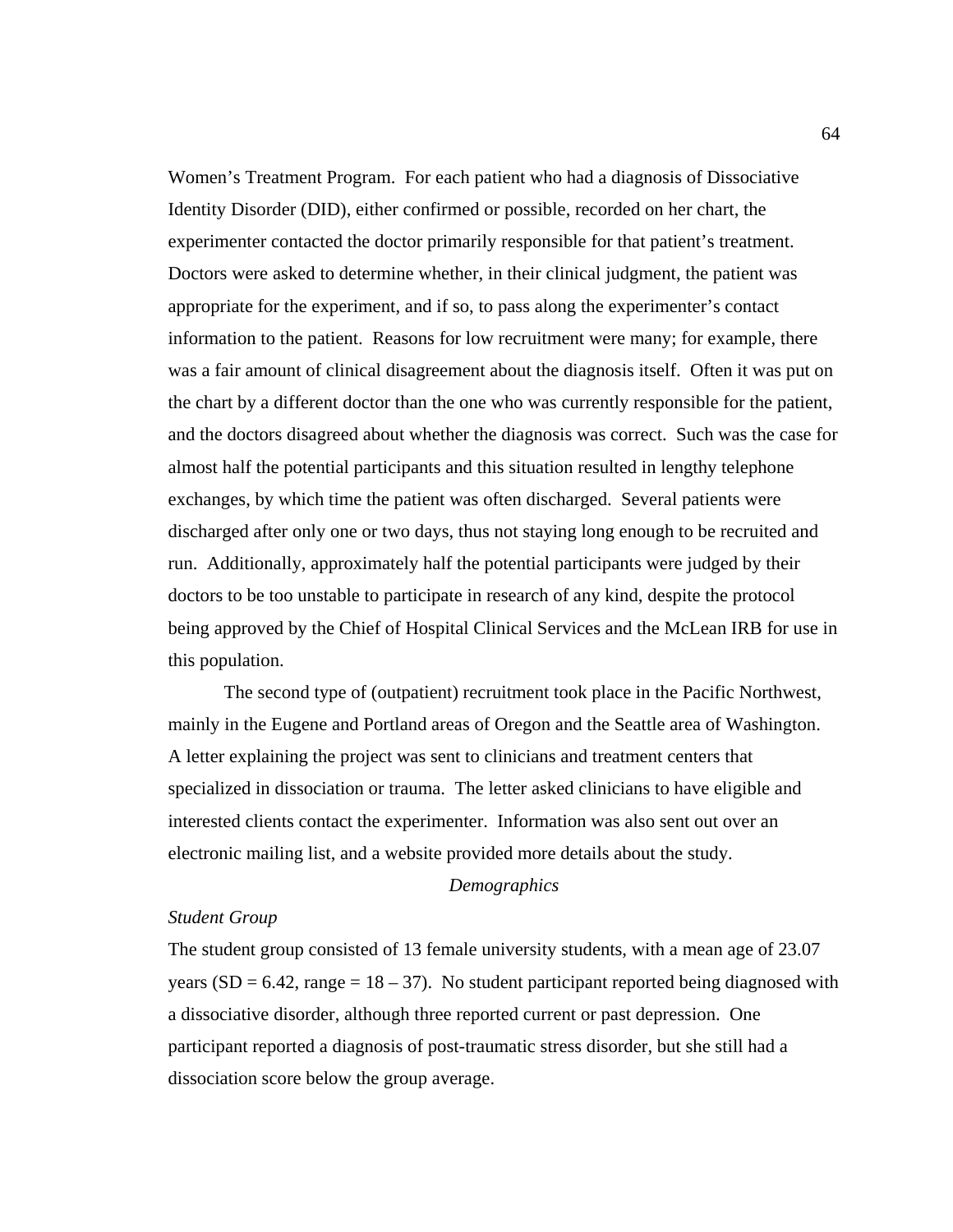Women's Treatment Program. For each patient who had a diagnosis of Dissociative Identity Disorder (DID), either confirmed or possible, recorded on her chart, the experimenter contacted the doctor primarily responsible for that patient's treatment. Doctors were asked to determine whether, in their clinical judgment, the patient was appropriate for the experiment, and if so, to pass along the experimenter's contact information to the patient. Reasons for low recruitment were many; for example, there was a fair amount of clinical disagreement about the diagnosis itself. Often it was put on the chart by a different doctor than the one who was currently responsible for the patient, and the doctors disagreed about whether the diagnosis was correct. Such was the case for almost half the potential participants and this situation resulted in lengthy telephone exchanges, by which time the patient was often discharged. Several patients were discharged after only one or two days, thus not staying long enough to be recruited and run. Additionally, approximately half the potential participants were judged by their doctors to be too unstable to participate in research of any kind, despite the protocol being approved by the Chief of Hospital Clinical Services and the McLean IRB for use in this population.

 The second type of (outpatient) recruitment took place in the Pacific Northwest, mainly in the Eugene and Portland areas of Oregon and the Seattle area of Washington. A letter explaining the project was sent to clinicians and treatment centers that specialized in dissociation or trauma. The letter asked clinicians to have eligible and interested clients contact the experimenter. Information was also sent out over an electronic mailing list, and a website provided more details about the study.

#### *Demographics*

## *Student Group*

The student group consisted of 13 female university students, with a mean age of 23.07 years ( $SD = 6.42$ , range =  $18 - 37$ ). No student participant reported being diagnosed with a dissociative disorder, although three reported current or past depression. One participant reported a diagnosis of post-traumatic stress disorder, but she still had a dissociation score below the group average.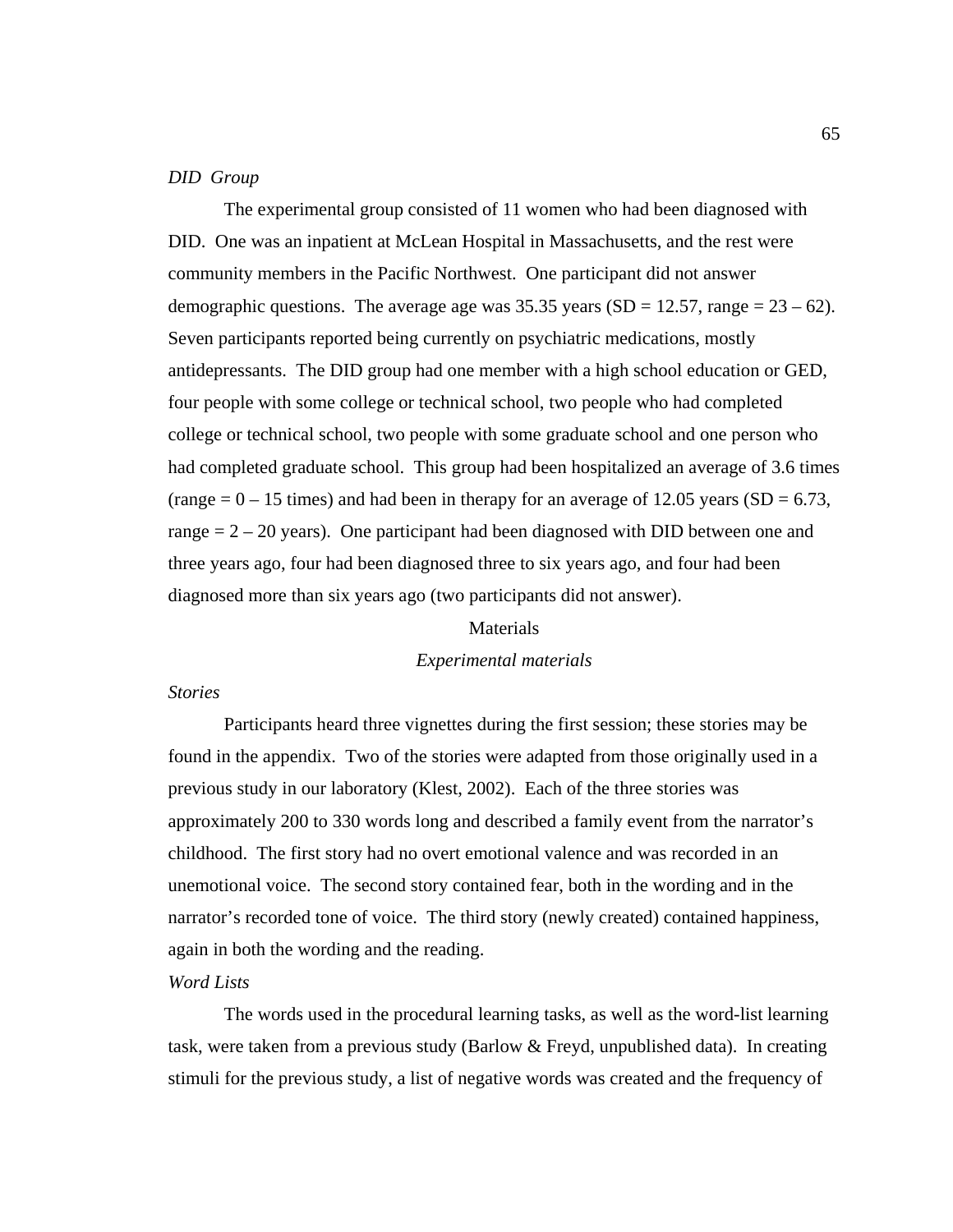#### *DID Group*

The experimental group consisted of 11 women who had been diagnosed with DID. One was an inpatient at McLean Hospital in Massachusetts, and the rest were community members in the Pacific Northwest. One participant did not answer demographic questions. The average age was  $35.35$  years (SD = 12.57, range =  $23 - 62$ ). Seven participants reported being currently on psychiatric medications, mostly antidepressants. The DID group had one member with a high school education or GED, four people with some college or technical school, two people who had completed college or technical school, two people with some graduate school and one person who had completed graduate school. This group had been hospitalized an average of 3.6 times  $(\text{range} = 0 - 15 \text{ times})$  and had been in therapy for an average of 12.05 years (SD = 6.73, range  $= 2 - 20$  years). One participant had been diagnosed with DID between one and three years ago, four had been diagnosed three to six years ago, and four had been diagnosed more than six years ago (two participants did not answer).

#### **Materials**

#### *Experimental materials*

## *Stories*

Participants heard three vignettes during the first session; these stories may be found in the appendix. Two of the stories were adapted from those originally used in a previous study in our laboratory (Klest, 2002). Each of the three stories was approximately 200 to 330 words long and described a family event from the narrator's childhood. The first story had no overt emotional valence and was recorded in an unemotional voice. The second story contained fear, both in the wording and in the narrator's recorded tone of voice. The third story (newly created) contained happiness, again in both the wording and the reading.

#### *Word Lists*

 The words used in the procedural learning tasks, as well as the word-list learning task, were taken from a previous study (Barlow & Freyd, unpublished data). In creating stimuli for the previous study, a list of negative words was created and the frequency of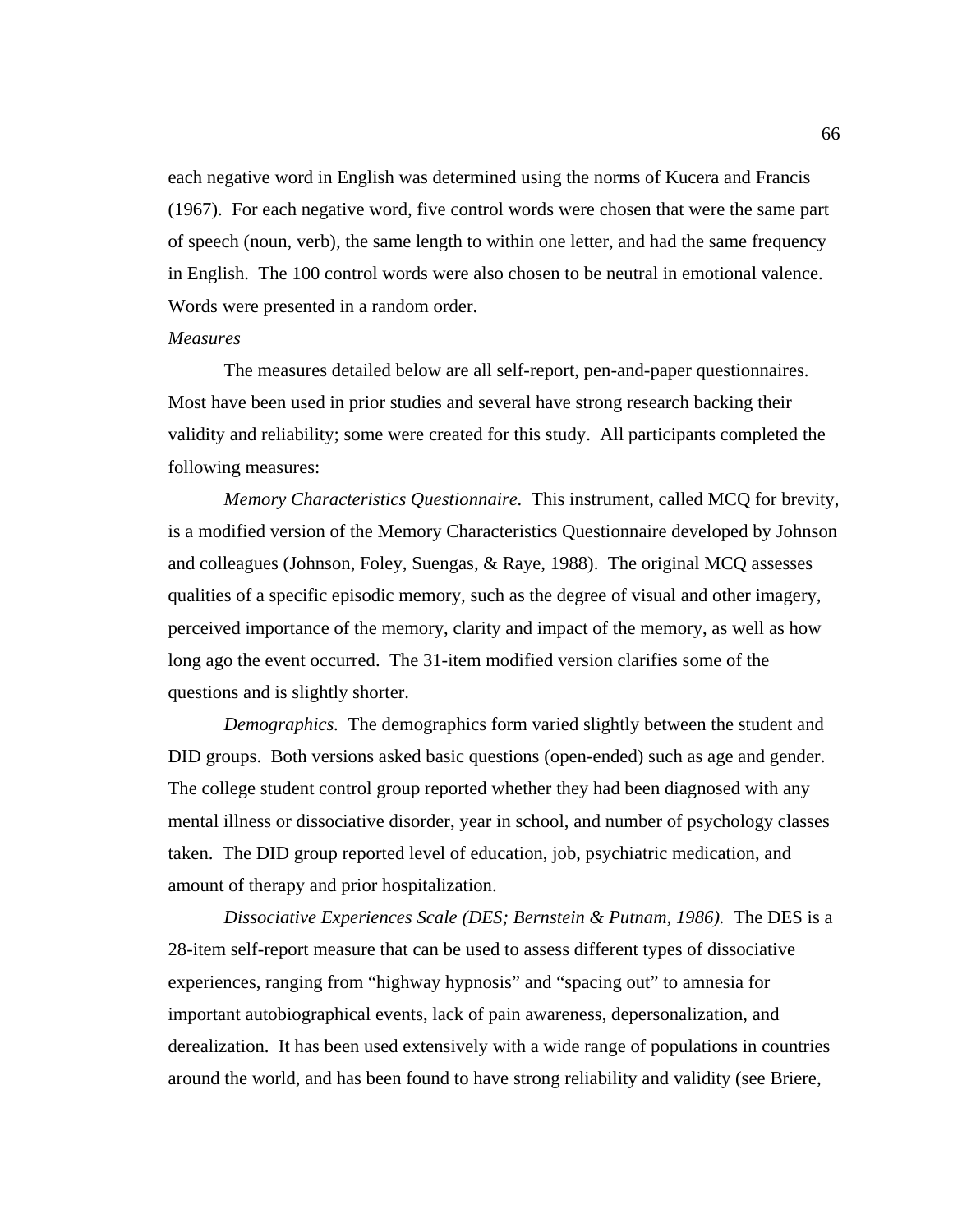each negative word in English was determined using the norms of Kucera and Francis (1967). For each negative word, five control words were chosen that were the same part of speech (noun, verb), the same length to within one letter, and had the same frequency in English. The 100 control words were also chosen to be neutral in emotional valence. Words were presented in a random order.

#### *Measures*

 The measures detailed below are all self-report, pen-and-paper questionnaires. Most have been used in prior studies and several have strong research backing their validity and reliability; some were created for this study. All participants completed the following measures:

*Memory Characteristics Questionnaire.* This instrument, called MCQ for brevity, is a modified version of the Memory Characteristics Questionnaire developed by Johnson and colleagues (Johnson, Foley, Suengas, & Raye, 1988). The original MCQ assesses qualities of a specific episodic memory, such as the degree of visual and other imagery, perceived importance of the memory, clarity and impact of the memory, as well as how long ago the event occurred. The 31-item modified version clarifies some of the questions and is slightly shorter.

*Demographics.* The demographics form varied slightly between the student and DID groups. Both versions asked basic questions (open-ended) such as age and gender. The college student control group reported whether they had been diagnosed with any mental illness or dissociative disorder, year in school, and number of psychology classes taken. The DID group reported level of education, job, psychiatric medication, and amount of therapy and prior hospitalization.

*Dissociative Experiences Scale (DES; Bernstein & Putnam, 1986).* The DES is a 28-item self-report measure that can be used to assess different types of dissociative experiences, ranging from "highway hypnosis" and "spacing out" to amnesia for important autobiographical events, lack of pain awareness, depersonalization, and derealization. It has been used extensively with a wide range of populations in countries around the world, and has been found to have strong reliability and validity (see Briere,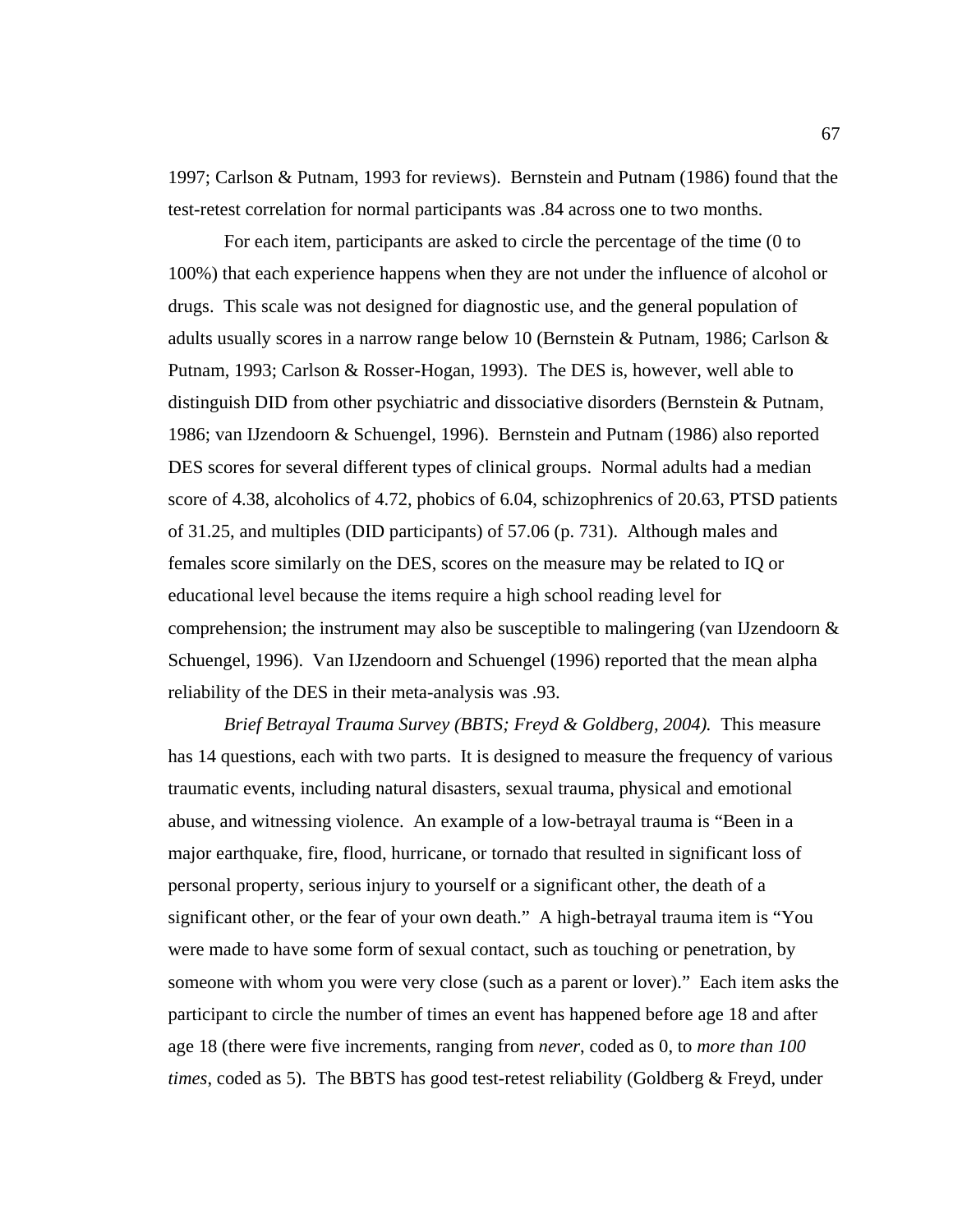1997; Carlson & Putnam, 1993 for reviews). Bernstein and Putnam (1986) found that the test-retest correlation for normal participants was .84 across one to two months.

For each item, participants are asked to circle the percentage of the time (0 to 100%) that each experience happens when they are not under the influence of alcohol or drugs. This scale was not designed for diagnostic use, and the general population of adults usually scores in a narrow range below 10 (Bernstein & Putnam, 1986; Carlson & Putnam, 1993; Carlson & Rosser-Hogan, 1993). The DES is, however, well able to distinguish DID from other psychiatric and dissociative disorders (Bernstein & Putnam, 1986; van IJzendoorn & Schuengel, 1996). Bernstein and Putnam (1986) also reported DES scores for several different types of clinical groups. Normal adults had a median score of 4.38, alcoholics of 4.72, phobics of 6.04, schizophrenics of 20.63, PTSD patients of 31.25, and multiples (DID participants) of 57.06 (p. 731). Although males and females score similarly on the DES, scores on the measure may be related to IQ or educational level because the items require a high school reading level for comprehension; the instrument may also be susceptible to malingering (van IJzendoorn  $\&$ Schuengel, 1996). Van IJzendoorn and Schuengel (1996) reported that the mean alpha reliability of the DES in their meta-analysis was .93.

*Brief Betrayal Trauma Survey (BBTS; Freyd & Goldberg, 2004).* This measure has 14 questions, each with two parts. It is designed to measure the frequency of various traumatic events, including natural disasters, sexual trauma, physical and emotional abuse, and witnessing violence. An example of a low-betrayal trauma is "Been in a major earthquake, fire, flood, hurricane, or tornado that resulted in significant loss of personal property, serious injury to yourself or a significant other, the death of a significant other, or the fear of your own death." A high-betrayal trauma item is "You were made to have some form of sexual contact, such as touching or penetration, by someone with whom you were very close (such as a parent or lover)." Each item asks the participant to circle the number of times an event has happened before age 18 and after age 18 (there were five increments, ranging from *never*, coded as 0, to *more than 100 times*, coded as 5). The BBTS has good test-retest reliability (Goldberg & Freyd, under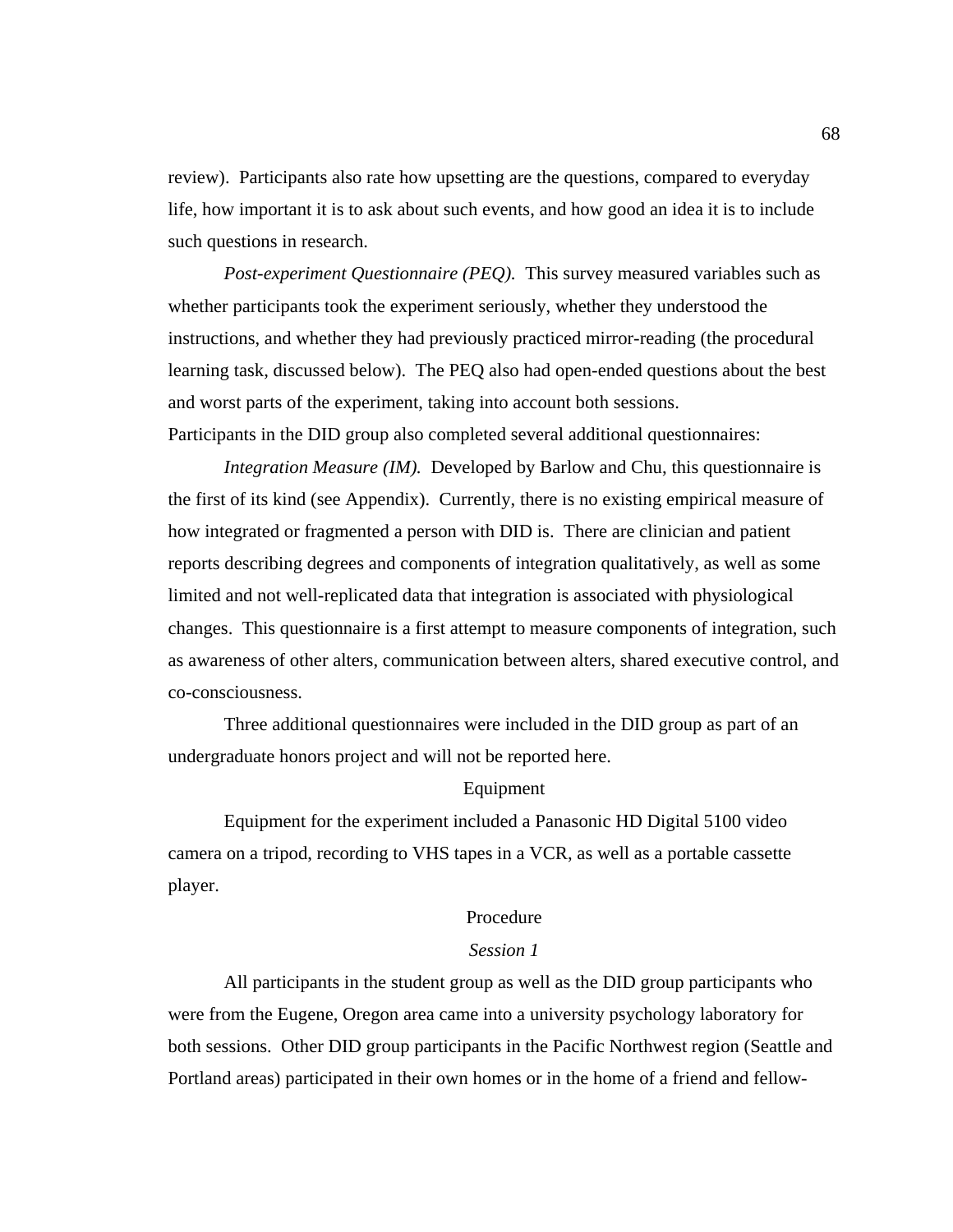review). Participants also rate how upsetting are the questions, compared to everyday life, how important it is to ask about such events, and how good an idea it is to include such questions in research.

*Post-experiment Questionnaire (PEQ).* This survey measured variables such as whether participants took the experiment seriously, whether they understood the instructions, and whether they had previously practiced mirror-reading (the procedural learning task, discussed below). The PEQ also had open-ended questions about the best and worst parts of the experiment, taking into account both sessions. Participants in the DID group also completed several additional questionnaires:

*Integration Measure (IM).* Developed by Barlow and Chu, this questionnaire is the first of its kind (see Appendix). Currently, there is no existing empirical measure of how integrated or fragmented a person with DID is. There are clinician and patient reports describing degrees and components of integration qualitatively, as well as some limited and not well-replicated data that integration is associated with physiological changes. This questionnaire is a first attempt to measure components of integration, such as awareness of other alters, communication between alters, shared executive control, and co-consciousness.

Three additional questionnaires were included in the DID group as part of an undergraduate honors project and will not be reported here.

#### Equipment

 Equipment for the experiment included a Panasonic HD Digital 5100 video camera on a tripod, recording to VHS tapes in a VCR, as well as a portable cassette player.

#### Procedure

#### *Session 1*

 All participants in the student group as well as the DID group participants who were from the Eugene, Oregon area came into a university psychology laboratory for both sessions. Other DID group participants in the Pacific Northwest region (Seattle and Portland areas) participated in their own homes or in the home of a friend and fellow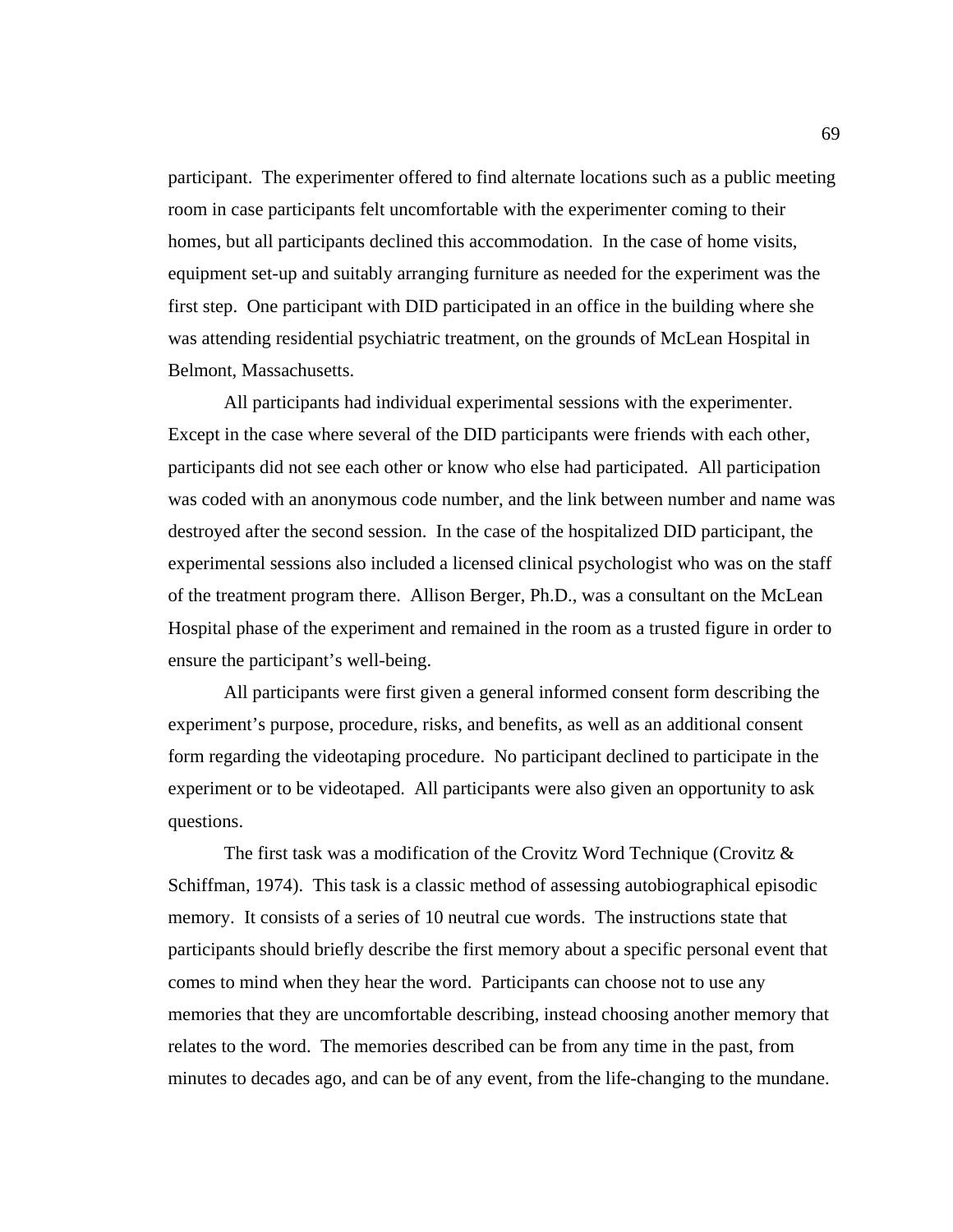participant. The experimenter offered to find alternate locations such as a public meeting room in case participants felt uncomfortable with the experimenter coming to their homes, but all participants declined this accommodation. In the case of home visits, equipment set-up and suitably arranging furniture as needed for the experiment was the first step. One participant with DID participated in an office in the building where she was attending residential psychiatric treatment, on the grounds of McLean Hospital in Belmont, Massachusetts.

All participants had individual experimental sessions with the experimenter. Except in the case where several of the DID participants were friends with each other, participants did not see each other or know who else had participated. All participation was coded with an anonymous code number, and the link between number and name was destroyed after the second session. In the case of the hospitalized DID participant, the experimental sessions also included a licensed clinical psychologist who was on the staff of the treatment program there. Allison Berger, Ph.D., was a consultant on the McLean Hospital phase of the experiment and remained in the room as a trusted figure in order to ensure the participant's well-being.

 All participants were first given a general informed consent form describing the experiment's purpose, procedure, risks, and benefits, as well as an additional consent form regarding the videotaping procedure. No participant declined to participate in the experiment or to be videotaped. All participants were also given an opportunity to ask questions.

 The first task was a modification of the Crovitz Word Technique (Crovitz & Schiffman, 1974). This task is a classic method of assessing autobiographical episodic memory. It consists of a series of 10 neutral cue words. The instructions state that participants should briefly describe the first memory about a specific personal event that comes to mind when they hear the word. Participants can choose not to use any memories that they are uncomfortable describing, instead choosing another memory that relates to the word. The memories described can be from any time in the past, from minutes to decades ago, and can be of any event, from the life-changing to the mundane.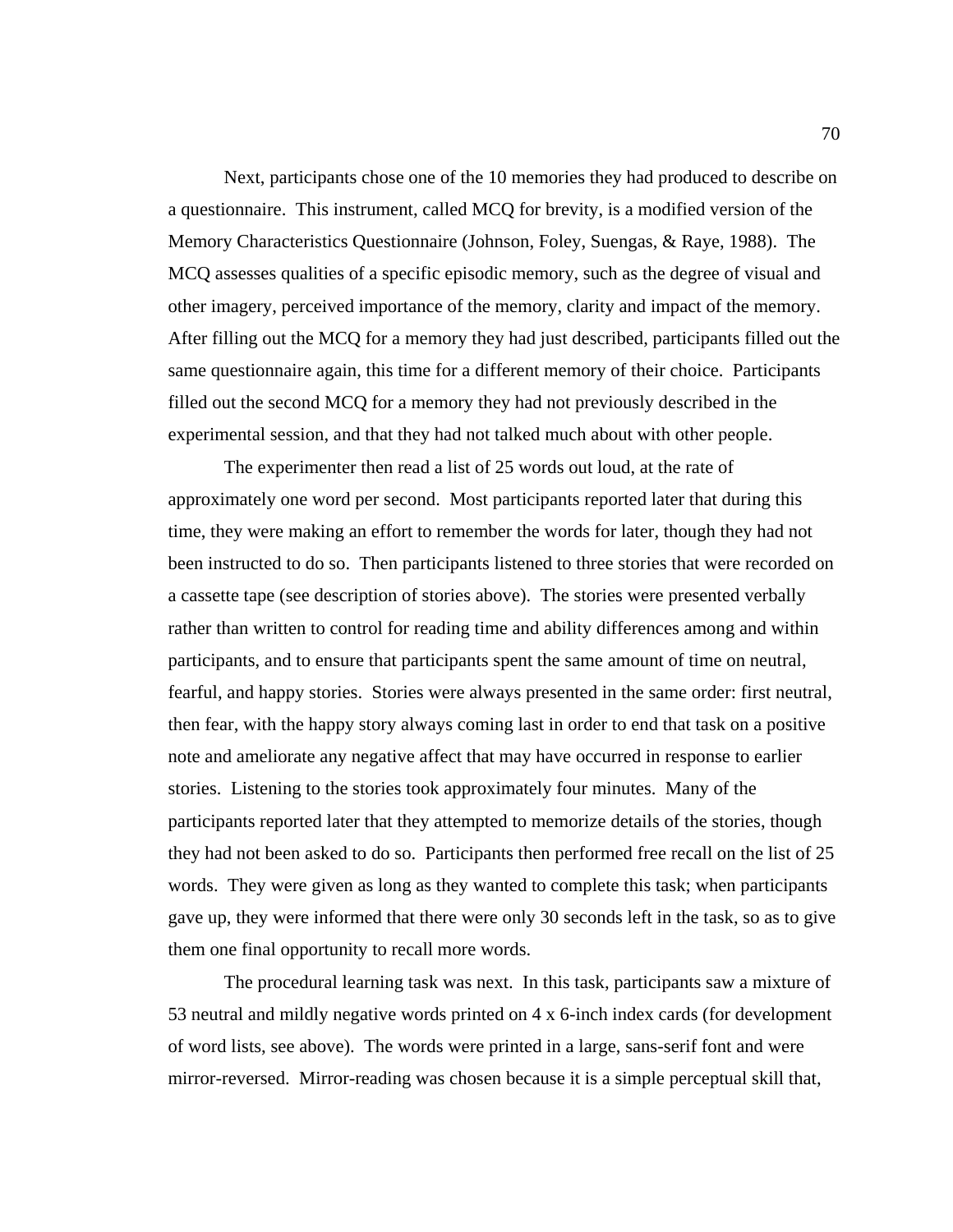Next, participants chose one of the 10 memories they had produced to describe on a questionnaire. This instrument, called MCQ for brevity, is a modified version of the Memory Characteristics Questionnaire (Johnson, Foley, Suengas, & Raye, 1988). The MCQ assesses qualities of a specific episodic memory, such as the degree of visual and other imagery, perceived importance of the memory, clarity and impact of the memory. After filling out the MCQ for a memory they had just described, participants filled out the same questionnaire again, this time for a different memory of their choice. Participants filled out the second MCQ for a memory they had not previously described in the experimental session, and that they had not talked much about with other people.

 The experimenter then read a list of 25 words out loud, at the rate of approximately one word per second. Most participants reported later that during this time, they were making an effort to remember the words for later, though they had not been instructed to do so. Then participants listened to three stories that were recorded on a cassette tape (see description of stories above). The stories were presented verbally rather than written to control for reading time and ability differences among and within participants, and to ensure that participants spent the same amount of time on neutral, fearful, and happy stories. Stories were always presented in the same order: first neutral, then fear, with the happy story always coming last in order to end that task on a positive note and ameliorate any negative affect that may have occurred in response to earlier stories. Listening to the stories took approximately four minutes. Many of the participants reported later that they attempted to memorize details of the stories, though they had not been asked to do so. Participants then performed free recall on the list of 25 words. They were given as long as they wanted to complete this task; when participants gave up, they were informed that there were only 30 seconds left in the task, so as to give them one final opportunity to recall more words.

 The procedural learning task was next. In this task, participants saw a mixture of 53 neutral and mildly negative words printed on 4 x 6-inch index cards (for development of word lists, see above). The words were printed in a large, sans-serif font and were mirror-reversed. Mirror-reading was chosen because it is a simple perceptual skill that,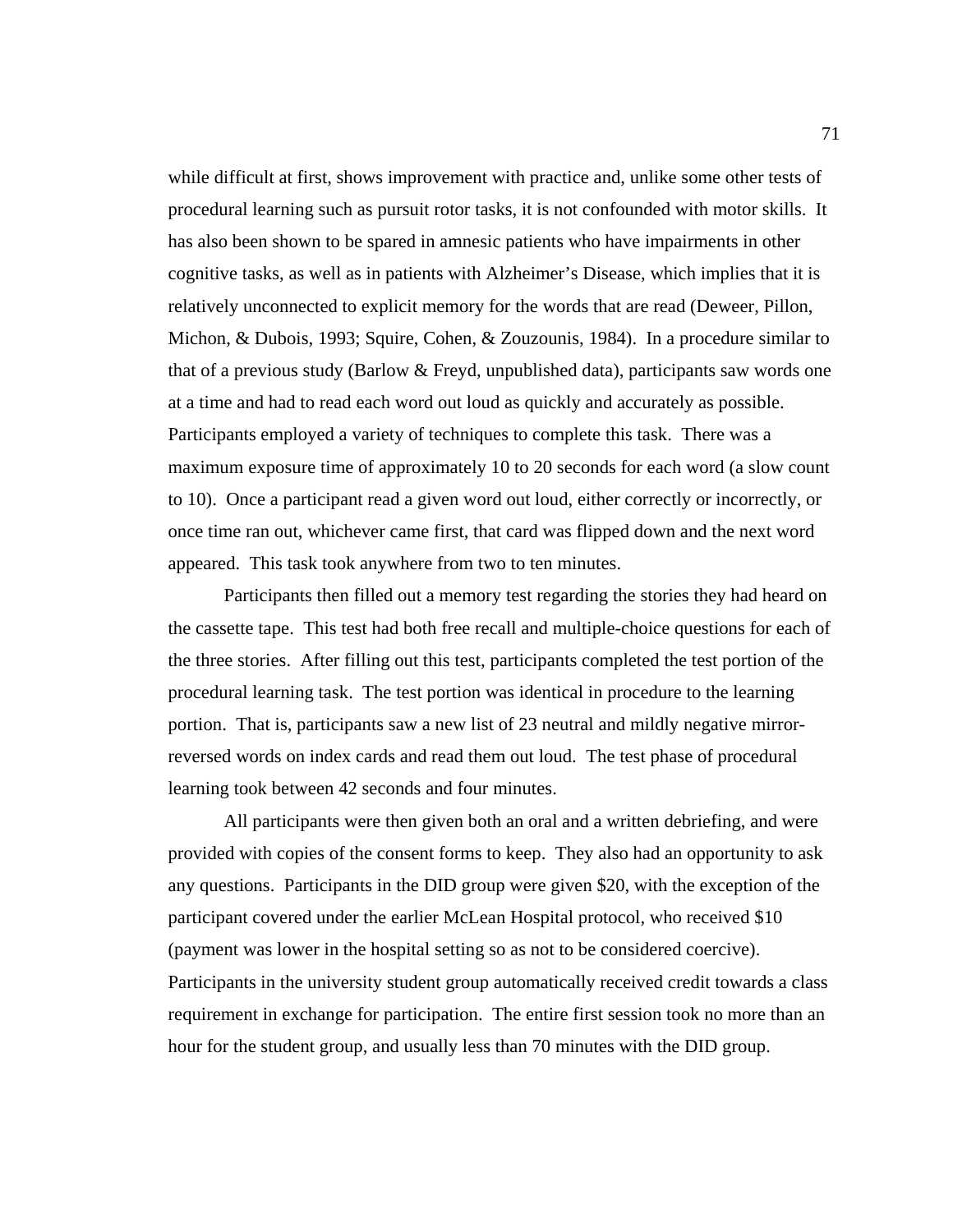while difficult at first, shows improvement with practice and, unlike some other tests of procedural learning such as pursuit rotor tasks, it is not confounded with motor skills. It has also been shown to be spared in amnesic patients who have impairments in other cognitive tasks, as well as in patients with Alzheimer's Disease, which implies that it is relatively unconnected to explicit memory for the words that are read (Deweer, Pillon, Michon, & Dubois, 1993; Squire, Cohen, & Zouzounis, 1984). In a procedure similar to that of a previous study (Barlow & Freyd, unpublished data), participants saw words one at a time and had to read each word out loud as quickly and accurately as possible. Participants employed a variety of techniques to complete this task. There was a maximum exposure time of approximately 10 to 20 seconds for each word (a slow count to 10). Once a participant read a given word out loud, either correctly or incorrectly, or once time ran out, whichever came first, that card was flipped down and the next word appeared. This task took anywhere from two to ten minutes.

Participants then filled out a memory test regarding the stories they had heard on the cassette tape. This test had both free recall and multiple-choice questions for each of the three stories. After filling out this test, participants completed the test portion of the procedural learning task. The test portion was identical in procedure to the learning portion. That is, participants saw a new list of 23 neutral and mildly negative mirrorreversed words on index cards and read them out loud. The test phase of procedural learning took between 42 seconds and four minutes.

All participants were then given both an oral and a written debriefing, and were provided with copies of the consent forms to keep. They also had an opportunity to ask any questions. Participants in the DID group were given \$20, with the exception of the participant covered under the earlier McLean Hospital protocol, who received \$10 (payment was lower in the hospital setting so as not to be considered coercive). Participants in the university student group automatically received credit towards a class requirement in exchange for participation. The entire first session took no more than an hour for the student group, and usually less than 70 minutes with the DID group.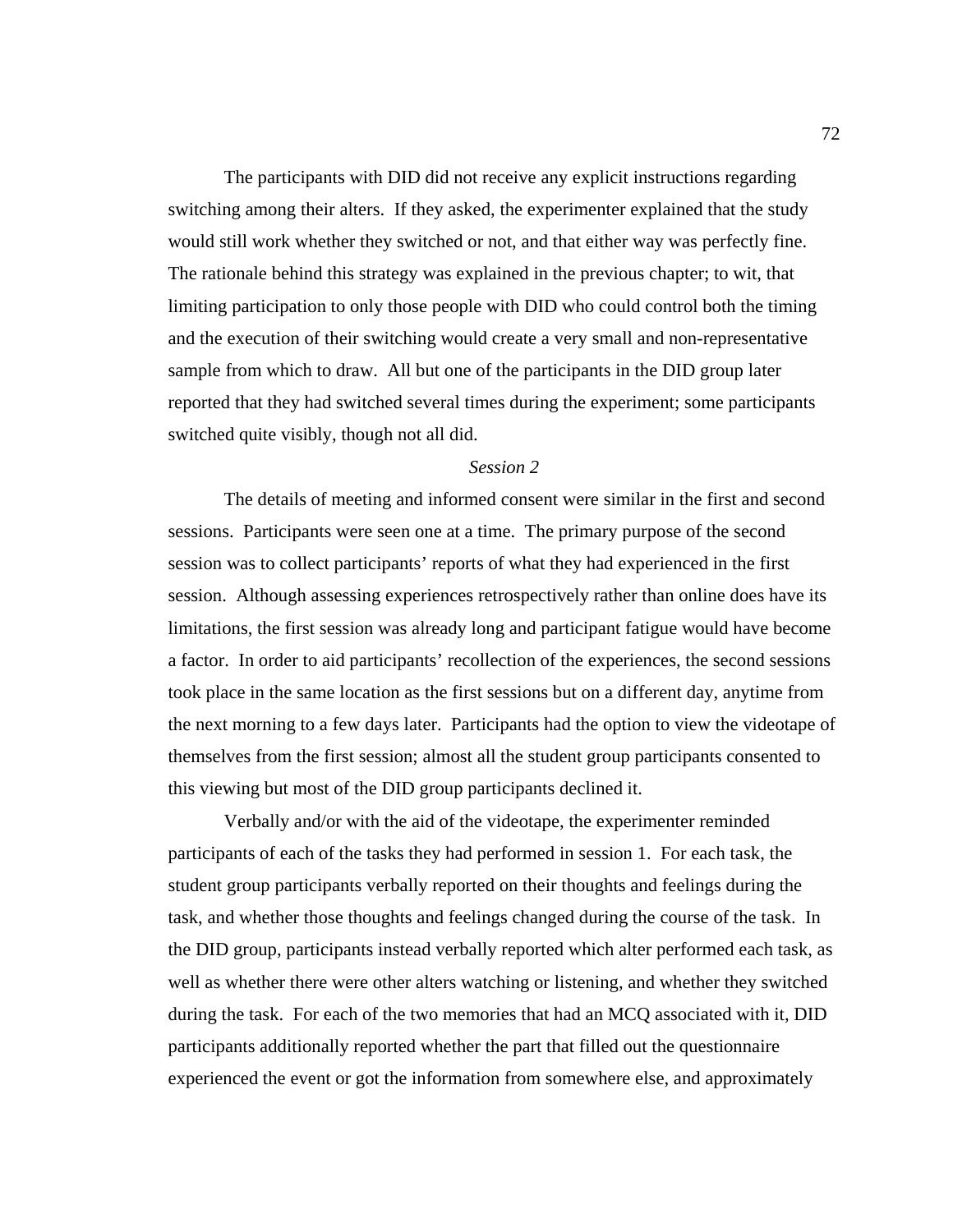The participants with DID did not receive any explicit instructions regarding switching among their alters. If they asked, the experimenter explained that the study would still work whether they switched or not, and that either way was perfectly fine. The rationale behind this strategy was explained in the previous chapter; to wit, that limiting participation to only those people with DID who could control both the timing and the execution of their switching would create a very small and non-representative sample from which to draw. All but one of the participants in the DID group later reported that they had switched several times during the experiment; some participants switched quite visibly, though not all did.

#### *Session 2*

 The details of meeting and informed consent were similar in the first and second sessions. Participants were seen one at a time. The primary purpose of the second session was to collect participants' reports of what they had experienced in the first session. Although assessing experiences retrospectively rather than online does have its limitations, the first session was already long and participant fatigue would have become a factor. In order to aid participants' recollection of the experiences, the second sessions took place in the same location as the first sessions but on a different day, anytime from the next morning to a few days later. Participants had the option to view the videotape of themselves from the first session; almost all the student group participants consented to this viewing but most of the DID group participants declined it.

 Verbally and/or with the aid of the videotape, the experimenter reminded participants of each of the tasks they had performed in session 1. For each task, the student group participants verbally reported on their thoughts and feelings during the task, and whether those thoughts and feelings changed during the course of the task. In the DID group, participants instead verbally reported which alter performed each task, as well as whether there were other alters watching or listening, and whether they switched during the task. For each of the two memories that had an MCQ associated with it, DID participants additionally reported whether the part that filled out the questionnaire experienced the event or got the information from somewhere else, and approximately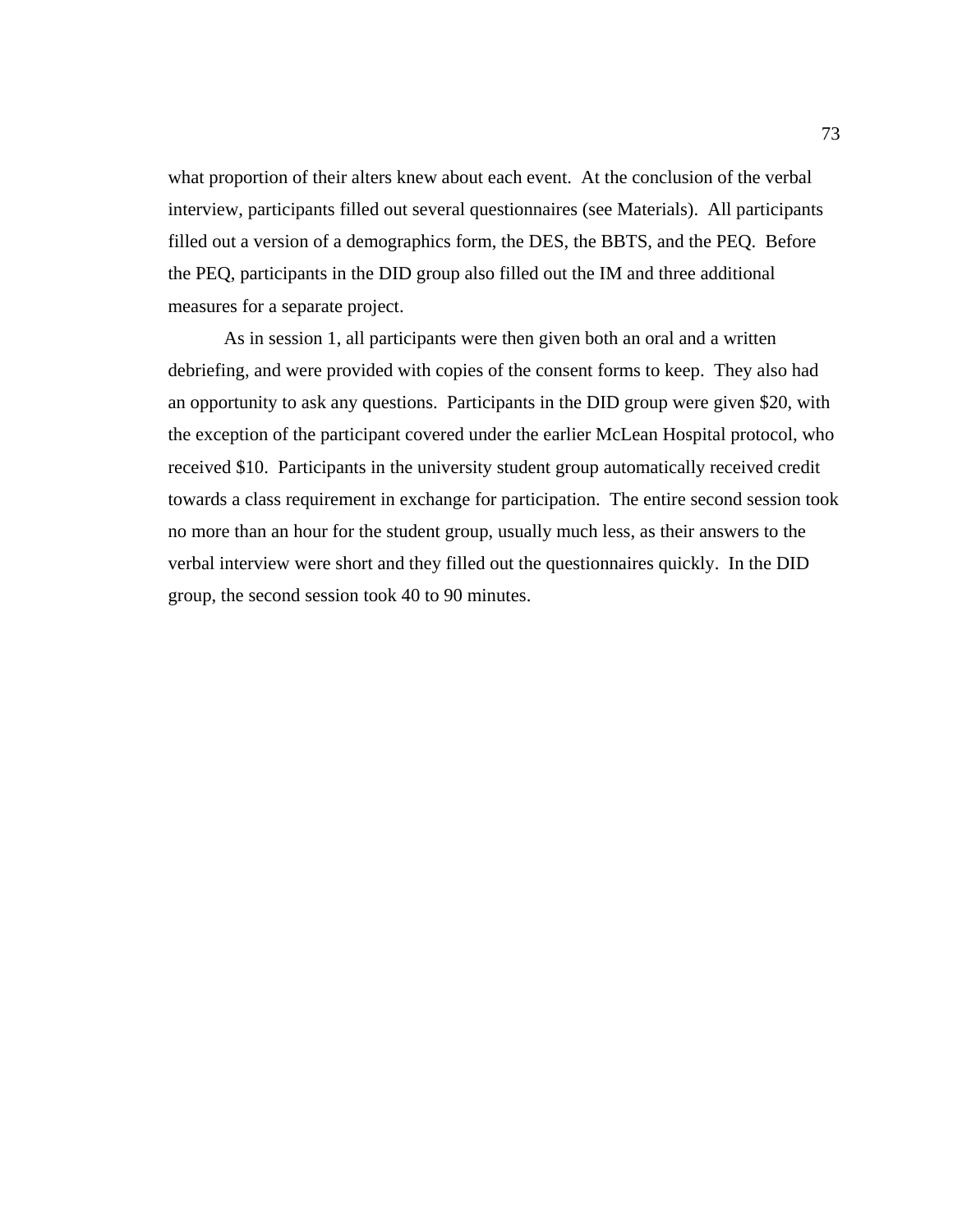what proportion of their alters knew about each event. At the conclusion of the verbal interview, participants filled out several questionnaires (see Materials). All participants filled out a version of a demographics form, the DES, the BBTS, and the PEQ. Before the PEQ, participants in the DID group also filled out the IM and three additional measures for a separate project.

As in session 1, all participants were then given both an oral and a written debriefing, and were provided with copies of the consent forms to keep. They also had an opportunity to ask any questions. Participants in the DID group were given \$20, with the exception of the participant covered under the earlier McLean Hospital protocol, who received \$10. Participants in the university student group automatically received credit towards a class requirement in exchange for participation. The entire second session took no more than an hour for the student group, usually much less, as their answers to the verbal interview were short and they filled out the questionnaires quickly. In the DID group, the second session took 40 to 90 minutes.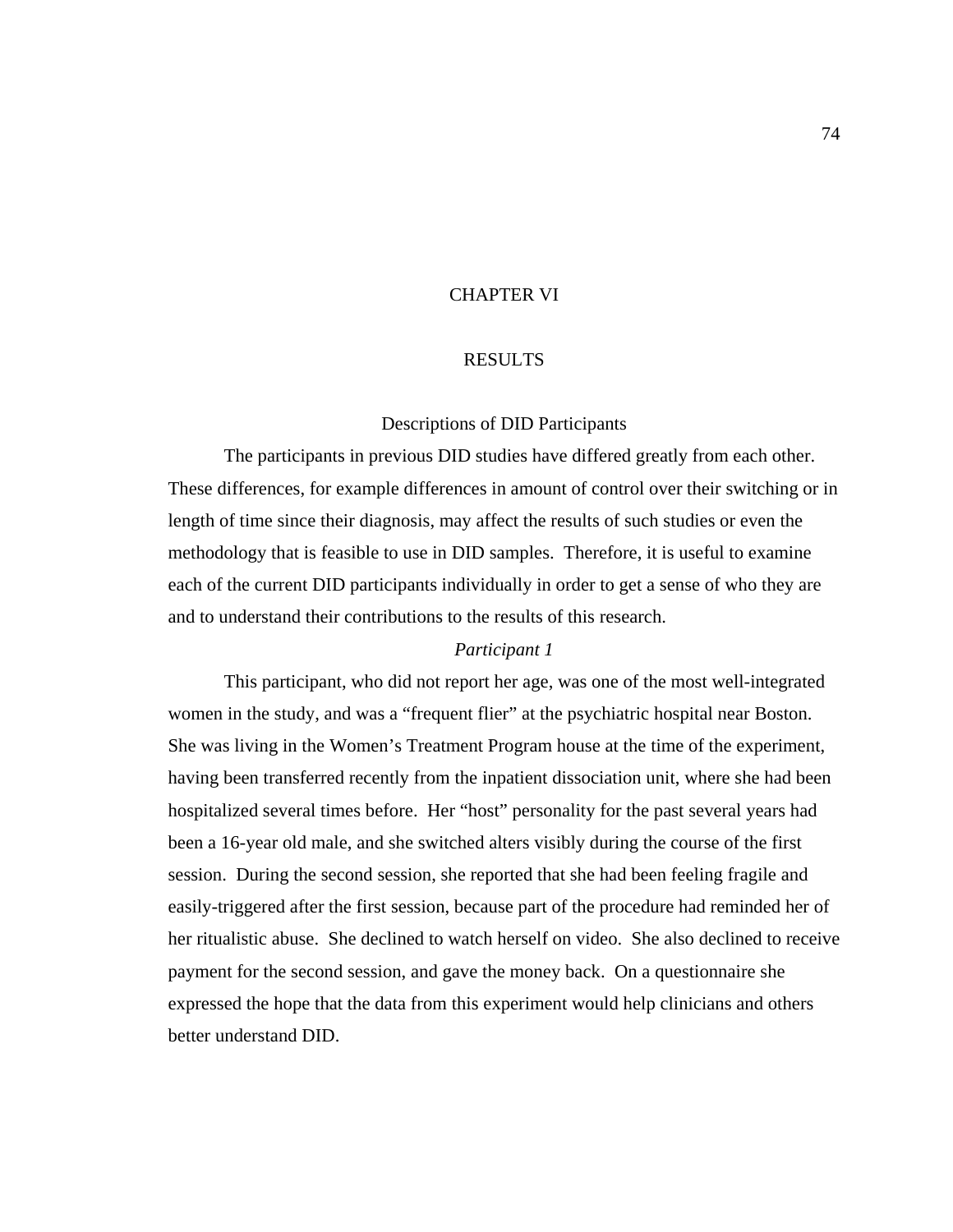## CHAPTER VI

## RESULTS

#### Descriptions of DID Participants

The participants in previous DID studies have differed greatly from each other. These differences, for example differences in amount of control over their switching or in length of time since their diagnosis, may affect the results of such studies or even the methodology that is feasible to use in DID samples. Therefore, it is useful to examine each of the current DID participants individually in order to get a sense of who they are and to understand their contributions to the results of this research.

## *Participant 1*

 This participant, who did not report her age, was one of the most well-integrated women in the study, and was a "frequent flier" at the psychiatric hospital near Boston. She was living in the Women's Treatment Program house at the time of the experiment, having been transferred recently from the inpatient dissociation unit, where she had been hospitalized several times before. Her "host" personality for the past several years had been a 16-year old male, and she switched alters visibly during the course of the first session. During the second session, she reported that she had been feeling fragile and easily-triggered after the first session, because part of the procedure had reminded her of her ritualistic abuse. She declined to watch herself on video. She also declined to receive payment for the second session, and gave the money back. On a questionnaire she expressed the hope that the data from this experiment would help clinicians and others better understand DID.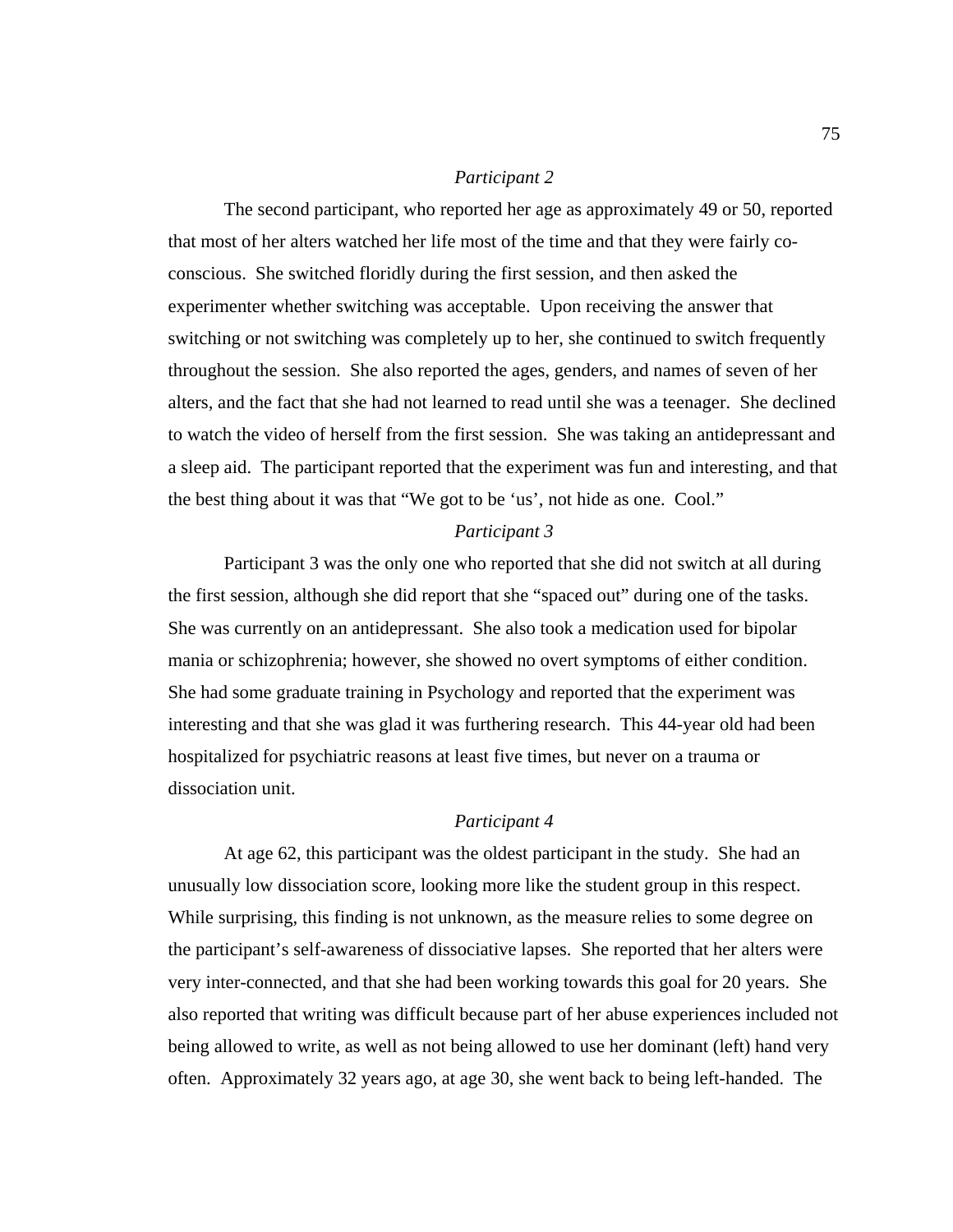#### *Participant 2*

 The second participant, who reported her age as approximately 49 or 50, reported that most of her alters watched her life most of the time and that they were fairly coconscious. She switched floridly during the first session, and then asked the experimenter whether switching was acceptable. Upon receiving the answer that switching or not switching was completely up to her, she continued to switch frequently throughout the session. She also reported the ages, genders, and names of seven of her alters, and the fact that she had not learned to read until she was a teenager. She declined to watch the video of herself from the first session. She was taking an antidepressant and a sleep aid. The participant reported that the experiment was fun and interesting, and that the best thing about it was that "We got to be 'us', not hide as one. Cool."

#### *Participant 3*

 Participant 3 was the only one who reported that she did not switch at all during the first session, although she did report that she "spaced out" during one of the tasks. She was currently on an antidepressant. She also took a medication used for bipolar mania or schizophrenia; however, she showed no overt symptoms of either condition. She had some graduate training in Psychology and reported that the experiment was interesting and that she was glad it was furthering research. This 44-year old had been hospitalized for psychiatric reasons at least five times, but never on a trauma or dissociation unit.

#### *Participant 4*

 At age 62, this participant was the oldest participant in the study. She had an unusually low dissociation score, looking more like the student group in this respect. While surprising, this finding is not unknown, as the measure relies to some degree on the participant's self-awareness of dissociative lapses. She reported that her alters were very inter-connected, and that she had been working towards this goal for 20 years. She also reported that writing was difficult because part of her abuse experiences included not being allowed to write, as well as not being allowed to use her dominant (left) hand very often. Approximately 32 years ago, at age 30, she went back to being left-handed. The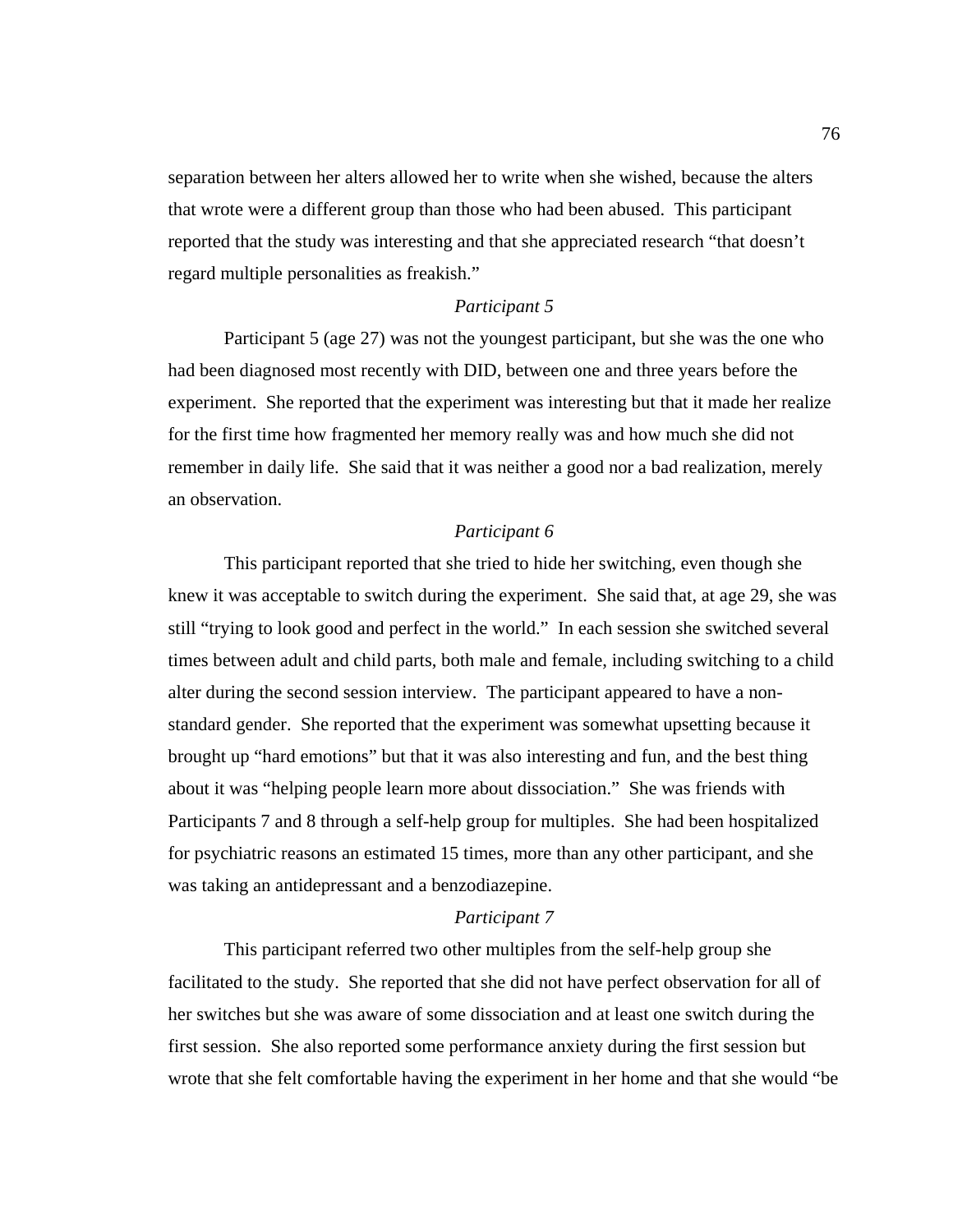separation between her alters allowed her to write when she wished, because the alters that wrote were a different group than those who had been abused. This participant reported that the study was interesting and that she appreciated research "that doesn't regard multiple personalities as freakish."

## *Participant 5*

 Participant 5 (age 27) was not the youngest participant, but she was the one who had been diagnosed most recently with DID, between one and three years before the experiment. She reported that the experiment was interesting but that it made her realize for the first time how fragmented her memory really was and how much she did not remember in daily life. She said that it was neither a good nor a bad realization, merely an observation.

#### *Participant 6*

 This participant reported that she tried to hide her switching, even though she knew it was acceptable to switch during the experiment. She said that, at age 29, she was still "trying to look good and perfect in the world." In each session she switched several times between adult and child parts, both male and female, including switching to a child alter during the second session interview. The participant appeared to have a nonstandard gender. She reported that the experiment was somewhat upsetting because it brought up "hard emotions" but that it was also interesting and fun, and the best thing about it was "helping people learn more about dissociation." She was friends with Participants 7 and 8 through a self-help group for multiples. She had been hospitalized for psychiatric reasons an estimated 15 times, more than any other participant, and she was taking an antidepressant and a benzodiazepine.

#### *Participant 7*

 This participant referred two other multiples from the self-help group she facilitated to the study. She reported that she did not have perfect observation for all of her switches but she was aware of some dissociation and at least one switch during the first session. She also reported some performance anxiety during the first session but wrote that she felt comfortable having the experiment in her home and that she would "be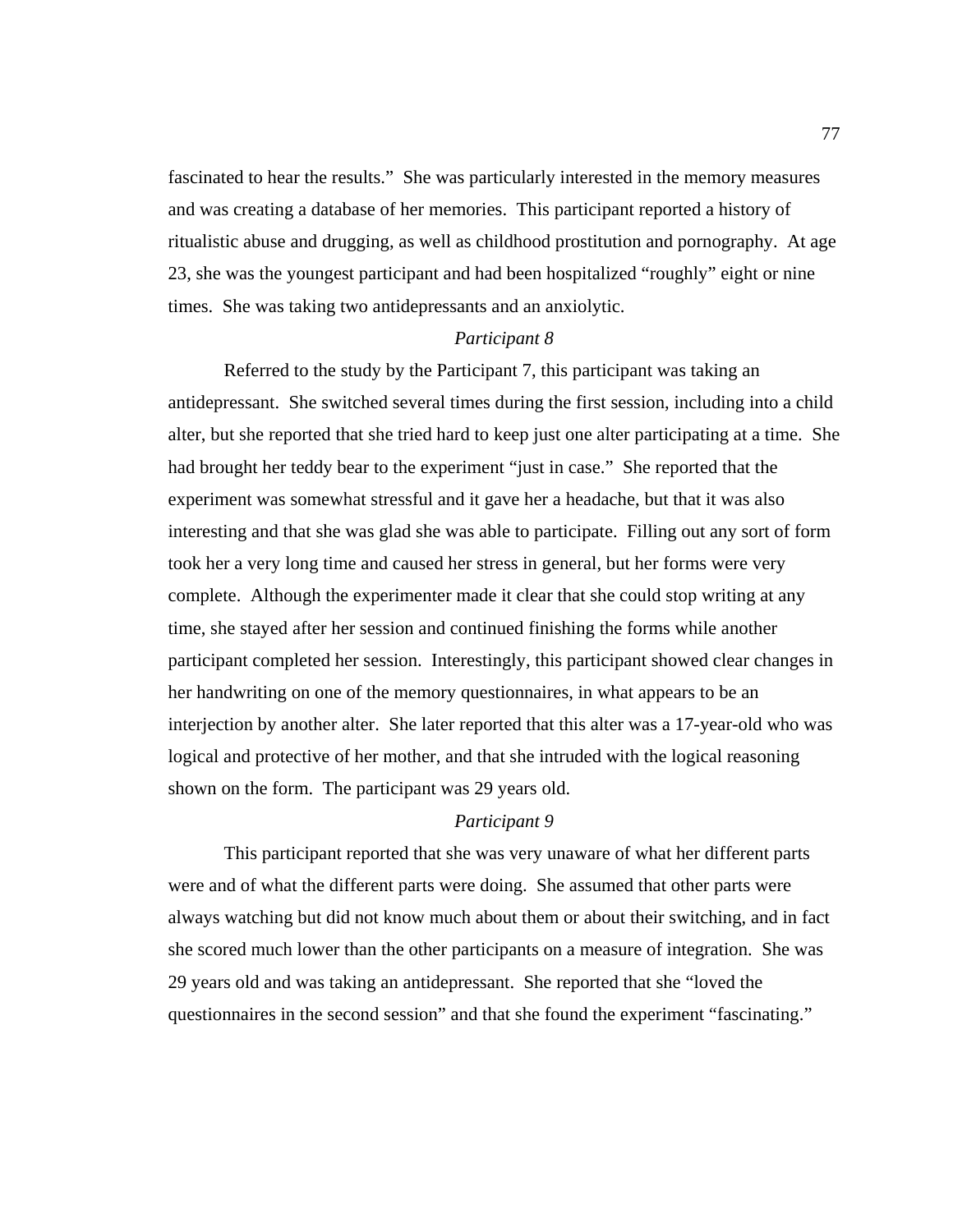fascinated to hear the results." She was particularly interested in the memory measures and was creating a database of her memories. This participant reported a history of ritualistic abuse and drugging, as well as childhood prostitution and pornography. At age 23, she was the youngest participant and had been hospitalized "roughly" eight or nine times. She was taking two antidepressants and an anxiolytic.

### *Participant 8*

 Referred to the study by the Participant 7, this participant was taking an antidepressant. She switched several times during the first session, including into a child alter, but she reported that she tried hard to keep just one alter participating at a time. She had brought her teddy bear to the experiment "just in case." She reported that the experiment was somewhat stressful and it gave her a headache, but that it was also interesting and that she was glad she was able to participate. Filling out any sort of form took her a very long time and caused her stress in general, but her forms were very complete. Although the experimenter made it clear that she could stop writing at any time, she stayed after her session and continued finishing the forms while another participant completed her session. Interestingly, this participant showed clear changes in her handwriting on one of the memory questionnaires, in what appears to be an interjection by another alter. She later reported that this alter was a 17-year-old who was logical and protective of her mother, and that she intruded with the logical reasoning shown on the form. The participant was 29 years old.

## *Participant 9*

 This participant reported that she was very unaware of what her different parts were and of what the different parts were doing. She assumed that other parts were always watching but did not know much about them or about their switching, and in fact she scored much lower than the other participants on a measure of integration. She was 29 years old and was taking an antidepressant. She reported that she "loved the questionnaires in the second session" and that she found the experiment "fascinating."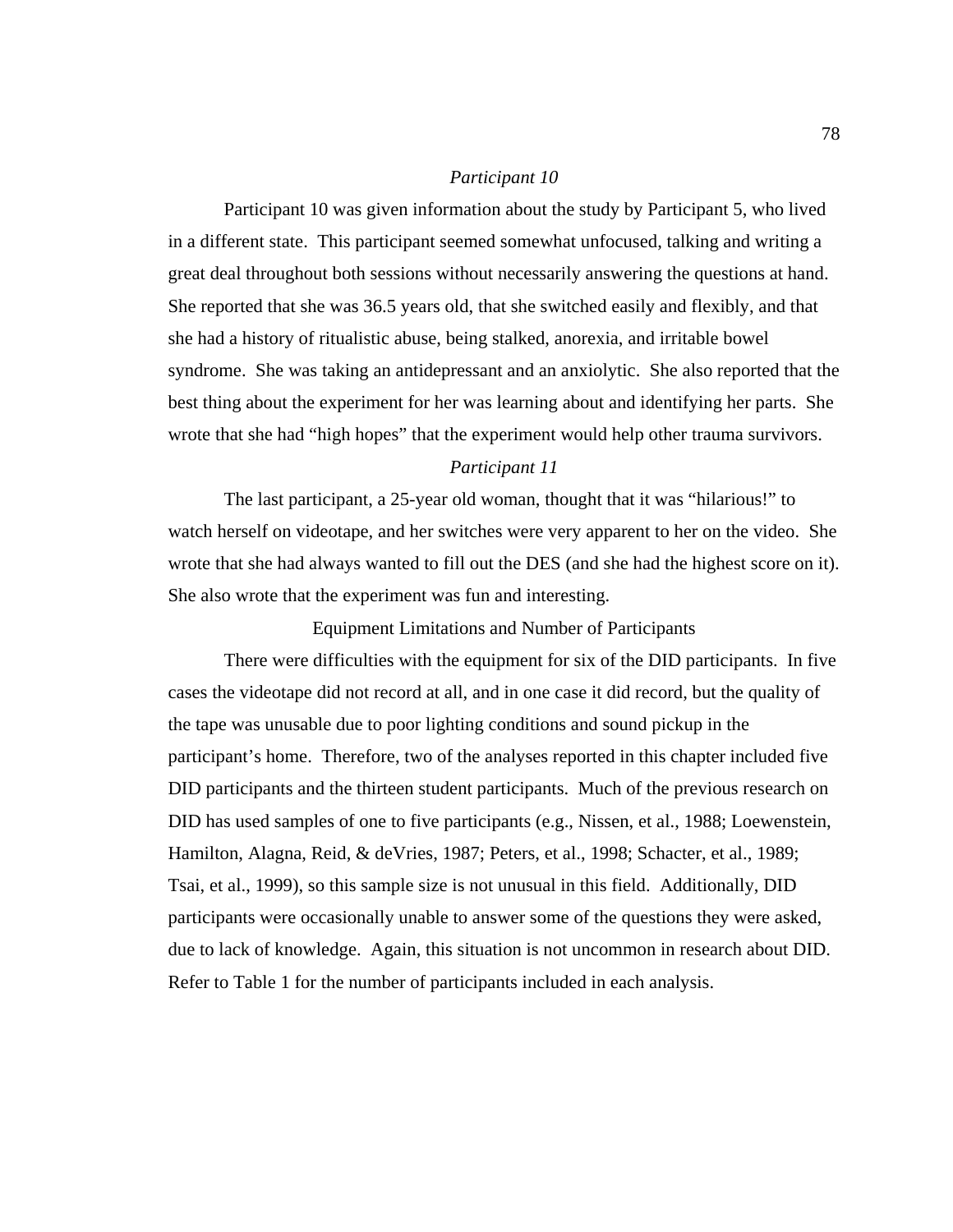#### *Participant 10*

 Participant 10 was given information about the study by Participant 5, who lived in a different state. This participant seemed somewhat unfocused, talking and writing a great deal throughout both sessions without necessarily answering the questions at hand. She reported that she was 36.5 years old, that she switched easily and flexibly, and that she had a history of ritualistic abuse, being stalked, anorexia, and irritable bowel syndrome. She was taking an antidepressant and an anxiolytic. She also reported that the best thing about the experiment for her was learning about and identifying her parts. She wrote that she had "high hopes" that the experiment would help other trauma survivors.

#### *Participant 11*

 The last participant, a 25-year old woman, thought that it was "hilarious!" to watch herself on videotape, and her switches were very apparent to her on the video. She wrote that she had always wanted to fill out the DES (and she had the highest score on it). She also wrote that the experiment was fun and interesting.

Equipment Limitations and Number of Participants

 There were difficulties with the equipment for six of the DID participants. In five cases the videotape did not record at all, and in one case it did record, but the quality of the tape was unusable due to poor lighting conditions and sound pickup in the participant's home. Therefore, two of the analyses reported in this chapter included five DID participants and the thirteen student participants. Much of the previous research on DID has used samples of one to five participants (e.g., Nissen, et al., 1988; Loewenstein, Hamilton, Alagna, Reid, & deVries, 1987; Peters, et al., 1998; Schacter, et al., 1989; Tsai, et al., 1999), so this sample size is not unusual in this field. Additionally, DID participants were occasionally unable to answer some of the questions they were asked, due to lack of knowledge. Again, this situation is not uncommon in research about DID. Refer to Table 1 for the number of participants included in each analysis.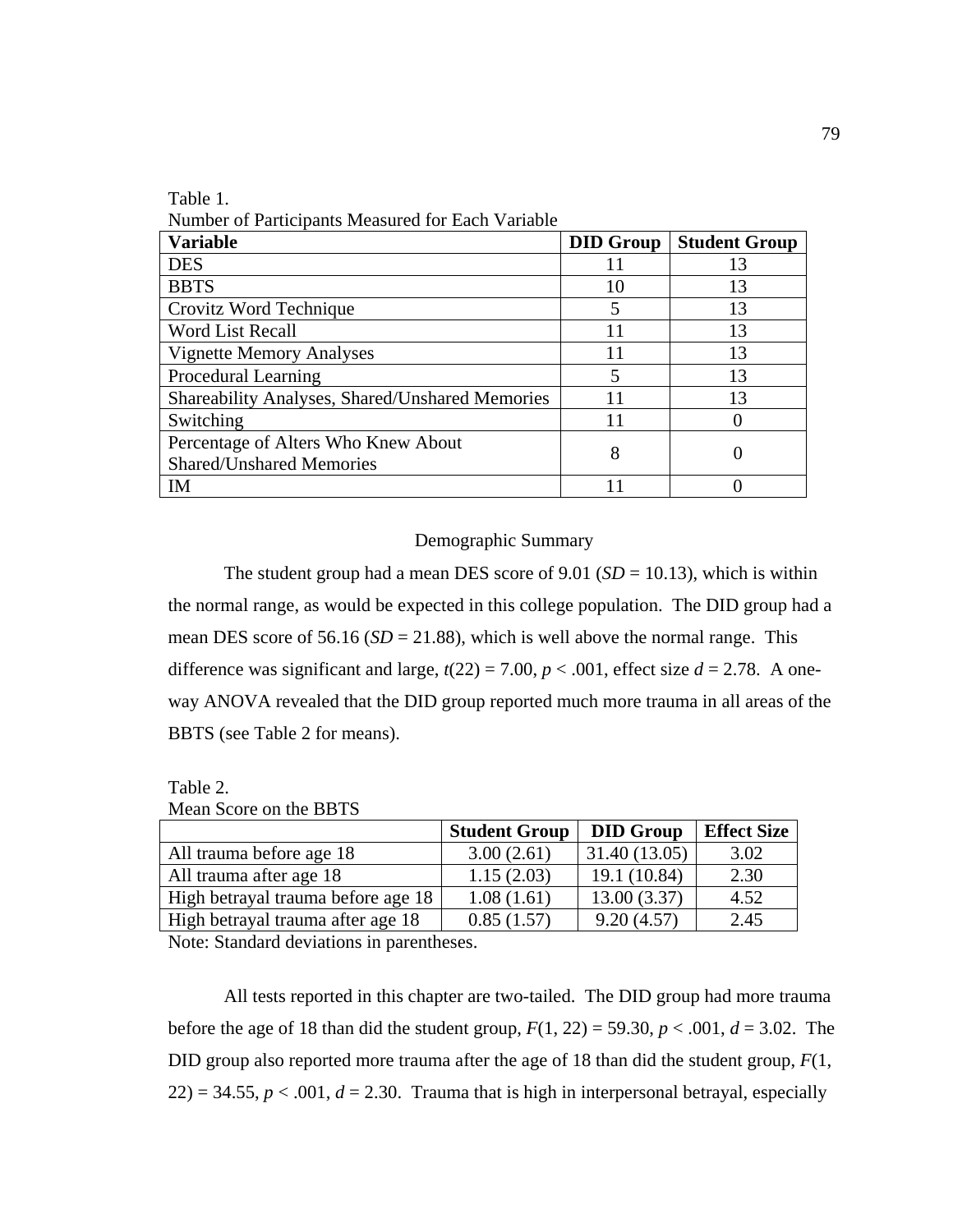Table 1.

Number of Participants Measured for Each Variable

| <b>Variable</b>                                 | <b>DID Group</b> | <b>Student Group</b> |
|-------------------------------------------------|------------------|----------------------|
| <b>DES</b>                                      |                  | 13                   |
| <b>BBTS</b>                                     | 10               | 13                   |
| Crovitz Word Technique                          | 5                | 13                   |
| Word List Recall                                | 11               | 13                   |
| <b>Vignette Memory Analyses</b>                 | 11               | 13                   |
| Procedural Learning                             | 5                | 13                   |
| Shareability Analyses, Shared/Unshared Memories |                  | 13                   |
| Switching                                       |                  |                      |
| Percentage of Alters Who Knew About             | 8                |                      |
| <b>Shared/Unshared Memories</b>                 |                  |                      |
| IM                                              |                  |                      |

## Demographic Summary

The student group had a mean DES score of 9.01 ( $SD = 10.13$ ), which is within the normal range, as would be expected in this college population. The DID group had a mean DES score of 56.16 ( $SD = 21.88$ ), which is well above the normal range. This difference was significant and large,  $t(22) = 7.00$ ,  $p < .001$ , effect size  $d = 2.78$ . A oneway ANOVA revealed that the DID group reported much more trauma in all areas of the BBTS (see Table 2 for means).

Table 2.

|  |  |  |  | Mean Score on the BBTS |  |
|--|--|--|--|------------------------|--|
|--|--|--|--|------------------------|--|

|                                    | <b>Student Group</b> | <b>DID Group</b> | <b>Effect Size</b> |
|------------------------------------|----------------------|------------------|--------------------|
| All trauma before age 18           | 3.00(2.61)           | 31.40 (13.05)    | 3.02               |
| All trauma after age 18            | 1.15(2.03)           | 19.1 (10.84)     | 2.30               |
| High betrayal trauma before age 18 | 1.08(1.61)           | 13.00(3.37)      | 4.52               |
| High betrayal trauma after age 18  | 0.85(1.57)           | 9.20(4.57)       | 2.45               |
| __ _ _ _ _ _ _                     |                      |                  |                    |

Note: Standard deviations in parentheses.

All tests reported in this chapter are two-tailed. The DID group had more trauma before the age of 18 than did the student group,  $F(1, 22) = 59.30, p < .001, d = 3.02$ . The DID group also reported more trauma after the age of 18 than did the student group, *F*(1,  $22$ ) = 34.55,  $p < .001$ ,  $d = 2.30$ . Trauma that is high in interpersonal betrayal, especially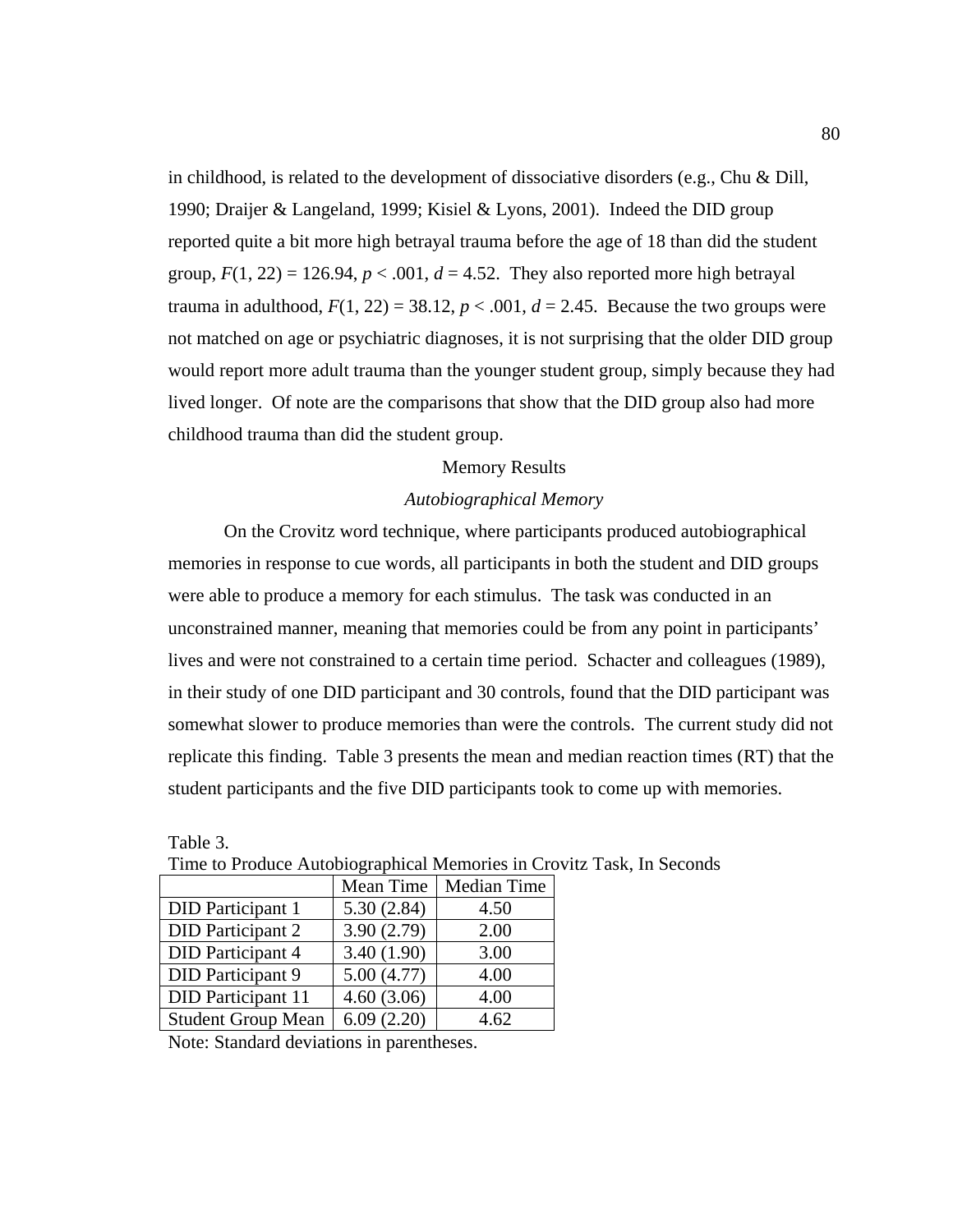in childhood, is related to the development of dissociative disorders (e.g., Chu & Dill, 1990; Draijer & Langeland, 1999; Kisiel & Lyons, 2001). Indeed the DID group reported quite a bit more high betrayal trauma before the age of 18 than did the student group,  $F(1, 22) = 126.94$ ,  $p < .001$ ,  $d = 4.52$ . They also reported more high betrayal trauma in adulthood,  $F(1, 22) = 38.12$ ,  $p < .001$ ,  $d = 2.45$ . Because the two groups were not matched on age or psychiatric diagnoses, it is not surprising that the older DID group would report more adult trauma than the younger student group, simply because they had lived longer. Of note are the comparisons that show that the DID group also had more childhood trauma than did the student group.

#### Memory Results

#### *Autobiographical Memory*

 On the Crovitz word technique, where participants produced autobiographical memories in response to cue words, all participants in both the student and DID groups were able to produce a memory for each stimulus. The task was conducted in an unconstrained manner, meaning that memories could be from any point in participants' lives and were not constrained to a certain time period. Schacter and colleagues (1989), in their study of one DID participant and 30 controls, found that the DID participant was somewhat slower to produce memories than were the controls. The current study did not replicate this finding. Table 3 presents the mean and median reaction times (RT) that the student participants and the five DID participants took to come up with memories.

|                           | Mean Time  | Median Time |
|---------------------------|------------|-------------|
| <b>DID</b> Participant 1  | 5.30(2.84) | 4.50        |
| <b>DID</b> Participant 2  | 3.90(2.79) | 2.00        |
| <b>DID</b> Participant 4  | 3.40(1.90) | 3.00        |
| DID Participant 9         | 5.00(4.77) | 4.00        |
| <b>DID</b> Participant 11 | 4.60(3.06) | 4.00        |
| <b>Student Group Mean</b> | 6.09(2.20) | 4.62        |

Time to Produce Autobiographical Memories in Crovitz Task, In Seconds

Note: Standard deviations in parentheses.

Table 3.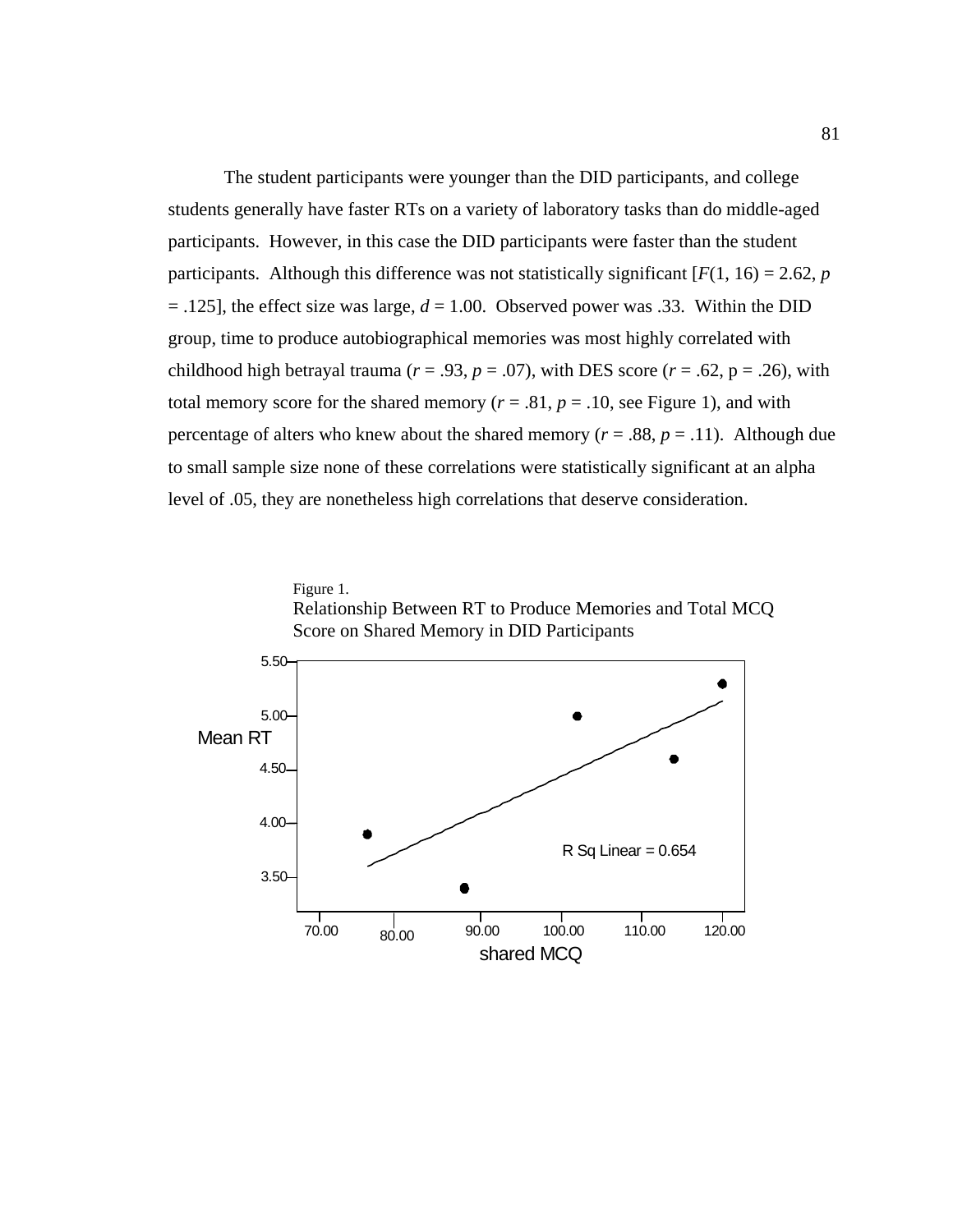The student participants were younger than the DID participants, and college students generally have faster RTs on a variety of laboratory tasks than do middle-aged participants. However, in this case the DID participants were faster than the student participants. Although this difference was not statistically significant  $[F(1, 16) = 2.62, p]$  $=$  .125], the effect size was large,  $d = 1.00$ . Observed power was .33. Within the DID group, time to produce autobiographical memories was most highly correlated with childhood high betrayal trauma ( $r = .93$ ,  $p = .07$ ), with DES score ( $r = .62$ ,  $p = .26$ ), with total memory score for the shared memory ( $r = .81$ ,  $p = .10$ , see Figure 1), and with percentage of alters who knew about the shared memory ( $r = .88$ ,  $p = .11$ ). Although due to small sample size none of these correlations were statistically significant at an alpha level of .05, they are nonetheless high correlations that deserve consideration.

Figure 1.

Relationship Between RT to Produce Memories and Total MCQ Score on Shared Memory in DID Participants

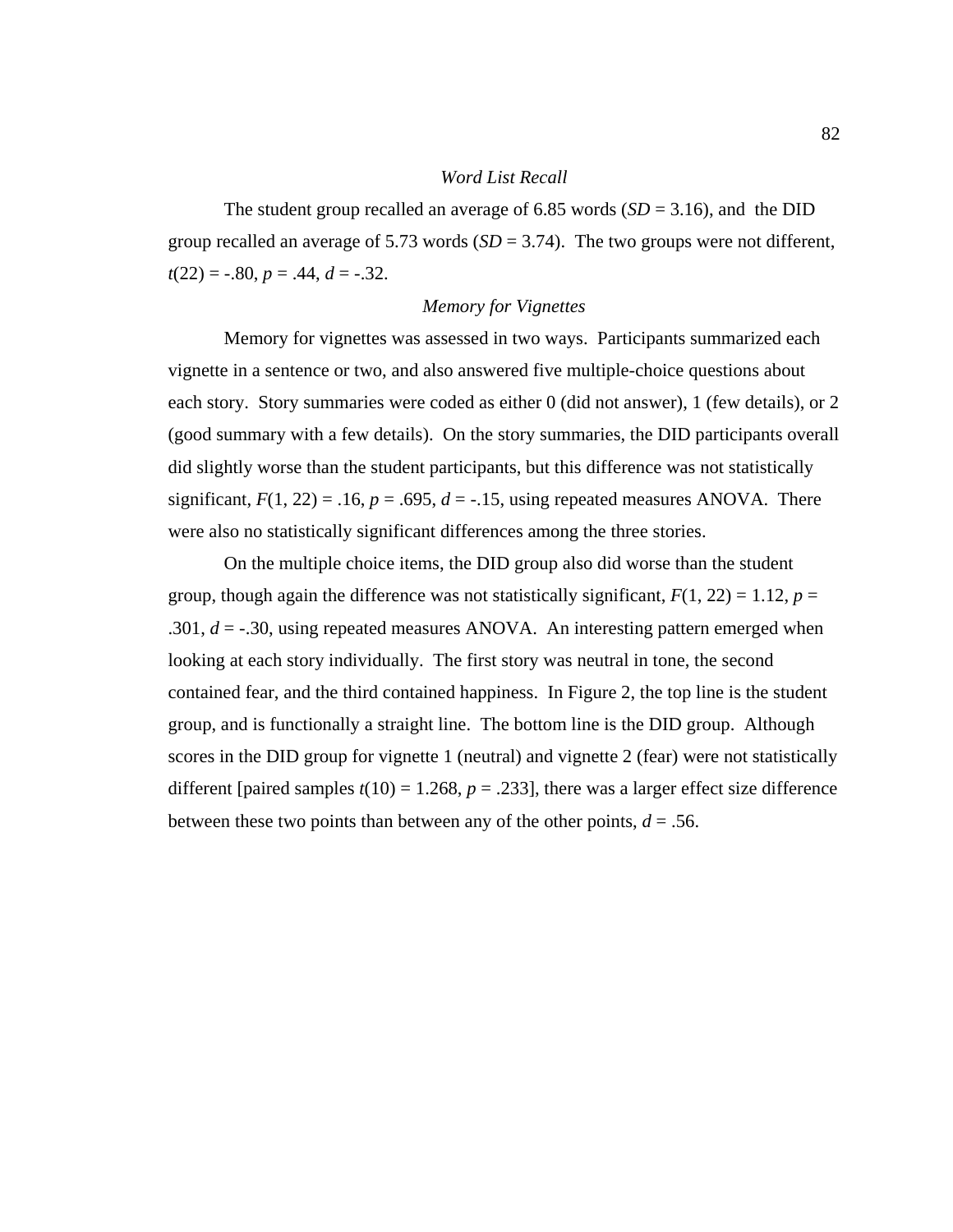#### *Word List Recall*

The student group recalled an average of 6.85 words  $(SD = 3.16)$ , and the DID group recalled an average of 5.73 words  $(SD = 3.74)$ . The two groups were not different,  $t(22) = -.80, p = .44, d = -.32.$ 

### *Memory for Vignettes*

 Memory for vignettes was assessed in two ways. Participants summarized each vignette in a sentence or two, and also answered five multiple-choice questions about each story. Story summaries were coded as either 0 (did not answer), 1 (few details), or 2 (good summary with a few details). On the story summaries, the DID participants overall did slightly worse than the student participants, but this difference was not statistically significant,  $F(1, 22) = .16$ ,  $p = .695$ ,  $d = -.15$ , using repeated measures ANOVA. There were also no statistically significant differences among the three stories.

 On the multiple choice items, the DID group also did worse than the student group, though again the difference was not statistically significant,  $F(1, 22) = 1.12$ ,  $p =$ .301,  $d = -30$ , using repeated measures ANOVA. An interesting pattern emerged when looking at each story individually. The first story was neutral in tone, the second contained fear, and the third contained happiness. In Figure 2, the top line is the student group, and is functionally a straight line. The bottom line is the DID group. Although scores in the DID group for vignette 1 (neutral) and vignette 2 (fear) were not statistically different [paired samples  $t(10) = 1.268$ ,  $p = .233$ ], there was a larger effect size difference between these two points than between any of the other points,  $d = 0.56$ .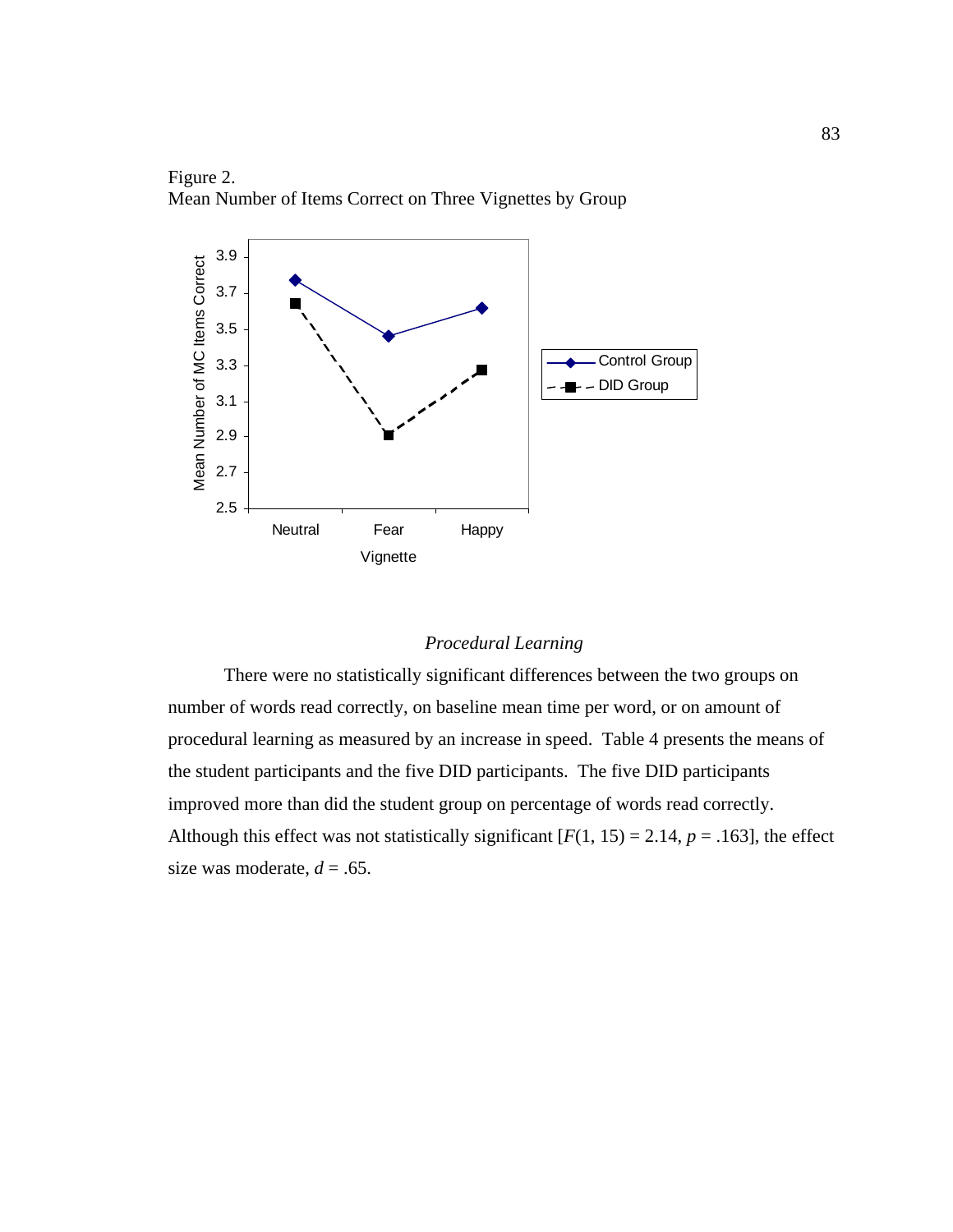

Figure 2. Mean Number of Items Correct on Three Vignettes by Group

## *Procedural Learning*

 There were no statistically significant differences between the two groups on number of words read correctly, on baseline mean time per word, or on amount of procedural learning as measured by an increase in speed. Table 4 presents the means of the student participants and the five DID participants. The five DID participants improved more than did the student group on percentage of words read correctly. Although this effect was not statistically significant  $[F(1, 15) = 2.14, p = .163]$ , the effect size was moderate,  $d = .65$ .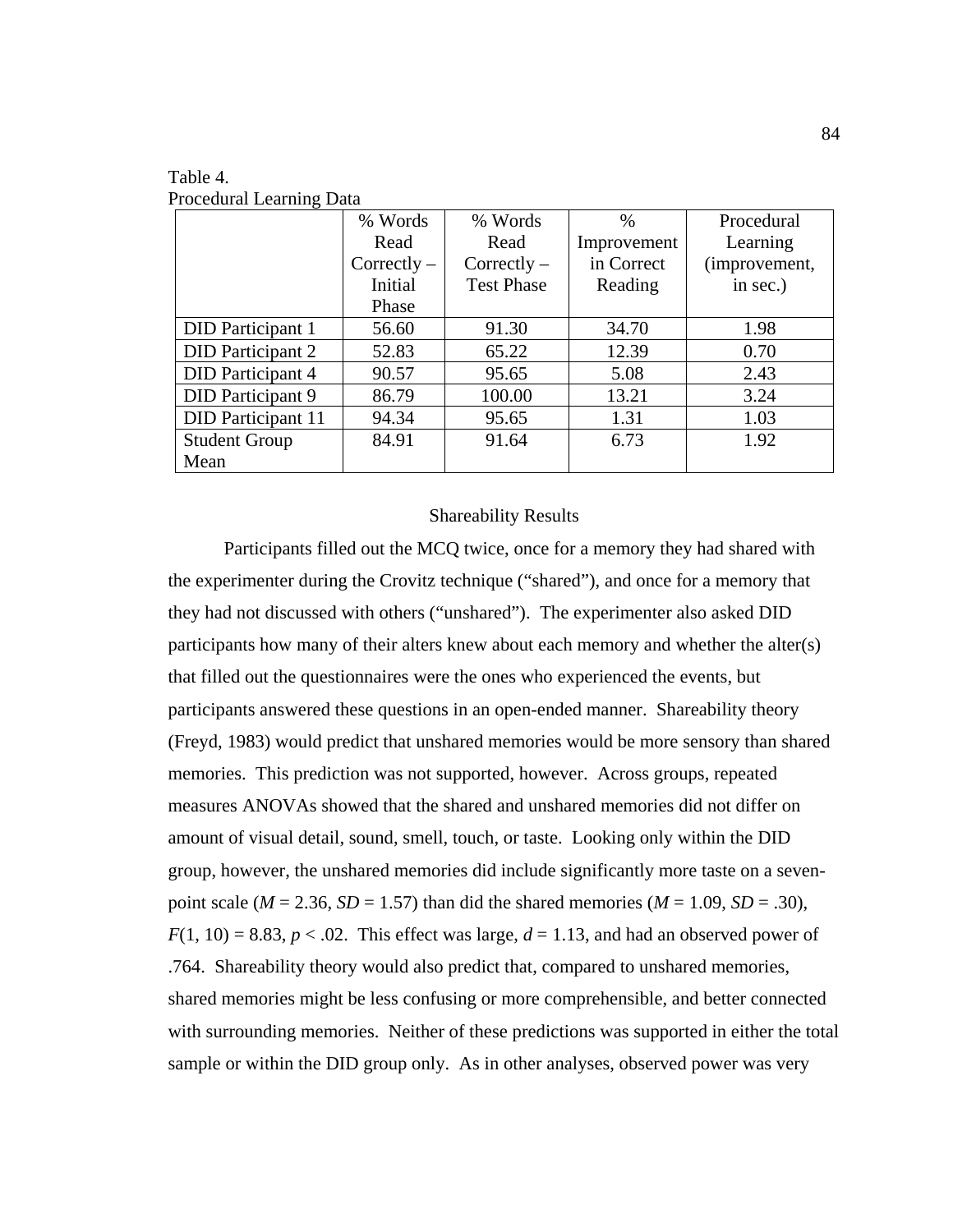|                           | % Words       | % Words           | $\%$        | Procedural    |
|---------------------------|---------------|-------------------|-------------|---------------|
|                           | Read          | Read              | Improvement | Learning      |
|                           | $Correctly -$ | $Correctly -$     | in Correct  | (improvement, |
|                           | Initial       | <b>Test Phase</b> | Reading     | in sec.)      |
|                           | Phase         |                   |             |               |
| <b>DID</b> Participant 1  | 56.60         | 91.30             | 34.70       | 1.98          |
| <b>DID</b> Participant 2  | 52.83         | 65.22             | 12.39       | 0.70          |
| <b>DID</b> Participant 4  | 90.57         | 95.65             | 5.08        | 2.43          |
| DID Participant 9         | 86.79         | 100.00            | 13.21       | 3.24          |
| <b>DID</b> Participant 11 | 94.34         | 95.65             | 1.31        | 1.03          |
| <b>Student Group</b>      | 84.91         | 91.64             | 6.73        | 1.92          |
| Mean                      |               |                   |             |               |

Table 4. Procedural Learning Data

#### Shareability Results

 Participants filled out the MCQ twice, once for a memory they had shared with the experimenter during the Crovitz technique ("shared"), and once for a memory that they had not discussed with others ("unshared"). The experimenter also asked DID participants how many of their alters knew about each memory and whether the alter(s) that filled out the questionnaires were the ones who experienced the events, but participants answered these questions in an open-ended manner. Shareability theory (Freyd, 1983) would predict that unshared memories would be more sensory than shared memories. This prediction was not supported, however. Across groups, repeated measures ANOVAs showed that the shared and unshared memories did not differ on amount of visual detail, sound, smell, touch, or taste. Looking only within the DID group, however, the unshared memories did include significantly more taste on a sevenpoint scale ( $M = 2.36$ ,  $SD = 1.57$ ) than did the shared memories ( $M = 1.09$ ,  $SD = .30$ ),  $F(1, 10) = 8.83$ ,  $p < .02$ . This effect was large,  $d = 1.13$ , and had an observed power of .764. Shareability theory would also predict that, compared to unshared memories, shared memories might be less confusing or more comprehensible, and better connected with surrounding memories. Neither of these predictions was supported in either the total sample or within the DID group only. As in other analyses, observed power was very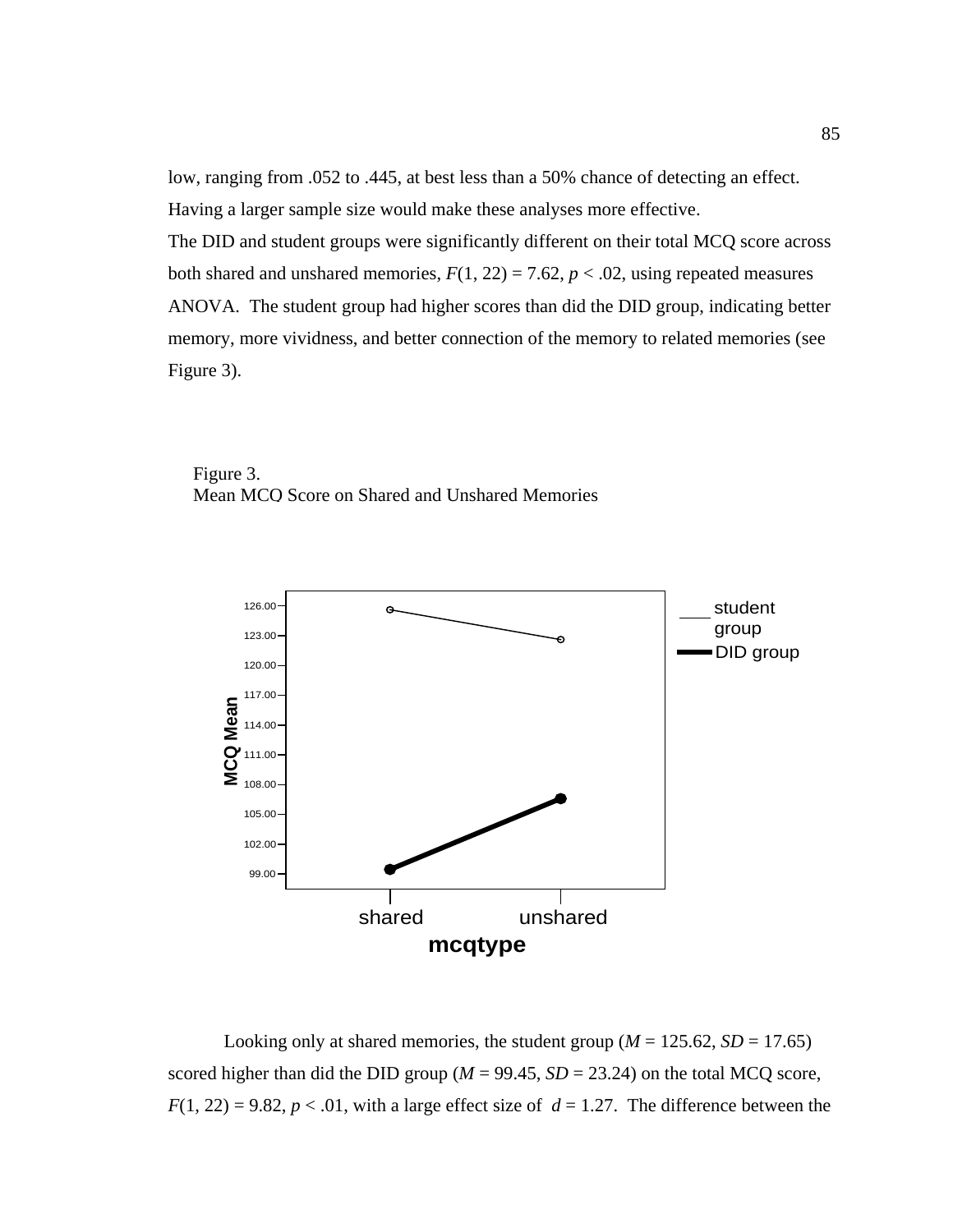low, ranging from .052 to .445, at best less than a 50% chance of detecting an effect. Having a larger sample size would make these analyses more effective. The DID and student groups were significantly different on their total MCQ score across both shared and unshared memories,  $F(1, 22) = 7.62$ ,  $p < .02$ , using repeated measures ANOVA. The student group had higher scores than did the DID group, indicating better memory, more vividness, and better connection of the memory to related memories (see Figure 3).





Looking only at shared memories, the student group ( $M = 125.62$ ,  $SD = 17.65$ ) scored higher than did the DID group ( $M = 99.45$ ,  $SD = 23.24$ ) on the total MCQ score,  $F(1, 22) = 9.82$ ,  $p < .01$ , with a large effect size of  $d = 1.27$ . The difference between the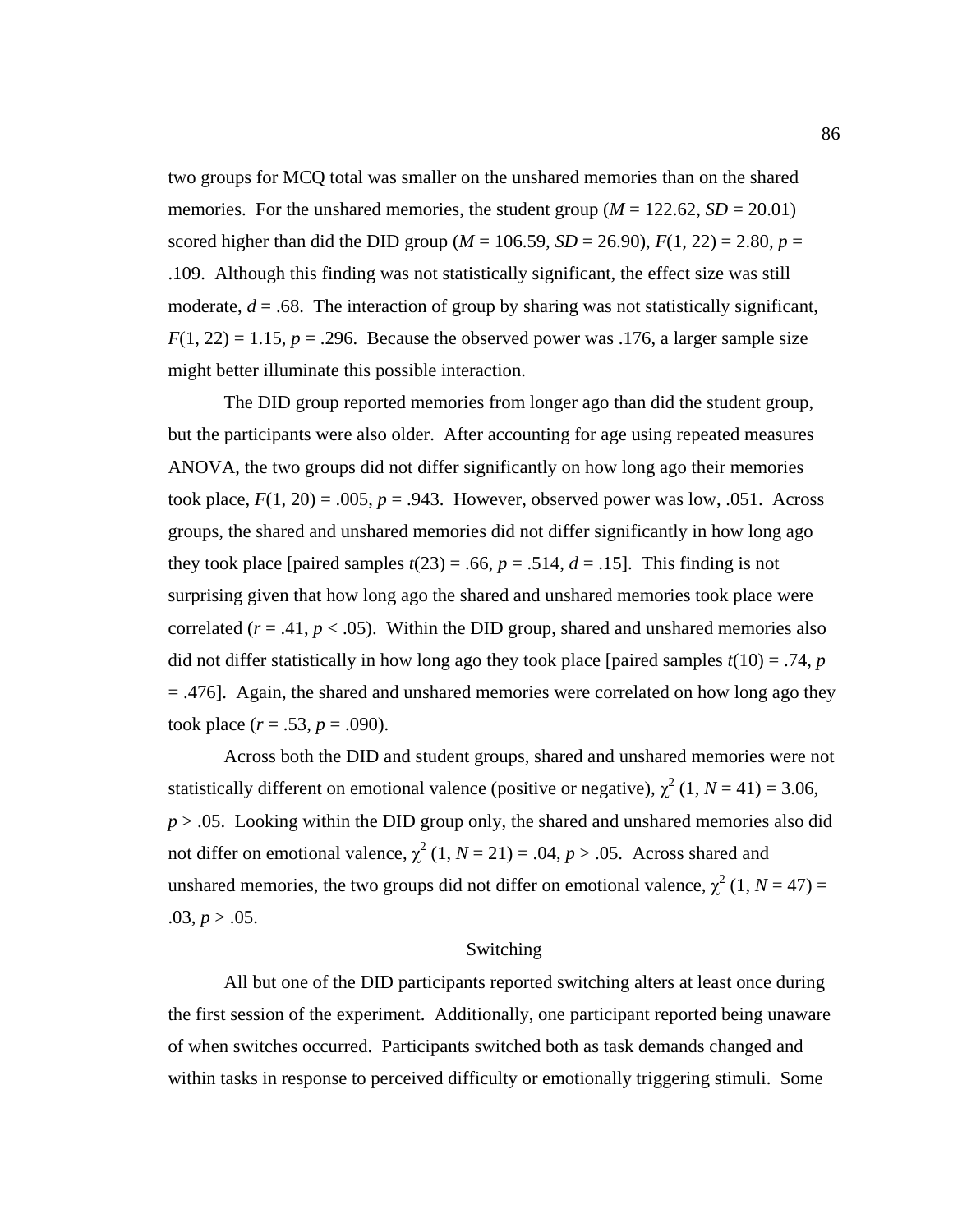two groups for MCQ total was smaller on the unshared memories than on the shared memories. For the unshared memories, the student group  $(M = 122.62, SD = 20.01)$ scored higher than did the DID group ( $M = 106.59$ ,  $SD = 26.90$ ),  $F(1, 22) = 2.80$ ,  $p =$ .109. Although this finding was not statistically significant, the effect size was still moderate,  $d = .68$ . The interaction of group by sharing was not statistically significant,  $F(1, 22) = 1.15$ ,  $p = .296$ . Because the observed power was .176, a larger sample size might better illuminate this possible interaction.

The DID group reported memories from longer ago than did the student group, but the participants were also older. After accounting for age using repeated measures ANOVA, the two groups did not differ significantly on how long ago their memories took place,  $F(1, 20) = .005$ ,  $p = .943$ . However, observed power was low, .051. Across groups, the shared and unshared memories did not differ significantly in how long ago they took place [paired samples  $t(23) = .66$ ,  $p = .514$ ,  $d = .15$ ]. This finding is not surprising given that how long ago the shared and unshared memories took place were correlated  $(r = .41, p < .05)$ . Within the DID group, shared and unshared memories also did not differ statistically in how long ago they took place [paired samples  $t(10) = .74$ , *p* = .476]. Again, the shared and unshared memories were correlated on how long ago they took place  $(r = .53, p = .090)$ .

Across both the DID and student groups, shared and unshared memories were not statistically different on emotional valence (positive or negative),  $\chi^2$  (1, *N* = 41) = 3.06,  $p > .05$ . Looking within the DID group only, the shared and unshared memories also did not differ on emotional valence,  $\chi^2$  (1, *N* = 21) = .04, *p* > .05. Across shared and unshared memories, the two groups did not differ on emotional valence,  $\chi^2$  (1, *N* = 47) =  $.03, p > .05.$ 

#### Switching

 All but one of the DID participants reported switching alters at least once during the first session of the experiment. Additionally, one participant reported being unaware of when switches occurred. Participants switched both as task demands changed and within tasks in response to perceived difficulty or emotionally triggering stimuli. Some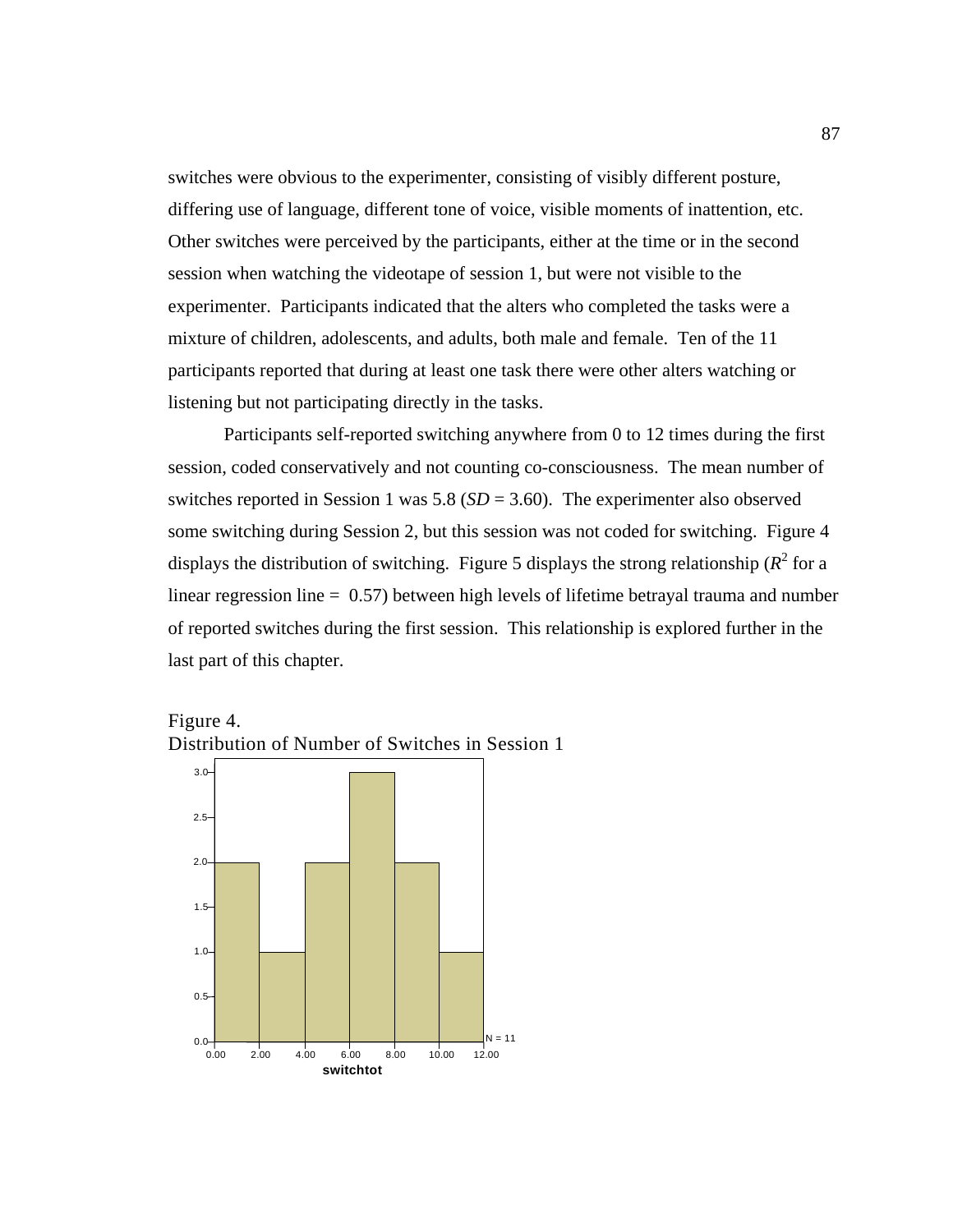switches were obvious to the experimenter, consisting of visibly different posture, differing use of language, different tone of voice, visible moments of inattention, etc. Other switches were perceived by the participants, either at the time or in the second session when watching the videotape of session 1, but were not visible to the experimenter. Participants indicated that the alters who completed the tasks were a mixture of children, adolescents, and adults, both male and female. Ten of the 11 participants reported that during at least one task there were other alters watching or listening but not participating directly in the tasks.

Participants self-reported switching anywhere from 0 to 12 times during the first session, coded conservatively and not counting co-consciousness. The mean number of switches reported in Session 1 was 5.8 (*SD* = 3.60). The experimenter also observed some switching during Session 2, but this session was not coded for switching. Figure 4 displays the distribution of switching. Figure 5 displays the strong relationship ( $R^2$  for a linear regression line  $= 0.57$ ) between high levels of lifetime betrayal trauma and number of reported switches during the first session. This relationship is explored further in the last part of this chapter.



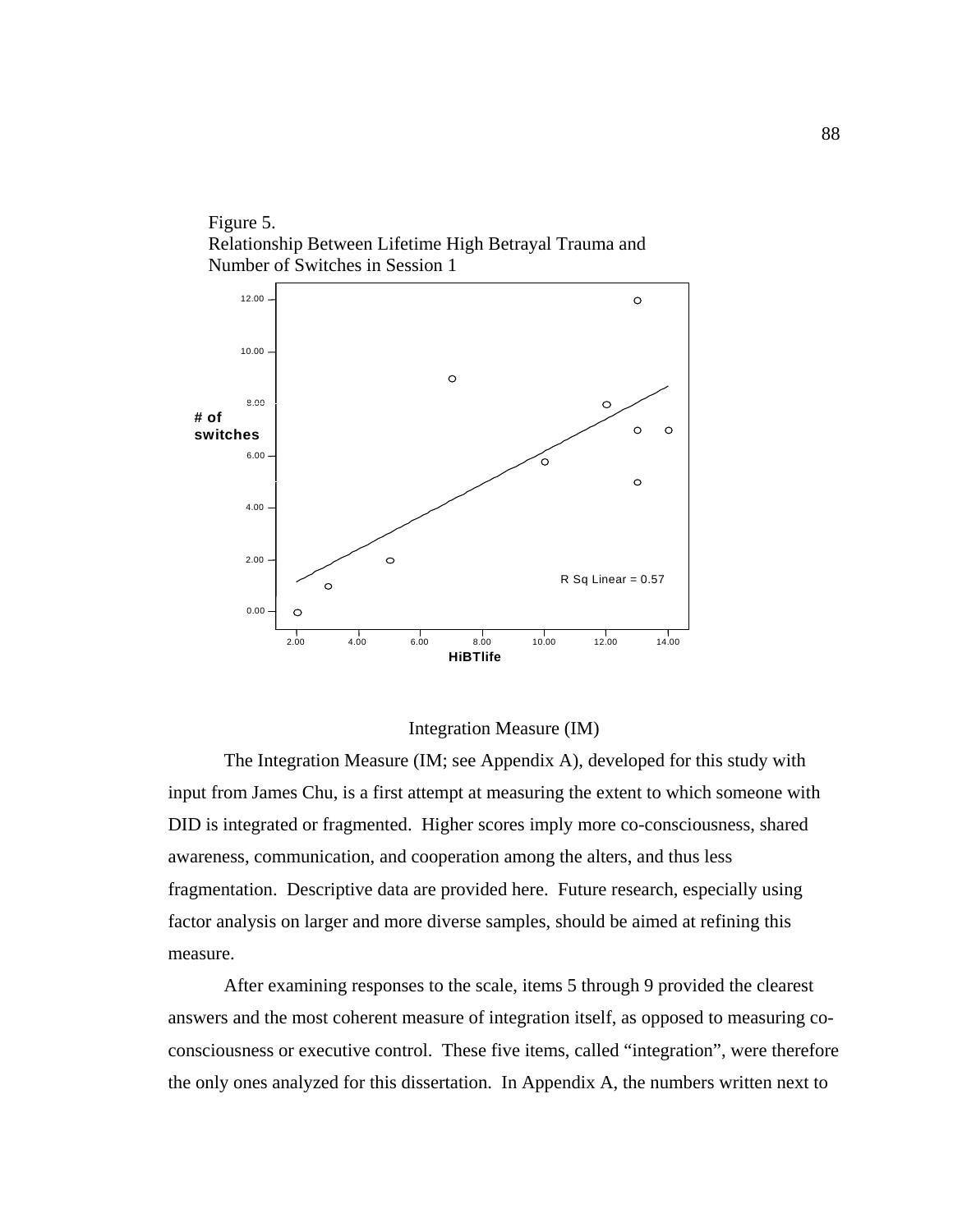Figure 5. Relationship Between Lifetime High Betrayal Trauma and Number of Switches in Session 1



#### Integration Measure (IM)

 The Integration Measure (IM; see Appendix A), developed for this study with input from James Chu, is a first attempt at measuring the extent to which someone with DID is integrated or fragmented. Higher scores imply more co-consciousness, shared awareness, communication, and cooperation among the alters, and thus less fragmentation. Descriptive data are provided here. Future research, especially using factor analysis on larger and more diverse samples, should be aimed at refining this measure.

After examining responses to the scale, items 5 through 9 provided the clearest answers and the most coherent measure of integration itself, as opposed to measuring coconsciousness or executive control. These five items, called "integration", were therefore the only ones analyzed for this dissertation. In Appendix A, the numbers written next to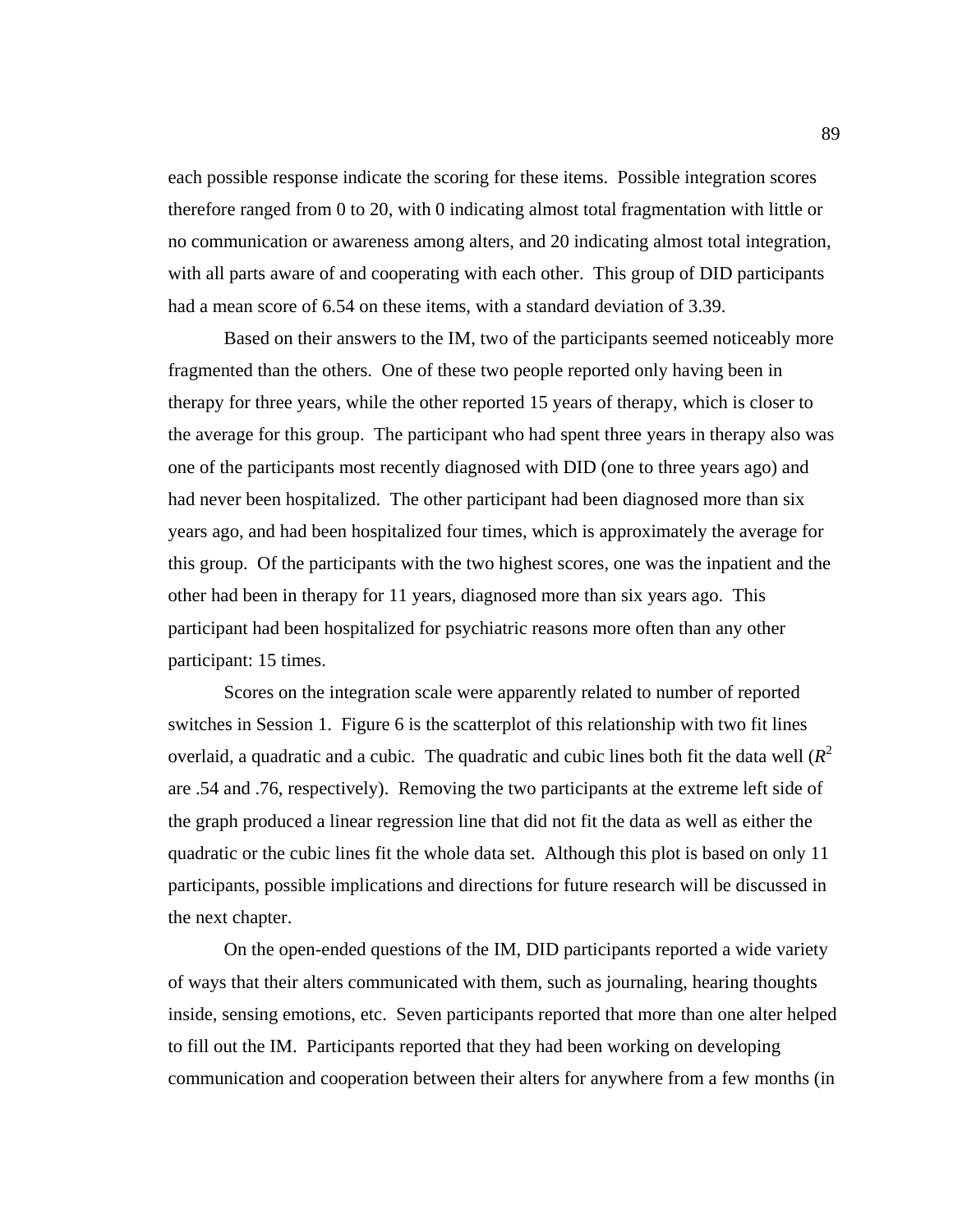each possible response indicate the scoring for these items. Possible integration scores therefore ranged from 0 to 20, with 0 indicating almost total fragmentation with little or no communication or awareness among alters, and 20 indicating almost total integration, with all parts aware of and cooperating with each other. This group of DID participants had a mean score of 6.54 on these items, with a standard deviation of 3.39.

Based on their answers to the IM, two of the participants seemed noticeably more fragmented than the others. One of these two people reported only having been in therapy for three years, while the other reported 15 years of therapy, which is closer to the average for this group. The participant who had spent three years in therapy also was one of the participants most recently diagnosed with DID (one to three years ago) and had never been hospitalized. The other participant had been diagnosed more than six years ago, and had been hospitalized four times, which is approximately the average for this group. Of the participants with the two highest scores, one was the inpatient and the other had been in therapy for 11 years, diagnosed more than six years ago. This participant had been hospitalized for psychiatric reasons more often than any other participant: 15 times.

Scores on the integration scale were apparently related to number of reported switches in Session 1. Figure 6 is the scatterplot of this relationship with two fit lines overlaid, a quadratic and a cubic. The quadratic and cubic lines both fit the data well (*R* 2 are .54 and .76, respectively). Removing the two participants at the extreme left side of the graph produced a linear regression line that did not fit the data as well as either the quadratic or the cubic lines fit the whole data set. Although this plot is based on only 11 participants, possible implications and directions for future research will be discussed in the next chapter.

On the open-ended questions of the IM, DID participants reported a wide variety of ways that their alters communicated with them, such as journaling, hearing thoughts inside, sensing emotions, etc. Seven participants reported that more than one alter helped to fill out the IM. Participants reported that they had been working on developing communication and cooperation between their alters for anywhere from a few months (in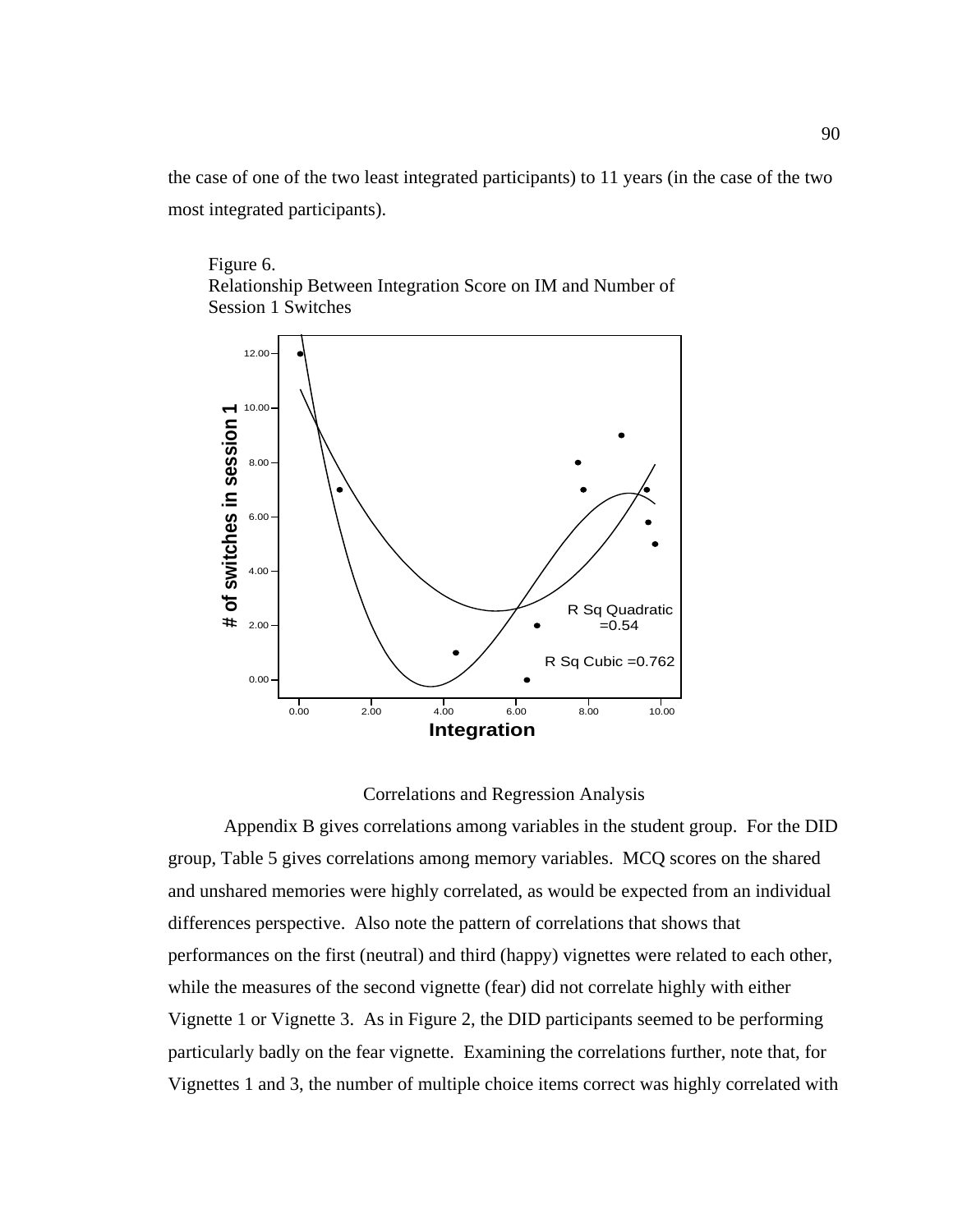the case of one of the two least integrated participants) to 11 years (in the case of the two most integrated participants).

Figure 6. Relationship Between Integration Score on IM and Number of Session 1 Switches



#### Correlations and Regression Analysis

 Appendix B gives correlations among variables in the student group. For the DID group, Table 5 gives correlations among memory variables. MCQ scores on the shared and unshared memories were highly correlated, as would be expected from an individual differences perspective. Also note the pattern of correlations that shows that performances on the first (neutral) and third (happy) vignettes were related to each other, while the measures of the second vignette (fear) did not correlate highly with either Vignette 1 or Vignette 3. As in Figure 2, the DID participants seemed to be performing particularly badly on the fear vignette. Examining the correlations further, note that, for Vignettes 1 and 3, the number of multiple choice items correct was highly correlated with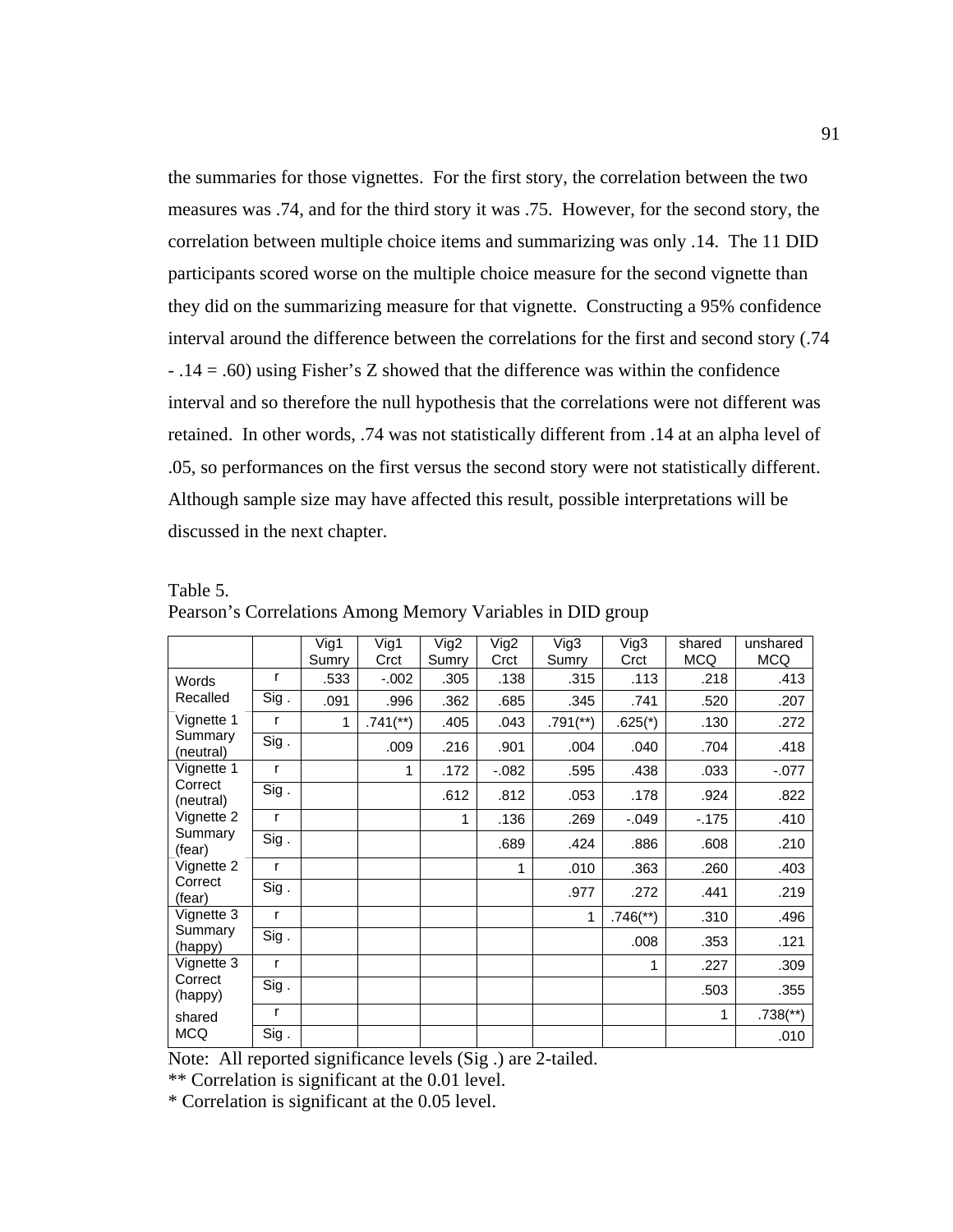the summaries for those vignettes. For the first story, the correlation between the two measures was .74, and for the third story it was .75. However, for the second story, the correlation between multiple choice items and summarizing was only .14. The 11 DID participants scored worse on the multiple choice measure for the second vignette than they did on the summarizing measure for that vignette. Constructing a 95% confidence interval around the difference between the correlations for the first and second story (.74 - .14 = .60) using Fisher's Z showed that the difference was within the confidence interval and so therefore the null hypothesis that the correlations were not different was retained. In other words, .74 was not statistically different from .14 at an alpha level of .05, so performances on the first versus the second story were not statistically different. Although sample size may have affected this result, possible interpretations will be discussed in the next chapter.

|                      |              | Vig1<br>Sumry | Vig1<br>Crct           | Vig2<br>Sumry | Vig2<br>Crct | Vig3<br>Sumry            | Vig3<br>Crct             | shared<br><b>MCQ</b> | unshared<br><b>MCQ</b>   |
|----------------------|--------------|---------------|------------------------|---------------|--------------|--------------------------|--------------------------|----------------------|--------------------------|
| Words                | r            | .533          | $-0.002$               | .305          | .138         | .315                     | .113                     | .218                 | .413                     |
| Recalled             | Sig.         | .091          | .996                   | .362          | .685         | .345                     | .741                     | .520                 | .207                     |
| Vignette 1           | r            | 1             | $.741$ <sup>**</sup> ) | .405          | .043         | $.791$ <sup>(**)</sup> ) | $.625(*)$                | .130                 | .272                     |
| Summary<br>(neutral) | Sig.         |               | .009                   | .216          | .901         | .004                     | .040                     | .704                 | .418                     |
| Vignette 1           | r            |               | 1                      | .172          | $-0.082$     | .595                     | .438                     | .033                 | $-.077$                  |
| Correct<br>(neutral) | Sig.         |               |                        | .612          | .812         | .053                     | .178                     | .924                 | .822                     |
| Vignette 2           | r            |               |                        | 1             | .136         | .269                     | $-0.049$                 | $-175$               | .410                     |
| Summary<br>(fear)    | Sig.         |               |                        |               | .689         | .424                     | .886                     | .608                 | .210                     |
| Vignette 2           | r            |               |                        |               | 1            | .010                     | .363                     | .260                 | .403                     |
| Correct<br>(fear)    | Sig.         |               |                        |               |              | .977                     | .272                     | .441                 | .219                     |
| Vignette 3           | $\mathsf{r}$ |               |                        |               |              | 1                        | $.746$ <sup>(**)</sup> ) | .310                 | .496                     |
| Summary<br>(happy)   | Sig.         |               |                        |               |              |                          | .008                     | .353                 | .121                     |
| Vignette 3           | r            |               |                        |               |              |                          | 1                        | .227                 | .309                     |
| Correct<br>(happy)   | Sig.         |               |                        |               |              |                          |                          | .503                 | .355                     |
| shared               | r            |               |                        |               |              |                          |                          | 1                    | $.738$ <sup>(**)</sup> ) |
| <b>MCQ</b>           | Sig.         |               |                        |               |              |                          |                          |                      | .010                     |

Table 5. Pearson's Correlations Among Memory Variables in DID group

Note: All reported significance levels (Sig .) are 2-tailed.

\*\* Correlation is significant at the 0.01 level.

\* Correlation is significant at the 0.05 level.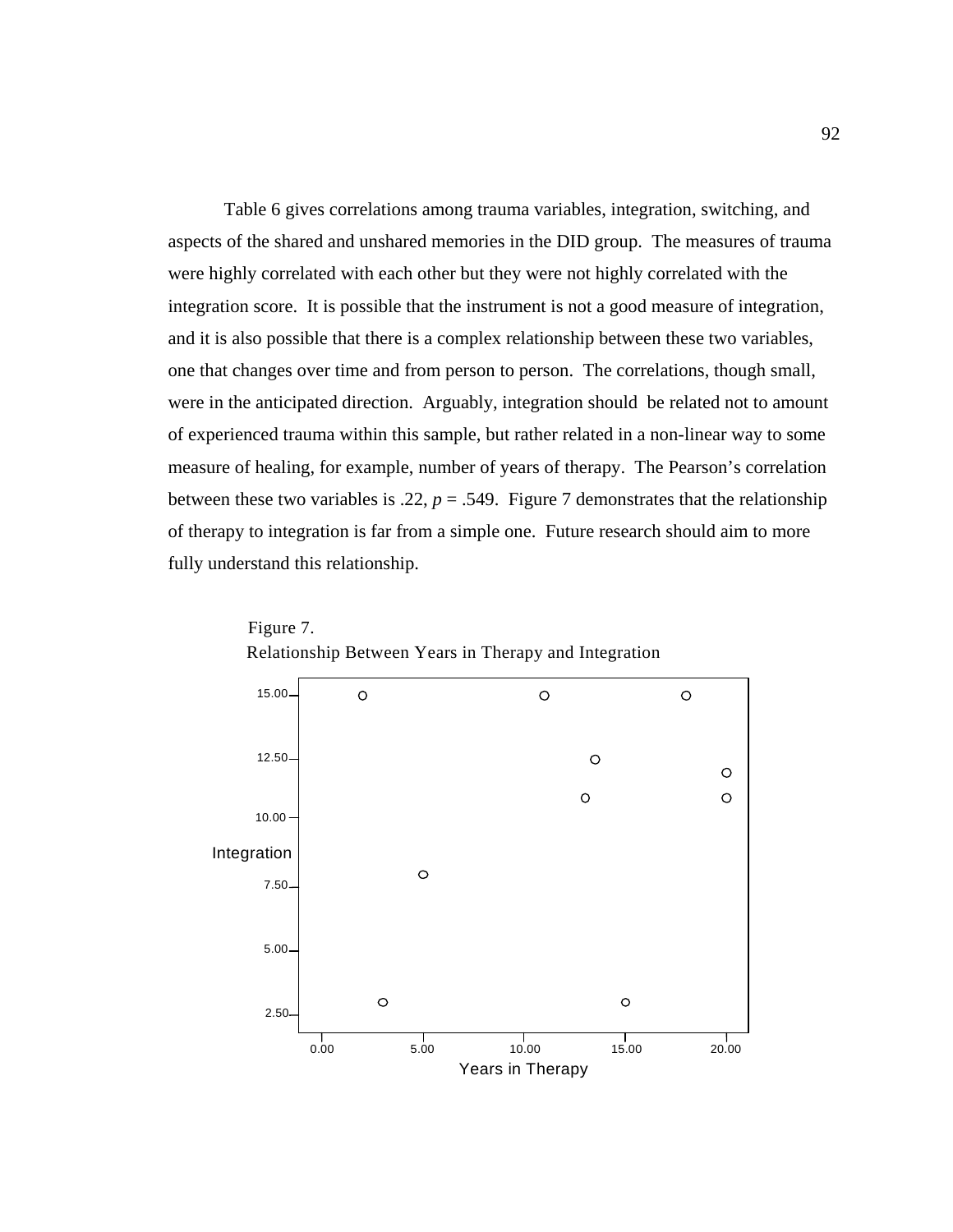Table 6 gives correlations among trauma variables, integration, switching, and aspects of the shared and unshared memories in the DID group. The measures of trauma were highly correlated with each other but they were not highly correlated with the integration score. It is possible that the instrument is not a good measure of integration, and it is also possible that there is a complex relationship between these two variables, one that changes over time and from person to person. The correlations, though small, were in the anticipated direction. Arguably, integration should be related not to amount of experienced trauma within this sample, but rather related in a non-linear way to some measure of healing, for example, number of years of therapy. The Pearson's correlation between these two variables is .22,  $p = .549$ . Figure 7 demonstrates that the relationship of therapy to integration is far from a simple one. Future research should aim to more fully understand this relationship.



Relationship Between Years in Therapy and Integration Figure 7.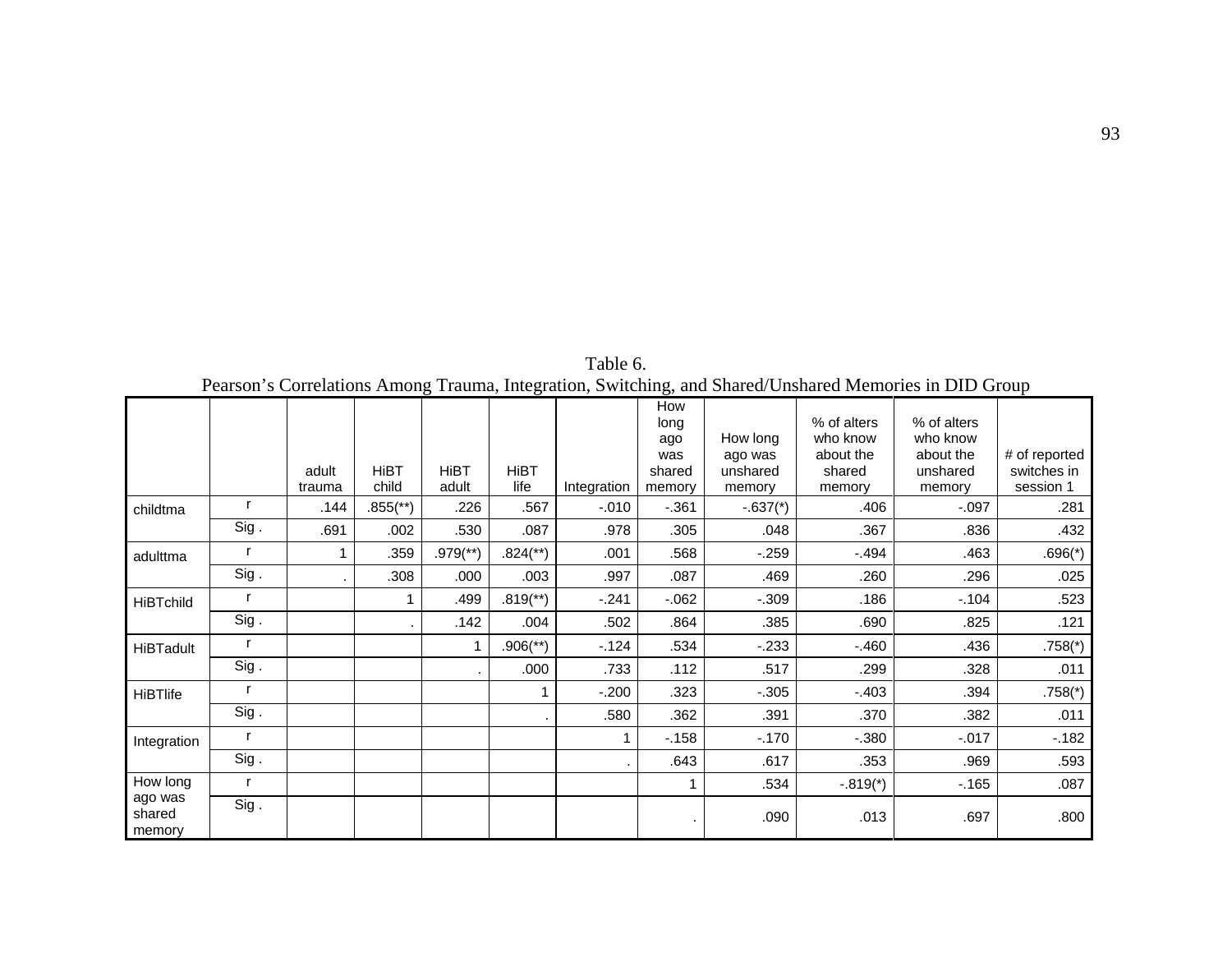| Pearson's Correlations Among Trauma, Integration, Switching, and Shared/Unshared Memories in DID Group |      |                 |                      |                          |                          |             |                                               |                                           |                                                          |                                                            |                                           |
|--------------------------------------------------------------------------------------------------------|------|-----------------|----------------------|--------------------------|--------------------------|-------------|-----------------------------------------------|-------------------------------------------|----------------------------------------------------------|------------------------------------------------------------|-------------------------------------------|
|                                                                                                        |      | adult<br>trauma | <b>HiBT</b><br>child | <b>HiBT</b><br>adult     | <b>HiBT</b><br>life      | Integration | How<br>long<br>ago<br>was<br>shared<br>memory | How long<br>ago was<br>unshared<br>memory | % of alters<br>who know<br>about the<br>shared<br>memory | % of alters<br>who know<br>about the<br>unshared<br>memory | # of reported<br>switches in<br>session 1 |
| childtma                                                                                               |      | .144            | $.855$ (**)          | .226                     | .567                     | $-.010$     | $-0.361$                                      | $-.637(*)$                                | .406                                                     | $-.097$                                                    | .281                                      |
|                                                                                                        | Sig. | .691            | .002                 | .530                     | .087                     | .978        | .305                                          | .048                                      | .367                                                     | .836                                                       | .432                                      |
| adulttma                                                                                               |      |                 | .359                 | $.979$ <sup>(**)</sup> ) | $.824$ <sup>(**)</sup> ) | .001        | .568                                          | $-259$                                    | $-494$                                                   | .463                                                       | $.696(*)$                                 |
|                                                                                                        | Sig. |                 | .308                 | .000                     | .003                     | .997        | .087                                          | .469                                      | .260                                                     | .296                                                       | .025                                      |
| <b>HiBTchild</b>                                                                                       |      |                 |                      | .499                     | $.819$ <sup>**</sup> )   | $-.241$     | $-062$                                        | $-.309$                                   | .186                                                     | $-.104$                                                    | .523                                      |
|                                                                                                        | Sig. |                 |                      | .142                     | .004                     | .502        | .864                                          | .385                                      | .690                                                     | .825                                                       | .121                                      |
| <b>HiBTadult</b>                                                                                       |      |                 |                      |                          | $.906$ <sup>(**</sup> )  | $-124$      | .534                                          | $-233$                                    | $-.460$                                                  | .436                                                       | $.758(*)$                                 |
|                                                                                                        | Sig. |                 |                      |                          | .000                     | .733        | .112                                          | .517                                      | .299                                                     | .328                                                       | .011                                      |
| <b>HiBTlife</b>                                                                                        |      |                 |                      |                          |                          | $-.200$     | .323                                          | $-.305$                                   | $-.403$                                                  | .394                                                       | $.758(*)$                                 |
|                                                                                                        | Sig. |                 |                      |                          | ٠                        | .580        | .362                                          | .391                                      | .370                                                     | .382                                                       | .011                                      |
| Integration                                                                                            |      |                 |                      |                          |                          | 1           | $-158$                                        | $-170$                                    | $-.380$                                                  | $-0.017$                                                   | $-182$                                    |
|                                                                                                        | Sig. |                 |                      |                          |                          |             | .643                                          | .617                                      | .353                                                     | .969                                                       | .593                                      |
| How long                                                                                               | r    |                 |                      |                          |                          |             |                                               | .534                                      | $-.819(*)$                                               | $-.165$                                                    | .087                                      |
| ago was<br>shared<br>memory                                                                            | Sig. |                 |                      |                          |                          |             |                                               | .090                                      | .013                                                     | .697                                                       | .800                                      |

Table 6.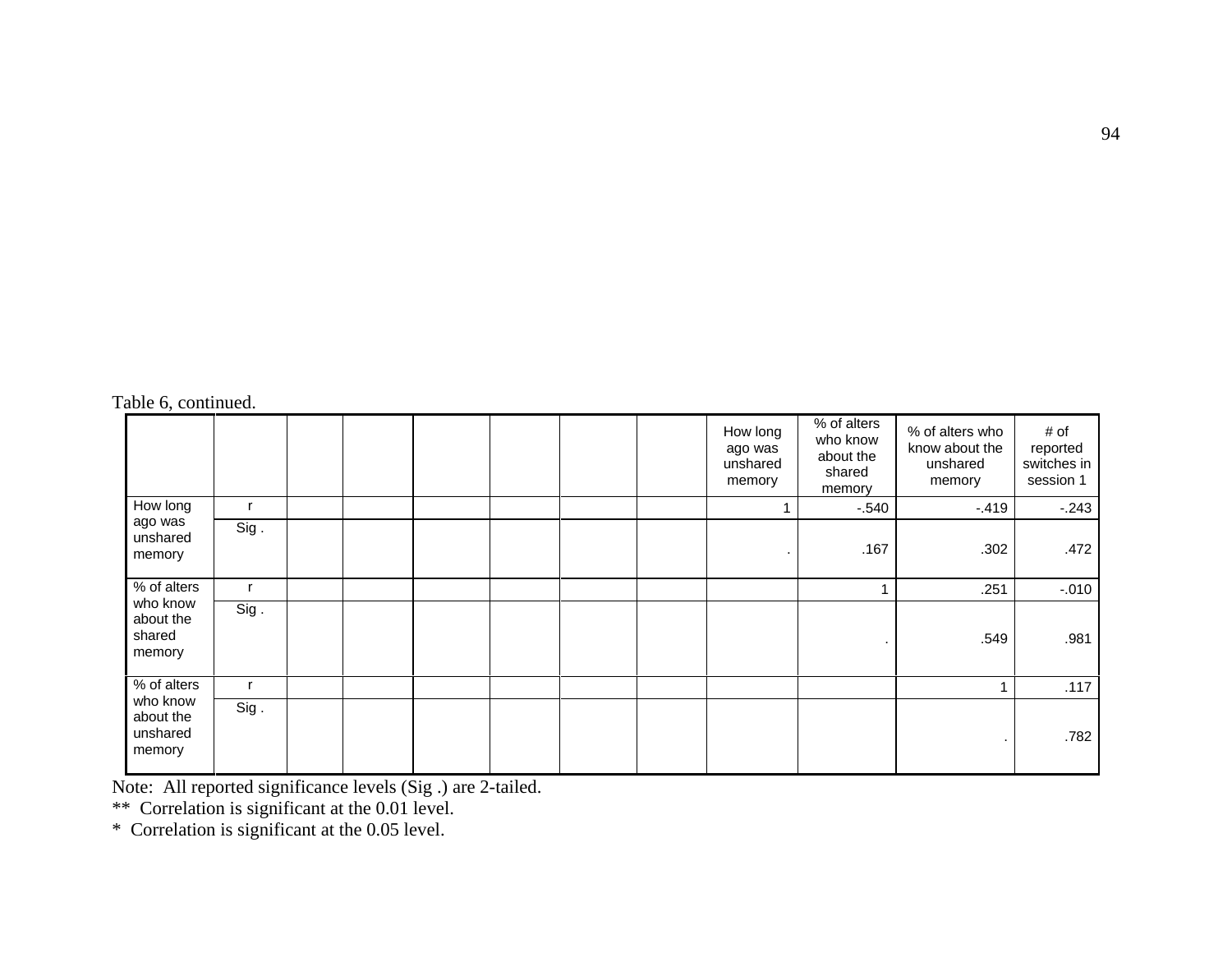|                                             |      |  |  |  | How long<br>ago was<br>unshared<br>memory | % of alters<br>who know<br>about the<br>shared<br>memory | % of alters who<br>know about the<br>unshared<br>memory | # of<br>reported<br>switches in<br>session 1 |
|---------------------------------------------|------|--|--|--|-------------------------------------------|----------------------------------------------------------|---------------------------------------------------------|----------------------------------------------|
| How long                                    |      |  |  |  |                                           | $-.540$                                                  | $-.419$                                                 | $-243$                                       |
| ago was<br>unshared<br>memory               | Sig. |  |  |  |                                           | .167                                                     | .302                                                    | .472                                         |
| % of alters                                 | r    |  |  |  |                                           |                                                          | .251                                                    | $-.010$                                      |
| who know<br>about the<br>shared<br>memory   | Sig. |  |  |  |                                           |                                                          | .549                                                    | .981                                         |
| % of alters                                 | r    |  |  |  |                                           |                                                          | 4                                                       | .117                                         |
| who know<br>about the<br>unshared<br>memory | Sig. |  |  |  |                                           |                                                          |                                                         | .782                                         |

Note: All reported significance levels (Sig .) are 2-tailed.<br>\*\* Correlation is significant at the 0.01 level.<br>\* Correlation is significant at the 0.05 level.

Table 6, continued.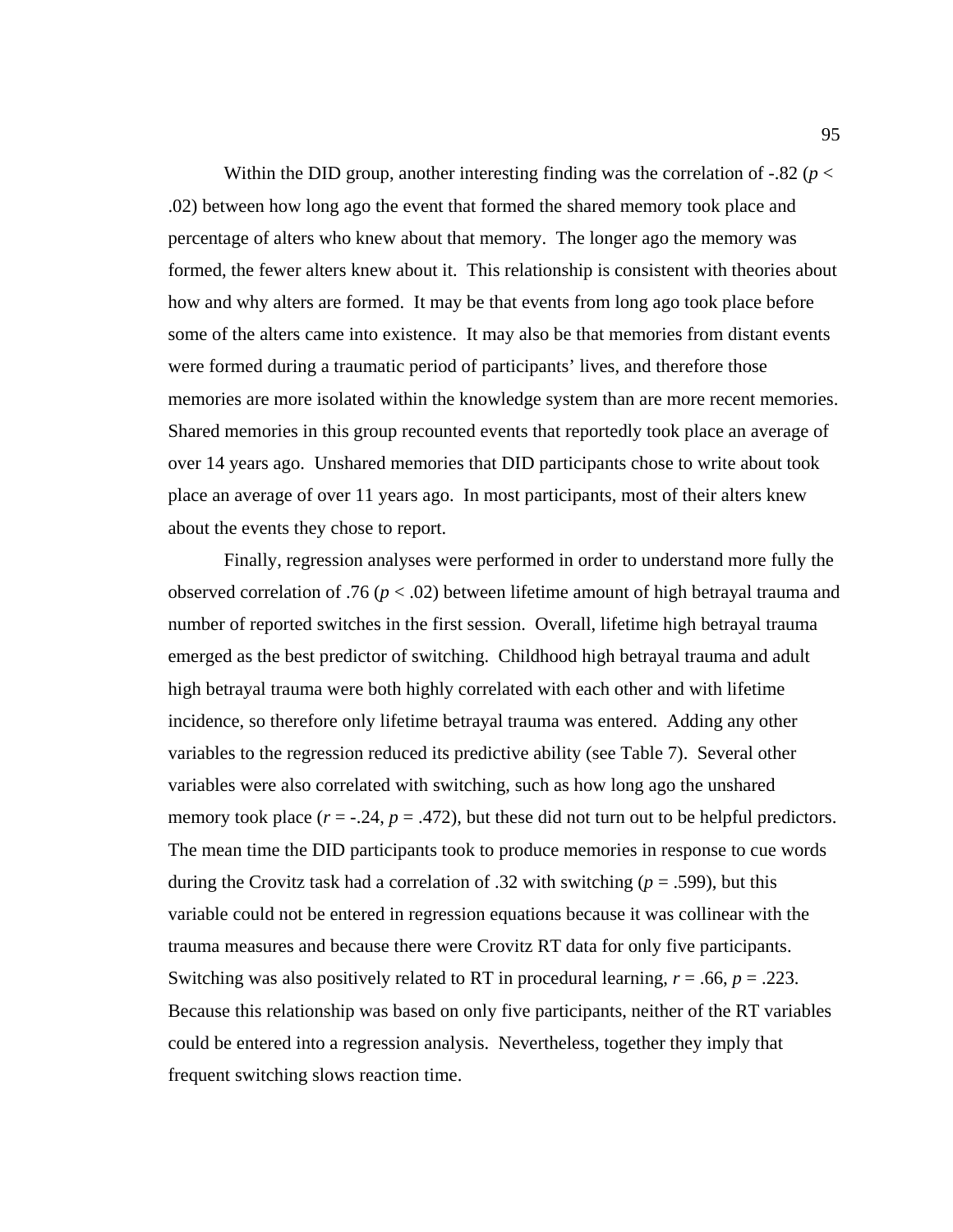Within the DID group, another interesting finding was the correlation of  $-0.82$  ( $p <$ .02) between how long ago the event that formed the shared memory took place and percentage of alters who knew about that memory. The longer ago the memory was formed, the fewer alters knew about it. This relationship is consistent with theories about how and why alters are formed. It may be that events from long ago took place before some of the alters came into existence. It may also be that memories from distant events were formed during a traumatic period of participants' lives, and therefore those memories are more isolated within the knowledge system than are more recent memories. Shared memories in this group recounted events that reportedly took place an average of over 14 years ago. Unshared memories that DID participants chose to write about took place an average of over 11 years ago. In most participants, most of their alters knew about the events they chose to report.

Finally, regression analyses were performed in order to understand more fully the observed correlation of .76 (*p* < .02) between lifetime amount of high betrayal trauma and number of reported switches in the first session. Overall, lifetime high betrayal trauma emerged as the best predictor of switching. Childhood high betrayal trauma and adult high betrayal trauma were both highly correlated with each other and with lifetime incidence, so therefore only lifetime betrayal trauma was entered. Adding any other variables to the regression reduced its predictive ability (see Table 7). Several other variables were also correlated with switching, such as how long ago the unshared memory took place  $(r = -.24, p = .472)$ , but these did not turn out to be helpful predictors. The mean time the DID participants took to produce memories in response to cue words during the Crovitz task had a correlation of .32 with switching (*p* = .599), but this variable could not be entered in regression equations because it was collinear with the trauma measures and because there were Crovitz RT data for only five participants. Switching was also positively related to RT in procedural learning, *r* = .66, *p* = .223. Because this relationship was based on only five participants, neither of the RT variables could be entered into a regression analysis. Nevertheless, together they imply that frequent switching slows reaction time.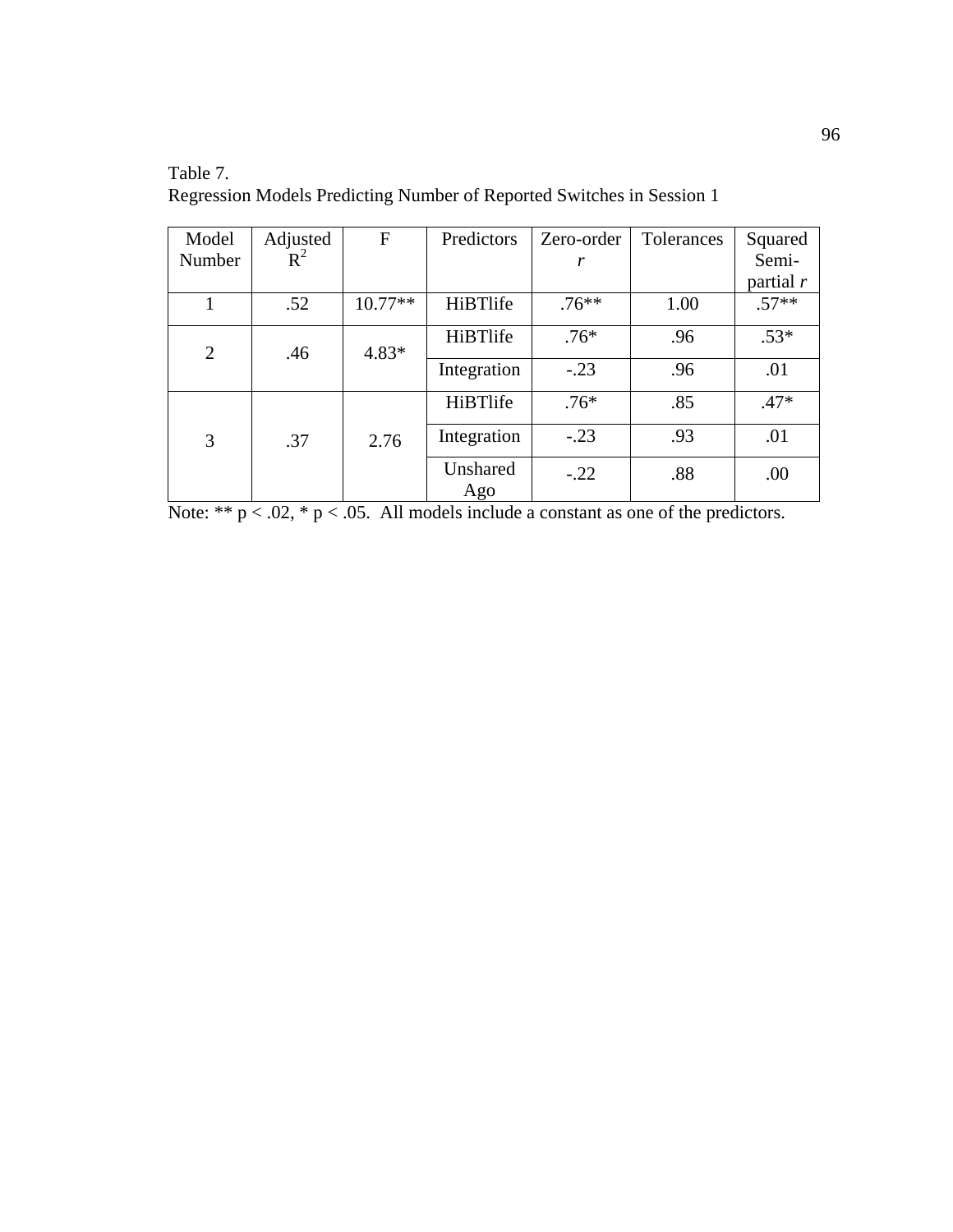| Model          | Adjusted | F         | Predictors      | Zero-order | Tolerances | Squared     |
|----------------|----------|-----------|-----------------|------------|------------|-------------|
| Number         | $R^2$    |           |                 | r          |            | Semi-       |
|                |          |           |                 |            |            | partial $r$ |
|                | .52      | $10.77**$ | <b>HiBTlife</b> | $.76**$    | 1.00       | $.57**$     |
| $\overline{2}$ | .46      | $4.83*$   | HiBTlife        | $.76*$     | .96        | $.53*$      |
|                |          |           | Integration     | $-.23$     | .96        | .01         |
|                |          |           | HiBTlife        | $.76*$     | .85        | $.47*$      |
| 3              | .37      | 2.76      | Integration     | $-.23$     | .93        | .01         |
|                |          |           | Unshared<br>Ago | $-.22$     | .88        | .00         |

Table 7. Regression Models Predicting Number of Reported Switches in Session 1

Note: \*\*  $p < .02$ , \*  $p < .05$ . All models include a constant as one of the predictors.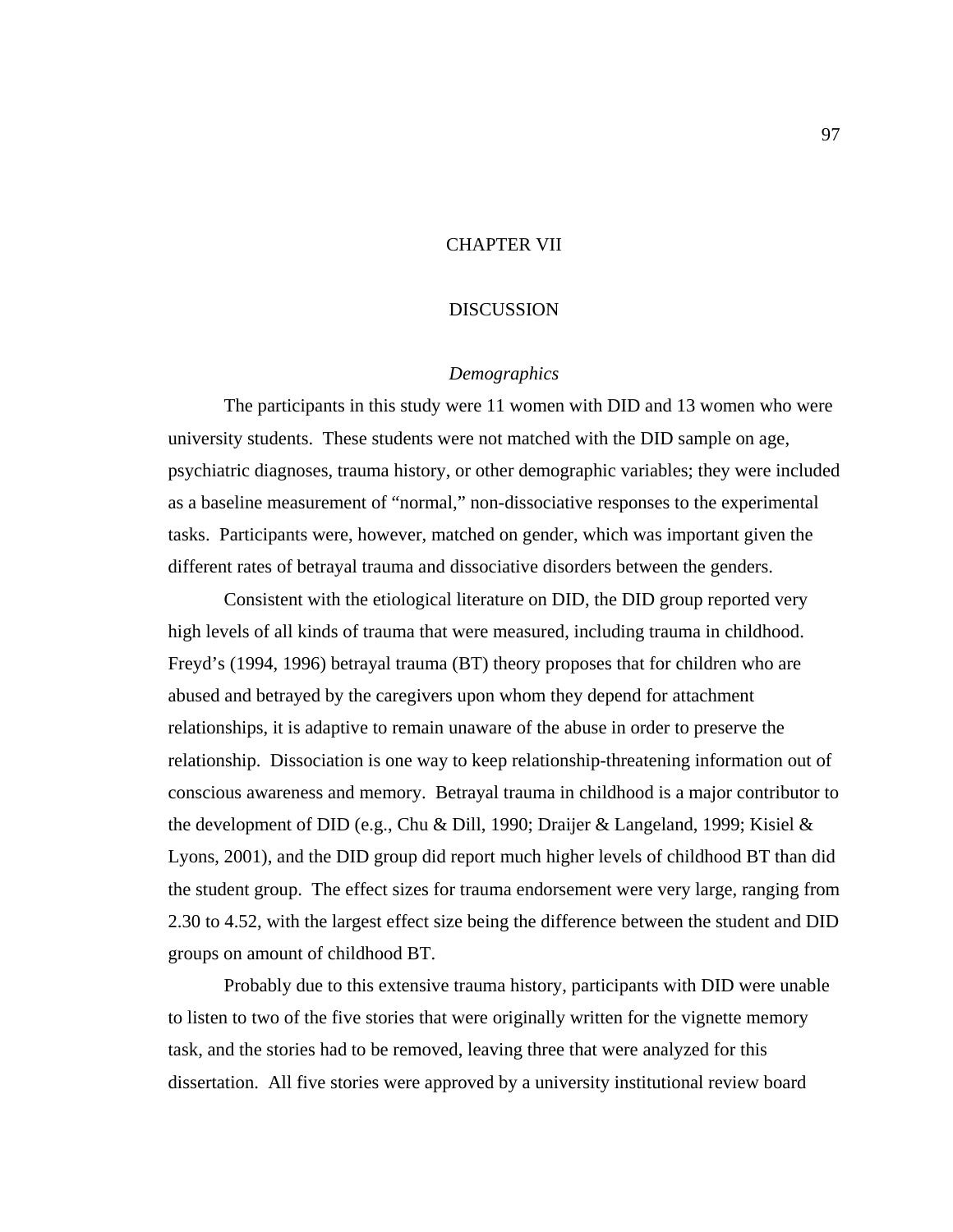# CHAPTER VII

## DISCUSSION

#### *Demographics*

The participants in this study were 11 women with DID and 13 women who were university students. These students were not matched with the DID sample on age, psychiatric diagnoses, trauma history, or other demographic variables; they were included as a baseline measurement of "normal," non-dissociative responses to the experimental tasks. Participants were, however, matched on gender, which was important given the different rates of betrayal trauma and dissociative disorders between the genders.

Consistent with the etiological literature on DID, the DID group reported very high levels of all kinds of trauma that were measured, including trauma in childhood. Freyd's (1994, 1996) betrayal trauma (BT) theory proposes that for children who are abused and betrayed by the caregivers upon whom they depend for attachment relationships, it is adaptive to remain unaware of the abuse in order to preserve the relationship. Dissociation is one way to keep relationship-threatening information out of conscious awareness and memory. Betrayal trauma in childhood is a major contributor to the development of DID (e.g., Chu & Dill, 1990; Draijer & Langeland, 1999; Kisiel & Lyons, 2001), and the DID group did report much higher levels of childhood BT than did the student group. The effect sizes for trauma endorsement were very large, ranging from 2.30 to 4.52, with the largest effect size being the difference between the student and DID groups on amount of childhood BT.

 Probably due to this extensive trauma history, participants with DID were unable to listen to two of the five stories that were originally written for the vignette memory task, and the stories had to be removed, leaving three that were analyzed for this dissertation. All five stories were approved by a university institutional review board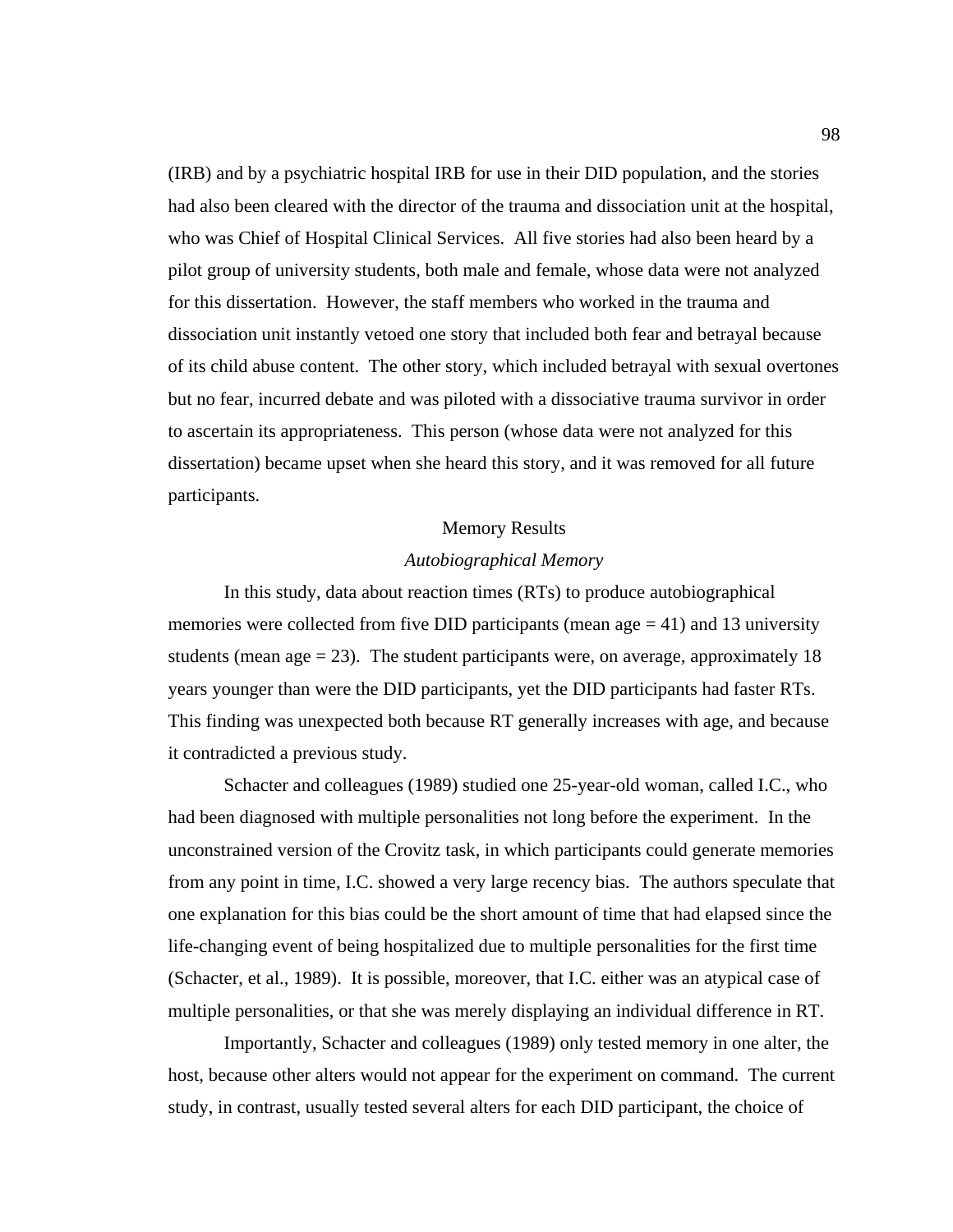(IRB) and by a psychiatric hospital IRB for use in their DID population, and the stories had also been cleared with the director of the trauma and dissociation unit at the hospital, who was Chief of Hospital Clinical Services. All five stories had also been heard by a pilot group of university students, both male and female, whose data were not analyzed for this dissertation. However, the staff members who worked in the trauma and dissociation unit instantly vetoed one story that included both fear and betrayal because of its child abuse content. The other story, which included betrayal with sexual overtones but no fear, incurred debate and was piloted with a dissociative trauma survivor in order to ascertain its appropriateness. This person (whose data were not analyzed for this dissertation) became upset when she heard this story, and it was removed for all future participants.

#### Memory Results

### *Autobiographical Memory*

 In this study, data about reaction times (RTs) to produce autobiographical memories were collected from five DID participants (mean age  $=$  41) and 13 university students (mean age  $= 23$ ). The student participants were, on average, approximately 18 years younger than were the DID participants, yet the DID participants had faster RTs. This finding was unexpected both because RT generally increases with age, and because it contradicted a previous study.

 Schacter and colleagues (1989) studied one 25-year-old woman, called I.C., who had been diagnosed with multiple personalities not long before the experiment. In the unconstrained version of the Crovitz task, in which participants could generate memories from any point in time, I.C. showed a very large recency bias. The authors speculate that one explanation for this bias could be the short amount of time that had elapsed since the life-changing event of being hospitalized due to multiple personalities for the first time (Schacter, et al., 1989). It is possible, moreover, that I.C. either was an atypical case of multiple personalities, or that she was merely displaying an individual difference in RT.

 Importantly, Schacter and colleagues (1989) only tested memory in one alter, the host, because other alters would not appear for the experiment on command. The current study, in contrast, usually tested several alters for each DID participant, the choice of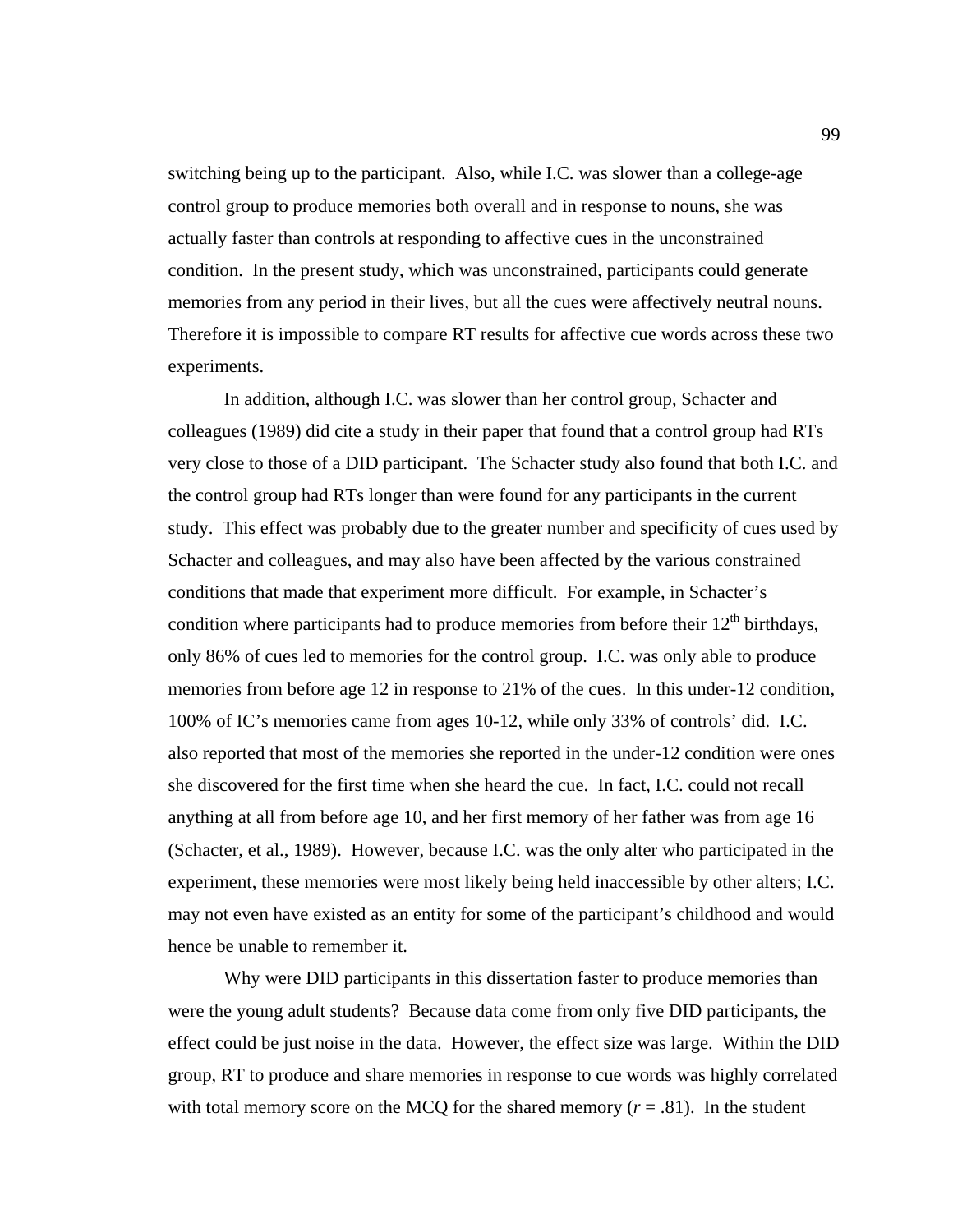switching being up to the participant. Also, while I.C. was slower than a college-age control group to produce memories both overall and in response to nouns, she was actually faster than controls at responding to affective cues in the unconstrained condition. In the present study, which was unconstrained, participants could generate memories from any period in their lives, but all the cues were affectively neutral nouns. Therefore it is impossible to compare RT results for affective cue words across these two experiments.

In addition, although I.C. was slower than her control group, Schacter and colleagues (1989) did cite a study in their paper that found that a control group had RTs very close to those of a DID participant. The Schacter study also found that both I.C. and the control group had RTs longer than were found for any participants in the current study. This effect was probably due to the greater number and specificity of cues used by Schacter and colleagues, and may also have been affected by the various constrained conditions that made that experiment more difficult. For example, in Schacter's condition where participants had to produce memories from before their  $12<sup>th</sup>$  birthdays, only 86% of cues led to memories for the control group. I.C. was only able to produce memories from before age 12 in response to 21% of the cues. In this under-12 condition, 100% of IC's memories came from ages 10-12, while only 33% of controls' did. I.C. also reported that most of the memories she reported in the under-12 condition were ones she discovered for the first time when she heard the cue. In fact, I.C. could not recall anything at all from before age 10, and her first memory of her father was from age 16 (Schacter, et al., 1989). However, because I.C. was the only alter who participated in the experiment, these memories were most likely being held inaccessible by other alters; I.C. may not even have existed as an entity for some of the participant's childhood and would hence be unable to remember it.

Why were DID participants in this dissertation faster to produce memories than were the young adult students? Because data come from only five DID participants, the effect could be just noise in the data. However, the effect size was large. Within the DID group, RT to produce and share memories in response to cue words was highly correlated with total memory score on the MCQ for the shared memory  $(r = .81)$ . In the student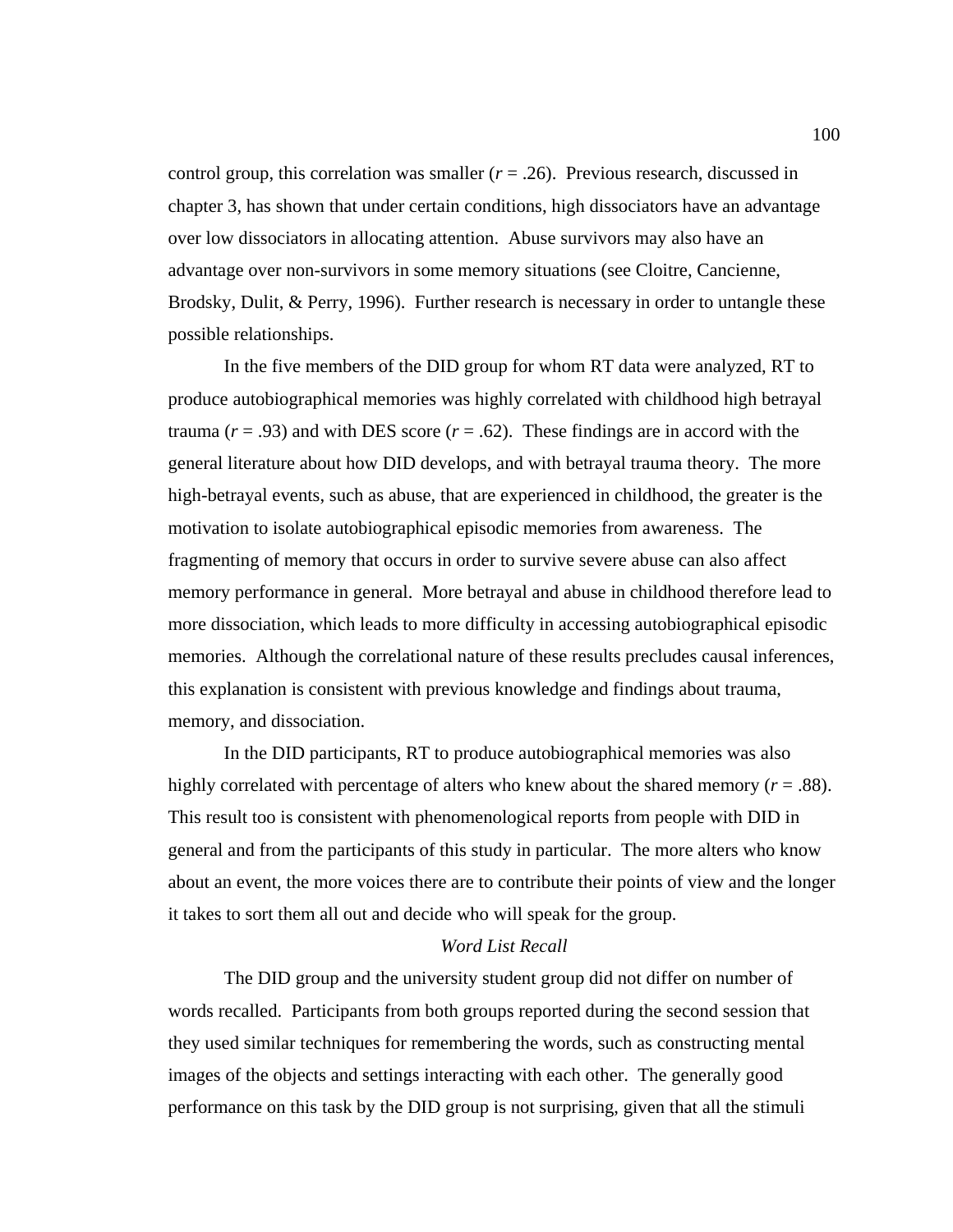control group, this correlation was smaller  $(r = .26)$ . Previous research, discussed in chapter 3, has shown that under certain conditions, high dissociators have an advantage over low dissociators in allocating attention. Abuse survivors may also have an advantage over non-survivors in some memory situations (see Cloitre, Cancienne, Brodsky, Dulit, & Perry, 1996). Further research is necessary in order to untangle these possible relationships.

In the five members of the DID group for whom RT data were analyzed, RT to produce autobiographical memories was highly correlated with childhood high betrayal trauma ( $r = .93$ ) and with DES score ( $r = .62$ ). These findings are in accord with the general literature about how DID develops, and with betrayal trauma theory. The more high-betrayal events, such as abuse, that are experienced in childhood, the greater is the motivation to isolate autobiographical episodic memories from awareness. The fragmenting of memory that occurs in order to survive severe abuse can also affect memory performance in general. More betrayal and abuse in childhood therefore lead to more dissociation, which leads to more difficulty in accessing autobiographical episodic memories. Although the correlational nature of these results precludes causal inferences, this explanation is consistent with previous knowledge and findings about trauma, memory, and dissociation.

In the DID participants, RT to produce autobiographical memories was also highly correlated with percentage of alters who knew about the shared memory  $(r = .88)$ . This result too is consistent with phenomenological reports from people with DID in general and from the participants of this study in particular. The more alters who know about an event, the more voices there are to contribute their points of view and the longer it takes to sort them all out and decide who will speak for the group.

## *Word List Recall*

 The DID group and the university student group did not differ on number of words recalled. Participants from both groups reported during the second session that they used similar techniques for remembering the words, such as constructing mental images of the objects and settings interacting with each other. The generally good performance on this task by the DID group is not surprising, given that all the stimuli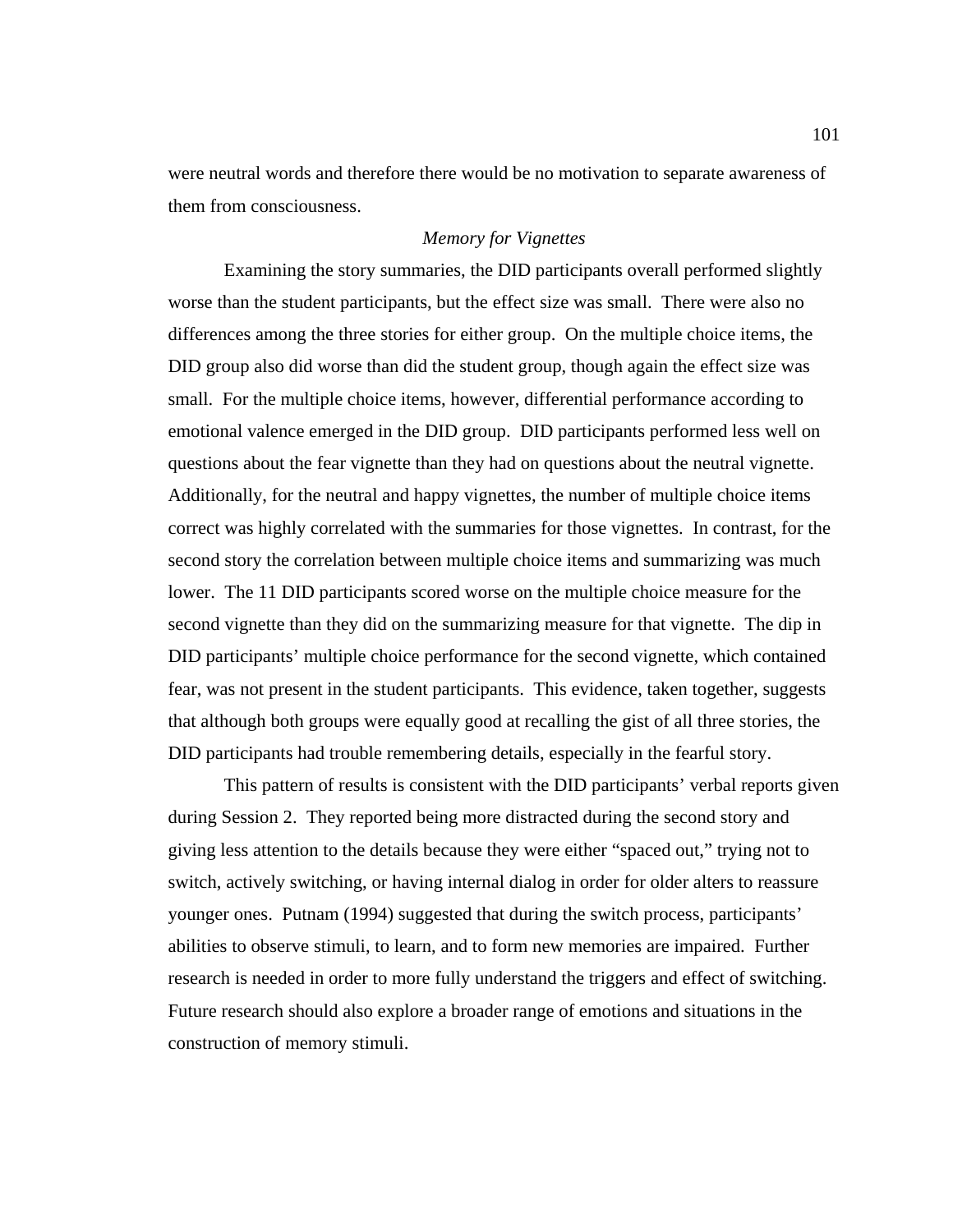were neutral words and therefore there would be no motivation to separate awareness of them from consciousness.

## *Memory for Vignettes*

Examining the story summaries, the DID participants overall performed slightly worse than the student participants, but the effect size was small. There were also no differences among the three stories for either group. On the multiple choice items, the DID group also did worse than did the student group, though again the effect size was small. For the multiple choice items, however, differential performance according to emotional valence emerged in the DID group. DID participants performed less well on questions about the fear vignette than they had on questions about the neutral vignette. Additionally, for the neutral and happy vignettes, the number of multiple choice items correct was highly correlated with the summaries for those vignettes. In contrast, for the second story the correlation between multiple choice items and summarizing was much lower. The 11 DID participants scored worse on the multiple choice measure for the second vignette than they did on the summarizing measure for that vignette. The dip in DID participants' multiple choice performance for the second vignette, which contained fear, was not present in the student participants. This evidence, taken together, suggests that although both groups were equally good at recalling the gist of all three stories, the DID participants had trouble remembering details, especially in the fearful story.

This pattern of results is consistent with the DID participants' verbal reports given during Session 2. They reported being more distracted during the second story and giving less attention to the details because they were either "spaced out," trying not to switch, actively switching, or having internal dialog in order for older alters to reassure younger ones. Putnam (1994) suggested that during the switch process, participants' abilities to observe stimuli, to learn, and to form new memories are impaired. Further research is needed in order to more fully understand the triggers and effect of switching. Future research should also explore a broader range of emotions and situations in the construction of memory stimuli.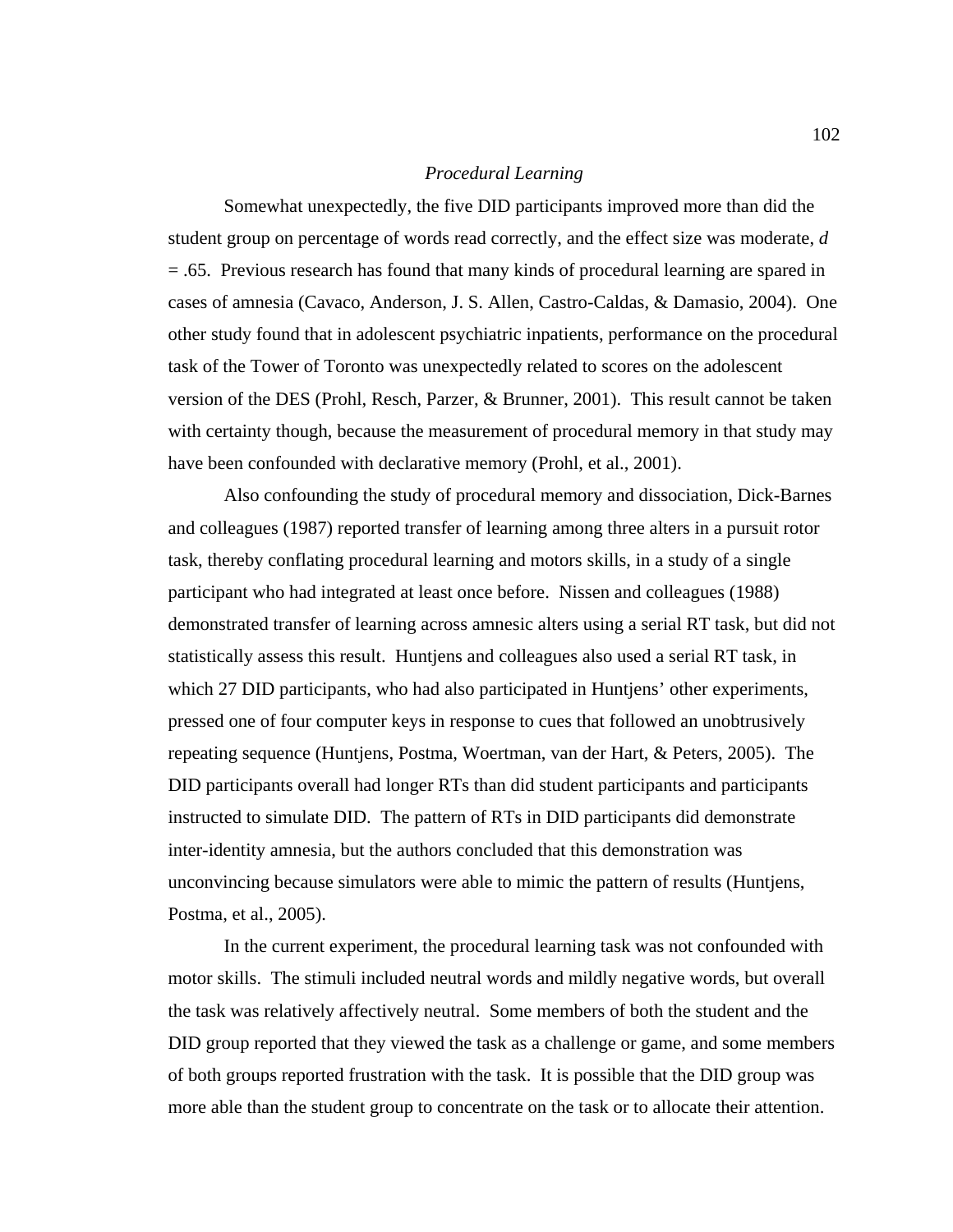## *Procedural Learning*

 Somewhat unexpectedly, the five DID participants improved more than did the student group on percentage of words read correctly, and the effect size was moderate, *d* = .65. Previous research has found that many kinds of procedural learning are spared in cases of amnesia (Cavaco, Anderson, J. S. Allen, Castro-Caldas, & Damasio, 2004). One other study found that in adolescent psychiatric inpatients, performance on the procedural task of the Tower of Toronto was unexpectedly related to scores on the adolescent version of the DES (Prohl, Resch, Parzer, & Brunner, 2001). This result cannot be taken with certainty though, because the measurement of procedural memory in that study may have been confounded with declarative memory (Prohl, et al., 2001).

Also confounding the study of procedural memory and dissociation, Dick-Barnes and colleagues (1987) reported transfer of learning among three alters in a pursuit rotor task, thereby conflating procedural learning and motors skills, in a study of a single participant who had integrated at least once before. Nissen and colleagues (1988) demonstrated transfer of learning across amnesic alters using a serial RT task, but did not statistically assess this result. Huntjens and colleagues also used a serial RT task, in which 27 DID participants, who had also participated in Huntjens' other experiments, pressed one of four computer keys in response to cues that followed an unobtrusively repeating sequence (Huntjens, Postma, Woertman, van der Hart, & Peters, 2005). The DID participants overall had longer RTs than did student participants and participants instructed to simulate DID. The pattern of RTs in DID participants did demonstrate inter-identity amnesia, but the authors concluded that this demonstration was unconvincing because simulators were able to mimic the pattern of results (Huntjens, Postma, et al., 2005).

In the current experiment, the procedural learning task was not confounded with motor skills. The stimuli included neutral words and mildly negative words, but overall the task was relatively affectively neutral. Some members of both the student and the DID group reported that they viewed the task as a challenge or game, and some members of both groups reported frustration with the task. It is possible that the DID group was more able than the student group to concentrate on the task or to allocate their attention.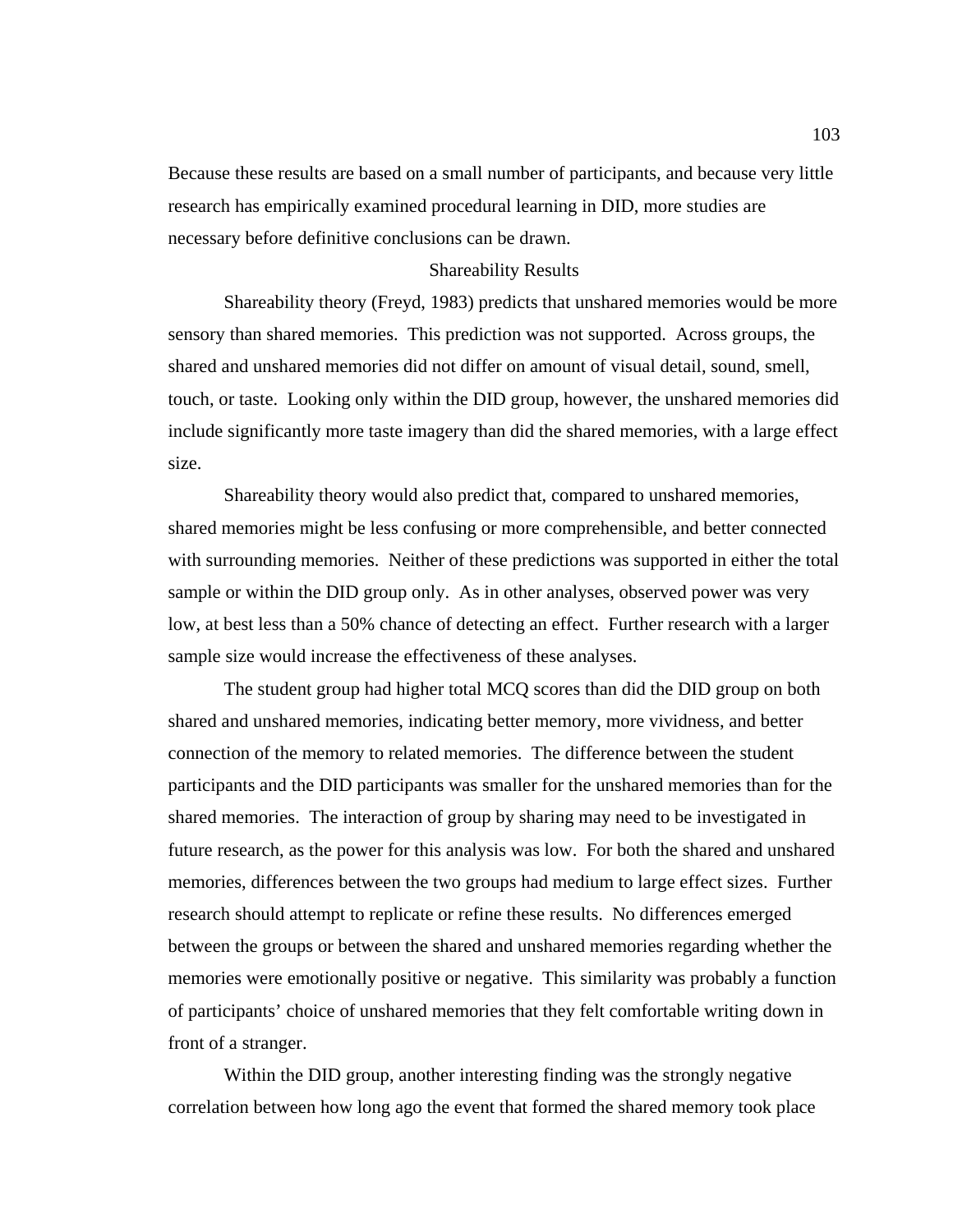Because these results are based on a small number of participants, and because very little research has empirically examined procedural learning in DID, more studies are necessary before definitive conclusions can be drawn.

### Shareability Results

 Shareability theory (Freyd, 1983) predicts that unshared memories would be more sensory than shared memories. This prediction was not supported. Across groups, the shared and unshared memories did not differ on amount of visual detail, sound, smell, touch, or taste. Looking only within the DID group, however, the unshared memories did include significantly more taste imagery than did the shared memories, with a large effect size.

Shareability theory would also predict that, compared to unshared memories, shared memories might be less confusing or more comprehensible, and better connected with surrounding memories. Neither of these predictions was supported in either the total sample or within the DID group only. As in other analyses, observed power was very low, at best less than a 50% chance of detecting an effect. Further research with a larger sample size would increase the effectiveness of these analyses.

 The student group had higher total MCQ scores than did the DID group on both shared and unshared memories, indicating better memory, more vividness, and better connection of the memory to related memories. The difference between the student participants and the DID participants was smaller for the unshared memories than for the shared memories. The interaction of group by sharing may need to be investigated in future research, as the power for this analysis was low. For both the shared and unshared memories, differences between the two groups had medium to large effect sizes. Further research should attempt to replicate or refine these results. No differences emerged between the groups or between the shared and unshared memories regarding whether the memories were emotionally positive or negative. This similarity was probably a function of participants' choice of unshared memories that they felt comfortable writing down in front of a stranger.

Within the DID group, another interesting finding was the strongly negative correlation between how long ago the event that formed the shared memory took place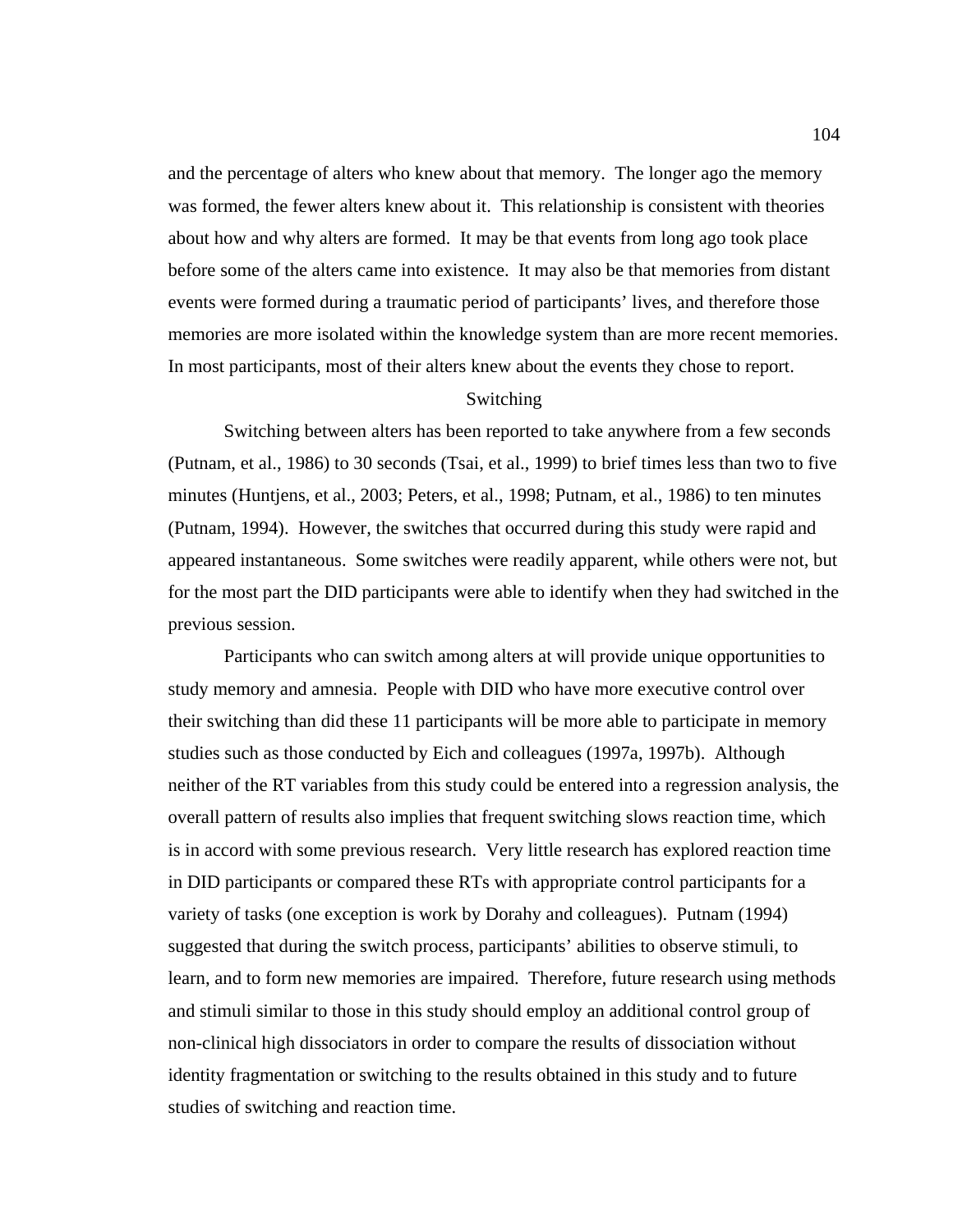and the percentage of alters who knew about that memory. The longer ago the memory was formed, the fewer alters knew about it. This relationship is consistent with theories about how and why alters are formed. It may be that events from long ago took place before some of the alters came into existence. It may also be that memories from distant events were formed during a traumatic period of participants' lives, and therefore those memories are more isolated within the knowledge system than are more recent memories. In most participants, most of their alters knew about the events they chose to report.

### Switching

Switching between alters has been reported to take anywhere from a few seconds (Putnam, et al., 1986) to 30 seconds (Tsai, et al., 1999) to brief times less than two to five minutes (Huntjens, et al., 2003; Peters, et al., 1998; Putnam, et al., 1986) to ten minutes (Putnam, 1994). However, the switches that occurred during this study were rapid and appeared instantaneous. Some switches were readily apparent, while others were not, but for the most part the DID participants were able to identify when they had switched in the previous session.

Participants who can switch among alters at will provide unique opportunities to study memory and amnesia. People with DID who have more executive control over their switching than did these 11 participants will be more able to participate in memory studies such as those conducted by Eich and colleagues (1997a, 1997b). Although neither of the RT variables from this study could be entered into a regression analysis, the overall pattern of results also implies that frequent switching slows reaction time, which is in accord with some previous research. Very little research has explored reaction time in DID participants or compared these RTs with appropriate control participants for a variety of tasks (one exception is work by Dorahy and colleagues). Putnam (1994) suggested that during the switch process, participants' abilities to observe stimuli, to learn, and to form new memories are impaired. Therefore, future research using methods and stimuli similar to those in this study should employ an additional control group of non-clinical high dissociators in order to compare the results of dissociation without identity fragmentation or switching to the results obtained in this study and to future studies of switching and reaction time.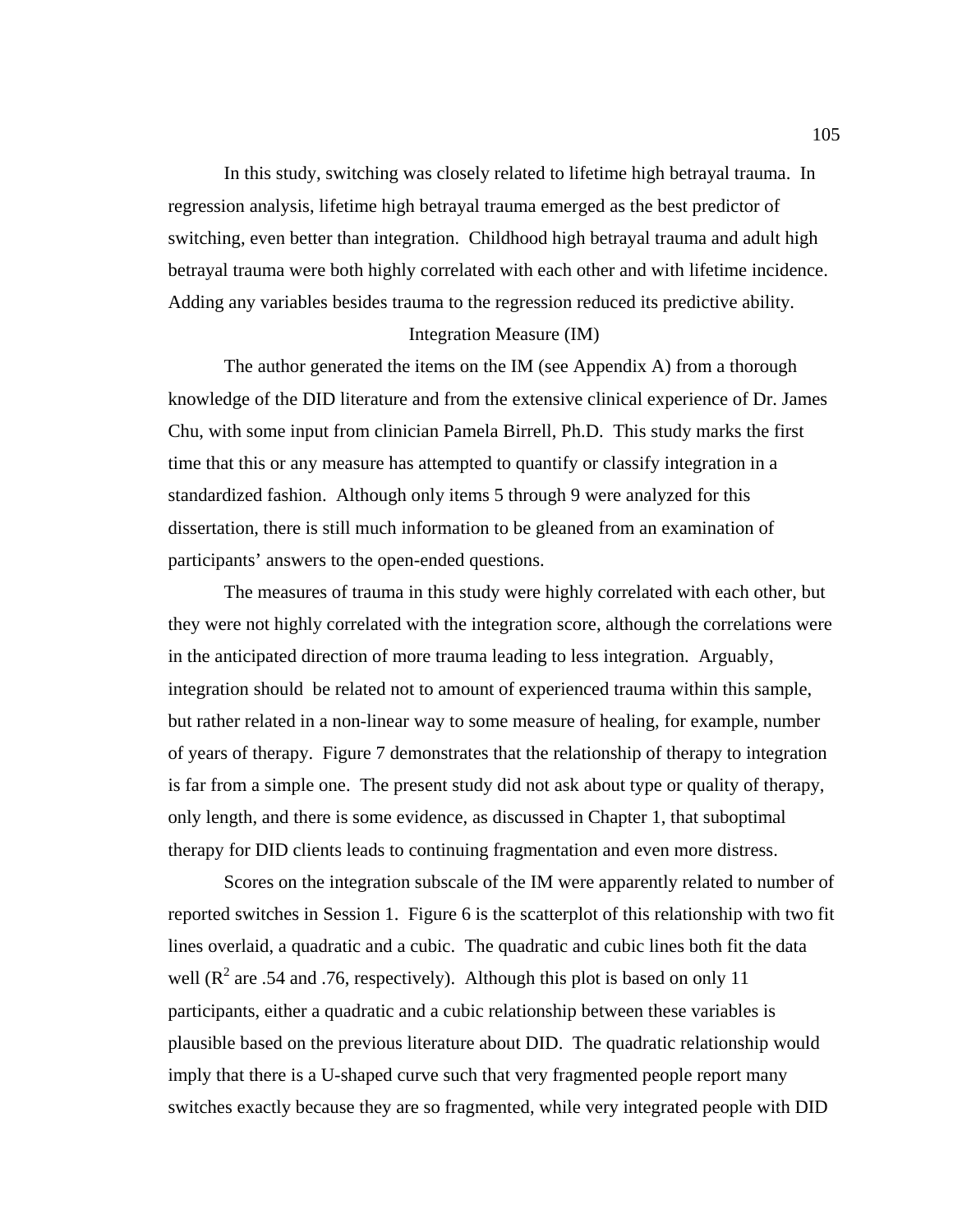In this study, switching was closely related to lifetime high betrayal trauma. In regression analysis, lifetime high betrayal trauma emerged as the best predictor of switching, even better than integration. Childhood high betrayal trauma and adult high betrayal trauma were both highly correlated with each other and with lifetime incidence. Adding any variables besides trauma to the regression reduced its predictive ability.

## Integration Measure (IM)

 The author generated the items on the IM (see Appendix A) from a thorough knowledge of the DID literature and from the extensive clinical experience of Dr. James Chu, with some input from clinician Pamela Birrell, Ph.D. This study marks the first time that this or any measure has attempted to quantify or classify integration in a standardized fashion. Although only items 5 through 9 were analyzed for this dissertation, there is still much information to be gleaned from an examination of participants' answers to the open-ended questions.

The measures of trauma in this study were highly correlated with each other, but they were not highly correlated with the integration score, although the correlations were in the anticipated direction of more trauma leading to less integration. Arguably, integration should be related not to amount of experienced trauma within this sample, but rather related in a non-linear way to some measure of healing, for example, number of years of therapy. Figure 7 demonstrates that the relationship of therapy to integration is far from a simple one. The present study did not ask about type or quality of therapy, only length, and there is some evidence, as discussed in Chapter 1, that suboptimal therapy for DID clients leads to continuing fragmentation and even more distress.

Scores on the integration subscale of the IM were apparently related to number of reported switches in Session 1. Figure 6 is the scatterplot of this relationship with two fit lines overlaid, a quadratic and a cubic. The quadratic and cubic lines both fit the data well ( $\mathbb{R}^2$  are .54 and .76, respectively). Although this plot is based on only 11 participants, either a quadratic and a cubic relationship between these variables is plausible based on the previous literature about DID. The quadratic relationship would imply that there is a U-shaped curve such that very fragmented people report many switches exactly because they are so fragmented, while very integrated people with DID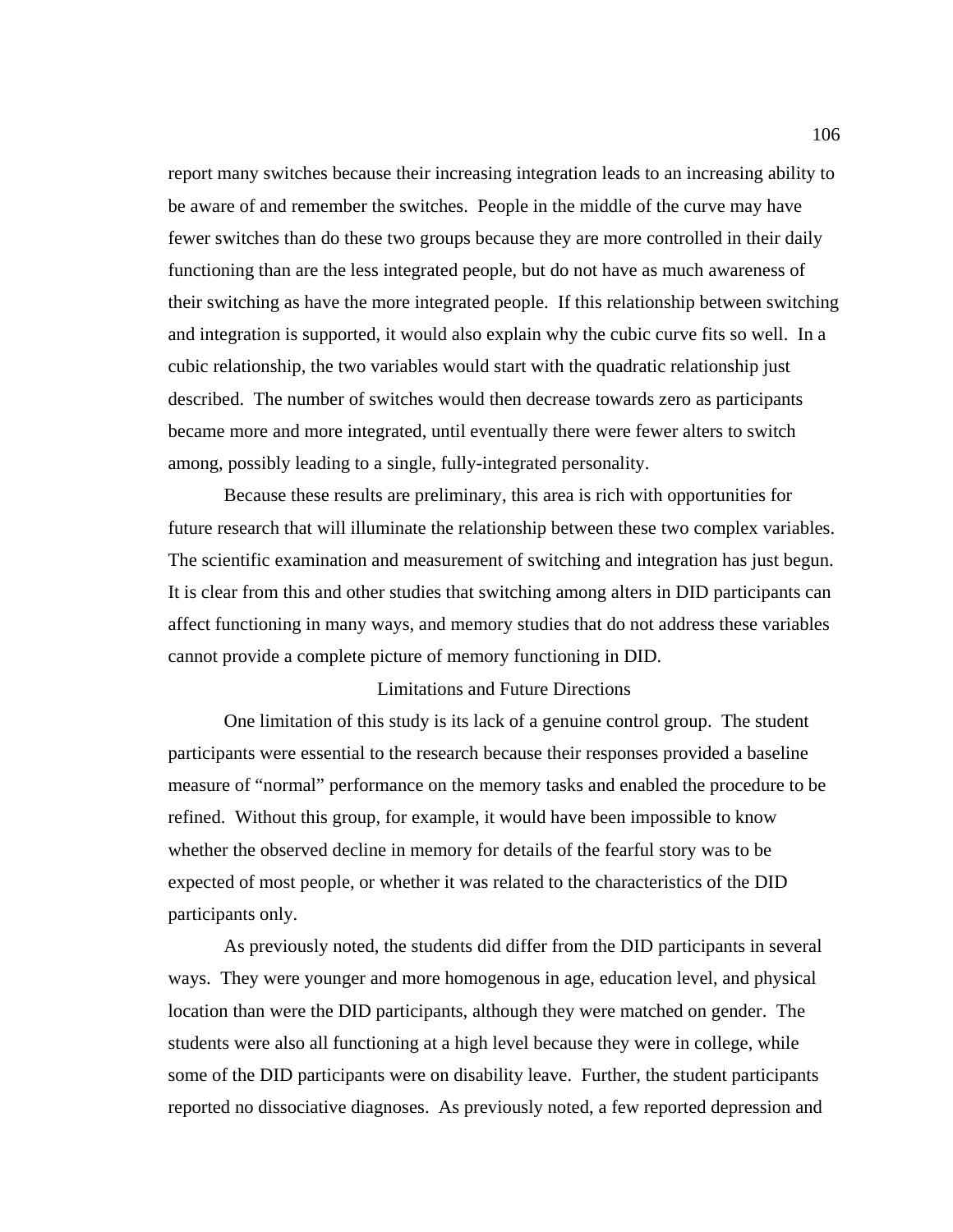report many switches because their increasing integration leads to an increasing ability to be aware of and remember the switches. People in the middle of the curve may have fewer switches than do these two groups because they are more controlled in their daily functioning than are the less integrated people, but do not have as much awareness of their switching as have the more integrated people. If this relationship between switching and integration is supported, it would also explain why the cubic curve fits so well. In a cubic relationship, the two variables would start with the quadratic relationship just described. The number of switches would then decrease towards zero as participants became more and more integrated, until eventually there were fewer alters to switch among, possibly leading to a single, fully-integrated personality.

Because these results are preliminary, this area is rich with opportunities for future research that will illuminate the relationship between these two complex variables. The scientific examination and measurement of switching and integration has just begun. It is clear from this and other studies that switching among alters in DID participants can affect functioning in many ways, and memory studies that do not address these variables cannot provide a complete picture of memory functioning in DID.

### Limitations and Future Directions

One limitation of this study is its lack of a genuine control group. The student participants were essential to the research because their responses provided a baseline measure of "normal" performance on the memory tasks and enabled the procedure to be refined. Without this group, for example, it would have been impossible to know whether the observed decline in memory for details of the fearful story was to be expected of most people, or whether it was related to the characteristics of the DID participants only.

As previously noted, the students did differ from the DID participants in several ways. They were younger and more homogenous in age, education level, and physical location than were the DID participants, although they were matched on gender. The students were also all functioning at a high level because they were in college, while some of the DID participants were on disability leave. Further, the student participants reported no dissociative diagnoses. As previously noted, a few reported depression and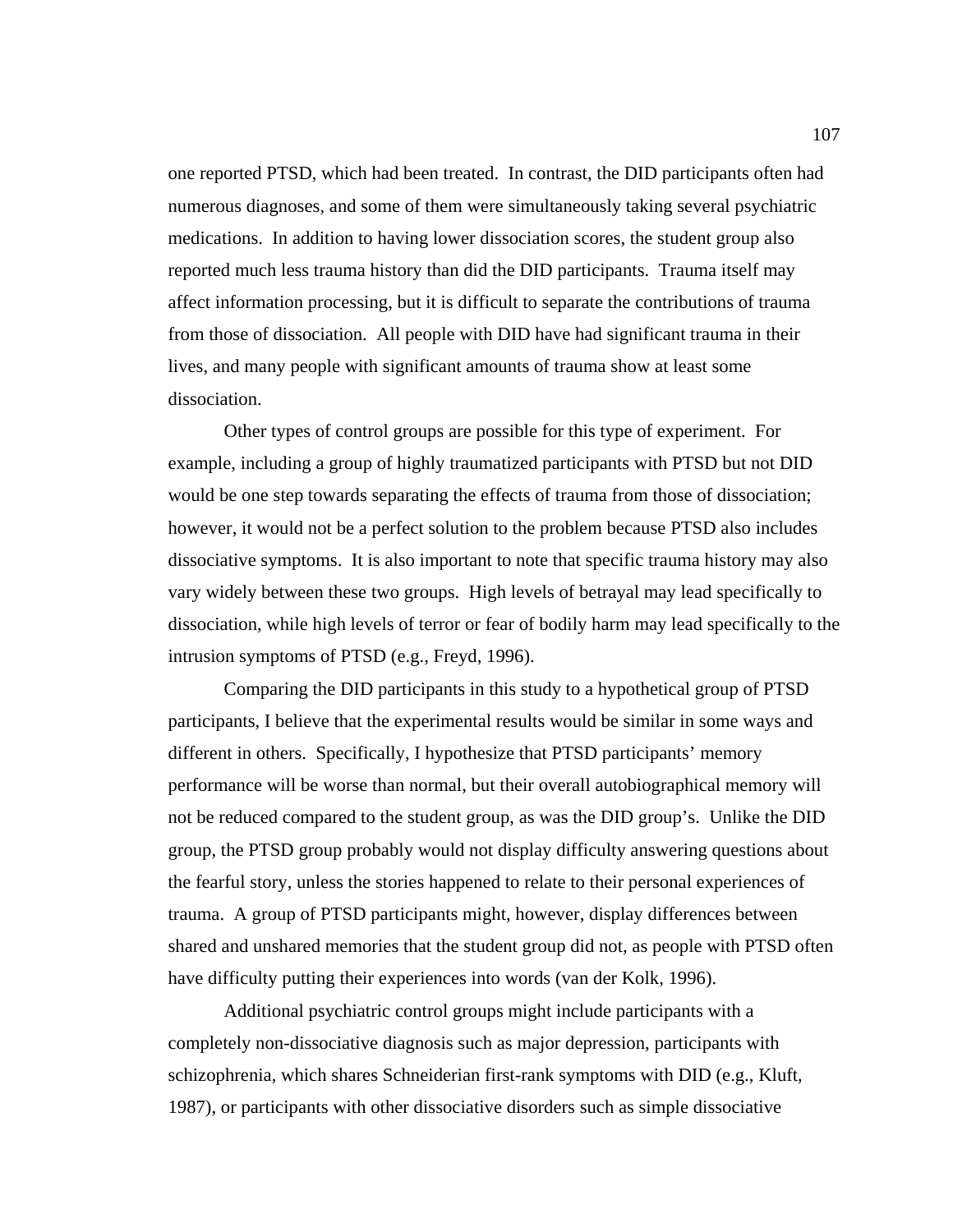one reported PTSD, which had been treated. In contrast, the DID participants often had numerous diagnoses, and some of them were simultaneously taking several psychiatric medications. In addition to having lower dissociation scores, the student group also reported much less trauma history than did the DID participants. Trauma itself may affect information processing, but it is difficult to separate the contributions of trauma from those of dissociation. All people with DID have had significant trauma in their lives, and many people with significant amounts of trauma show at least some dissociation.

Other types of control groups are possible for this type of experiment. For example, including a group of highly traumatized participants with PTSD but not DID would be one step towards separating the effects of trauma from those of dissociation; however, it would not be a perfect solution to the problem because PTSD also includes dissociative symptoms. It is also important to note that specific trauma history may also vary widely between these two groups. High levels of betrayal may lead specifically to dissociation, while high levels of terror or fear of bodily harm may lead specifically to the intrusion symptoms of PTSD (e.g., Freyd, 1996).

Comparing the DID participants in this study to a hypothetical group of PTSD participants, I believe that the experimental results would be similar in some ways and different in others. Specifically, I hypothesize that PTSD participants' memory performance will be worse than normal, but their overall autobiographical memory will not be reduced compared to the student group, as was the DID group's. Unlike the DID group, the PTSD group probably would not display difficulty answering questions about the fearful story, unless the stories happened to relate to their personal experiences of trauma. A group of PTSD participants might, however, display differences between shared and unshared memories that the student group did not, as people with PTSD often have difficulty putting their experiences into words (van der Kolk, 1996).

Additional psychiatric control groups might include participants with a completely non-dissociative diagnosis such as major depression, participants with schizophrenia, which shares Schneiderian first-rank symptoms with DID (e.g., Kluft, 1987), or participants with other dissociative disorders such as simple dissociative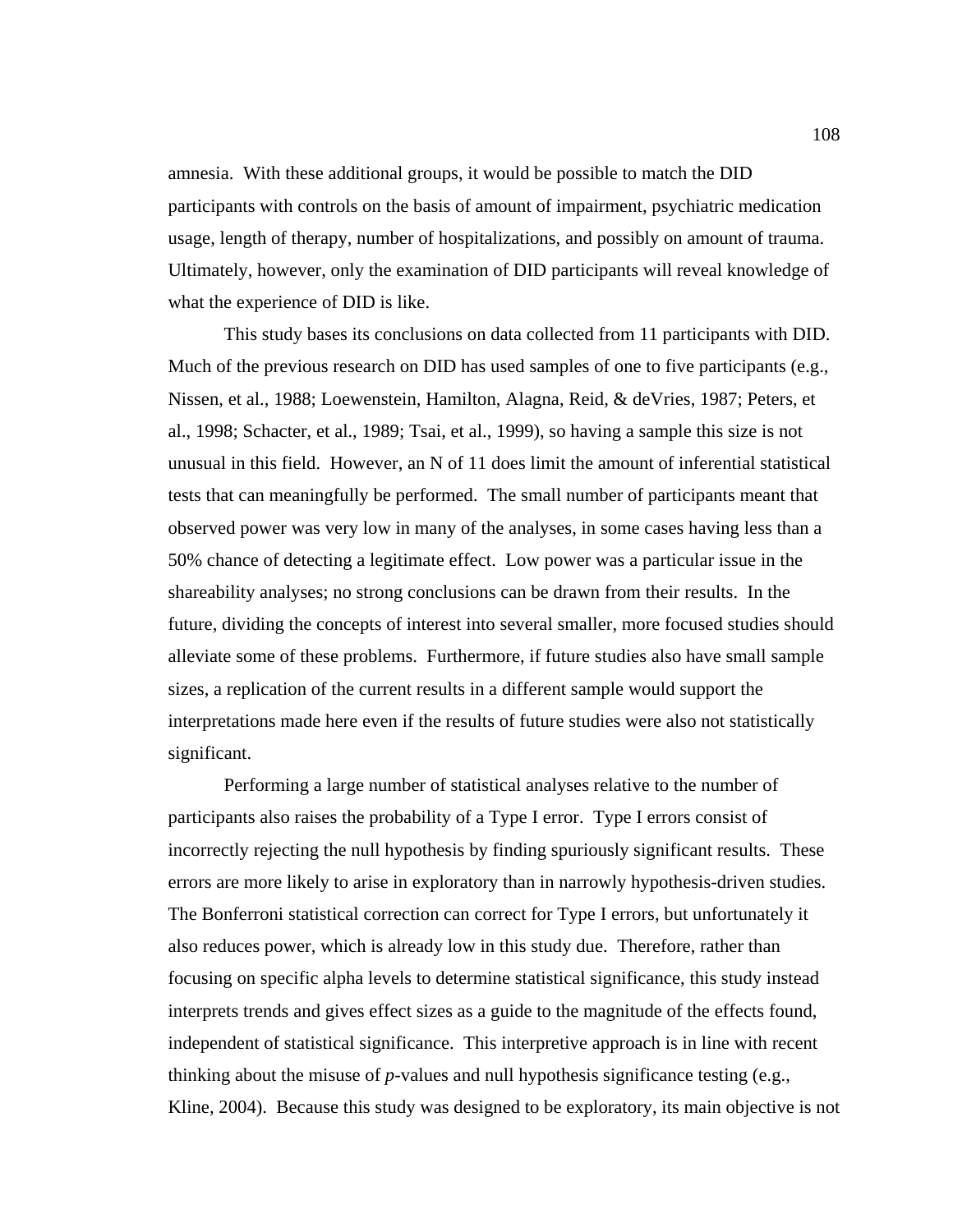amnesia. With these additional groups, it would be possible to match the DID participants with controls on the basis of amount of impairment, psychiatric medication usage, length of therapy, number of hospitalizations, and possibly on amount of trauma. Ultimately, however, only the examination of DID participants will reveal knowledge of what the experience of DID is like.

This study bases its conclusions on data collected from 11 participants with DID. Much of the previous research on DID has used samples of one to five participants (e.g., Nissen, et al., 1988; Loewenstein, Hamilton, Alagna, Reid, & deVries, 1987; Peters, et al., 1998; Schacter, et al., 1989; Tsai, et al., 1999), so having a sample this size is not unusual in this field. However, an N of 11 does limit the amount of inferential statistical tests that can meaningfully be performed. The small number of participants meant that observed power was very low in many of the analyses, in some cases having less than a 50% chance of detecting a legitimate effect. Low power was a particular issue in the shareability analyses; no strong conclusions can be drawn from their results. In the future, dividing the concepts of interest into several smaller, more focused studies should alleviate some of these problems. Furthermore, if future studies also have small sample sizes, a replication of the current results in a different sample would support the interpretations made here even if the results of future studies were also not statistically significant.

Performing a large number of statistical analyses relative to the number of participants also raises the probability of a Type I error. Type I errors consist of incorrectly rejecting the null hypothesis by finding spuriously significant results. These errors are more likely to arise in exploratory than in narrowly hypothesis-driven studies. The Bonferroni statistical correction can correct for Type I errors, but unfortunately it also reduces power, which is already low in this study due. Therefore, rather than focusing on specific alpha levels to determine statistical significance, this study instead interprets trends and gives effect sizes as a guide to the magnitude of the effects found, independent of statistical significance. This interpretive approach is in line with recent thinking about the misuse of *p*-values and null hypothesis significance testing (e.g., Kline, 2004). Because this study was designed to be exploratory, its main objective is not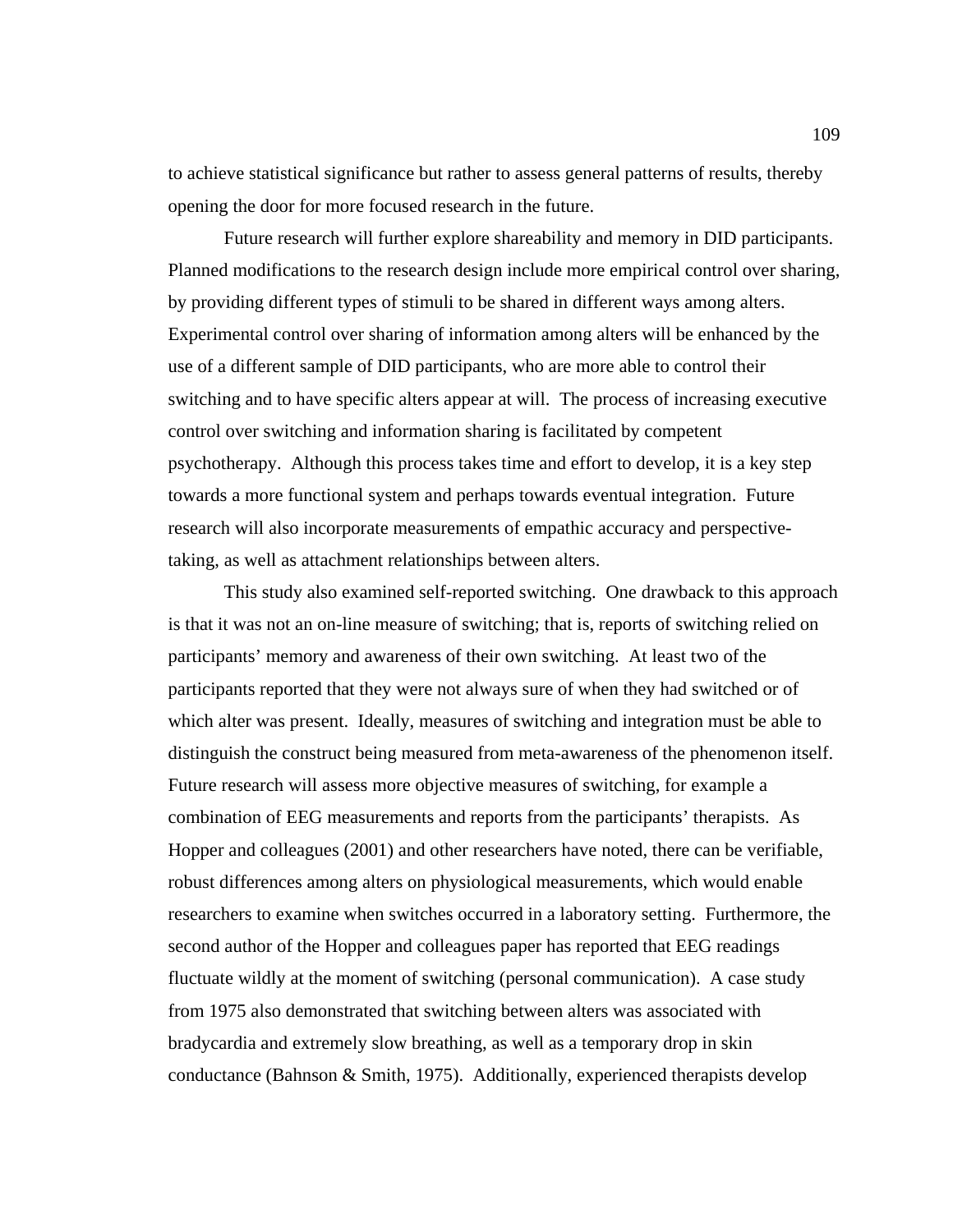to achieve statistical significance but rather to assess general patterns of results, thereby opening the door for more focused research in the future.

Future research will further explore shareability and memory in DID participants. Planned modifications to the research design include more empirical control over sharing, by providing different types of stimuli to be shared in different ways among alters. Experimental control over sharing of information among alters will be enhanced by the use of a different sample of DID participants, who are more able to control their switching and to have specific alters appear at will. The process of increasing executive control over switching and information sharing is facilitated by competent psychotherapy. Although this process takes time and effort to develop, it is a key step towards a more functional system and perhaps towards eventual integration. Future research will also incorporate measurements of empathic accuracy and perspectivetaking, as well as attachment relationships between alters.

This study also examined self-reported switching. One drawback to this approach is that it was not an on-line measure of switching; that is, reports of switching relied on participants' memory and awareness of their own switching. At least two of the participants reported that they were not always sure of when they had switched or of which alter was present. Ideally, measures of switching and integration must be able to distinguish the construct being measured from meta-awareness of the phenomenon itself. Future research will assess more objective measures of switching, for example a combination of EEG measurements and reports from the participants' therapists. As Hopper and colleagues (2001) and other researchers have noted, there can be verifiable, robust differences among alters on physiological measurements, which would enable researchers to examine when switches occurred in a laboratory setting. Furthermore, the second author of the Hopper and colleagues paper has reported that EEG readings fluctuate wildly at the moment of switching (personal communication). A case study from 1975 also demonstrated that switching between alters was associated with bradycardia and extremely slow breathing, as well as a temporary drop in skin conductance (Bahnson & Smith, 1975). Additionally, experienced therapists develop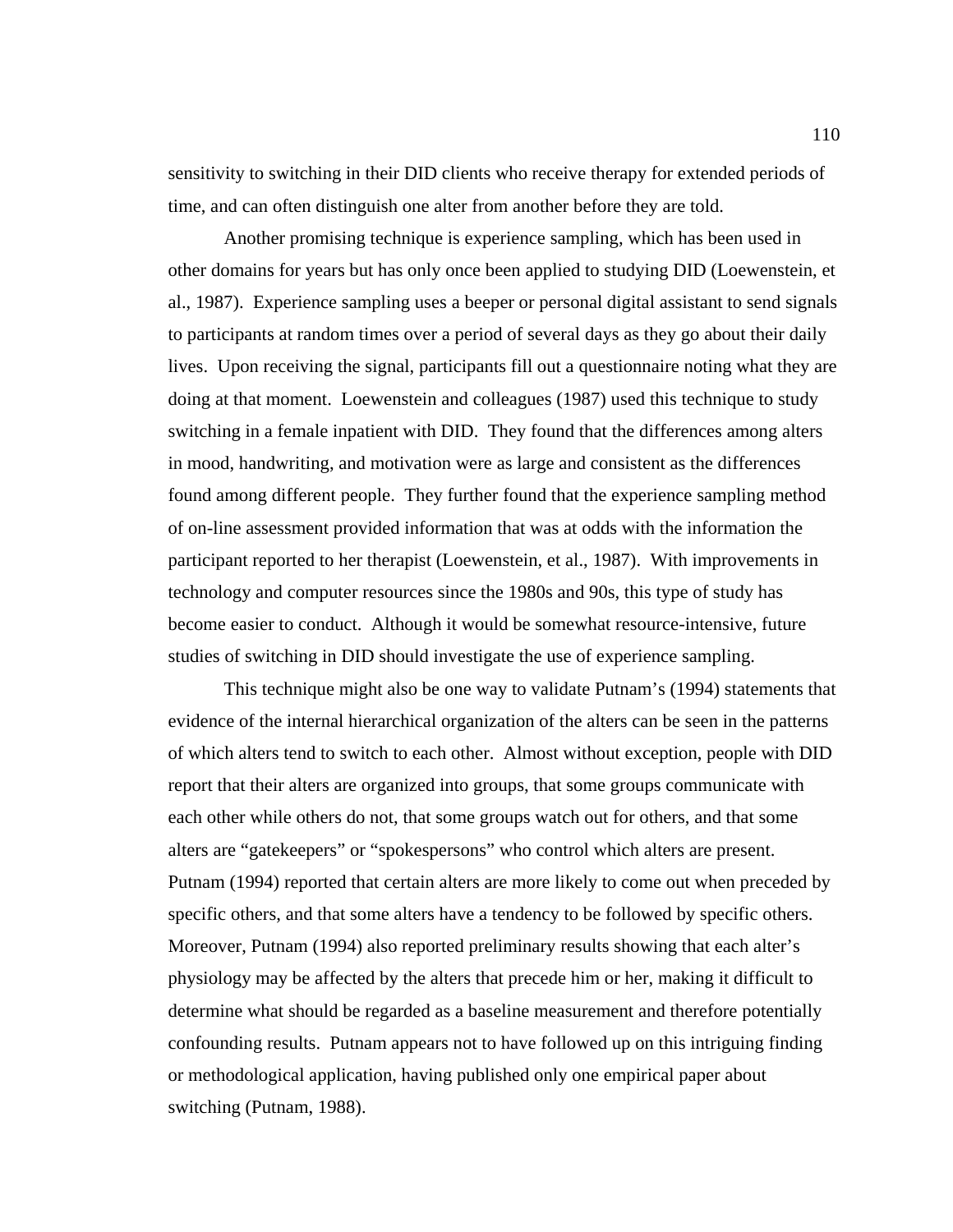sensitivity to switching in their DID clients who receive therapy for extended periods of time, and can often distinguish one alter from another before they are told.

Another promising technique is experience sampling, which has been used in other domains for years but has only once been applied to studying DID (Loewenstein, et al., 1987). Experience sampling uses a beeper or personal digital assistant to send signals to participants at random times over a period of several days as they go about their daily lives. Upon receiving the signal, participants fill out a questionnaire noting what they are doing at that moment. Loewenstein and colleagues (1987) used this technique to study switching in a female inpatient with DID. They found that the differences among alters in mood, handwriting, and motivation were as large and consistent as the differences found among different people. They further found that the experience sampling method of on-line assessment provided information that was at odds with the information the participant reported to her therapist (Loewenstein, et al., 1987). With improvements in technology and computer resources since the 1980s and 90s, this type of study has become easier to conduct. Although it would be somewhat resource-intensive, future studies of switching in DID should investigate the use of experience sampling.

This technique might also be one way to validate Putnam's (1994) statements that evidence of the internal hierarchical organization of the alters can be seen in the patterns of which alters tend to switch to each other. Almost without exception, people with DID report that their alters are organized into groups, that some groups communicate with each other while others do not, that some groups watch out for others, and that some alters are "gatekeepers" or "spokespersons" who control which alters are present. Putnam (1994) reported that certain alters are more likely to come out when preceded by specific others, and that some alters have a tendency to be followed by specific others. Moreover, Putnam (1994) also reported preliminary results showing that each alter's physiology may be affected by the alters that precede him or her, making it difficult to determine what should be regarded as a baseline measurement and therefore potentially confounding results. Putnam appears not to have followed up on this intriguing finding or methodological application, having published only one empirical paper about switching (Putnam, 1988).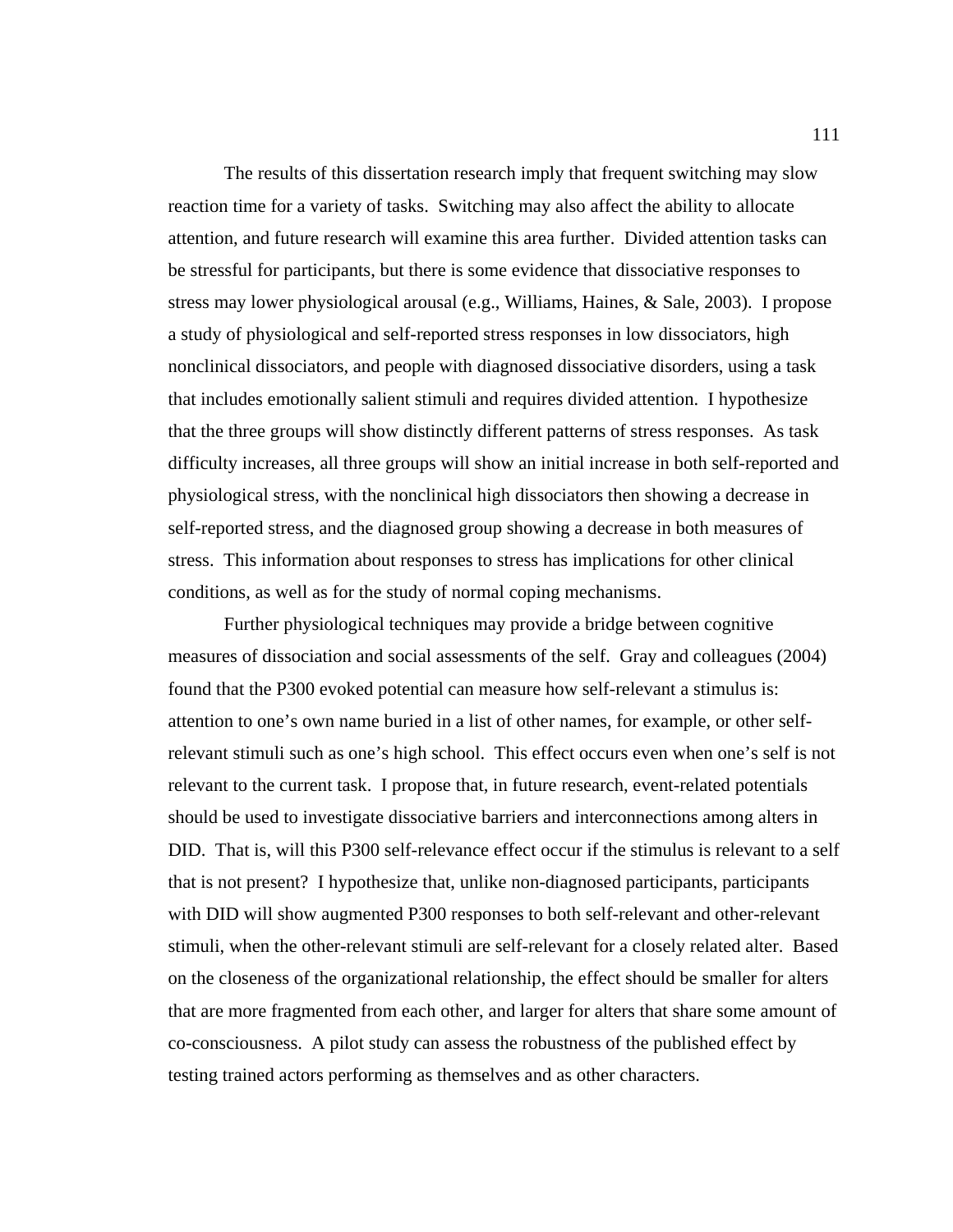The results of this dissertation research imply that frequent switching may slow reaction time for a variety of tasks. Switching may also affect the ability to allocate attention, and future research will examine this area further. Divided attention tasks can be stressful for participants, but there is some evidence that dissociative responses to stress may lower physiological arousal (e.g., Williams, Haines, & Sale, 2003). I propose a study of physiological and self-reported stress responses in low dissociators, high nonclinical dissociators, and people with diagnosed dissociative disorders, using a task that includes emotionally salient stimuli and requires divided attention. I hypothesize that the three groups will show distinctly different patterns of stress responses. As task difficulty increases, all three groups will show an initial increase in both self-reported and physiological stress, with the nonclinical high dissociators then showing a decrease in self-reported stress, and the diagnosed group showing a decrease in both measures of stress. This information about responses to stress has implications for other clinical conditions, as well as for the study of normal coping mechanisms.

Further physiological techniques may provide a bridge between cognitive measures of dissociation and social assessments of the self. Gray and colleagues (2004) found that the P300 evoked potential can measure how self-relevant a stimulus is: attention to one's own name buried in a list of other names, for example, or other selfrelevant stimuli such as one's high school. This effect occurs even when one's self is not relevant to the current task. I propose that, in future research, event-related potentials should be used to investigate dissociative barriers and interconnections among alters in DID. That is, will this P300 self-relevance effect occur if the stimulus is relevant to a self that is not present? I hypothesize that, unlike non-diagnosed participants, participants with DID will show augmented P300 responses to both self-relevant and other-relevant stimuli, when the other-relevant stimuli are self-relevant for a closely related alter. Based on the closeness of the organizational relationship, the effect should be smaller for alters that are more fragmented from each other, and larger for alters that share some amount of co-consciousness. A pilot study can assess the robustness of the published effect by testing trained actors performing as themselves and as other characters.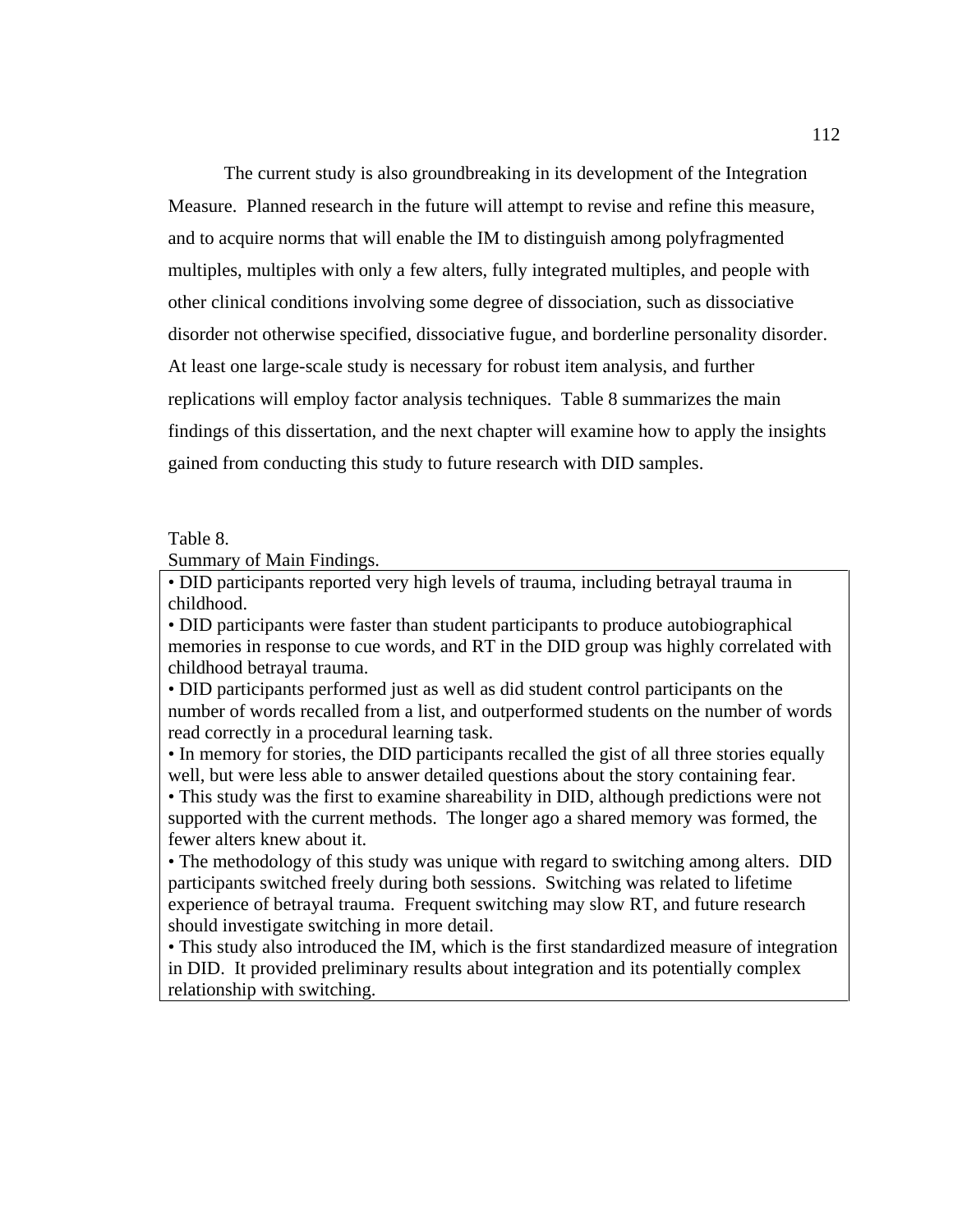The current study is also groundbreaking in its development of the Integration Measure. Planned research in the future will attempt to revise and refine this measure, and to acquire norms that will enable the IM to distinguish among polyfragmented multiples, multiples with only a few alters, fully integrated multiples, and people with other clinical conditions involving some degree of dissociation, such as dissociative disorder not otherwise specified, dissociative fugue, and borderline personality disorder. At least one large-scale study is necessary for robust item analysis, and further replications will employ factor analysis techniques. Table 8 summarizes the main findings of this dissertation, and the next chapter will examine how to apply the insights gained from conducting this study to future research with DID samples.

## Table 8.

Summary of Main Findings.

• DID participants reported very high levels of trauma, including betrayal trauma in childhood.

• DID participants were faster than student participants to produce autobiographical memories in response to cue words, and RT in the DID group was highly correlated with childhood betrayal trauma.

• DID participants performed just as well as did student control participants on the number of words recalled from a list, and outperformed students on the number of words read correctly in a procedural learning task.

• In memory for stories, the DID participants recalled the gist of all three stories equally well, but were less able to answer detailed questions about the story containing fear.

• This study was the first to examine shareability in DID, although predictions were not supported with the current methods. The longer ago a shared memory was formed, the fewer alters knew about it.

• The methodology of this study was unique with regard to switching among alters. DID participants switched freely during both sessions. Switching was related to lifetime experience of betrayal trauma. Frequent switching may slow RT, and future research should investigate switching in more detail.

• This study also introduced the IM, which is the first standardized measure of integration in DID. It provided preliminary results about integration and its potentially complex relationship with switching.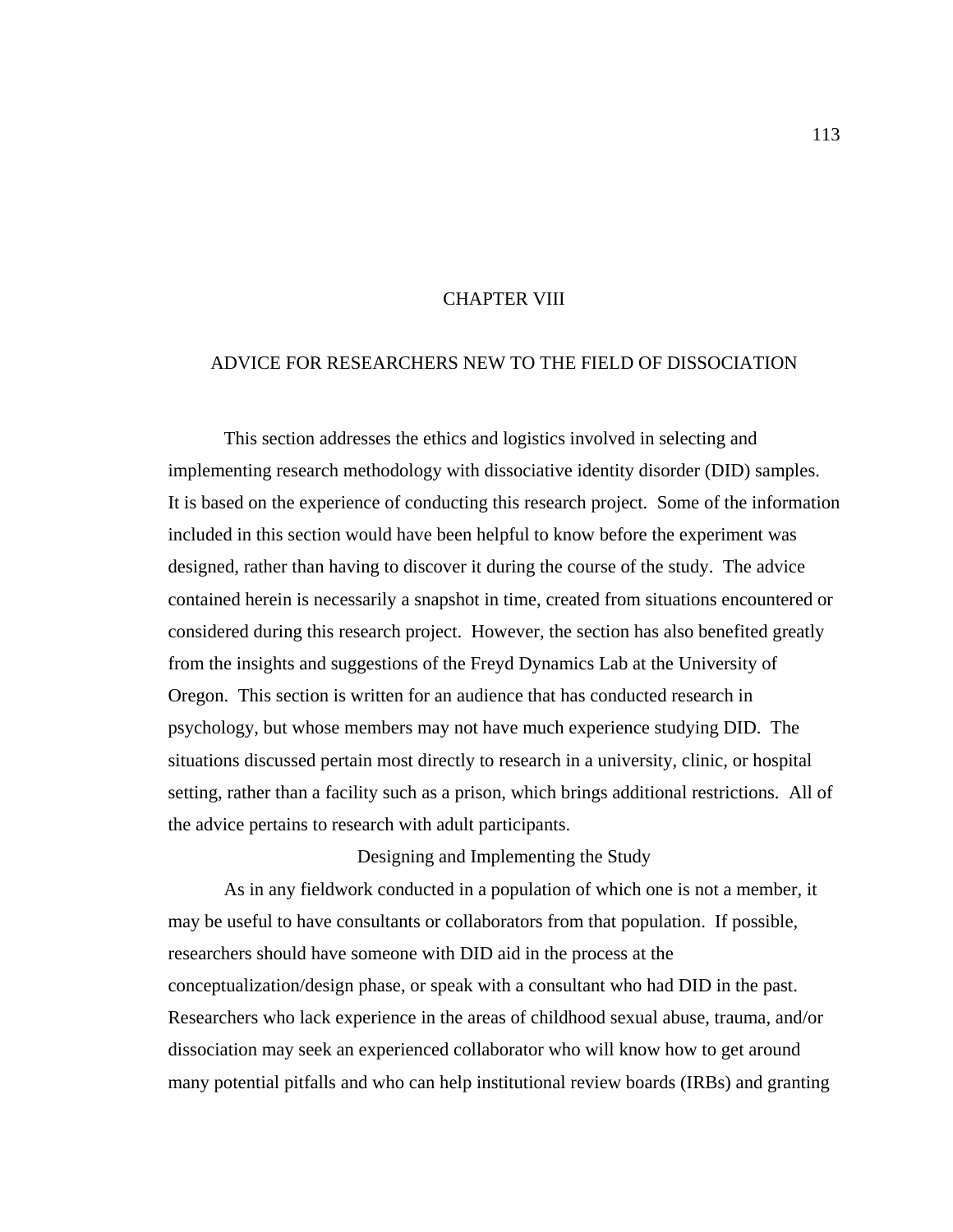## CHAPTER VIII

# ADVICE FOR RESEARCHERS NEW TO THE FIELD OF DISSOCIATION

 This section addresses the ethics and logistics involved in selecting and implementing research methodology with dissociative identity disorder (DID) samples. It is based on the experience of conducting this research project. Some of the information included in this section would have been helpful to know before the experiment was designed, rather than having to discover it during the course of the study. The advice contained herein is necessarily a snapshot in time, created from situations encountered or considered during this research project. However, the section has also benefited greatly from the insights and suggestions of the Freyd Dynamics Lab at the University of Oregon. This section is written for an audience that has conducted research in psychology, but whose members may not have much experience studying DID. The situations discussed pertain most directly to research in a university, clinic, or hospital setting, rather than a facility such as a prison, which brings additional restrictions. All of the advice pertains to research with adult participants.

#### Designing and Implementing the Study

As in any fieldwork conducted in a population of which one is not a member, it may be useful to have consultants or collaborators from that population. If possible, researchers should have someone with DID aid in the process at the conceptualization/design phase, or speak with a consultant who had DID in the past. Researchers who lack experience in the areas of childhood sexual abuse, trauma, and/or dissociation may seek an experienced collaborator who will know how to get around many potential pitfalls and who can help institutional review boards (IRBs) and granting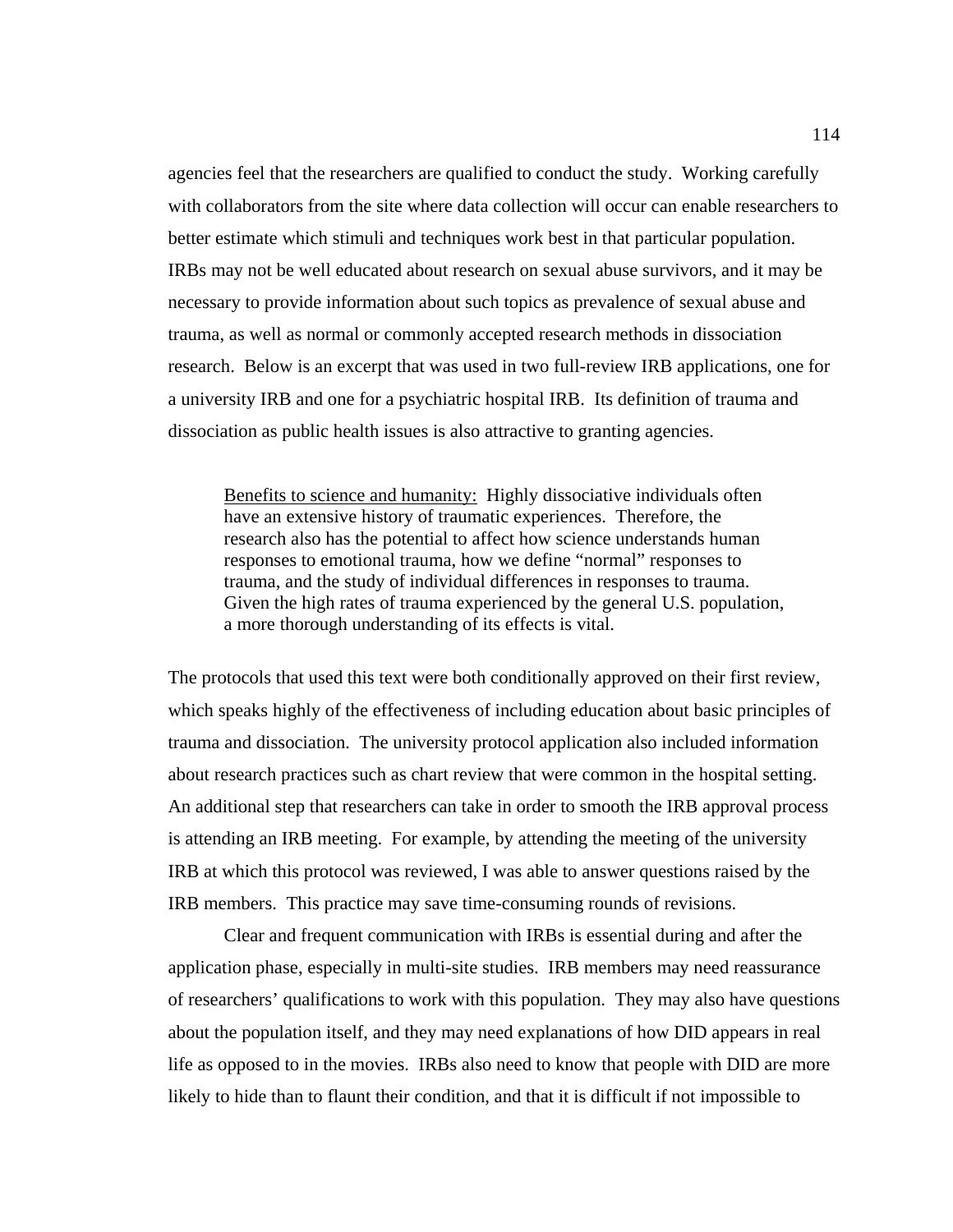agencies feel that the researchers are qualified to conduct the study. Working carefully with collaborators from the site where data collection will occur can enable researchers to better estimate which stimuli and techniques work best in that particular population. IRBs may not be well educated about research on sexual abuse survivors, and it may be necessary to provide information about such topics as prevalence of sexual abuse and trauma, as well as normal or commonly accepted research methods in dissociation research. Below is an excerpt that was used in two full-review IRB applications, one for a university IRB and one for a psychiatric hospital IRB. Its definition of trauma and dissociation as public health issues is also attractive to granting agencies.

Benefits to science and humanity: Highly dissociative individuals often have an extensive history of traumatic experiences. Therefore, the research also has the potential to affect how science understands human responses to emotional trauma, how we define "normal" responses to trauma, and the study of individual differences in responses to trauma. Given the high rates of trauma experienced by the general U.S. population, a more thorough understanding of its effects is vital.

The protocols that used this text were both conditionally approved on their first review, which speaks highly of the effectiveness of including education about basic principles of trauma and dissociation. The university protocol application also included information about research practices such as chart review that were common in the hospital setting. An additional step that researchers can take in order to smooth the IRB approval process is attending an IRB meeting. For example, by attending the meeting of the university IRB at which this protocol was reviewed, I was able to answer questions raised by the IRB members. This practice may save time-consuming rounds of revisions.

 Clear and frequent communication with IRBs is essential during and after the application phase, especially in multi-site studies. IRB members may need reassurance of researchers' qualifications to work with this population. They may also have questions about the population itself, and they may need explanations of how DID appears in real life as opposed to in the movies. IRBs also need to know that people with DID are more likely to hide than to flaunt their condition, and that it is difficult if not impossible to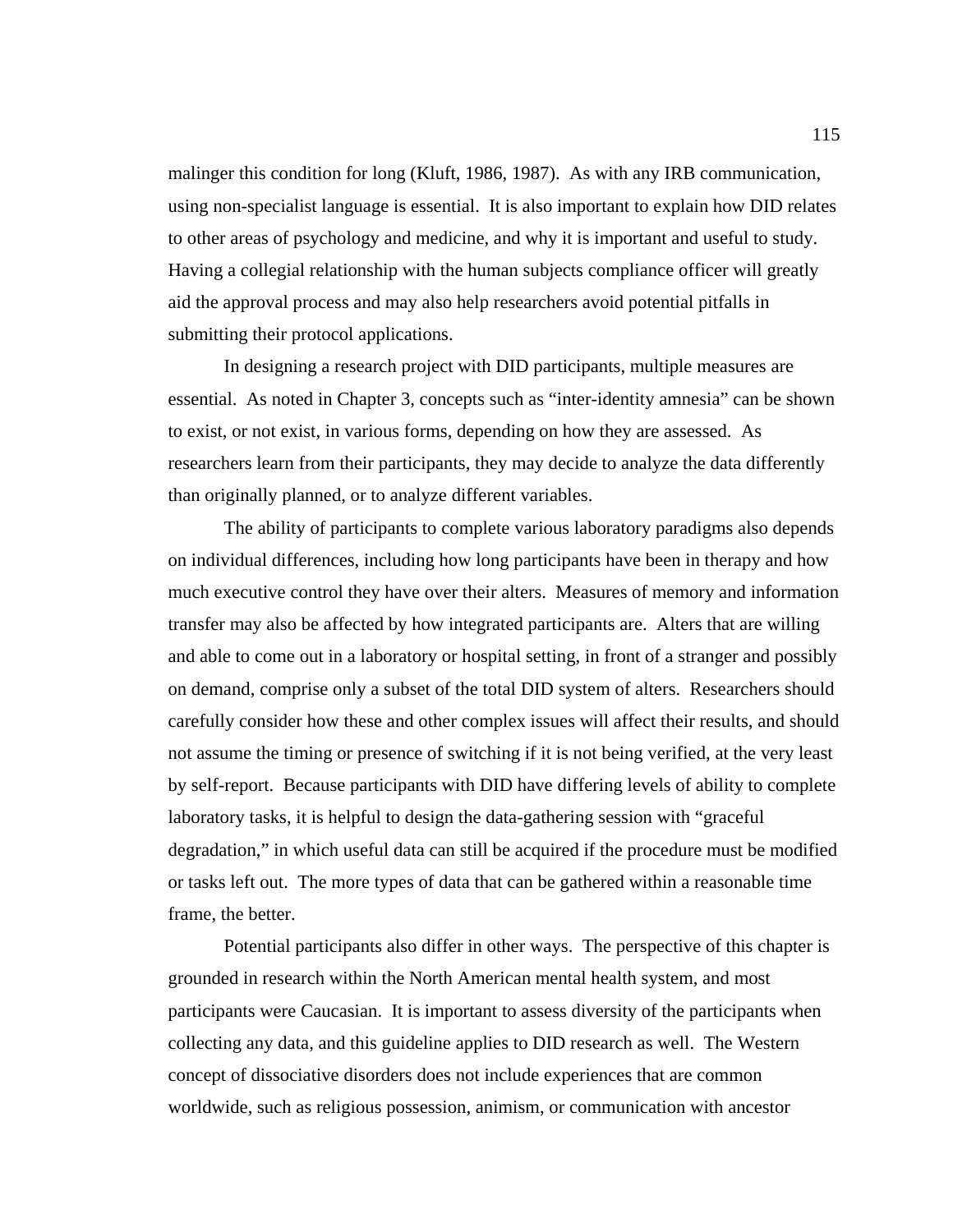malinger this condition for long (Kluft, 1986, 1987). As with any IRB communication, using non-specialist language is essential. It is also important to explain how DID relates to other areas of psychology and medicine, and why it is important and useful to study. Having a collegial relationship with the human subjects compliance officer will greatly aid the approval process and may also help researchers avoid potential pitfalls in submitting their protocol applications.

 In designing a research project with DID participants, multiple measures are essential. As noted in Chapter 3, concepts such as "inter-identity amnesia" can be shown to exist, or not exist, in various forms, depending on how they are assessed. As researchers learn from their participants, they may decide to analyze the data differently than originally planned, or to analyze different variables.

The ability of participants to complete various laboratory paradigms also depends on individual differences, including how long participants have been in therapy and how much executive control they have over their alters. Measures of memory and information transfer may also be affected by how integrated participants are. Alters that are willing and able to come out in a laboratory or hospital setting, in front of a stranger and possibly on demand, comprise only a subset of the total DID system of alters. Researchers should carefully consider how these and other complex issues will affect their results, and should not assume the timing or presence of switching if it is not being verified, at the very least by self-report. Because participants with DID have differing levels of ability to complete laboratory tasks, it is helpful to design the data-gathering session with "graceful degradation," in which useful data can still be acquired if the procedure must be modified or tasks left out. The more types of data that can be gathered within a reasonable time frame, the better.

Potential participants also differ in other ways. The perspective of this chapter is grounded in research within the North American mental health system, and most participants were Caucasian. It is important to assess diversity of the participants when collecting any data, and this guideline applies to DID research as well. The Western concept of dissociative disorders does not include experiences that are common worldwide, such as religious possession, animism, or communication with ancestor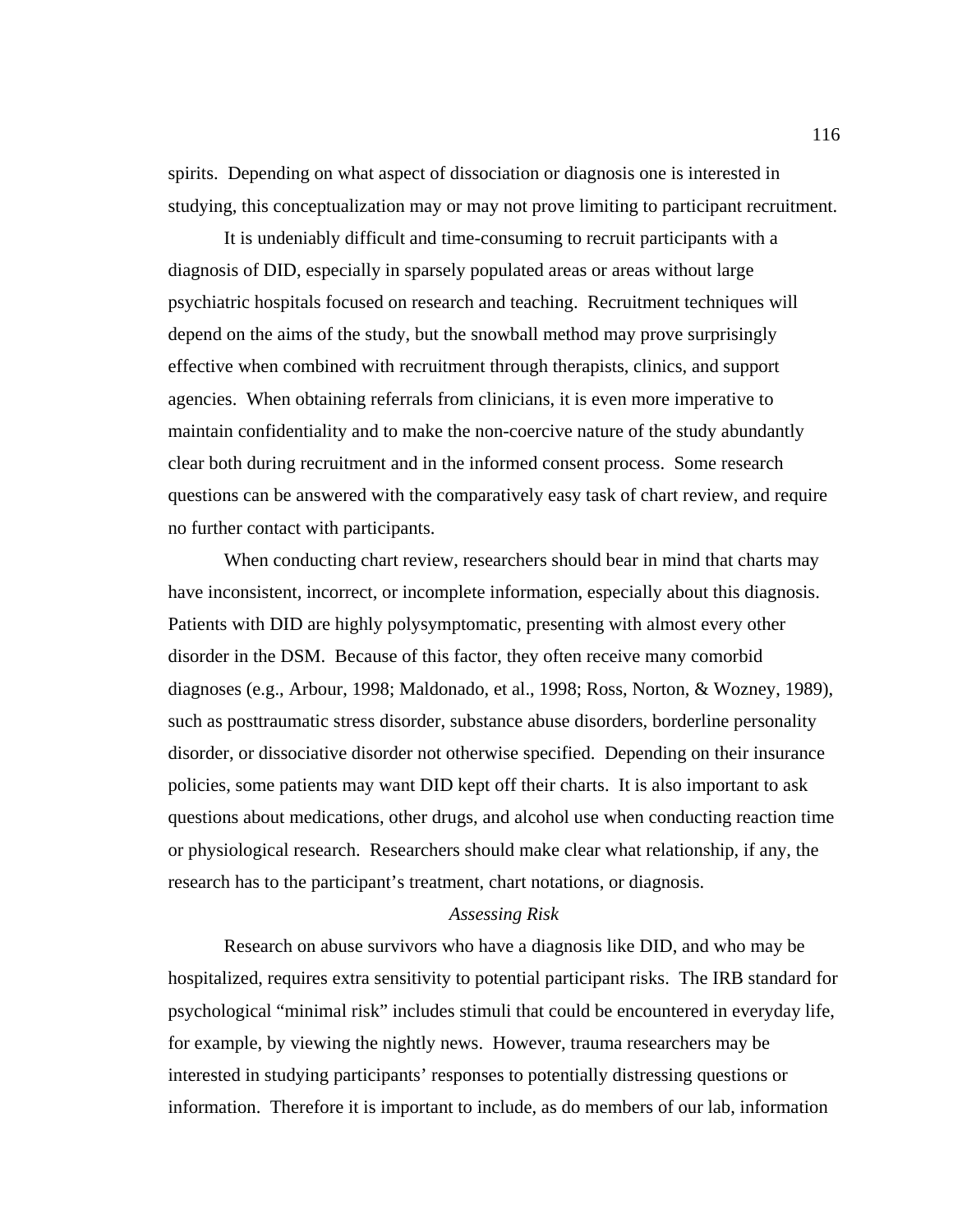spirits. Depending on what aspect of dissociation or diagnosis one is interested in studying, this conceptualization may or may not prove limiting to participant recruitment.

 It is undeniably difficult and time-consuming to recruit participants with a diagnosis of DID, especially in sparsely populated areas or areas without large psychiatric hospitals focused on research and teaching. Recruitment techniques will depend on the aims of the study, but the snowball method may prove surprisingly effective when combined with recruitment through therapists, clinics, and support agencies. When obtaining referrals from clinicians, it is even more imperative to maintain confidentiality and to make the non-coercive nature of the study abundantly clear both during recruitment and in the informed consent process. Some research questions can be answered with the comparatively easy task of chart review, and require no further contact with participants.

 When conducting chart review, researchers should bear in mind that charts may have inconsistent, incorrect, or incomplete information, especially about this diagnosis. Patients with DID are highly polysymptomatic, presenting with almost every other disorder in the DSM. Because of this factor, they often receive many comorbid diagnoses (e.g., Arbour, 1998; Maldonado, et al., 1998; Ross, Norton, & Wozney, 1989), such as posttraumatic stress disorder, substance abuse disorders, borderline personality disorder, or dissociative disorder not otherwise specified. Depending on their insurance policies, some patients may want DID kept off their charts. It is also important to ask questions about medications, other drugs, and alcohol use when conducting reaction time or physiological research. Researchers should make clear what relationship, if any, the research has to the participant's treatment, chart notations, or diagnosis.

## *Assessing Risk*

 Research on abuse survivors who have a diagnosis like DID, and who may be hospitalized, requires extra sensitivity to potential participant risks. The IRB standard for psychological "minimal risk" includes stimuli that could be encountered in everyday life, for example, by viewing the nightly news. However, trauma researchers may be interested in studying participants' responses to potentially distressing questions or information. Therefore it is important to include, as do members of our lab, information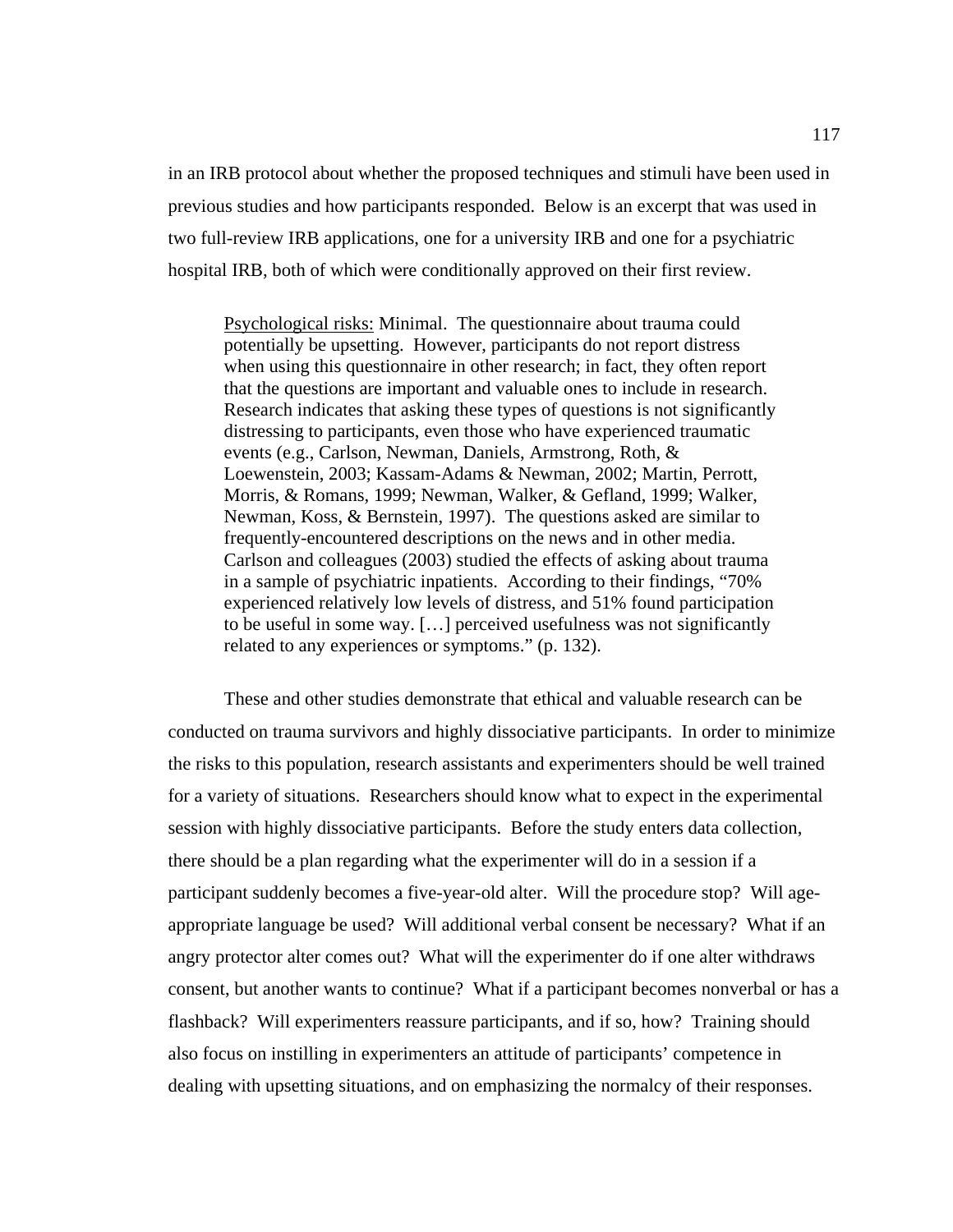in an IRB protocol about whether the proposed techniques and stimuli have been used in previous studies and how participants responded. Below is an excerpt that was used in two full-review IRB applications, one for a university IRB and one for a psychiatric hospital IRB, both of which were conditionally approved on their first review.

Psychological risks: Minimal. The questionnaire about trauma could potentially be upsetting. However, participants do not report distress when using this questionnaire in other research; in fact, they often report that the questions are important and valuable ones to include in research. Research indicates that asking these types of questions is not significantly distressing to participants, even those who have experienced traumatic events (e.g., Carlson, Newman, Daniels, Armstrong, Roth, & Loewenstein, 2003; Kassam-Adams & Newman, 2002; Martin, Perrott, Morris, & Romans, 1999; Newman, Walker, & Gefland, 1999; Walker, Newman, Koss, & Bernstein, 1997). The questions asked are similar to frequently-encountered descriptions on the news and in other media. Carlson and colleagues (2003) studied the effects of asking about trauma in a sample of psychiatric inpatients. According to their findings, "70% experienced relatively low levels of distress, and 51% found participation to be useful in some way. […] perceived usefulness was not significantly related to any experiences or symptoms." (p. 132).

 These and other studies demonstrate that ethical and valuable research can be conducted on trauma survivors and highly dissociative participants. In order to minimize the risks to this population, research assistants and experimenters should be well trained for a variety of situations. Researchers should know what to expect in the experimental session with highly dissociative participants. Before the study enters data collection, there should be a plan regarding what the experimenter will do in a session if a participant suddenly becomes a five-year-old alter. Will the procedure stop? Will ageappropriate language be used? Will additional verbal consent be necessary? What if an angry protector alter comes out? What will the experimenter do if one alter withdraws consent, but another wants to continue? What if a participant becomes nonverbal or has a flashback? Will experimenters reassure participants, and if so, how? Training should also focus on instilling in experimenters an attitude of participants' competence in dealing with upsetting situations, and on emphasizing the normalcy of their responses.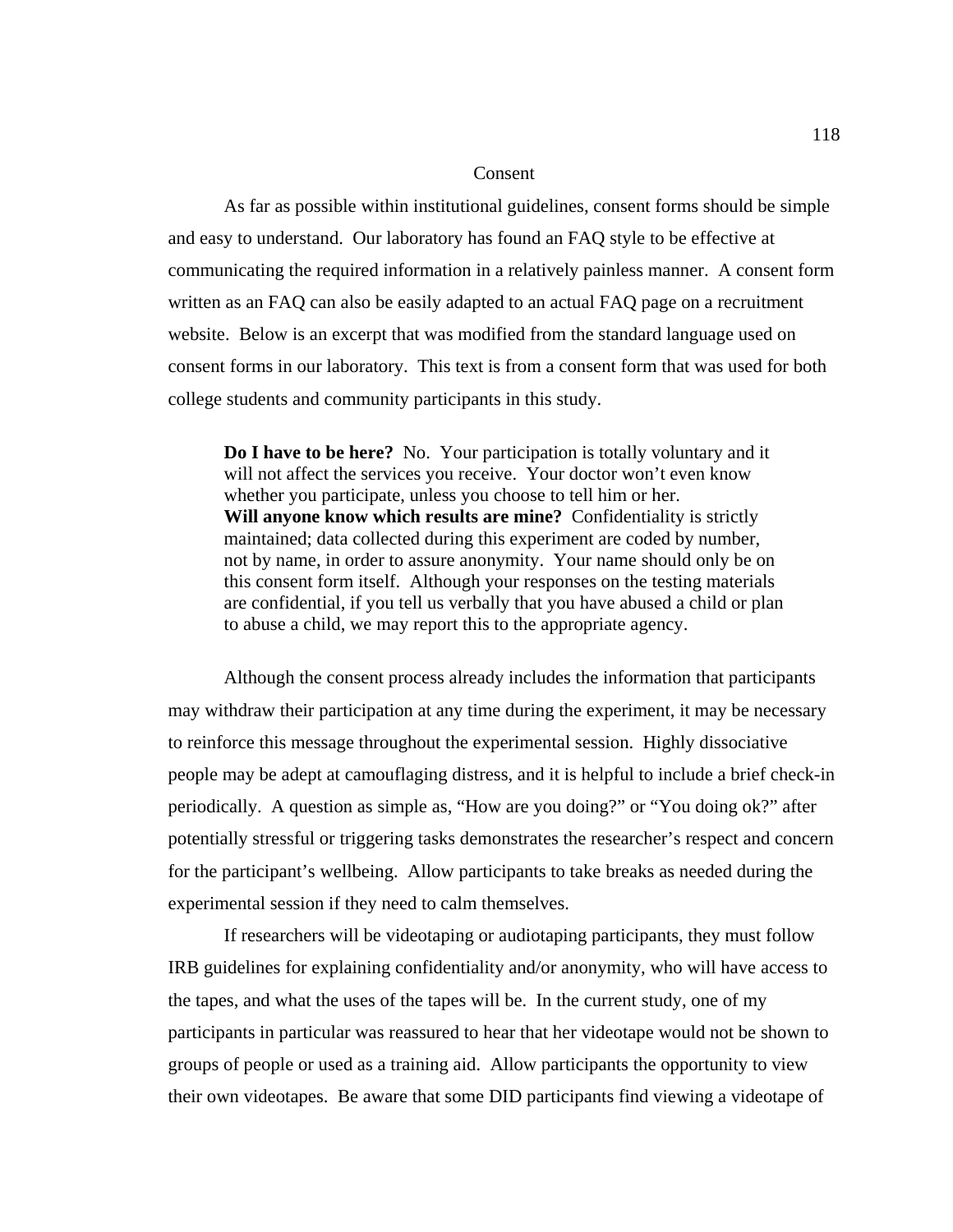#### Consent

 As far as possible within institutional guidelines, consent forms should be simple and easy to understand. Our laboratory has found an FAQ style to be effective at communicating the required information in a relatively painless manner. A consent form written as an FAQ can also be easily adapted to an actual FAQ page on a recruitment website. Below is an excerpt that was modified from the standard language used on consent forms in our laboratory. This text is from a consent form that was used for both college students and community participants in this study.

**Do I have to be here?** No. Your participation is totally voluntary and it will not affect the services you receive. Your doctor won't even know whether you participate, unless you choose to tell him or her. **Will anyone know which results are mine?** Confidentiality is strictly maintained; data collected during this experiment are coded by number, not by name, in order to assure anonymity. Your name should only be on this consent form itself. Although your responses on the testing materials are confidential, if you tell us verbally that you have abused a child or plan to abuse a child, we may report this to the appropriate agency.

Although the consent process already includes the information that participants may withdraw their participation at any time during the experiment, it may be necessary to reinforce this message throughout the experimental session. Highly dissociative people may be adept at camouflaging distress, and it is helpful to include a brief check-in periodically. A question as simple as, "How are you doing?" or "You doing ok?" after potentially stressful or triggering tasks demonstrates the researcher's respect and concern for the participant's wellbeing. Allow participants to take breaks as needed during the experimental session if they need to calm themselves.

If researchers will be videotaping or audiotaping participants, they must follow IRB guidelines for explaining confidentiality and/or anonymity, who will have access to the tapes, and what the uses of the tapes will be. In the current study, one of my participants in particular was reassured to hear that her videotape would not be shown to groups of people or used as a training aid. Allow participants the opportunity to view their own videotapes. Be aware that some DID participants find viewing a videotape of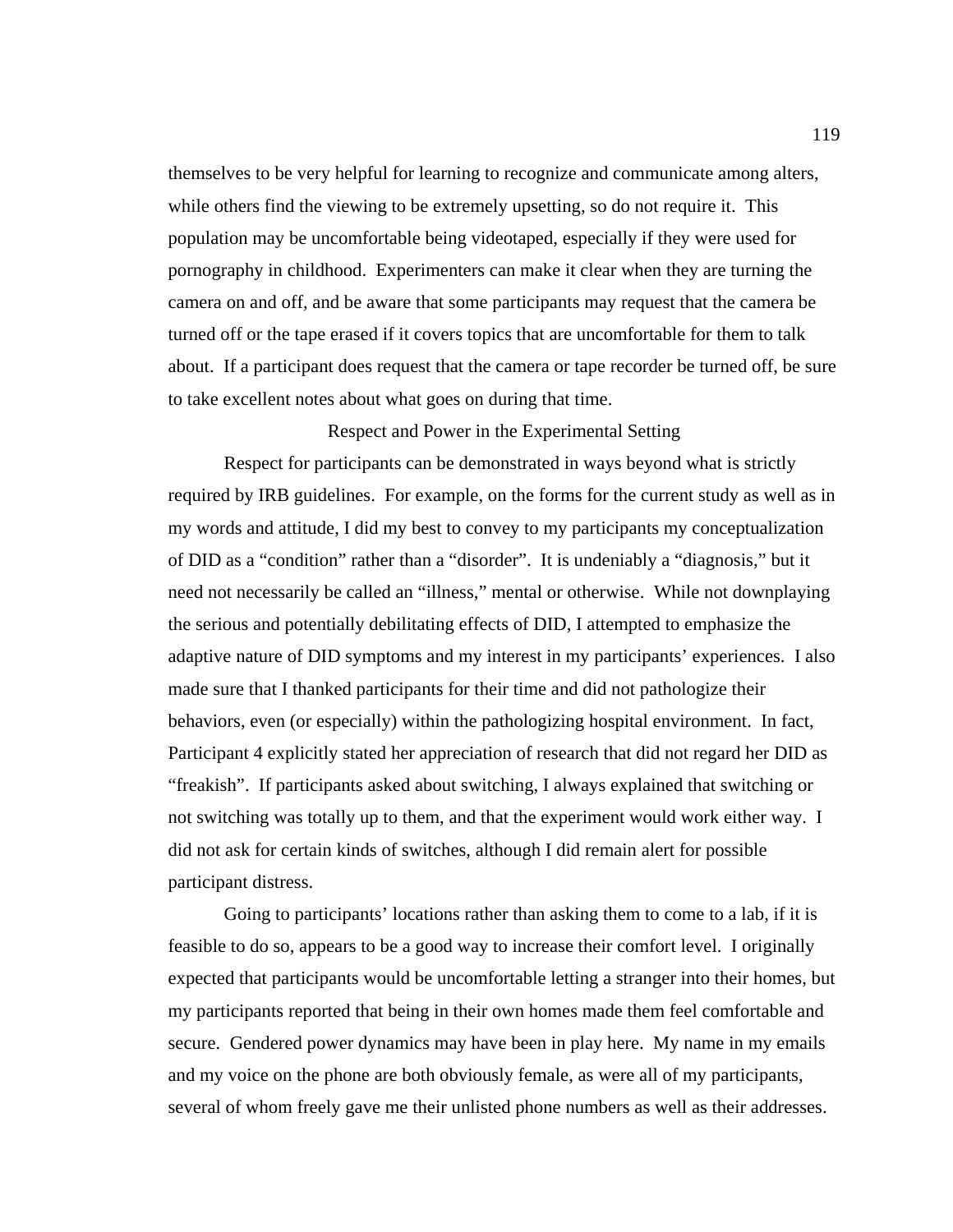themselves to be very helpful for learning to recognize and communicate among alters, while others find the viewing to be extremely upsetting, so do not require it. This population may be uncomfortable being videotaped, especially if they were used for pornography in childhood. Experimenters can make it clear when they are turning the camera on and off, and be aware that some participants may request that the camera be turned off or the tape erased if it covers topics that are uncomfortable for them to talk about. If a participant does request that the camera or tape recorder be turned off, be sure to take excellent notes about what goes on during that time.

Respect and Power in the Experimental Setting

Respect for participants can be demonstrated in ways beyond what is strictly required by IRB guidelines. For example, on the forms for the current study as well as in my words and attitude, I did my best to convey to my participants my conceptualization of DID as a "condition" rather than a "disorder". It is undeniably a "diagnosis," but it need not necessarily be called an "illness," mental or otherwise. While not downplaying the serious and potentially debilitating effects of DID, I attempted to emphasize the adaptive nature of DID symptoms and my interest in my participants' experiences. I also made sure that I thanked participants for their time and did not pathologize their behaviors, even (or especially) within the pathologizing hospital environment. In fact, Participant 4 explicitly stated her appreciation of research that did not regard her DID as "freakish". If participants asked about switching, I always explained that switching or not switching was totally up to them, and that the experiment would work either way. I did not ask for certain kinds of switches, although I did remain alert for possible participant distress.

Going to participants' locations rather than asking them to come to a lab, if it is feasible to do so, appears to be a good way to increase their comfort level. I originally expected that participants would be uncomfortable letting a stranger into their homes, but my participants reported that being in their own homes made them feel comfortable and secure. Gendered power dynamics may have been in play here. My name in my emails and my voice on the phone are both obviously female, as were all of my participants, several of whom freely gave me their unlisted phone numbers as well as their addresses.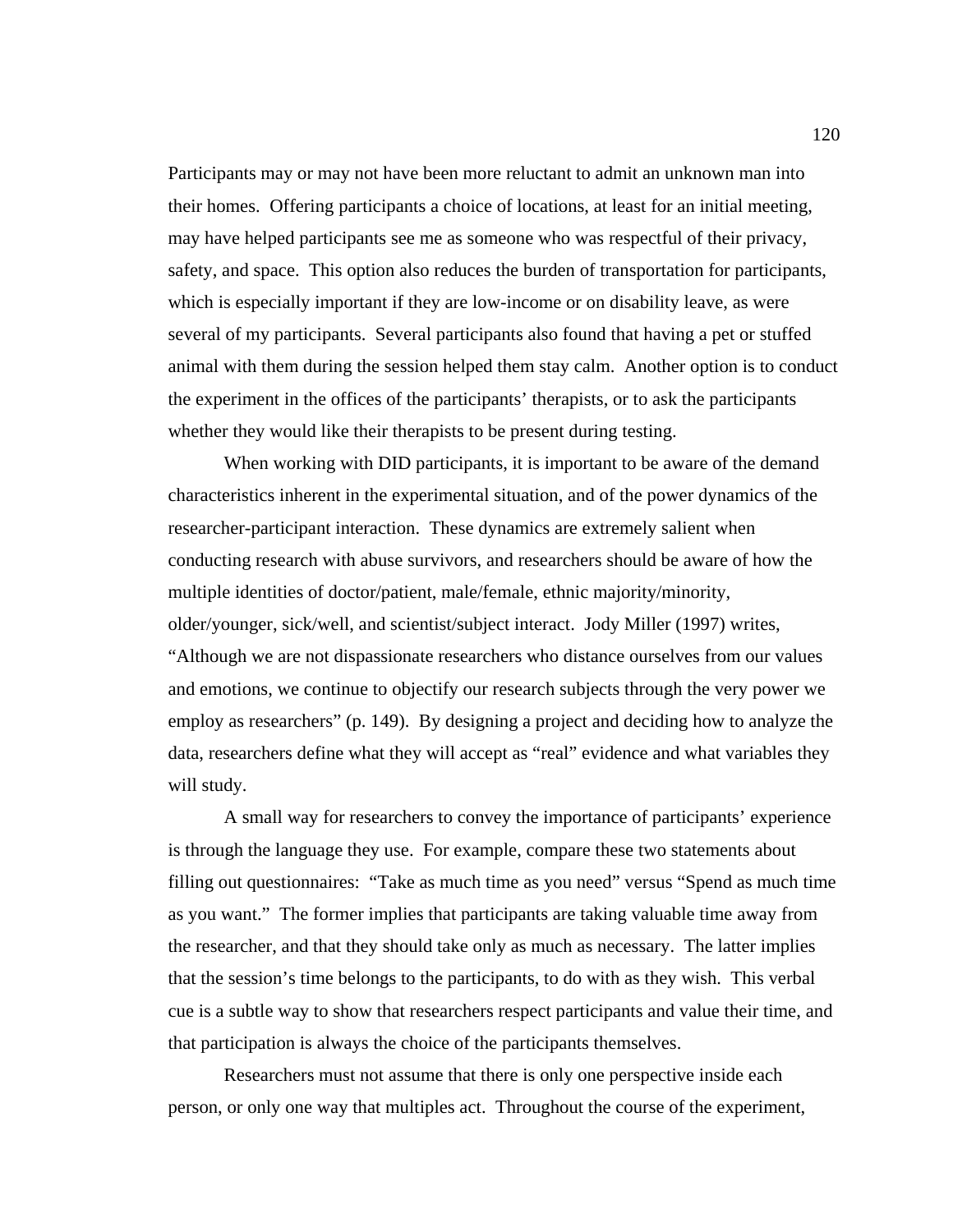Participants may or may not have been more reluctant to admit an unknown man into their homes. Offering participants a choice of locations, at least for an initial meeting, may have helped participants see me as someone who was respectful of their privacy, safety, and space. This option also reduces the burden of transportation for participants, which is especially important if they are low-income or on disability leave, as were several of my participants. Several participants also found that having a pet or stuffed animal with them during the session helped them stay calm. Another option is to conduct the experiment in the offices of the participants' therapists, or to ask the participants whether they would like their therapists to be present during testing.

 When working with DID participants, it is important to be aware of the demand characteristics inherent in the experimental situation, and of the power dynamics of the researcher-participant interaction. These dynamics are extremely salient when conducting research with abuse survivors, and researchers should be aware of how the multiple identities of doctor/patient, male/female, ethnic majority/minority, older/younger, sick/well, and scientist/subject interact. Jody Miller (1997) writes,

"Although we are not dispassionate researchers who distance ourselves from our values and emotions, we continue to objectify our research subjects through the very power we employ as researchers" (p. 149). By designing a project and deciding how to analyze the data, researchers define what they will accept as "real" evidence and what variables they will study.

A small way for researchers to convey the importance of participants' experience is through the language they use. For example, compare these two statements about filling out questionnaires: "Take as much time as you need" versus "Spend as much time as you want." The former implies that participants are taking valuable time away from the researcher, and that they should take only as much as necessary. The latter implies that the session's time belongs to the participants, to do with as they wish. This verbal cue is a subtle way to show that researchers respect participants and value their time, and that participation is always the choice of the participants themselves.

Researchers must not assume that there is only one perspective inside each person, or only one way that multiples act. Throughout the course of the experiment,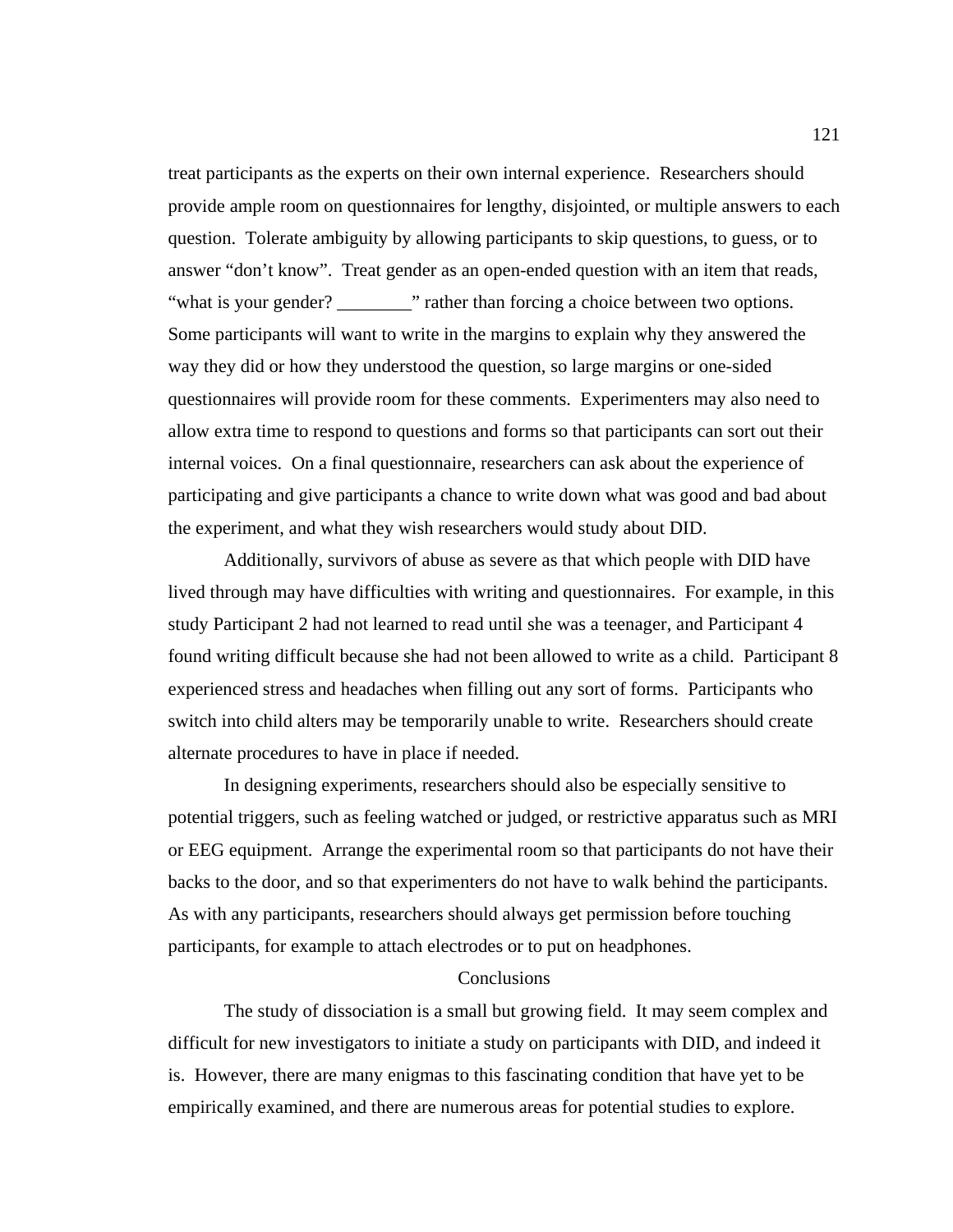treat participants as the experts on their own internal experience. Researchers should provide ample room on questionnaires for lengthy, disjointed, or multiple answers to each question. Tolerate ambiguity by allowing participants to skip questions, to guess, or to answer "don't know". Treat gender as an open-ended question with an item that reads, "what is your gender? \_\_\_\_\_\_\_\_\_\_" rather than forcing a choice between two options. Some participants will want to write in the margins to explain why they answered the way they did or how they understood the question, so large margins or one-sided questionnaires will provide room for these comments. Experimenters may also need to allow extra time to respond to questions and forms so that participants can sort out their internal voices. On a final questionnaire, researchers can ask about the experience of participating and give participants a chance to write down what was good and bad about the experiment, and what they wish researchers would study about DID.

 Additionally, survivors of abuse as severe as that which people with DID have lived through may have difficulties with writing and questionnaires. For example, in this study Participant 2 had not learned to read until she was a teenager, and Participant 4 found writing difficult because she had not been allowed to write as a child. Participant 8 experienced stress and headaches when filling out any sort of forms. Participants who switch into child alters may be temporarily unable to write. Researchers should create alternate procedures to have in place if needed.

In designing experiments, researchers should also be especially sensitive to potential triggers, such as feeling watched or judged, or restrictive apparatus such as MRI or EEG equipment. Arrange the experimental room so that participants do not have their backs to the door, and so that experimenters do not have to walk behind the participants. As with any participants, researchers should always get permission before touching participants, for example to attach electrodes or to put on headphones.

# **Conclusions**

 The study of dissociation is a small but growing field. It may seem complex and difficult for new investigators to initiate a study on participants with DID, and indeed it is. However, there are many enigmas to this fascinating condition that have yet to be empirically examined, and there are numerous areas for potential studies to explore.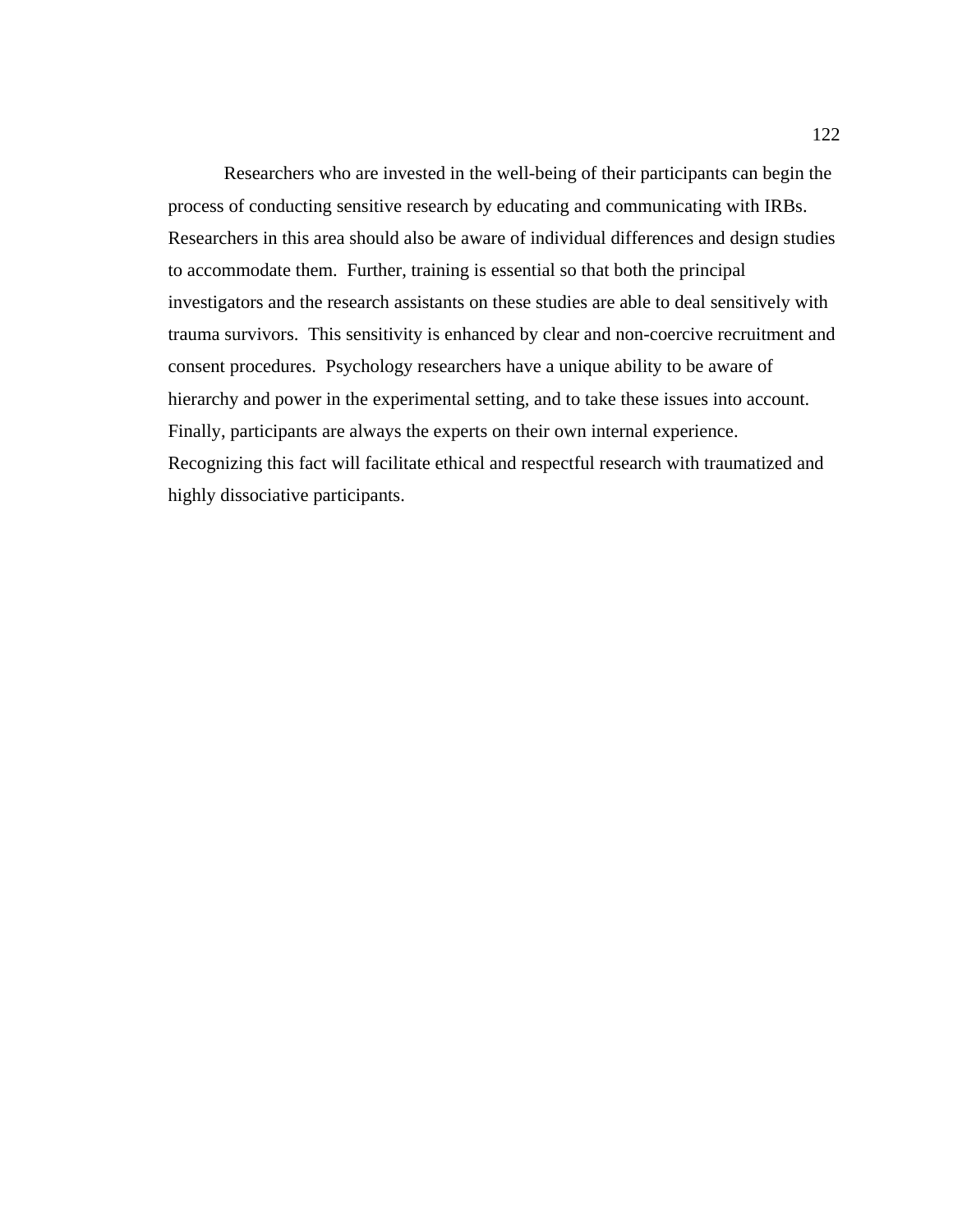Researchers who are invested in the well-being of their participants can begin the process of conducting sensitive research by educating and communicating with IRBs. Researchers in this area should also be aware of individual differences and design studies to accommodate them. Further, training is essential so that both the principal investigators and the research assistants on these studies are able to deal sensitively with trauma survivors. This sensitivity is enhanced by clear and non-coercive recruitment and consent procedures. Psychology researchers have a unique ability to be aware of hierarchy and power in the experimental setting, and to take these issues into account. Finally, participants are always the experts on their own internal experience. Recognizing this fact will facilitate ethical and respectful research with traumatized and highly dissociative participants.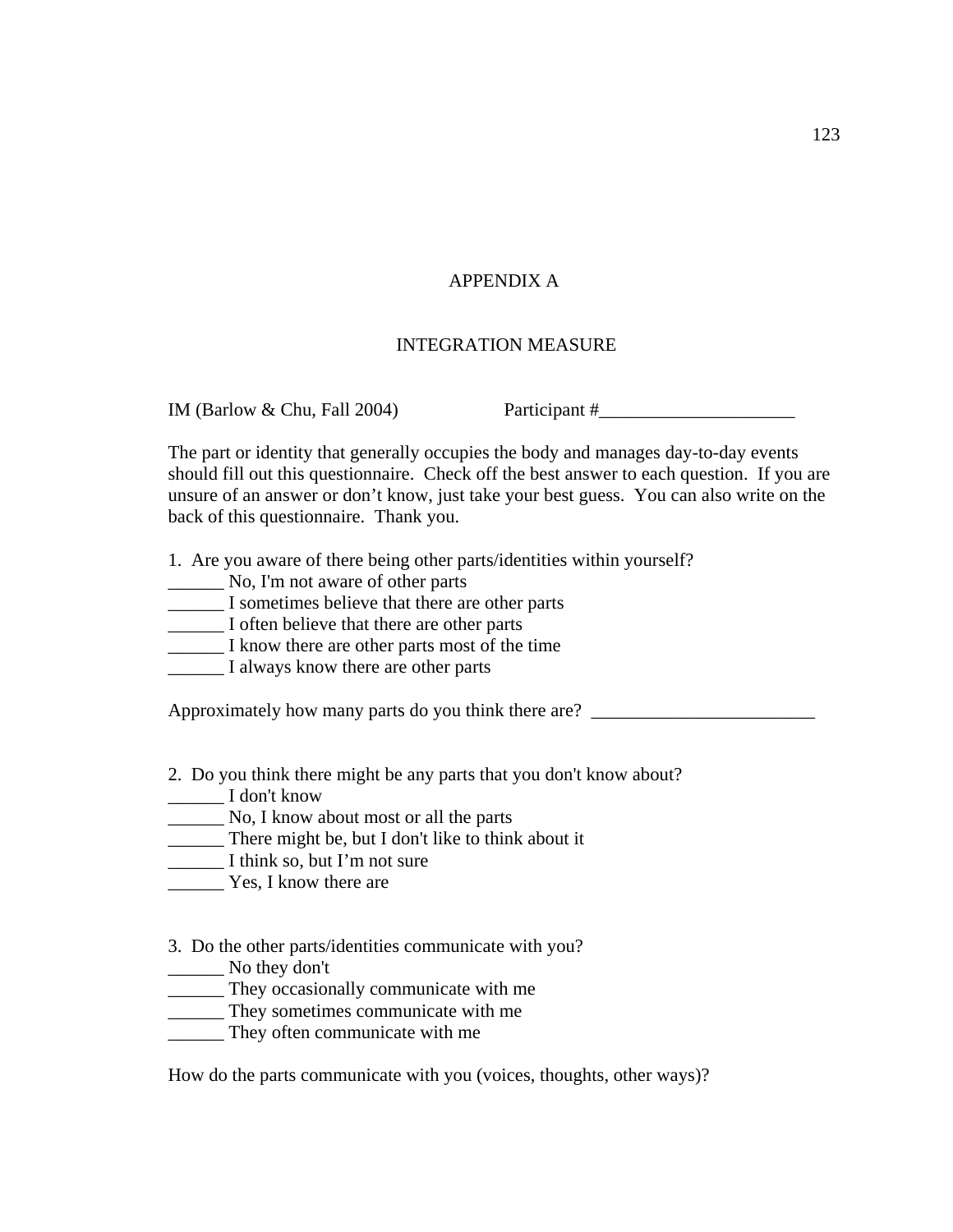# APPENDIX A

# INTEGRATION MEASURE

IM (Barlow & Chu, Fall 2004) Participant  $\#$ 

The part or identity that generally occupies the body and manages day-to-day events should fill out this questionnaire. Check off the best answer to each question. If you are unsure of an answer or don't know, just take your best guess. You can also write on the back of this questionnaire. Thank you.

1. Are you aware of there being other parts/identities within yourself?

- \_\_\_\_\_\_ No, I'm not aware of other parts
- \_\_\_\_\_\_ I sometimes believe that there are other parts
- \_\_\_\_\_\_ I often believe that there are other parts
- \_\_\_\_\_\_ I know there are other parts most of the time
- **I** always know there are other parts

Approximately how many parts do you think there are? \_\_\_\_\_\_\_\_\_\_\_\_\_\_\_\_\_\_\_\_\_\_\_\_\_\_\_\_

- 2. Do you think there might be any parts that you don't know about?
- \_\_\_\_\_\_ I don't know
- \_\_\_\_\_\_ No, I know about most or all the parts
- \_\_\_\_\_\_ There might be, but I don't like to think about it
- \_\_\_\_\_\_ I think so, but I'm not sure
- Yes, I know there are
- 3. Do the other parts/identities communicate with you?
- \_\_\_\_\_\_ No they don't
- \_\_\_\_\_\_ They occasionally communicate with me
- \_\_\_\_\_\_ They sometimes communicate with me
- \_\_\_\_\_\_ They often communicate with me

How do the parts communicate with you (voices, thoughts, other ways)?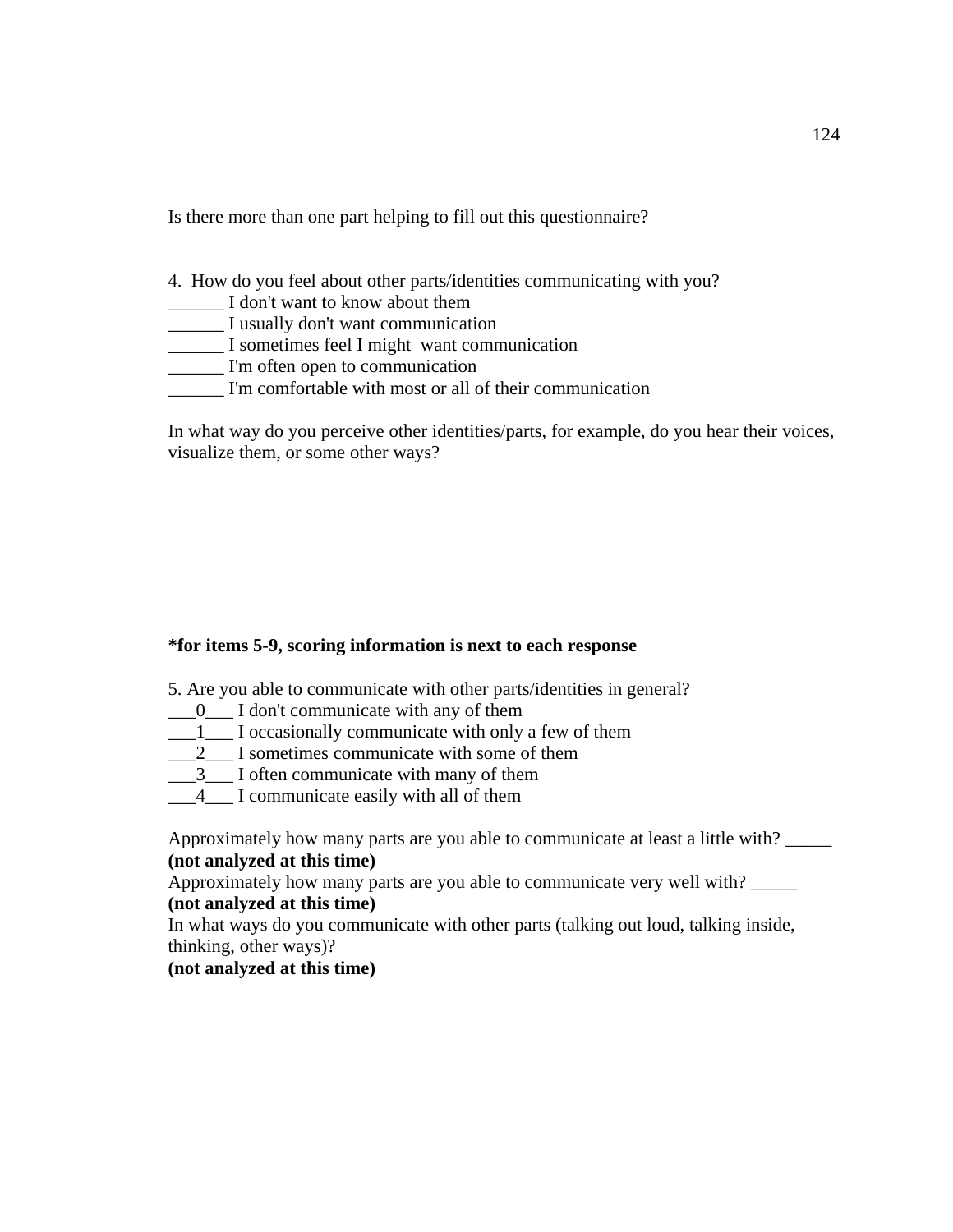Is there more than one part helping to fill out this questionnaire?

- 4. How do you feel about other parts/identities communicating with you?
- \_\_\_\_\_\_ I don't want to know about them
- \_\_\_\_\_\_ I usually don't want communication
- \_\_\_\_\_\_ I sometimes feel I might want communication
- \_\_\_\_\_\_ I'm often open to communication
- I'm comfortable with most or all of their communication

In what way do you perceive other identities/parts, for example, do you hear their voices, visualize them, or some other ways?

# **\*for items 5-9, scoring information is next to each response**

- 5. Are you able to communicate with other parts/identities in general?
- $\frac{1}{2}$  I don't communicate with any of them
- \_\_\_1\_\_\_ I occasionally communicate with only a few of them
- $\frac{2}{2}$  I sometimes communicate with some of them
- $\frac{3}{2}$  I often communicate with many of them
- \_\_\_4\_\_\_ I communicate easily with all of them

Approximately how many parts are you able to communicate at least a little with? **(not analyzed at this time)** 

Approximately how many parts are you able to communicate very well with? \_\_\_\_\_ **(not analyzed at this time)** 

In what ways do you communicate with other parts (talking out loud, talking inside, thinking, other ways)?

# **(not analyzed at this time)**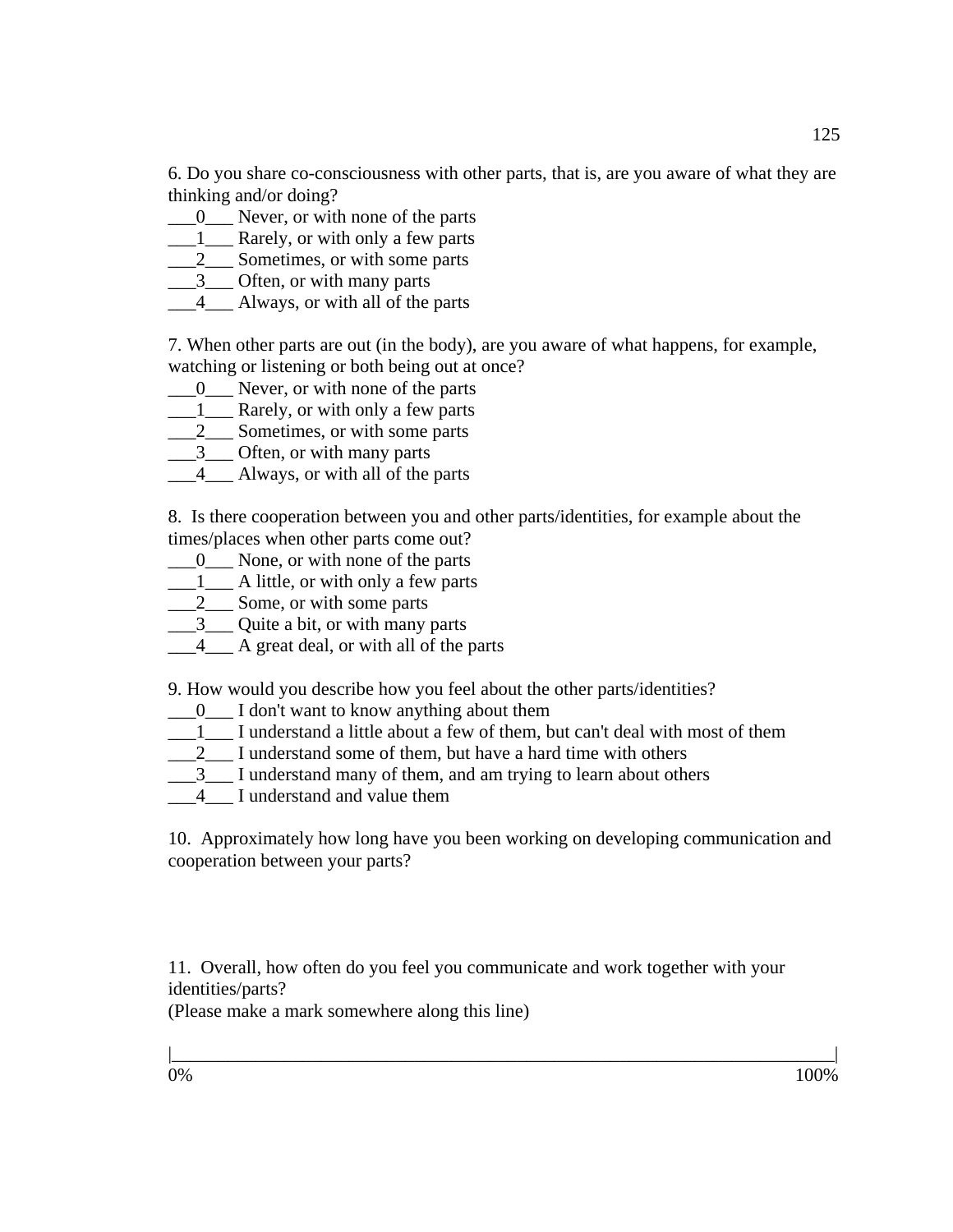6. Do you share co-consciousness with other parts, that is, are you aware of what they are thinking and/or doing?

- $\underline{\hspace{1cm}} 0$  Never, or with none of the parts
- 1 Rarely, or with only a few parts
- 2\_\_\_\_\_\_ Sometimes, or with some parts
- $\frac{3}{2}$  Often, or with many parts
- 4 Always, or with all of the parts

7. When other parts are out (in the body), are you aware of what happens, for example, watching or listening or both being out at once?

- $\frac{0}{0}$  Never, or with none of the parts
- $\frac{1}{\sqrt{2}}$  Rarely, or with only a few parts
- $\frac{2}{2}$  Sometimes, or with some parts
- $\frac{3}{2}$  Often, or with many parts
- 4 Always, or with all of the parts

8. Is there cooperation between you and other parts/identities, for example about the times/places when other parts come out?

- $\frac{0}{0}$  None, or with none of the parts
- $\frac{1}{\sqrt{2}}$  A little, or with only a few parts
- $\frac{2}{2}$  Some, or with some parts
- \_\_\_3\_\_\_ Quite a bit, or with many parts
- $\frac{4}{4}$  A great deal, or with all of the parts

9. How would you describe how you feel about the other parts/identities?

- $\frac{1}{2}$  I don't want to know anything about them
- \_\_\_1\_\_\_ I understand a little about a few of them, but can't deal with most of them
- $\frac{2}{2}$  I understand some of them, but have a hard time with others
- $\frac{3}{1}$  I understand many of them, and am trying to learn about others
- 4 I understand and value them

10. Approximately how long have you been working on developing communication and cooperation between your parts?

11. Overall, how often do you feel you communicate and work together with your identities/parts?

(Please make a mark somewhere along this line)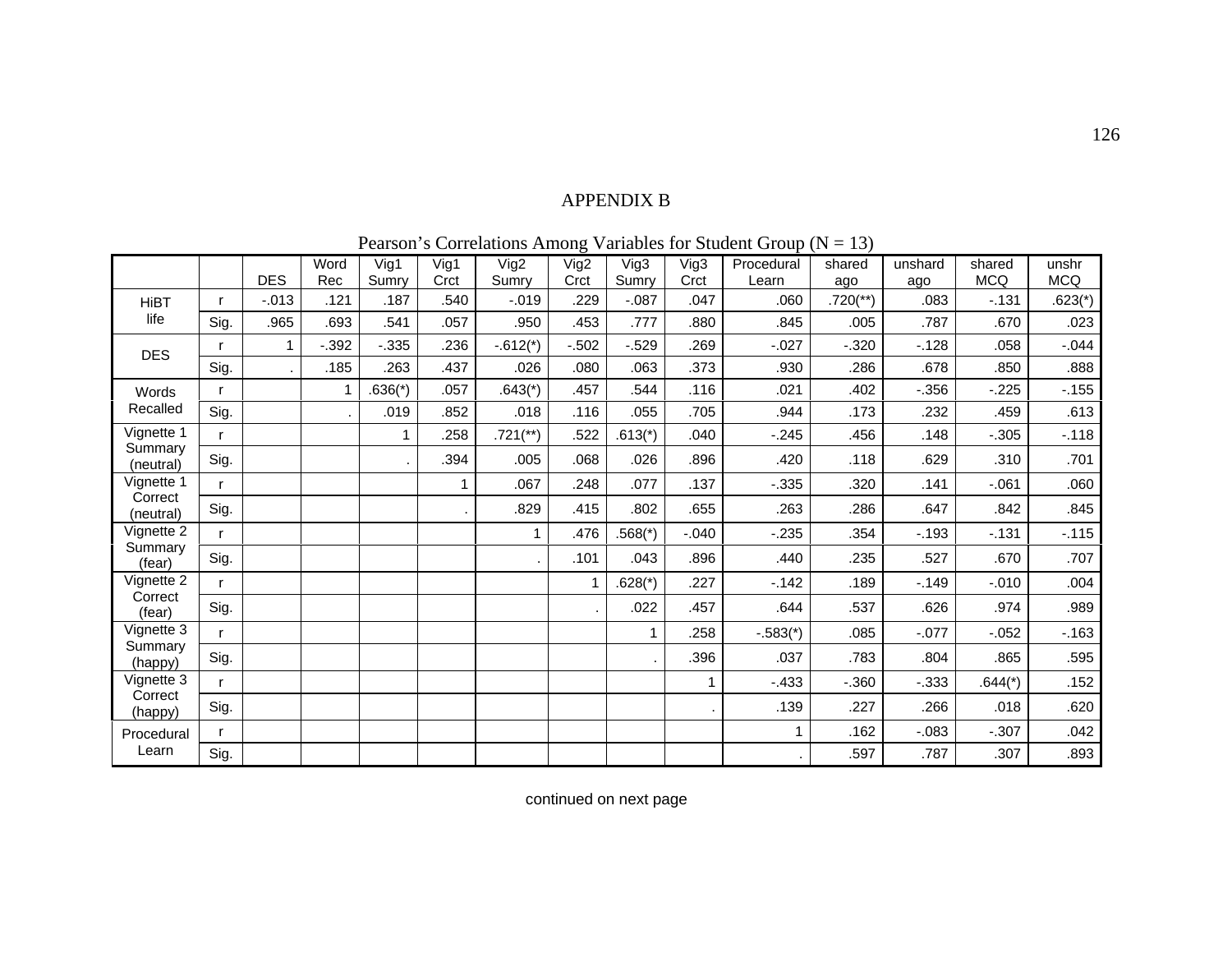# APPENDIX B

|  | Pearson's Correlations Among Variables for Student Group ( $N = 13$ ) |  |  |  |  |  |
|--|-----------------------------------------------------------------------|--|--|--|--|--|
|--|-----------------------------------------------------------------------|--|--|--|--|--|

|                                                |      |            |         |           |             |                        |             |           | $\ldots$ | $\mathbf{u} \cdot \mathbf{v}$ | $\ddotsc$              |          |            |            |
|------------------------------------------------|------|------------|---------|-----------|-------------|------------------------|-------------|-----------|----------|-------------------------------|------------------------|----------|------------|------------|
|                                                |      |            | Word    | Vig1      | Vig1        | Vig2                   | Vig2        | Vig3      | Vig3     | Procedural                    | shared                 | unshard  | shared     | unshr      |
|                                                |      | <b>DES</b> | Rec     | Sumry     | Crct        | Sumry                  | Crct        | Sumry     | Crct     | Learn                         | ago                    | ago      | <b>MCQ</b> | <b>MCQ</b> |
| <b>HiBT</b>                                    | r    | $-.013$    | .121    | .187      | .540        | $-0.019$               | .229        | $-0.087$  | .047     | .060                          | $.720$ <sup>**</sup> ) | .083     | $-131$     | $.623(*)$  |
| life                                           | Sig. | .965       | .693    | .541      | .057        | .950                   | .453        | .777      | .880     | .845                          | .005                   | .787     | .670       | .023       |
| <b>DES</b>                                     | r    | 1          | $-.392$ | $-0.335$  | .236        | $-.612(*)$             | $-0.502$    | $-0.529$  | .269     | $-0.027$                      | $-0.320$               | $-.128$  | .058       | $-0.044$   |
|                                                | Sig. |            | .185    | .263      | .437        | .026                   | .080        | .063      | .373     | .930                          | .286                   | .678     | .850       | .888       |
| Words                                          | r    |            |         | $.636(*)$ | .057        | $.643(*)$              | .457        | .544      | .116     | .021                          | .402                   | $-0.356$ | $-225$     | $-155$     |
| Recalled                                       | Sig. |            |         | .019      | .852        | .018                   | .116        | .055      | .705     | .944                          | .173                   | .232     | .459       | .613       |
| Vignette 1                                     | r    |            |         | 1         | .258        | $.721$ <sup>**</sup> ) | .522        | $.613(*)$ | .040     | $-0.245$                      | .456                   | .148     | $-0.305$   | $-.118$    |
| Summary<br>(neutral)                           | Sig. |            |         | ٠         | .394        | .005                   | .068        | .026      | .896     | .420                          | .118                   | .629     | .310       | .701       |
| Vignette 1                                     | r    |            |         |           | $\mathbf 1$ | .067                   | .248        | .077      | .137     | $-0.335$                      | .320                   | .141     | $-061$     | .060       |
| Correct<br>(neutral)                           | Sig. |            |         |           |             | .829                   | .415        | .802      | .655     | .263                          | .286                   | .647     | .842       | .845       |
| Vignette 2                                     | r    |            |         |           |             | $\mathbf{1}$           | .476        | $.568(*)$ | $-0.040$ | $-235$                        | .354                   | $-.193$  | $-131$     | $-115$     |
| Summary<br>(fear)                              | Sig. |            |         |           |             |                        | .101        | .043      | .896     | .440                          | .235                   | .527     | .670       | .707       |
| Vignette 2                                     | r    |            |         |           |             |                        | $\mathbf 1$ | $.628(*)$ | .227     | $-142$                        | .189                   | $-.149$  | $-0.010$   | .004       |
| Correct<br>(fear)                              | Sig. |            |         |           |             |                        |             | .022      | .457     | .644                          | .537                   | .626     | .974       | .989       |
| Vignette 3<br>Summary<br>(happy)<br>Vignette 3 | r    |            |         |           |             |                        |             |           | .258     | $-.583(*)$                    | .085                   | $-.077$  | $-0.052$   | $-.163$    |
|                                                | Sig. |            |         |           |             |                        |             |           | .396     | .037                          | .783                   | .804     | .865       | .595       |
|                                                | r    |            |         |           |             |                        |             |           | 1        | $-433$                        | $-0.360$               | $-0.333$ | $.644(*)$  | .152       |
| Correct<br>(happy)                             | Sig. |            |         |           |             |                        |             |           |          | .139                          | .227                   | .266     | .018       | .620       |
| Procedural                                     | r    |            |         |           |             |                        |             |           |          |                               | .162                   | $-0.083$ | $-.307$    | .042       |
| Learn                                          | Sig. |            |         |           |             |                        |             |           |          |                               | .597                   | .787     | .307       | .893       |

continued on next page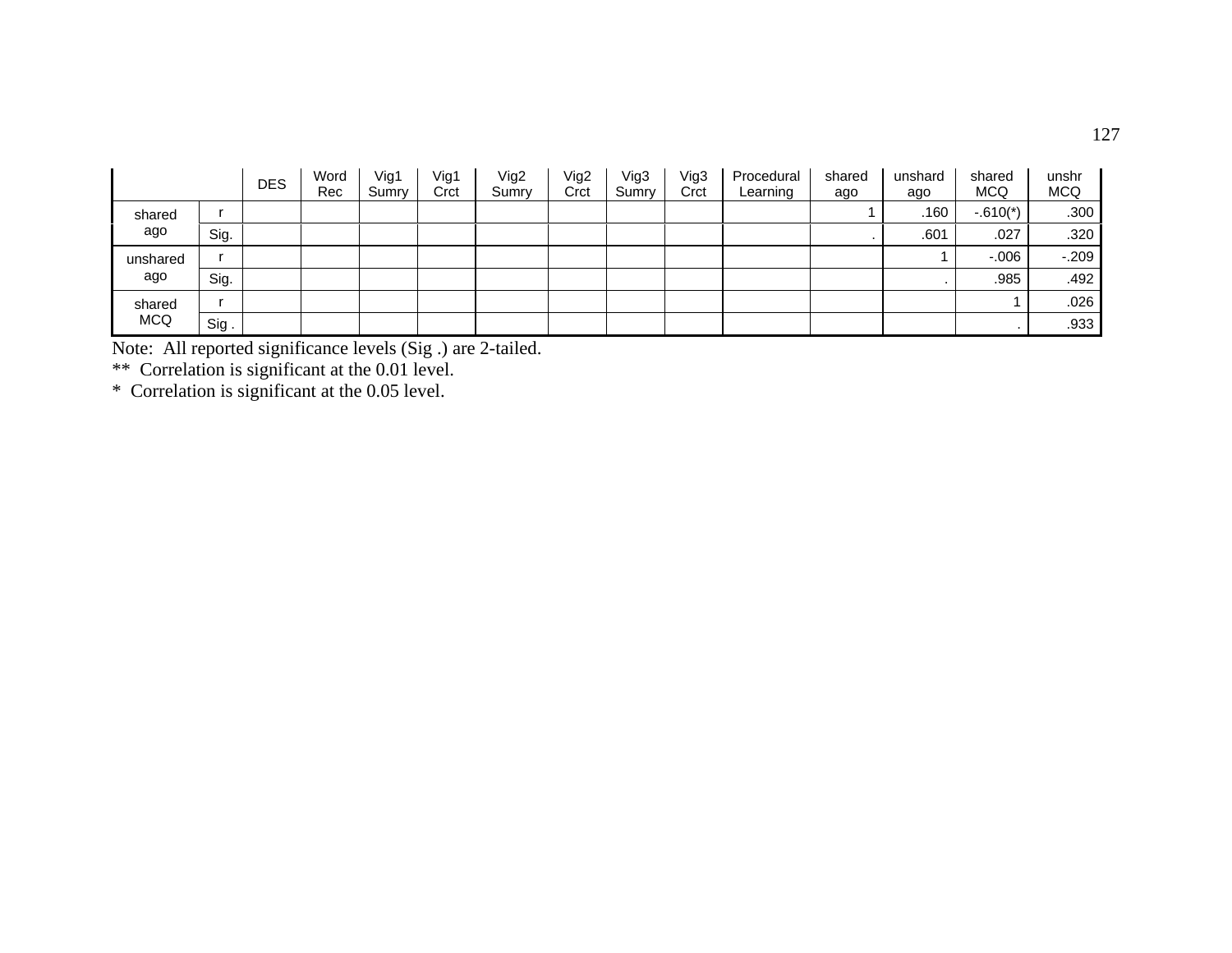|                      |      | <b>DES</b> | Word<br>Rec | Vig1<br>Sumry | Vig1<br>Crct | Vig2<br>Sumrv | Vig2<br>Crct | Vig3<br>Sumry | Vig3<br>Crct | Procedural<br>Learning | shared<br>ago | unshard<br>ago | shared<br><b>MCQ</b> | unshr<br><b>MCQ</b> |
|----------------------|------|------------|-------------|---------------|--------------|---------------|--------------|---------------|--------------|------------------------|---------------|----------------|----------------------|---------------------|
| shared<br>ago        |      |            |             |               |              |               |              |               |              |                        |               | .160           | $-.610(*)$           | .300                |
|                      | Sig. |            |             |               |              |               |              |               |              |                        |               | .601           | .027                 | .320                |
| unshared<br>ago      |      |            |             |               |              |               |              |               |              |                        |               |                | $-0.06$              | $-0.209$            |
|                      | Sig. |            |             |               |              |               |              |               |              |                        |               |                | .985                 | .492                |
| shared<br><b>MCQ</b> |      |            |             |               |              |               |              |               |              |                        |               |                |                      | .026                |
|                      | Sig. |            |             |               |              |               |              |               |              |                        |               |                |                      | .933                |

Note: All reported significance levels (Sig .) are 2-tailed.<br>\*\* Correlation is significant at the 0.01 level.<br>\* Correlation is significant at the 0.05 level.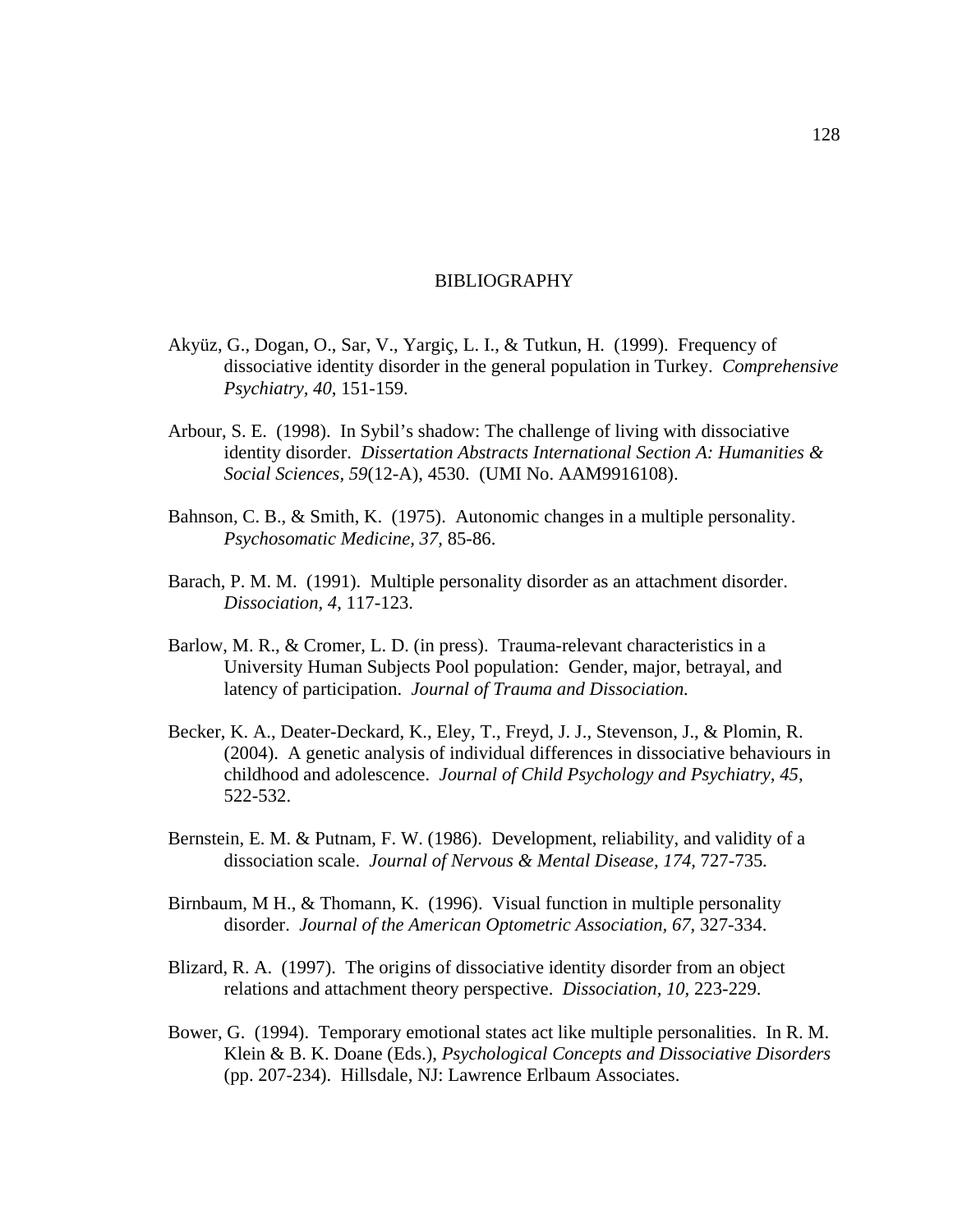## BIBLIOGRAPHY

- Akyüz, G., Dogan, O., Sar, V., Yargiç, L. I., & Tutkun, H. (1999). Frequency of dissociative identity disorder in the general population in Turkey. *Comprehensive Psychiatry, 40*, 151-159.
- Arbour, S. E. (1998). In Sybil's shadow: The challenge of living with dissociative identity disorder. *Dissertation Abstracts International Section A: Humanities & Social Sciences, 59*(12-A), 4530. (UMI No. AAM9916108).
- Bahnson, C. B., & Smith, K. (1975). Autonomic changes in a multiple personality. *Psychosomatic Medicine, 37,* 85-86.
- Barach, P. M. M. (1991). Multiple personality disorder as an attachment disorder. *Dissociation, 4*, 117-123.
- Barlow, M. R., & Cromer, L. D. (in press). Trauma-relevant characteristics in a University Human Subjects Pool population: Gender, major, betrayal, and latency of participation. *Journal of Trauma and Dissociation.*
- Becker, K. A., Deater-Deckard, K., Eley, T., Freyd, J. J., Stevenson, J., & Plomin, R. (2004). A genetic analysis of individual differences in dissociative behaviours in childhood and adolescence. *Journal of Child Psychology and Psychiatry, 45,*  522-532.
- Bernstein, E. M. & Putnam, F. W. (1986). Development, reliability, and validity of a dissociation scale. *Journal of Nervous & Mental Disease, 174,* 727-735*.*
- Birnbaum, M H., & Thomann, K. (1996). Visual function in multiple personality disorder. *Journal of the American Optometric Association, 67,* 327-334.
- Blizard, R. A. (1997). The origins of dissociative identity disorder from an object relations and attachment theory perspective. *Dissociation, 10*, 223-229.
- Bower, G. (1994). Temporary emotional states act like multiple personalities. In R. M. Klein & B. K. Doane (Eds.), *Psychological Concepts and Dissociative Disorders* (pp. 207-234). Hillsdale, NJ: Lawrence Erlbaum Associates.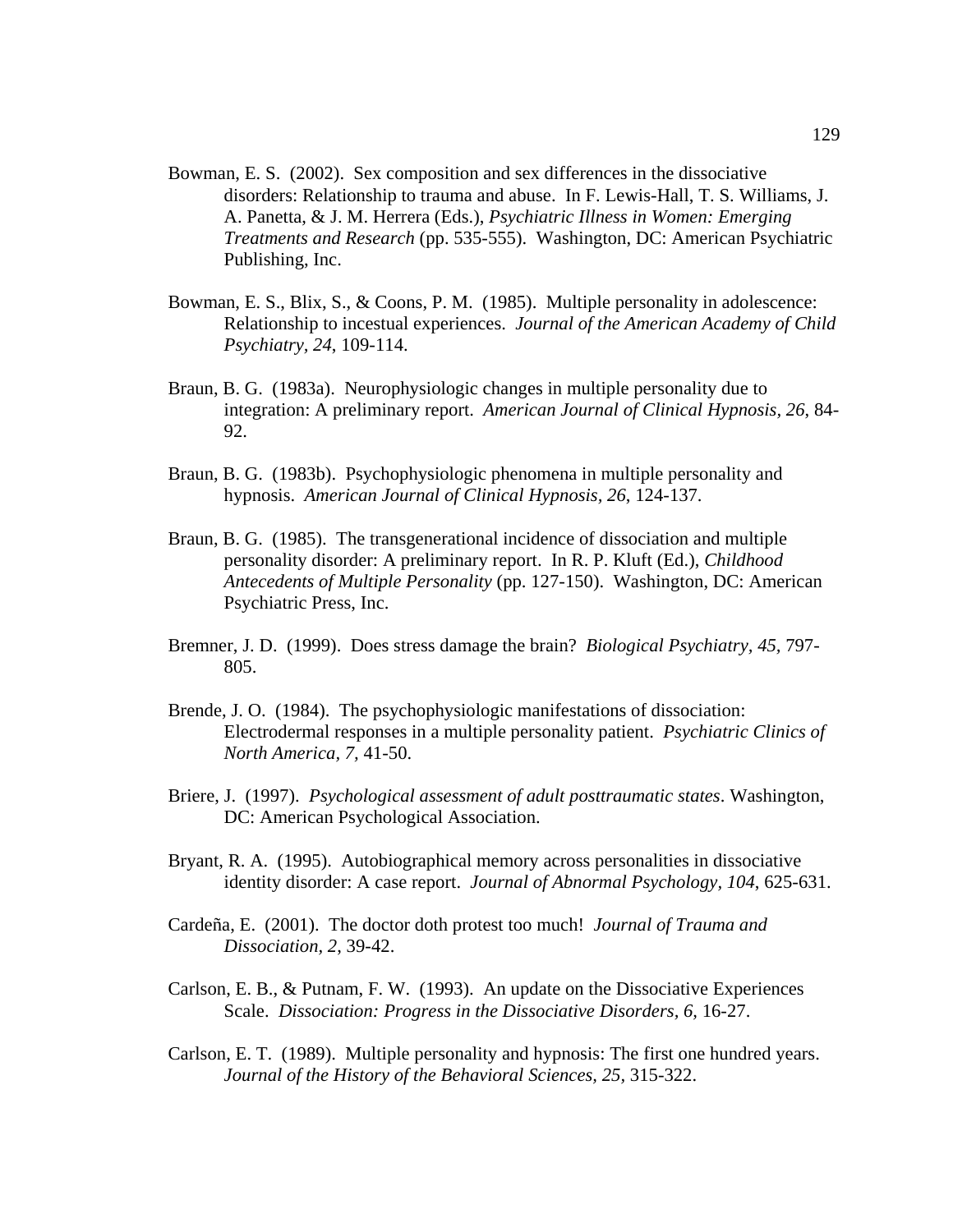- Bowman, E. S. (2002). Sex composition and sex differences in the dissociative disorders: Relationship to trauma and abuse. In F. Lewis-Hall, T. S. Williams, J. A. Panetta, & J. M. Herrera (Eds.), *Psychiatric Illness in Women: Emerging Treatments and Research* (pp. 535-555). Washington, DC: American Psychiatric Publishing, Inc.
- Bowman, E. S., Blix, S., & Coons, P. M. (1985). Multiple personality in adolescence: Relationship to incestual experiences. *Journal of the American Academy of Child Psychiatry, 24*, 109-114.
- Braun, B. G. (1983a). Neurophysiologic changes in multiple personality due to integration: A preliminary report. *American Journal of Clinical Hypnosis, 26*, 84- 92.
- Braun, B. G. (1983b). Psychophysiologic phenomena in multiple personality and hypnosis. *American Journal of Clinical Hypnosis, 26*, 124-137.
- Braun, B. G. (1985). The transgenerational incidence of dissociation and multiple personality disorder: A preliminary report. In R. P. Kluft (Ed.), *Childhood Antecedents of Multiple Personality* (pp. 127-150). Washington, DC: American Psychiatric Press, Inc.
- Bremner, J. D. (1999). Does stress damage the brain? *Biological Psychiatry, 45,* 797- 805.
- Brende, J. O. (1984). The psychophysiologic manifestations of dissociation: Electrodermal responses in a multiple personality patient. *Psychiatric Clinics of North America, 7,* 41-50.
- Briere, J. (1997). *Psychological assessment of adult posttraumatic states*. Washington, DC: American Psychological Association.
- Bryant, R. A. (1995). Autobiographical memory across personalities in dissociative identity disorder: A case report. *Journal of Abnormal Psychology, 104*, 625-631.
- Cardeña, E. (2001). The doctor doth protest too much! *Journal of Trauma and Dissociation, 2*, 39-42.
- Carlson, E. B., & Putnam, F. W. (1993). An update on the Dissociative Experiences Scale. *Dissociation: Progress in the Dissociative Disorders, 6,* 16-27.
- Carlson, E. T. (1989). Multiple personality and hypnosis: The first one hundred years. *Journal of the History of the Behavioral Sciences, 25,* 315-322.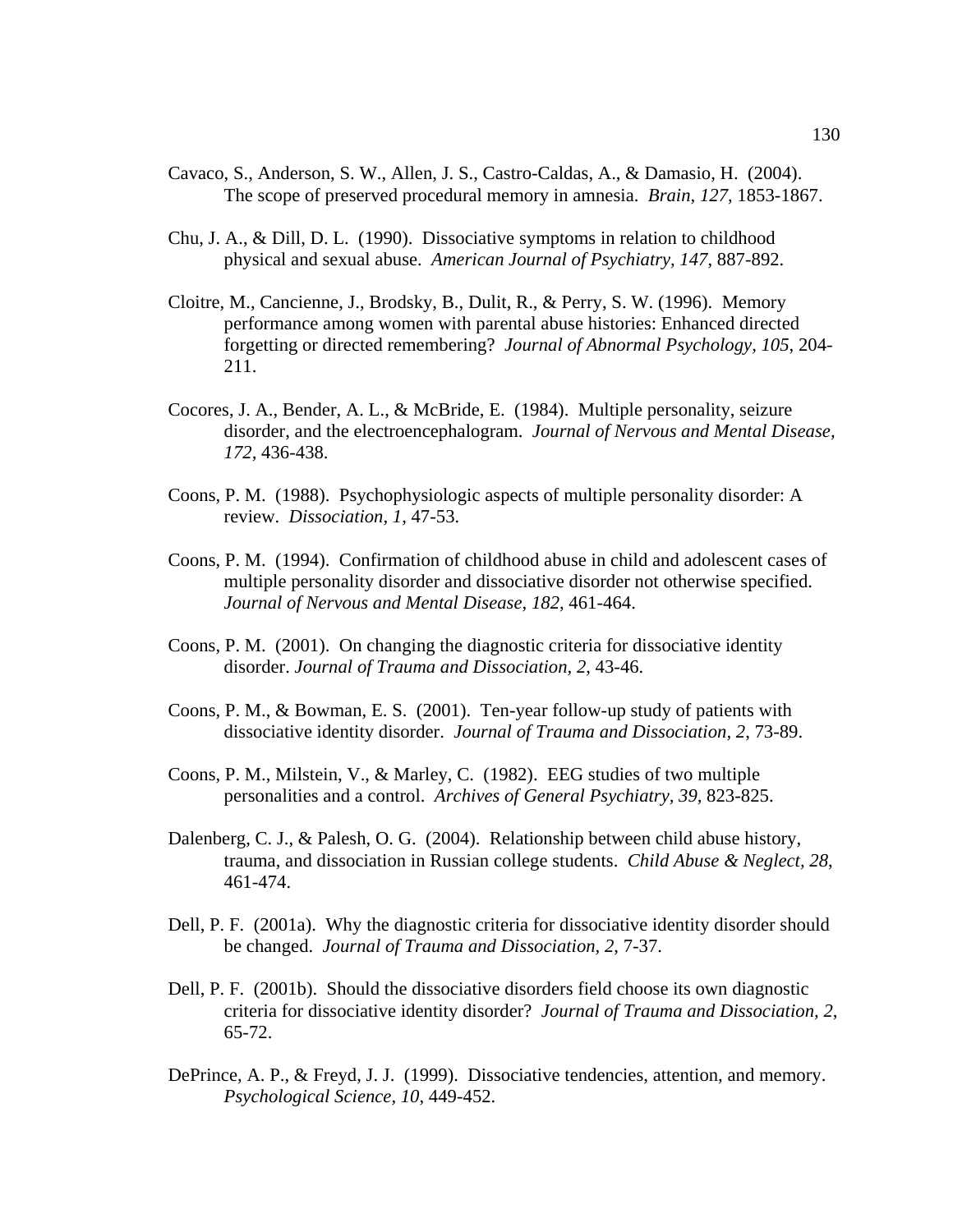- Cavaco, S., Anderson, S. W., Allen, J. S., Castro-Caldas, A., & Damasio, H. (2004). The scope of preserved procedural memory in amnesia. *Brain, 127*, 1853-1867.
- Chu, J. A., & Dill, D. L. (1990). Dissociative symptoms in relation to childhood physical and sexual abuse. *American Journal of Psychiatry, 147*, 887-892.
- Cloitre, M., Cancienne, J., Brodsky, B., Dulit, R., & Perry, S. W. (1996). Memory performance among women with parental abuse histories: Enhanced directed forgetting or directed remembering? *Journal of Abnormal Psychology, 105*, 204- 211.
- Cocores, J. A., Bender, A. L., & McBride, E. (1984). Multiple personality, seizure disorder, and the electroencephalogram. *Journal of Nervous and Mental Disease, 172,* 436-438.
- Coons, P. M. (1988). Psychophysiologic aspects of multiple personality disorder: A review. *Dissociation, 1*, 47-53.
- Coons, P. M. (1994). Confirmation of childhood abuse in child and adolescent cases of multiple personality disorder and dissociative disorder not otherwise specified. *Journal of Nervous and Mental Disease, 182*, 461-464.
- Coons, P. M. (2001). On changing the diagnostic criteria for dissociative identity disorder. *Journal of Trauma and Dissociation, 2*, 43-46.
- Coons, P. M., & Bowman, E. S. (2001). Ten-year follow-up study of patients with dissociative identity disorder. *Journal of Trauma and Dissociation, 2*, 73-89.
- Coons, P. M., Milstein, V., & Marley, C. (1982). EEG studies of two multiple personalities and a control. *Archives of General Psychiatry, 39,* 823-825.
- Dalenberg, C. J., & Palesh, O. G. (2004). Relationship between child abuse history, trauma, and dissociation in Russian college students. *Child Abuse & Neglect, 28*, 461-474.
- Dell, P. F. (2001a). Why the diagnostic criteria for dissociative identity disorder should be changed. *Journal of Trauma and Dissociation, 2*, 7-37.
- Dell, P. F. (2001b). Should the dissociative disorders field choose its own diagnostic criteria for dissociative identity disorder? *Journal of Trauma and Dissociation, 2*, 65-72.
- DePrince, A. P., & Freyd, J. J. (1999). Dissociative tendencies, attention, and memory. *Psychological Science, 10*, 449-452.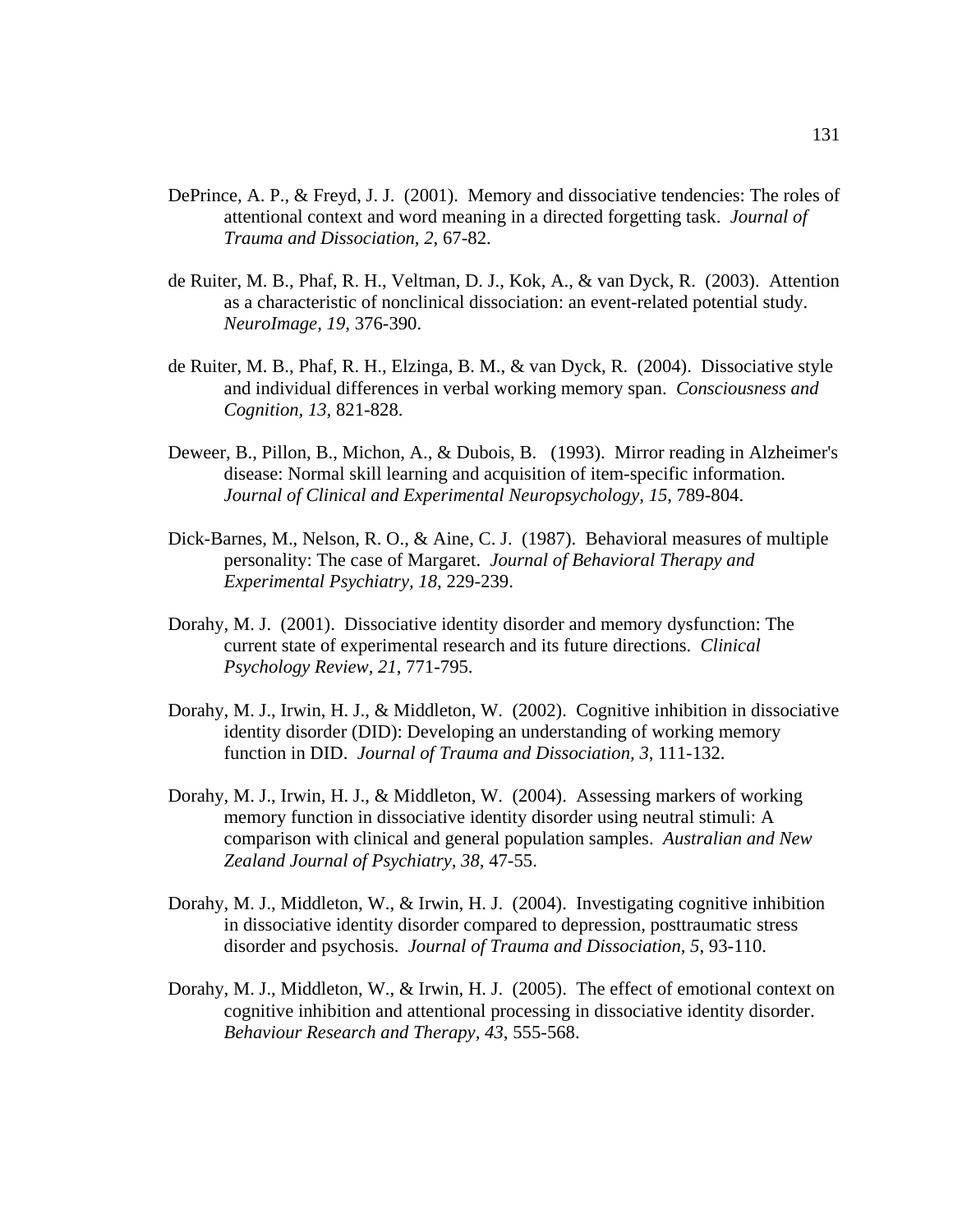- DePrince, A. P., & Freyd, J. J. (2001). Memory and dissociative tendencies: The roles of attentional context and word meaning in a directed forgetting task. *Journal of Trauma and Dissociation, 2*, 67-82.
- de Ruiter, M. B., Phaf, R. H., Veltman, D. J., Kok, A., & van Dyck, R. (2003). Attention as a characteristic of nonclinical dissociation: an event-related potential study. *NeuroImage, 19,* 376-390.
- de Ruiter, M. B., Phaf, R. H., Elzinga, B. M., & van Dyck, R. (2004). Dissociative style and individual differences in verbal working memory span. *Consciousness and Cognition, 13*, 821-828.
- Deweer, B., Pillon, B., Michon, A., & Dubois, B. (1993). Mirror reading in Alzheimer's disease: Normal skill learning and acquisition of item-specific information. *Journal of Clinical and Experimental Neuropsychology, 15*, 789-804.
- Dick-Barnes, M., Nelson, R. O., & Aine, C. J. (1987). Behavioral measures of multiple personality: The case of Margaret. *Journal of Behavioral Therapy and Experimental Psychiatry, 18*, 229-239.
- Dorahy, M. J. (2001). Dissociative identity disorder and memory dysfunction: The current state of experimental research and its future directions. *Clinical Psychology Review, 21*, 771-795.
- Dorahy, M. J., Irwin, H. J., & Middleton, W. (2002). Cognitive inhibition in dissociative identity disorder (DID): Developing an understanding of working memory function in DID. *Journal of Trauma and Dissociation, 3*, 111-132.
- Dorahy, M. J., Irwin, H. J., & Middleton, W. (2004). Assessing markers of working memory function in dissociative identity disorder using neutral stimuli: A comparison with clinical and general population samples. *Australian and New Zealand Journal of Psychiatry, 38*, 47-55.
- Dorahy, M. J., Middleton, W., & Irwin, H. J. (2004). Investigating cognitive inhibition in dissociative identity disorder compared to depression, posttraumatic stress disorder and psychosis. *Journal of Trauma and Dissociation, 5*, 93-110.
- Dorahy, M. J., Middleton, W., & Irwin, H. J. (2005). The effect of emotional context on cognitive inhibition and attentional processing in dissociative identity disorder. *Behaviour Research and Therapy, 43*, 555-568.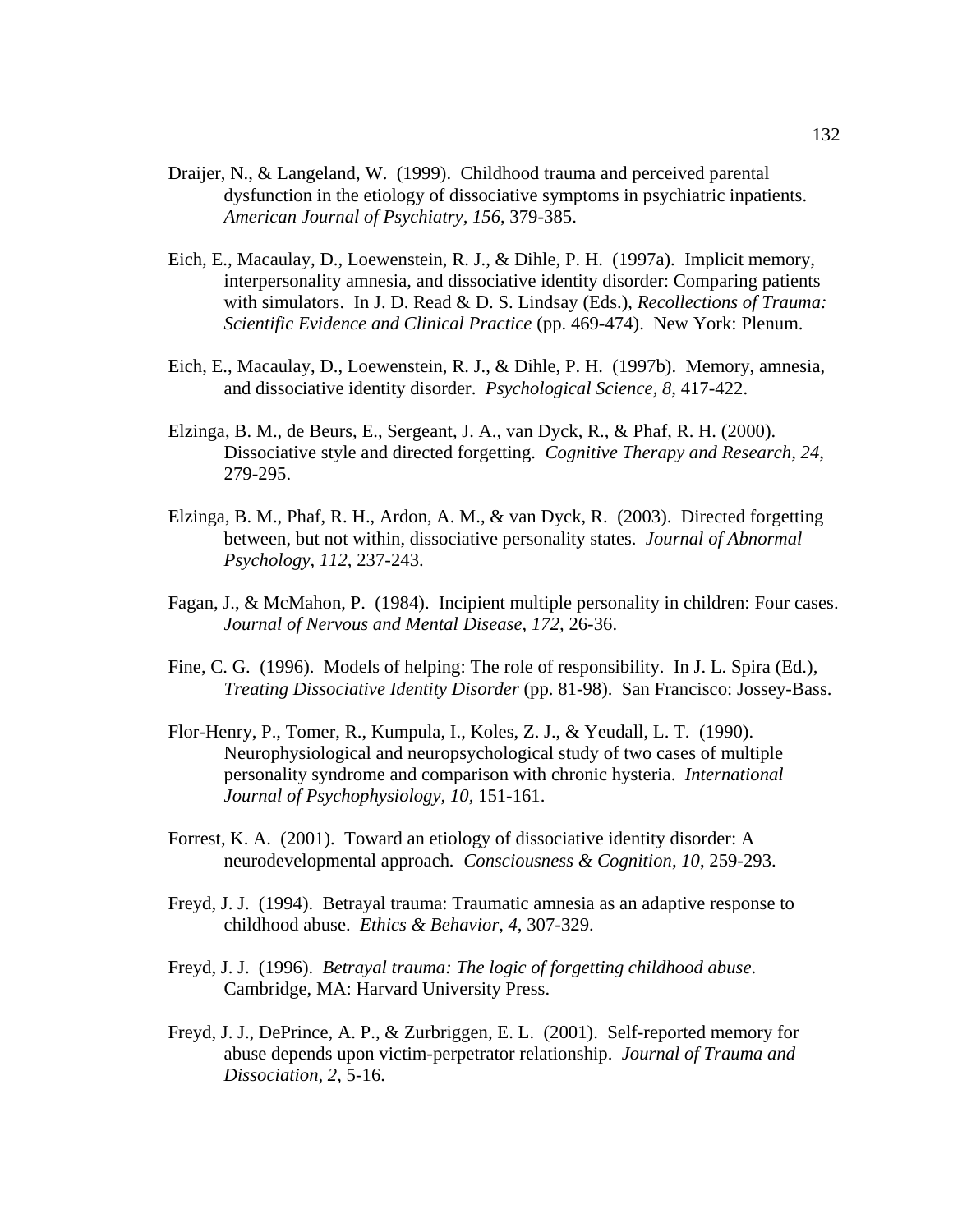- Draijer, N., & Langeland, W. (1999). Childhood trauma and perceived parental dysfunction in the etiology of dissociative symptoms in psychiatric inpatients. *American Journal of Psychiatry, 156*, 379-385.
- Eich, E., Macaulay, D., Loewenstein, R. J., & Dihle, P. H. (1997a). Implicit memory, interpersonality amnesia, and dissociative identity disorder: Comparing patients with simulators. In J. D. Read & D. S. Lindsay (Eds.), *Recollections of Trauma: Scientific Evidence and Clinical Practice* (pp. 469-474). New York: Plenum.
- Eich, E., Macaulay, D., Loewenstein, R. J., & Dihle, P. H. (1997b). Memory, amnesia, and dissociative identity disorder. *Psychological Science, 8*, 417-422.
- Elzinga, B. M., de Beurs, E., Sergeant, J. A., van Dyck, R., & Phaf, R. H. (2000). Dissociative style and directed forgetting. *Cognitive Therapy and Research, 24*, 279-295.
- Elzinga, B. M., Phaf, R. H., Ardon, A. M., & van Dyck, R. (2003). Directed forgetting between, but not within, dissociative personality states. *Journal of Abnormal Psychology, 112*, 237-243.
- Fagan, J., & McMahon, P. (1984). Incipient multiple personality in children: Four cases. *Journal of Nervous and Mental Disease, 172,* 26-36.
- Fine, C. G. (1996). Models of helping: The role of responsibility. In J. L. Spira (Ed.), *Treating Dissociative Identity Disorder* (pp. 81-98). San Francisco: Jossey-Bass.
- Flor-Henry, P., Tomer, R., Kumpula, I., Koles, Z. J., & Yeudall, L. T. (1990). Neurophysiological and neuropsychological study of two cases of multiple personality syndrome and comparison with chronic hysteria. *International Journal of Psychophysiology, 10,* 151-161.
- Forrest, K. A. (2001). Toward an etiology of dissociative identity disorder: A neurodevelopmental approach*. Consciousness & Cognition, 10*, 259-293.
- Freyd, J. J. (1994). Betrayal trauma: Traumatic amnesia as an adaptive response to childhood abuse. *Ethics & Behavior, 4*, 307-329.
- Freyd, J. J. (1996). *Betrayal trauma: The logic of forgetting childhood abuse*. Cambridge, MA: Harvard University Press.
- Freyd, J. J., DePrince, A. P., & Zurbriggen, E. L. (2001). Self-reported memory for abuse depends upon victim-perpetrator relationship. *Journal of Trauma and Dissociation, 2*, 5-16.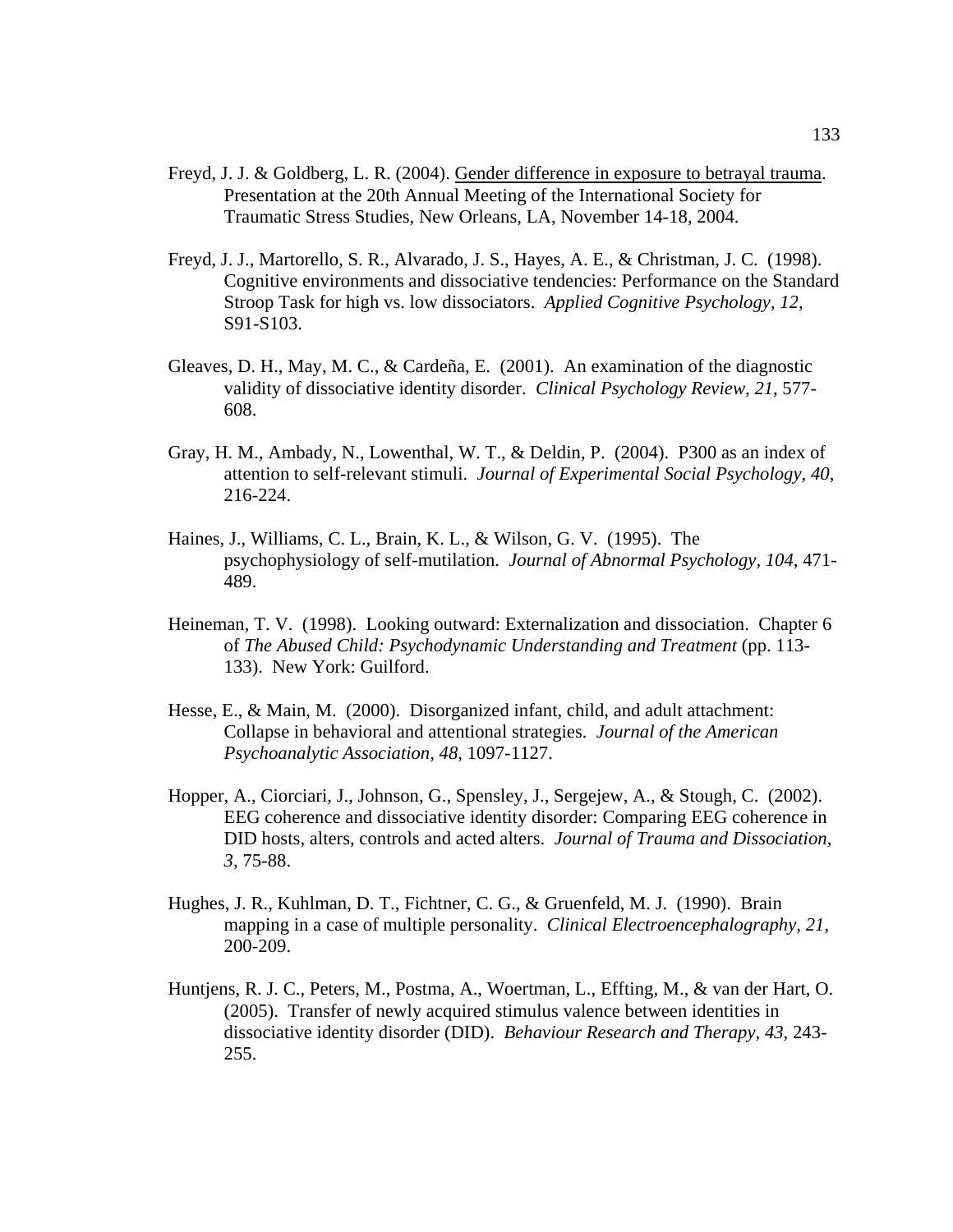- Freyd, J. J. & Goldberg, L. R. (2004). Gender difference in exposure to betrayal trauma. Presentation at the 20th Annual Meeting of the International Society for Traumatic Stress Studies, New Orleans, LA, November 14-18, 2004.
- Freyd, J. J., Martorello, S. R., Alvarado, J. S., Hayes, A. E., & Christman, J. C. (1998). Cognitive environments and dissociative tendencies: Performance on the Standard Stroop Task for high vs. low dissociators. *Applied Cognitive Psychology, 12,* S91-S103.
- Gleaves, D. H., May, M. C., & Cardeña, E. (2001). An examination of the diagnostic validity of dissociative identity disorder. *Clinical Psychology Review, 21*, 577- 608.
- Gray, H. M., Ambady, N., Lowenthal, W. T., & Deldin, P. (2004). P300 as an index of attention to self-relevant stimuli. *Journal of Experimental Social Psychology, 40*, 216-224.
- Haines, J., Williams, C. L., Brain, K. L., & Wilson, G. V. (1995). The psychophysiology of self-mutilation. *Journal of Abnormal Psychology, 104*, 471- 489.
- Heineman, T. V. (1998). Looking outward: Externalization and dissociation. Chapter 6 of *The Abused Child: Psychodynamic Understanding and Treatment* (pp. 113- 133). New York: Guilford.
- Hesse, E., & Main, M. (2000). Disorganized infant, child, and adult attachment: Collapse in behavioral and attentional strategies. *Journal of the American Psychoanalytic Association, 48*, 1097-1127.
- Hopper, A., Ciorciari, J., Johnson, G., Spensley, J., Sergejew, A., & Stough, C. (2002). EEG coherence and dissociative identity disorder: Comparing EEG coherence in DID hosts, alters, controls and acted alters. *Journal of Trauma and Dissociation, 3*, 75-88.
- Hughes, J. R., Kuhlman, D. T., Fichtner, C. G., & Gruenfeld, M. J. (1990). Brain mapping in a case of multiple personality. *Clinical Electroencephalography, 21*, 200-209.
- Huntjens, R. J. C., Peters, M., Postma, A., Woertman, L., Effting, M., & van der Hart, O. (2005). Transfer of newly acquired stimulus valence between identities in dissociative identity disorder (DID). *Behaviour Research and Therapy, 43*, 243- 255.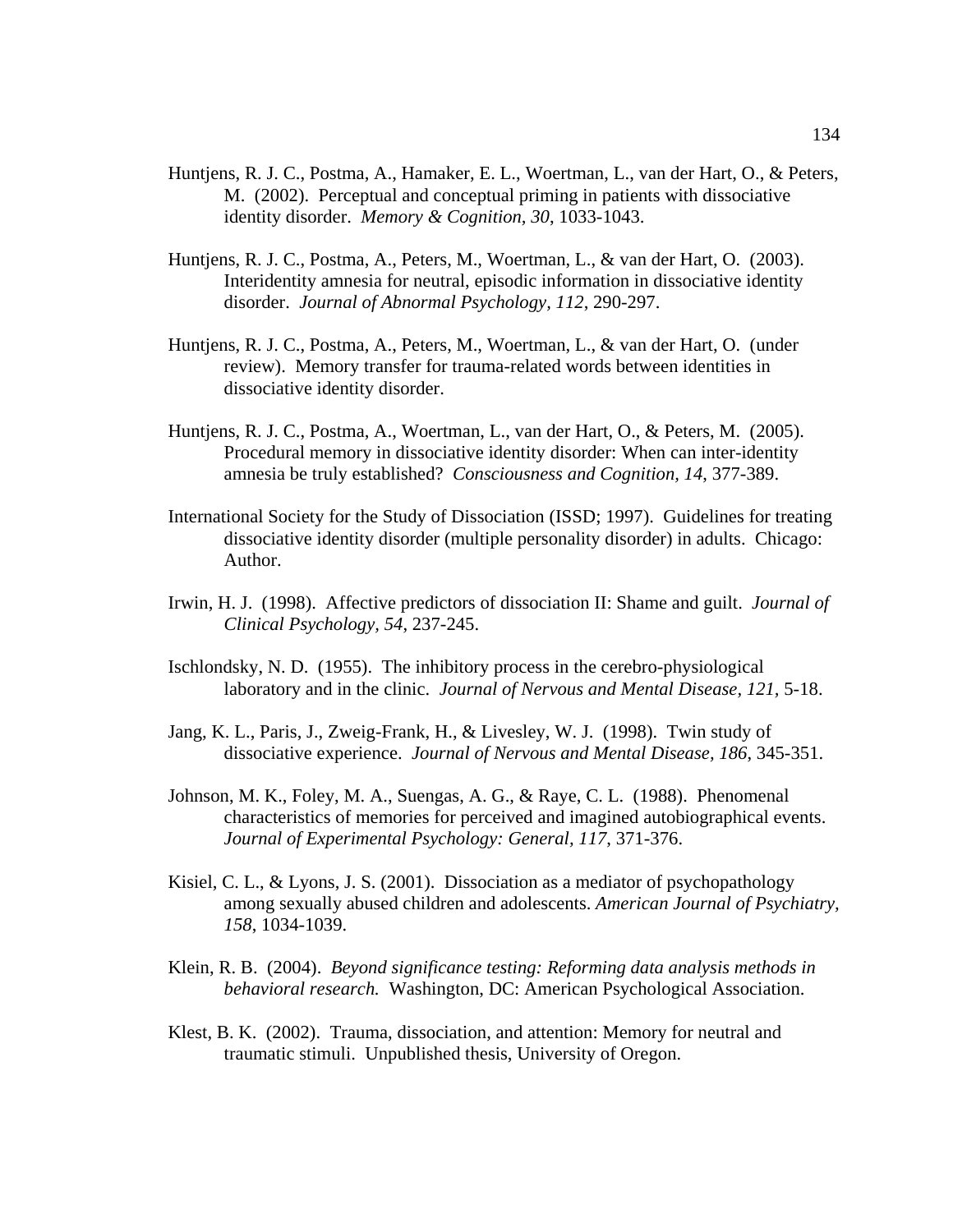- Huntjens, R. J. C., Postma, A., Hamaker, E. L., Woertman, L., van der Hart, O., & Peters, M. (2002). Perceptual and conceptual priming in patients with dissociative identity disorder. *Memory & Cognition, 30*, 1033-1043.
- Huntjens, R. J. C., Postma, A., Peters, M., Woertman, L., & van der Hart, O. (2003). Interidentity amnesia for neutral, episodic information in dissociative identity disorder. *Journal of Abnormal Psychology, 112*, 290-297.
- Huntjens, R. J. C., Postma, A., Peters, M., Woertman, L., & van der Hart, O. (under review). Memory transfer for trauma-related words between identities in dissociative identity disorder.
- Huntjens, R. J. C., Postma, A., Woertman, L., van der Hart, O., & Peters, M. (2005). Procedural memory in dissociative identity disorder: When can inter-identity amnesia be truly established? *Consciousness and Cognition, 14*, 377-389.
- International Society for the Study of Dissociation (ISSD; 1997). Guidelines for treating dissociative identity disorder (multiple personality disorder) in adults. Chicago: Author.
- Irwin, H. J. (1998). Affective predictors of dissociation II: Shame and guilt. *Journal of Clinical Psychology, 54*, 237-245.
- Ischlondsky, N. D. (1955). The inhibitory process in the cerebro-physiological laboratory and in the clinic. *Journal of Nervous and Mental Disease, 121,* 5-18.
- Jang, K. L., Paris, J., Zweig-Frank, H., & Livesley, W. J. (1998). Twin study of dissociative experience. *Journal of Nervous and Mental Disease, 186*, 345-351.
- Johnson, M. K., Foley, M. A., Suengas, A. G., & Raye, C. L. (1988). Phenomenal characteristics of memories for perceived and imagined autobiographical events. *Journal of Experimental Psychology: General, 117*, 371-376.
- Kisiel, C. L., & Lyons, J. S. (2001). Dissociation as a mediator of psychopathology among sexually abused children and adolescents. *American Journal of Psychiatry, 158*, 1034-1039.
- Klein, R. B. (2004). *Beyond significance testing: Reforming data analysis methods in behavioral research.* Washington, DC: American Psychological Association.
- Klest, B. K. (2002). Trauma, dissociation, and attention: Memory for neutral and traumatic stimuli. Unpublished thesis, University of Oregon.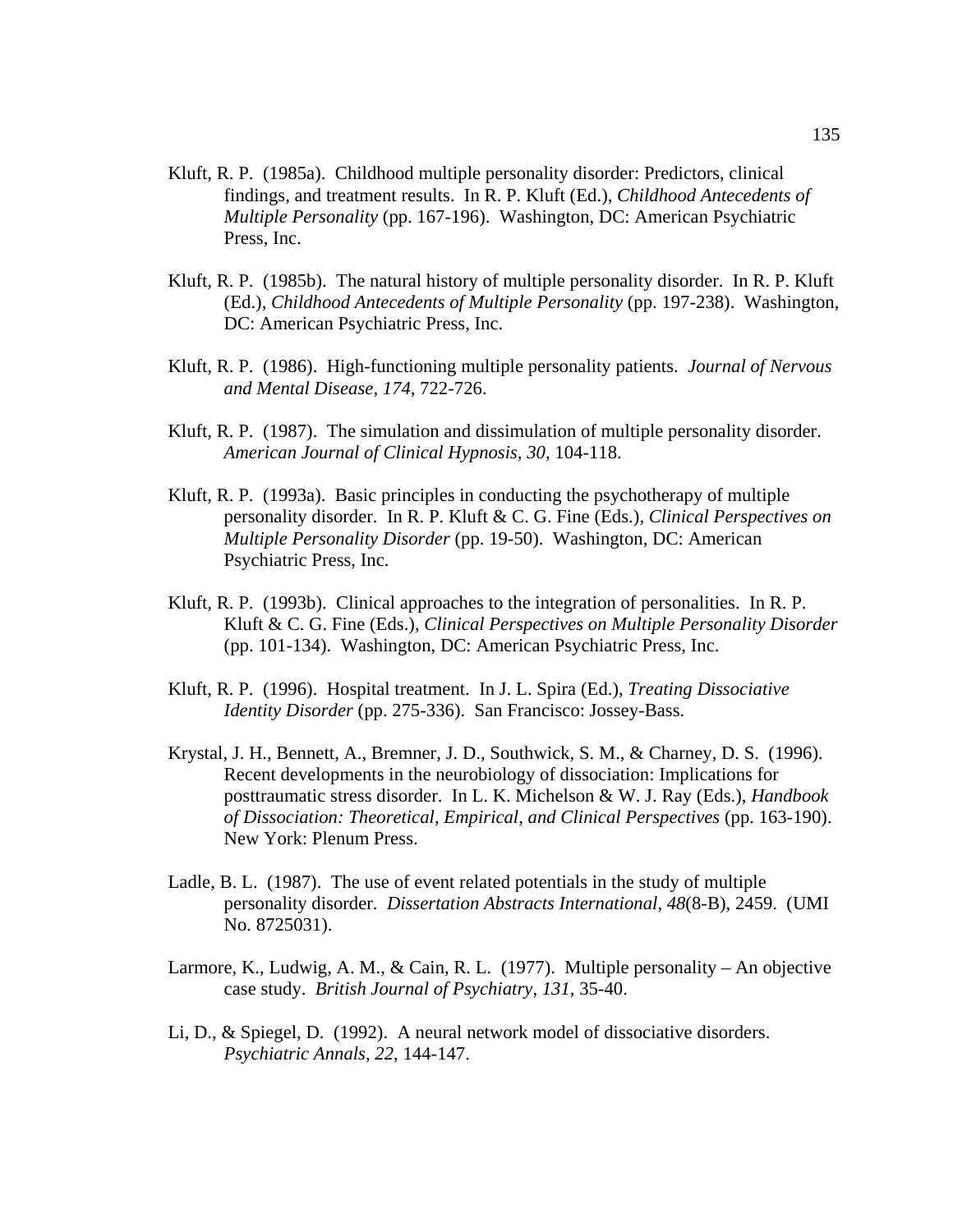- Kluft, R. P. (1985a). Childhood multiple personality disorder: Predictors, clinical findings, and treatment results. In R. P. Kluft (Ed.), *Childhood Antecedents of Multiple Personality* (pp. 167-196). Washington, DC: American Psychiatric Press, Inc.
- Kluft, R. P. (1985b). The natural history of multiple personality disorder. In R. P. Kluft (Ed.), *Childhood Antecedents of Multiple Personality* (pp. 197-238). Washington, DC: American Psychiatric Press, Inc.
- Kluft, R. P. (1986). High-functioning multiple personality patients. *Journal of Nervous and Mental Disease, 174*, 722-726.
- Kluft, R. P. (1987). The simulation and dissimulation of multiple personality disorder. *American Journal of Clinical Hypnosis, 30*, 104-118.
- Kluft, R. P. (1993a). Basic principles in conducting the psychotherapy of multiple personality disorder. In R. P. Kluft & C. G. Fine (Eds.), *Clinical Perspectives on Multiple Personality Disorder* (pp. 19-50). Washington, DC: American Psychiatric Press, Inc.
- Kluft, R. P. (1993b). Clinical approaches to the integration of personalities. In R. P. Kluft & C. G. Fine (Eds.), *Clinical Perspectives on Multiple Personality Disorder* (pp. 101-134). Washington, DC: American Psychiatric Press, Inc.
- Kluft, R. P. (1996). Hospital treatment. In J. L. Spira (Ed.), *Treating Dissociative Identity Disorder* (pp. 275-336). San Francisco: Jossey-Bass.
- Krystal, J. H., Bennett, A., Bremner, J. D., Southwick, S. M., & Charney, D. S. (1996). Recent developments in the neurobiology of dissociation: Implications for posttraumatic stress disorder. In L. K. Michelson & W. J. Ray (Eds.), *Handbook of Dissociation: Theoretical, Empirical, and Clinical Perspectives* (pp. 163-190). New York: Plenum Press.
- Ladle, B. L. (1987). The use of event related potentials in the study of multiple personality disorder. *Dissertation Abstracts International, 48*(8-B), 2459. (UMI No. 8725031).
- Larmore, K., Ludwig, A. M., & Cain, R. L. (1977). Multiple personality An objective case study. *British Journal of Psychiatry, 131,* 35-40.
- Li, D., & Spiegel, D. (1992). A neural network model of dissociative disorders. *Psychiatric Annals, 22*, 144-147.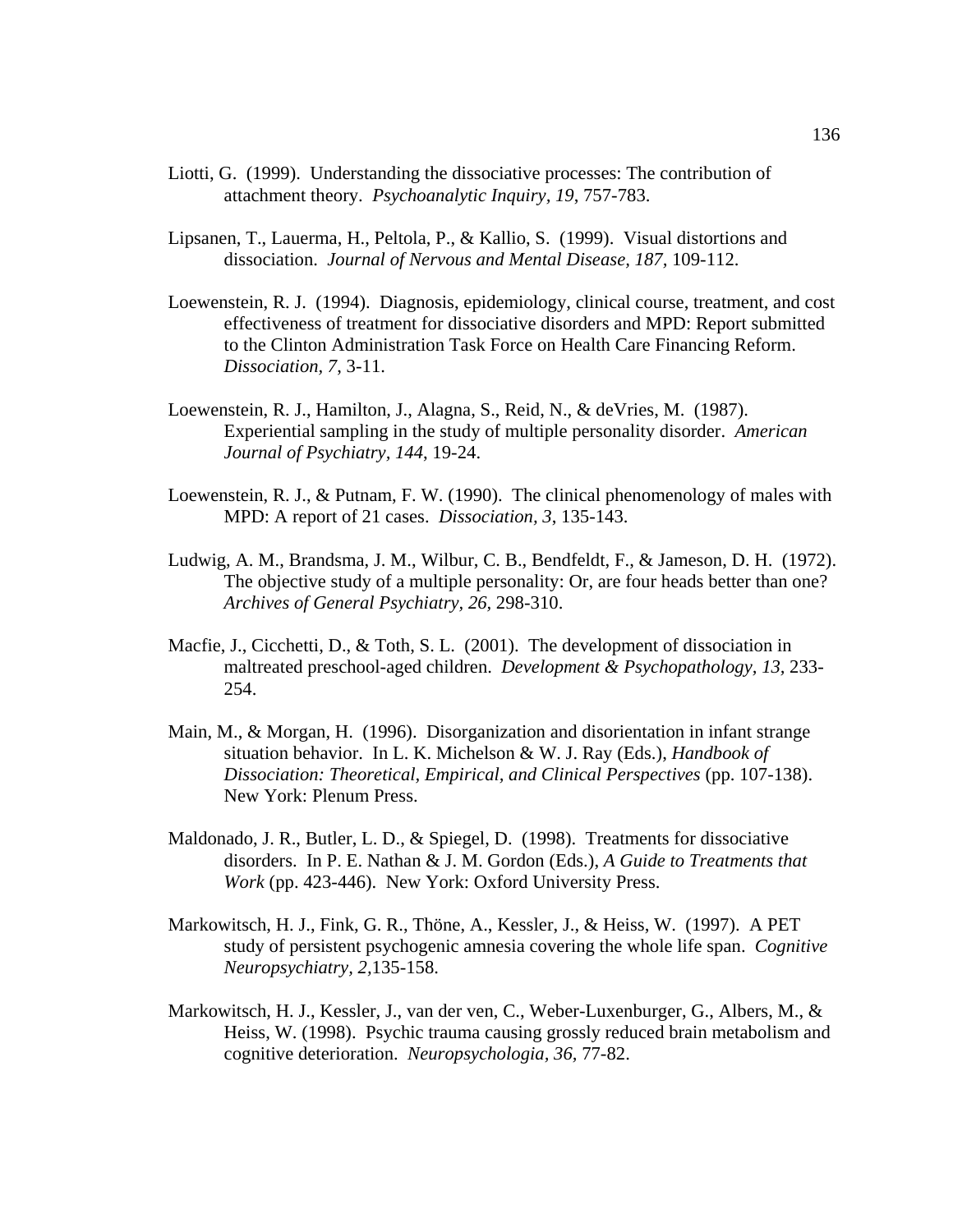- Liotti, G. (1999). Understanding the dissociative processes: The contribution of attachment theory. *Psychoanalytic Inquiry, 19*, 757-783.
- Lipsanen, T., Lauerma, H., Peltola, P., & Kallio, S. (1999). Visual distortions and dissociation. *Journal of Nervous and Mental Disease, 187,* 109-112.
- Loewenstein, R. J. (1994). Diagnosis, epidemiology, clinical course, treatment, and cost effectiveness of treatment for dissociative disorders and MPD: Report submitted to the Clinton Administration Task Force on Health Care Financing Reform. *Dissociation, 7*, 3-11.
- Loewenstein, R. J., Hamilton, J., Alagna, S., Reid, N., & deVries, M. (1987). Experiential sampling in the study of multiple personality disorder. *American Journal of Psychiatry, 144*, 19-24.
- Loewenstein, R. J., & Putnam, F. W. (1990). The clinical phenomenology of males with MPD: A report of 21 cases. *Dissociation, 3*, 135-143.
- Ludwig, A. M., Brandsma, J. M., Wilbur, C. B., Bendfeldt, F., & Jameson, D. H. (1972). The objective study of a multiple personality: Or, are four heads better than one? *Archives of General Psychiatry, 26,* 298-310.
- Macfie, J., Cicchetti, D., & Toth, S. L.  $(2001)$ . The development of dissociation in maltreated preschool-aged children. *Development & Psychopathology, 13,* 233- 254.
- Main, M., & Morgan, H. (1996). Disorganization and disorientation in infant strange situation behavior. In L. K. Michelson & W. J. Ray (Eds.), *Handbook of Dissociation: Theoretical, Empirical, and Clinical Perspectives* (pp. 107-138). New York: Plenum Press.
- Maldonado, J. R., Butler, L. D., & Spiegel, D. (1998). Treatments for dissociative disorders. In P. E. Nathan & J. M. Gordon (Eds.), *A Guide to Treatments that Work* (pp. 423-446). New York: Oxford University Press.
- Markowitsch, H. J., Fink, G. R., Thöne, A., Kessler, J., & Heiss, W. (1997). A PET study of persistent psychogenic amnesia covering the whole life span. *Cognitive Neuropsychiatry, 2,*135-158.
- Markowitsch, H. J., Kessler, J., van der ven, C., Weber-Luxenburger, G., Albers, M., & Heiss, W. (1998). Psychic trauma causing grossly reduced brain metabolism and cognitive deterioration. *Neuropsychologia, 36,* 77-82.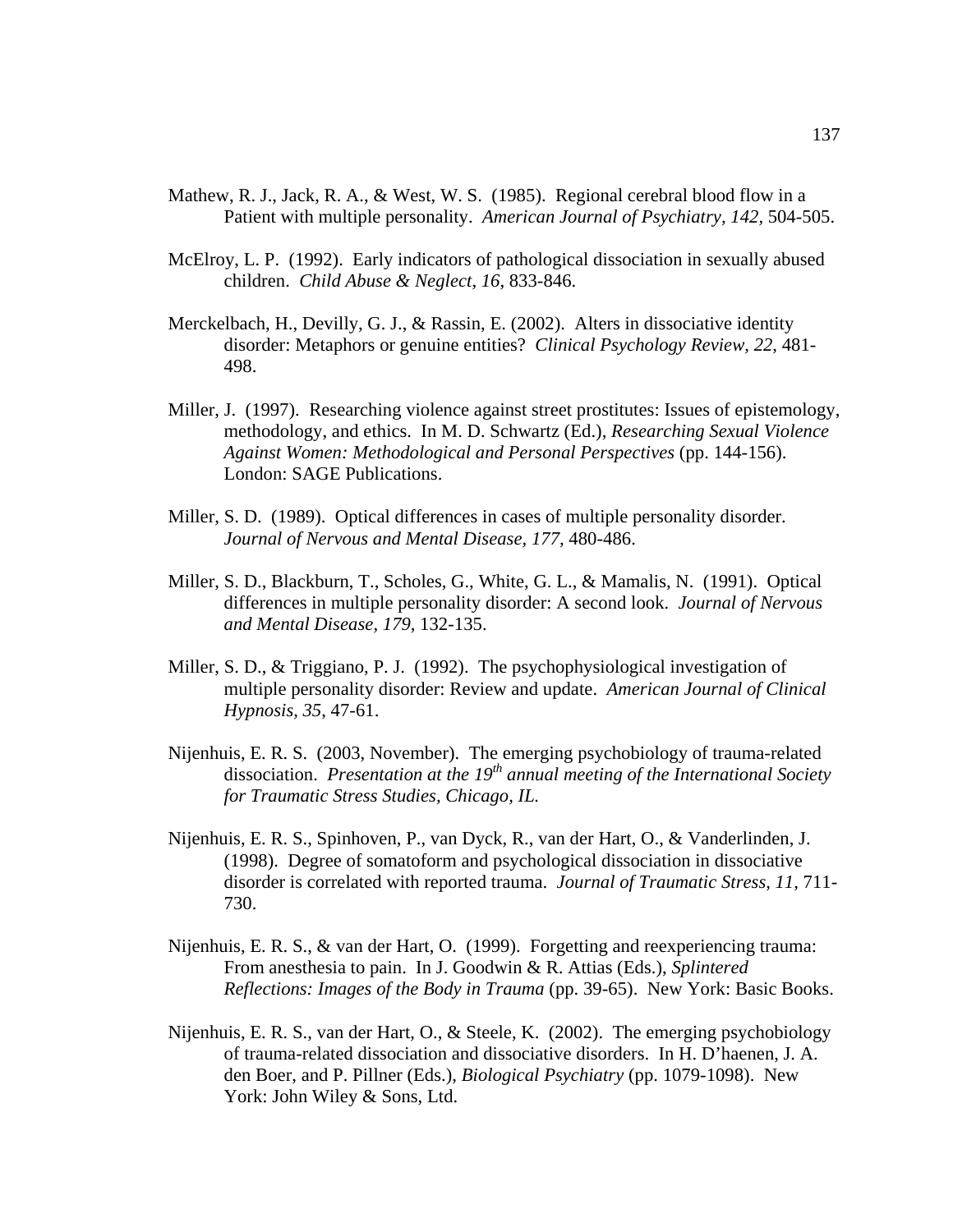- Mathew, R. J., Jack, R. A., & West, W. S. (1985). Regional cerebral blood flow in a Patient with multiple personality. *American Journal of Psychiatry, 142,* 504-505.
- McElroy, L. P. (1992). Early indicators of pathological dissociation in sexually abused children. *Child Abuse & Neglect, 16*, 833-846.
- Merckelbach, H., Devilly, G. J., & Rassin, E. (2002). Alters in dissociative identity disorder: Metaphors or genuine entities? *Clinical Psychology Review, 22*, 481- 498.
- Miller, J. (1997). Researching violence against street prostitutes: Issues of epistemology, methodology, and ethics. In M. D. Schwartz (Ed.), *Researching Sexual Violence Against Women: Methodological and Personal Perspectives* (pp. 144-156). London: SAGE Publications.
- Miller, S. D. (1989). Optical differences in cases of multiple personality disorder. *Journal of Nervous and Mental Disease, 177,* 480-486.
- Miller, S. D., Blackburn, T., Scholes, G., White, G. L., & Mamalis, N. (1991). Optical differences in multiple personality disorder: A second look. *Journal of Nervous and Mental Disease, 179,* 132-135.
- Miller, S. D., & Triggiano, P. J. (1992). The psychophysiological investigation of multiple personality disorder: Review and update. *American Journal of Clinical Hypnosis, 35*, 47-61.
- Nijenhuis, E. R. S. (2003, November). The emerging psychobiology of trauma-related dissociation. *Presentation at the 19th annual meeting of the International Society for Traumatic Stress Studies, Chicago, IL.*
- Nijenhuis, E. R. S., Spinhoven, P., van Dyck, R., van der Hart, O., & Vanderlinden, J. (1998). Degree of somatoform and psychological dissociation in dissociative disorder is correlated with reported trauma. *Journal of Traumatic Stress, 11*, 711- 730.
- Nijenhuis, E. R. S., & van der Hart, O. (1999). Forgetting and reexperiencing trauma: From anesthesia to pain. In J. Goodwin & R. Attias (Eds.), *Splintered Reflections: Images of the Body in Trauma* (pp. 39-65). New York: Basic Books.
- Nijenhuis, E. R. S., van der Hart, O., & Steele, K. (2002). The emerging psychobiology of trauma-related dissociation and dissociative disorders. In H. D'haenen, J. A. den Boer, and P. Pillner (Eds.), *Biological Psychiatry* (pp. 1079-1098). New York: John Wiley & Sons, Ltd.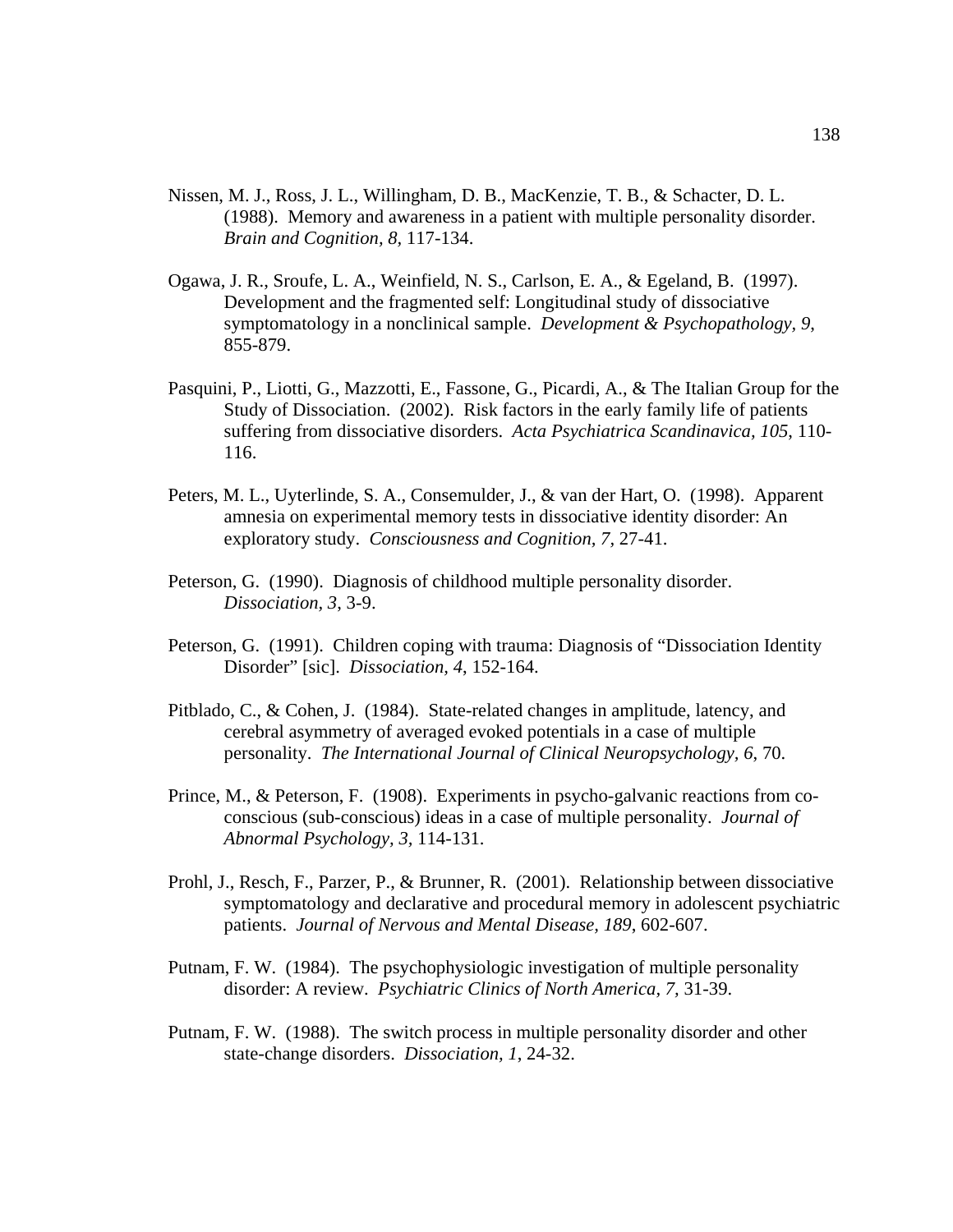- Nissen, M. J., Ross, J. L., Willingham, D. B., MacKenzie, T. B., & Schacter, D. L. (1988). Memory and awareness in a patient with multiple personality disorder. *Brain and Cognition, 8,* 117-134.
- Ogawa, J. R., Sroufe, L. A., Weinfield, N. S., Carlson, E. A., & Egeland, B. (1997). Development and the fragmented self: Longitudinal study of dissociative symptomatology in a nonclinical sample. *Development & Psychopathology, 9*, 855-879.
- Pasquini, P., Liotti, G., Mazzotti, E., Fassone, G., Picardi, A., & The Italian Group for the Study of Dissociation. (2002). Risk factors in the early family life of patients suffering from dissociative disorders. *Acta Psychiatrica Scandinavica, 105*, 110- 116.
- Peters, M. L., Uyterlinde, S. A., Consemulder, J., & van der Hart, O. (1998). Apparent amnesia on experimental memory tests in dissociative identity disorder: An exploratory study. *Consciousness and Cognition, 7,* 27-41.
- Peterson, G. (1990). Diagnosis of childhood multiple personality disorder. *Dissociation, 3*, 3-9.
- Peterson, G. (1991). Children coping with trauma: Diagnosis of "Dissociation Identity Disorder" [sic]. *Dissociation, 4*, 152-164.
- Pitblado, C., & Cohen, J. (1984). State-related changes in amplitude, latency, and cerebral asymmetry of averaged evoked potentials in a case of multiple personality. *The International Journal of Clinical Neuropsychology, 6*, 70.
- Prince, M., & Peterson, F. (1908). Experiments in psycho-galvanic reactions from coconscious (sub-conscious) ideas in a case of multiple personality. *Journal of Abnormal Psychology, 3,* 114-131.
- Prohl, J., Resch, F., Parzer, P., & Brunner, R. (2001). Relationship between dissociative symptomatology and declarative and procedural memory in adolescent psychiatric patients. *Journal of Nervous and Mental Disease, 189*, 602-607.
- Putnam, F. W. (1984). The psychophysiologic investigation of multiple personality disorder: A review. *Psychiatric Clinics of North America, 7,* 31-39.
- Putnam, F. W. (1988). The switch process in multiple personality disorder and other state-change disorders. *Dissociation, 1*, 24-32.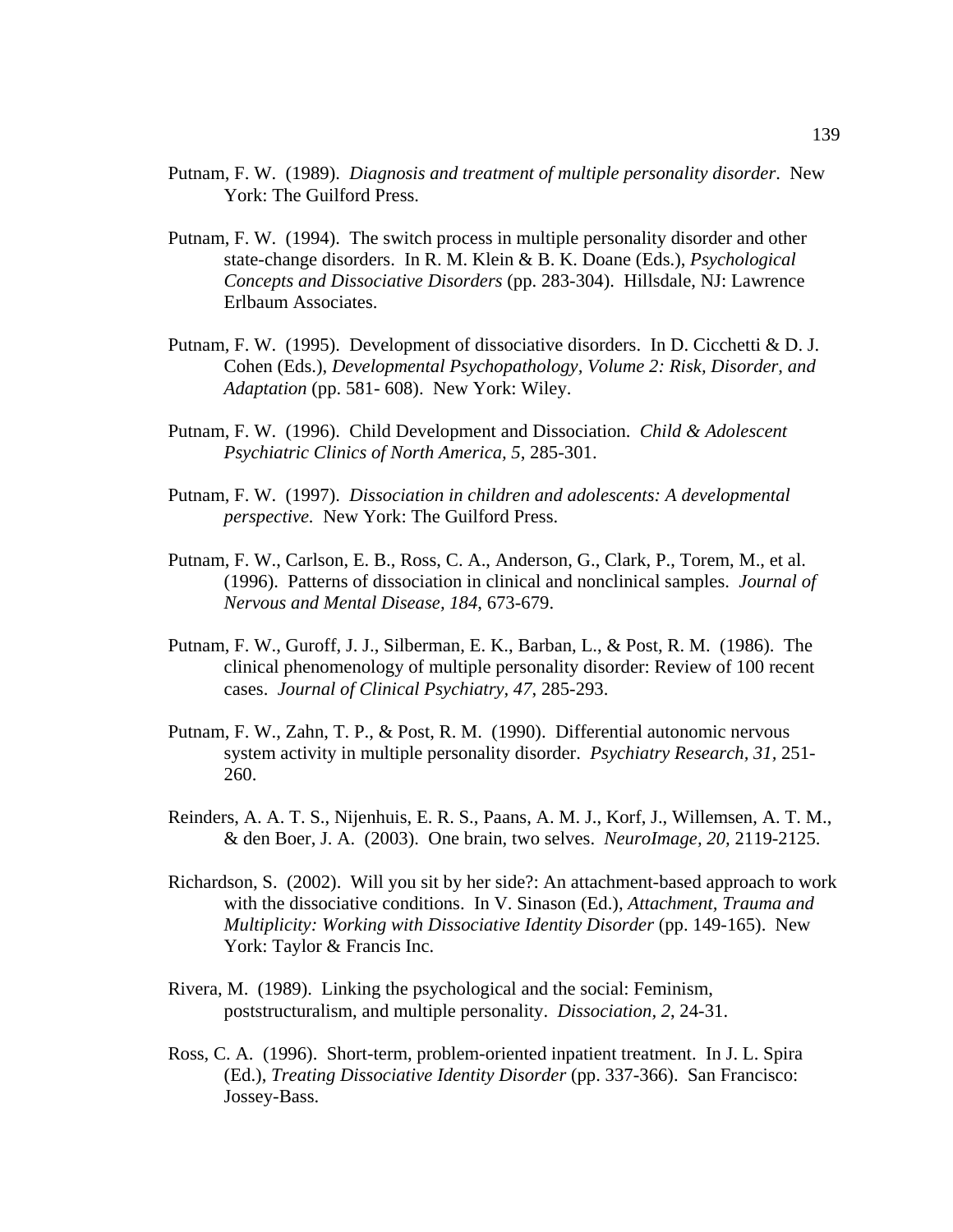- Putnam, F. W. (1989). *Diagnosis and treatment of multiple personality disorder*. New York: The Guilford Press.
- Putnam, F. W. (1994). The switch process in multiple personality disorder and other state-change disorders. In R. M. Klein & B. K. Doane (Eds.), *Psychological Concepts and Dissociative Disorders* (pp. 283-304). Hillsdale, NJ: Lawrence Erlbaum Associates.
- Putnam, F. W. (1995). Development of dissociative disorders. In D. Cicchetti & D. J. Cohen (Eds.), *Developmental Psychopathology, Volume 2: Risk, Disorder, and Adaptation* (pp. 581- 608). New York: Wiley.
- Putnam, F. W. (1996). Child Development and Dissociation. *Child & Adolescent Psychiatric Clinics of North America, 5*, 285-301.
- Putnam, F. W. (1997). *Dissociation in children and adolescents: A developmental perspective.* New York: The Guilford Press.
- Putnam, F. W., Carlson, E. B., Ross, C. A., Anderson, G., Clark, P., Torem, M., et al. (1996). Patterns of dissociation in clinical and nonclinical samples. *Journal of Nervous and Mental Disease, 184*, 673-679.
- Putnam, F. W., Guroff, J. J., Silberman, E. K., Barban, L., & Post, R. M. (1986). The clinical phenomenology of multiple personality disorder: Review of 100 recent cases. *Journal of Clinical Psychiatry, 47*, 285-293.
- Putnam, F. W., Zahn, T. P., & Post, R. M. (1990). Differential autonomic nervous system activity in multiple personality disorder. *Psychiatry Research, 31,* 251- 260.
- Reinders, A. A. T. S., Nijenhuis, E. R. S., Paans, A. M. J., Korf, J., Willemsen, A. T. M., & den Boer, J. A. (2003). One brain, two selves. *NeuroImage, 20,* 2119-2125.
- Richardson, S. (2002). Will you sit by her side?: An attachment-based approach to work with the dissociative conditions. In V. Sinason (Ed.), *Attachment, Trauma and Multiplicity: Working with Dissociative Identity Disorder (pp. 149-165).* New York: Taylor & Francis Inc.
- Rivera, M. (1989). Linking the psychological and the social: Feminism, poststructuralism, and multiple personality. *Dissociation, 2*, 24-31.
- Ross, C. A. (1996). Short-term, problem-oriented inpatient treatment. In J. L. Spira (Ed.), *Treating Dissociative Identity Disorder* (pp. 337-366). San Francisco: Jossey-Bass.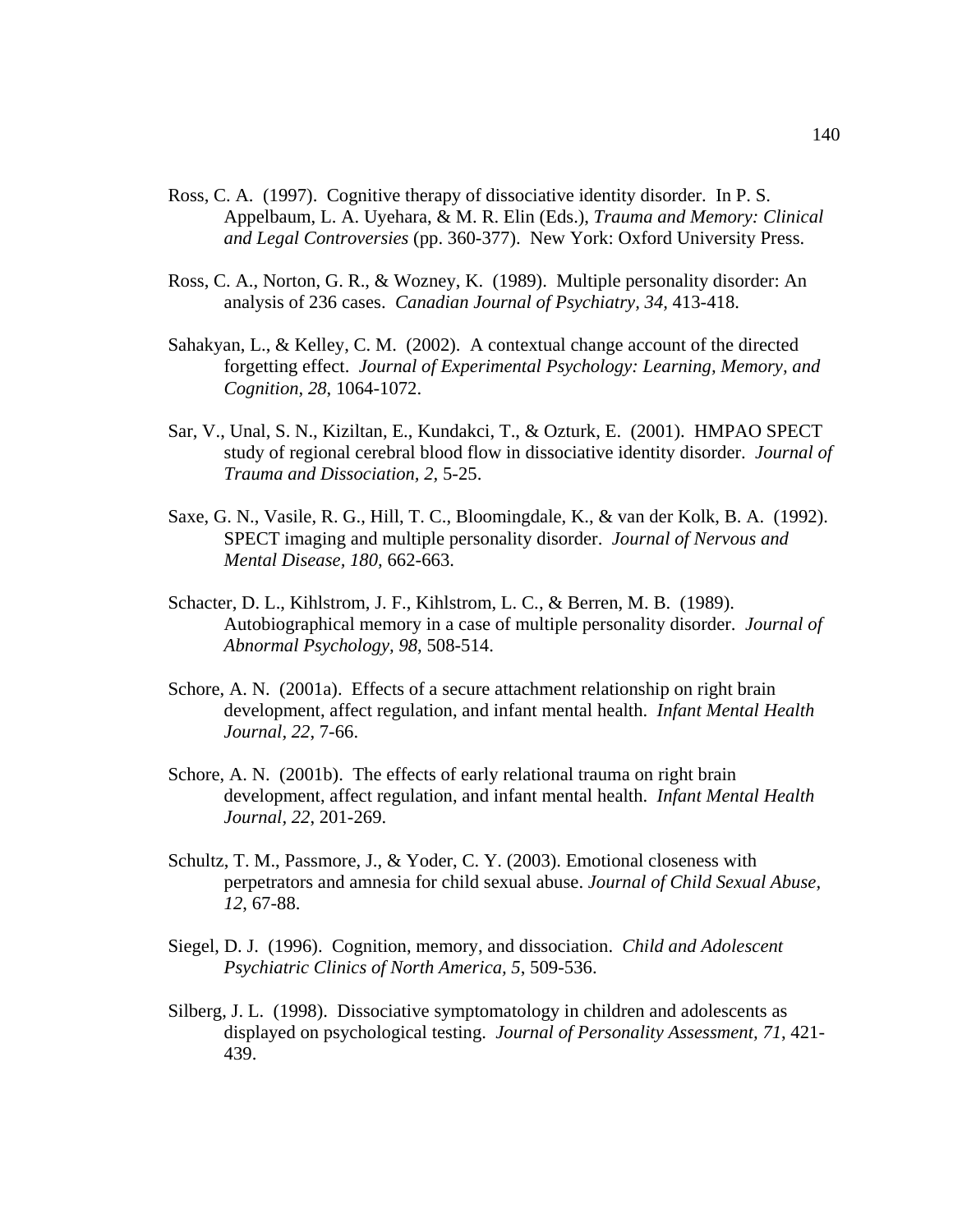- Ross, C. A. (1997). Cognitive therapy of dissociative identity disorder. In P. S. Appelbaum, L. A. Uyehara, & M. R. Elin (Eds.), *Trauma and Memory: Clinical and Legal Controversies* (pp. 360-377). New York: Oxford University Press.
- Ross, C. A., Norton, G. R., & Wozney, K. (1989). Multiple personality disorder: An analysis of 236 cases. *Canadian Journal of Psychiatry, 34,* 413-418.
- Sahakyan, L., & Kelley, C. M. (2002). A contextual change account of the directed forgetting effect. *Journal of Experimental Psychology: Learning, Memory, and Cognition, 28*, 1064-1072.
- Sar, V., Unal, S. N., Kiziltan, E., Kundakci, T., & Ozturk, E. (2001). HMPAO SPECT study of regional cerebral blood flow in dissociative identity disorder. *Journal of Trauma and Dissociation, 2,* 5-25.
- Saxe, G. N., Vasile, R. G., Hill, T. C., Bloomingdale, K., & van der Kolk, B. A. (1992). SPECT imaging and multiple personality disorder. *Journal of Nervous and Mental Disease, 180,* 662-663.
- Schacter, D. L., Kihlstrom, J. F., Kihlstrom, L. C., & Berren, M. B. (1989). Autobiographical memory in a case of multiple personality disorder. *Journal of Abnormal Psychology, 98*, 508-514.
- Schore, A. N. (2001a). Effects of a secure attachment relationship on right brain development, affect regulation, and infant mental health. *Infant Mental Health Journal, 22*, 7-66.
- Schore, A. N. (2001b). The effects of early relational trauma on right brain development, affect regulation, and infant mental health. *Infant Mental Health Journal, 22*, 201-269.
- Schultz, T. M., Passmore, J., & Yoder, C. Y. (2003). Emotional closeness with perpetrators and amnesia for child sexual abuse. *Journal of Child Sexual Abuse, 12*, 67-88.
- Siegel, D. J. (1996). Cognition, memory, and dissociation. *Child and Adolescent Psychiatric Clinics of North America, 5*, 509-536.
- Silberg, J. L. (1998). Dissociative symptomatology in children and adolescents as displayed on psychological testing. *Journal of Personality Assessment, 71*, 421- 439.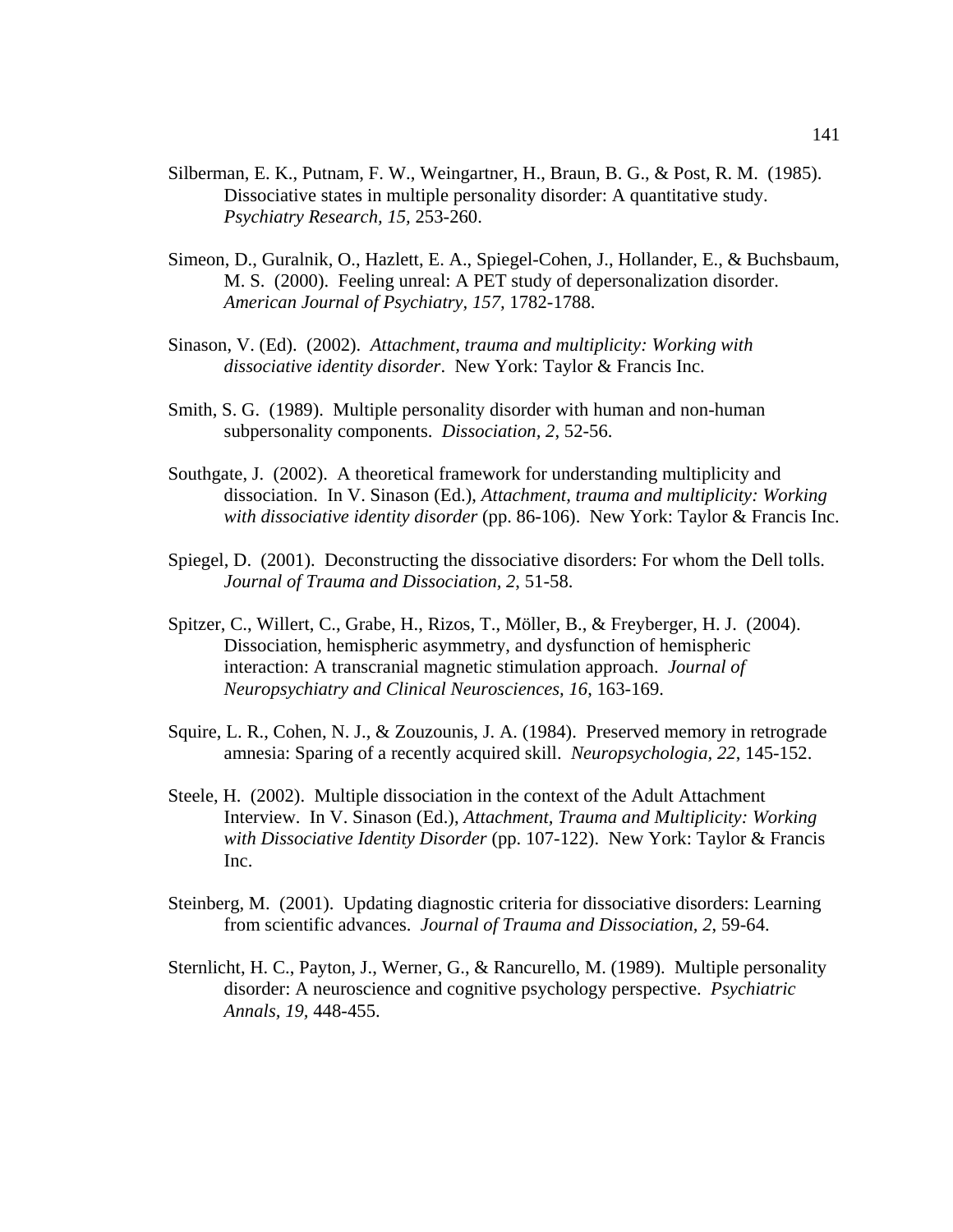- Silberman, E. K., Putnam, F. W., Weingartner, H., Braun, B. G., & Post, R. M. (1985). Dissociative states in multiple personality disorder: A quantitative study. *Psychiatry Research, 15,* 253-260.
- Simeon, D., Guralnik, O., Hazlett, E. A., Spiegel-Cohen, J., Hollander, E., & Buchsbaum, M. S. (2000). Feeling unreal: A PET study of depersonalization disorder. *American Journal of Psychiatry, 157,* 1782-1788.
- Sinason, V. (Ed). (2002). *Attachment, trauma and multiplicity: Working with dissociative identity disorder*. New York: Taylor & Francis Inc.
- Smith, S. G. (1989). Multiple personality disorder with human and non-human subpersonality components. *Dissociation, 2*, 52-56.
- Southgate, J. (2002). A theoretical framework for understanding multiplicity and dissociation. In V. Sinason (Ed.), *Attachment, trauma and multiplicity: Working with dissociative identity disorder* (pp. 86-106). New York: Taylor & Francis Inc.
- Spiegel, D. (2001). Deconstructing the dissociative disorders: For whom the Dell tolls. *Journal of Trauma and Dissociation, 2*, 51-58.
- Spitzer, C., Willert, C., Grabe, H., Rizos, T., Möller, B., & Freyberger, H. J. (2004). Dissociation, hemispheric asymmetry, and dysfunction of hemispheric interaction: A transcranial magnetic stimulation approach. *Journal of Neuropsychiatry and Clinical Neurosciences, 16*, 163-169.
- Squire, L. R., Cohen, N. J., & Zouzounis, J. A. (1984). Preserved memory in retrograde amnesia: Sparing of a recently acquired skill. *Neuropsychologia, 22*, 145-152.
- Steele, H. (2002). Multiple dissociation in the context of the Adult Attachment Interview. In V. Sinason (Ed.), *Attachment, Trauma and Multiplicity: Working with Dissociative Identity Disorder* (pp. 107-122). New York: Taylor & Francis Inc.
- Steinberg, M. (2001). Updating diagnostic criteria for dissociative disorders: Learning from scientific advances. *Journal of Trauma and Dissociation, 2*, 59-64.
- Sternlicht, H. C., Payton, J., Werner, G., & Rancurello, M. (1989). Multiple personality disorder: A neuroscience and cognitive psychology perspective. *Psychiatric Annals, 19,* 448-455.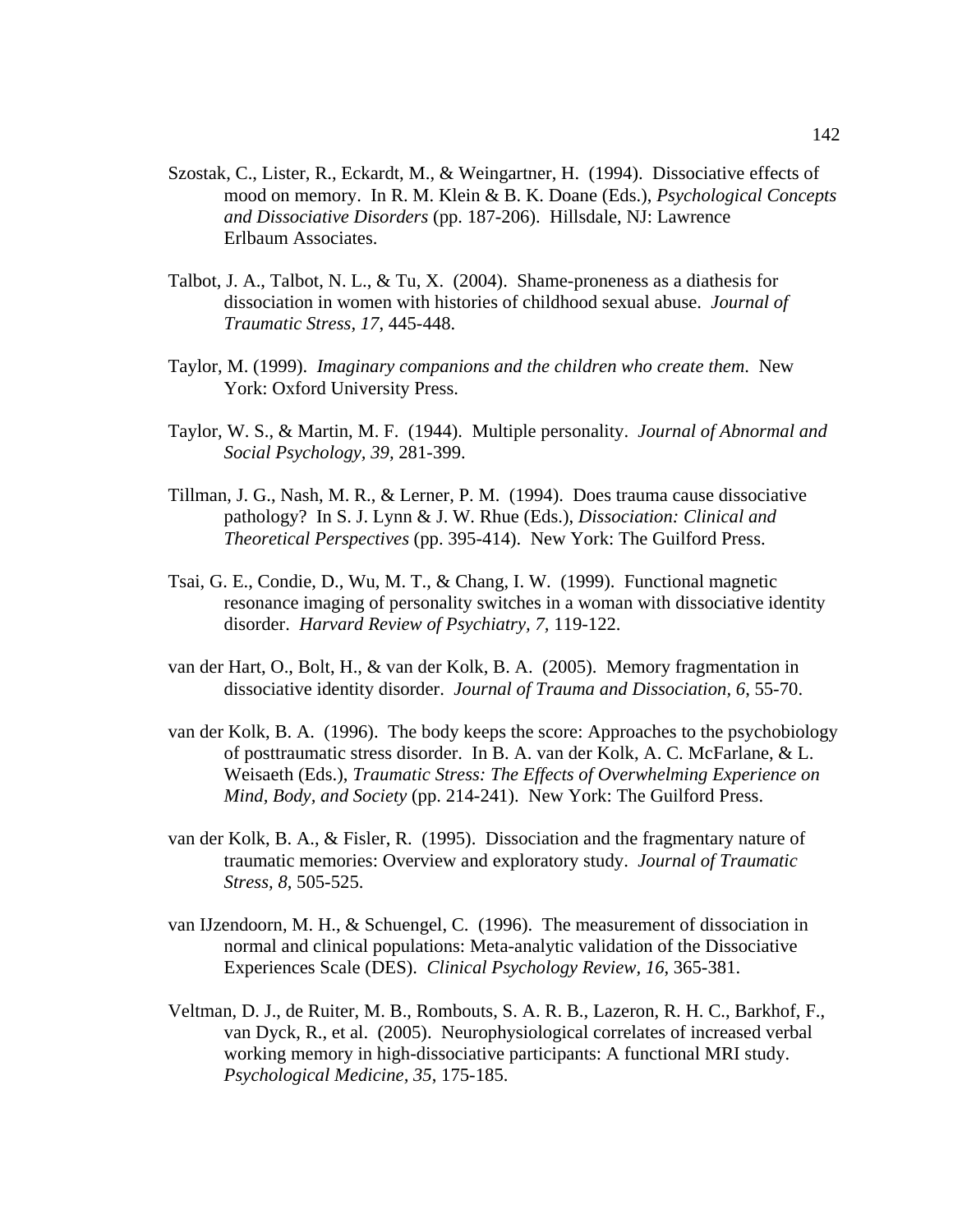- Szostak, C., Lister, R., Eckardt, M., & Weingartner, H. (1994). Dissociative effects of mood on memory. In R. M. Klein & B. K. Doane (Eds.), *Psychological Concepts and Dissociative Disorders* (pp. 187-206). Hillsdale, NJ: Lawrence Erlbaum Associates.
- Talbot, J. A., Talbot, N. L., & Tu, X. (2004). Shame-proneness as a diathesis for dissociation in women with histories of childhood sexual abuse. *Journal of Traumatic Stress, 17*, 445-448.
- Taylor, M. (1999). *Imaginary companions and the children who create them*. New York: Oxford University Press.
- Taylor, W. S., & Martin, M. F. (1944). Multiple personality. *Journal of Abnormal and Social Psychology, 39,* 281-399.
- Tillman, J. G., Nash, M. R., & Lerner, P. M. (1994). Does trauma cause dissociative pathology? In S. J. Lynn & J. W. Rhue (Eds.), *Dissociation: Clinical and Theoretical Perspectives* (pp. 395-414). New York: The Guilford Press.
- Tsai, G. E., Condie, D., Wu, M. T., & Chang, I. W. (1999). Functional magnetic resonance imaging of personality switches in a woman with dissociative identity disorder. *Harvard Review of Psychiatry, 7,* 119-122.
- van der Hart, O., Bolt, H., & van der Kolk, B. A. (2005). Memory fragmentation in dissociative identity disorder. *Journal of Trauma and Dissociation, 6*, 55-70.
- van der Kolk, B. A. (1996). The body keeps the score: Approaches to the psychobiology of posttraumatic stress disorder. In B. A. van der Kolk, A. C. McFarlane, & L. Weisaeth (Eds.), *Traumatic Stress: The Effects of Overwhelming Experience on Mind, Body, and Society* (pp. 214-241). New York: The Guilford Press.
- van der Kolk, B. A., & Fisler, R. (1995). Dissociation and the fragmentary nature of traumatic memories: Overview and exploratory study. *Journal of Traumatic Stress, 8*, 505-525.
- van IJzendoorn, M. H., & Schuengel, C. (1996). The measurement of dissociation in normal and clinical populations: Meta-analytic validation of the Dissociative Experiences Scale (DES). *Clinical Psychology Review, 16*, 365-381.
- Veltman, D. J., de Ruiter, M. B., Rombouts, S. A. R. B., Lazeron, R. H. C., Barkhof, F., van Dyck, R., et al. (2005). Neurophysiological correlates of increased verbal working memory in high-dissociative participants: A functional MRI study. *Psychological Medicine, 35*, 175-185.